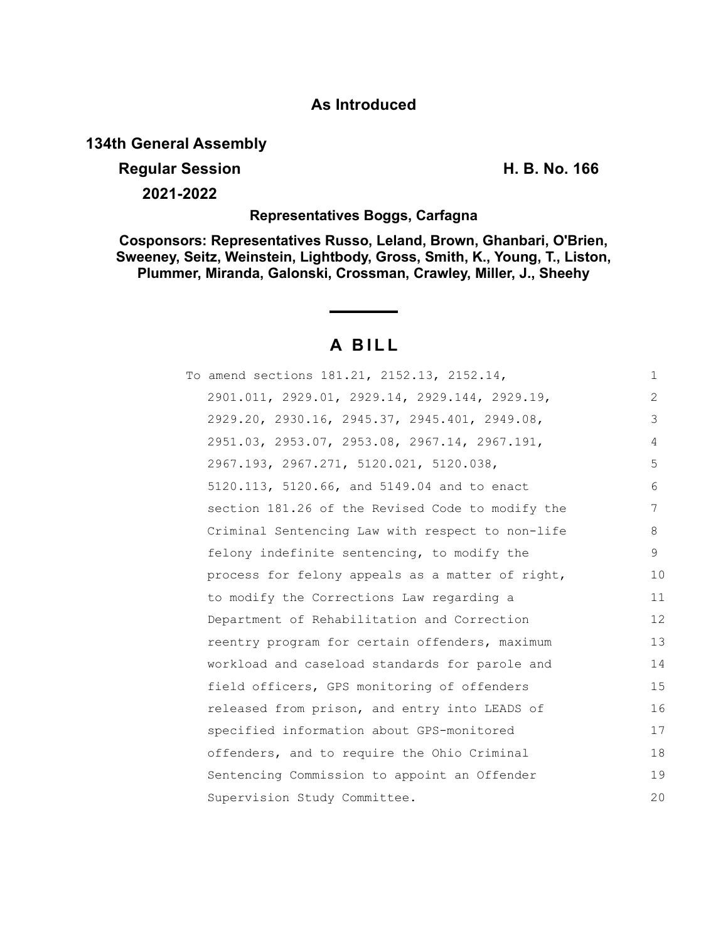## **As Introduced**

## **134th General Assembly**

# **Regular Session H. B. No. 166**

**2021-2022**

## **Representatives Boggs, Carfagna**

**Cosponsors: Representatives Russo, Leland, Brown, Ghanbari, O'Brien, Sweeney, Seitz, Weinstein, Lightbody, Gross, Smith, K., Young, T., Liston, Plummer, Miranda, Galonski, Crossman, Crawley, Miller, J., Sheehy**

# **A B I L L**

|  | To amend sections 181.21, 2152.13, 2152.14,      | 1    |
|--|--------------------------------------------------|------|
|  | 2901.011, 2929.01, 2929.14, 2929.144, 2929.19,   | 2    |
|  | 2929.20, 2930.16, 2945.37, 2945.401, 2949.08,    | 3    |
|  | 2951.03, 2953.07, 2953.08, 2967.14, 2967.191,    | 4    |
|  | 2967.193, 2967.271, 5120.021, 5120.038,          | 5    |
|  | 5120.113, 5120.66, and 5149.04 and to enact      | 6    |
|  | section 181.26 of the Revised Code to modify the | 7    |
|  | Criminal Sentencing Law with respect to non-life | 8    |
|  | felony indefinite sentencing, to modify the      | 9    |
|  | process for felony appeals as a matter of right, | 10   |
|  | to modify the Corrections Law regarding a        | 11   |
|  | Department of Rehabilitation and Correction      | 12   |
|  | reentry program for certain offenders, maximum   | 13   |
|  | workload and caseload standards for parole and   | 14   |
|  | field officers, GPS monitoring of offenders      | 15   |
|  | released from prison, and entry into LEADS of    | 16   |
|  | specified information about GPS-monitored        | $17$ |
|  | offenders, and to require the Ohio Criminal      | 18   |
|  | Sentencing Commission to appoint an Offender     | 19   |
|  | Supervision Study Committee.                     | 20   |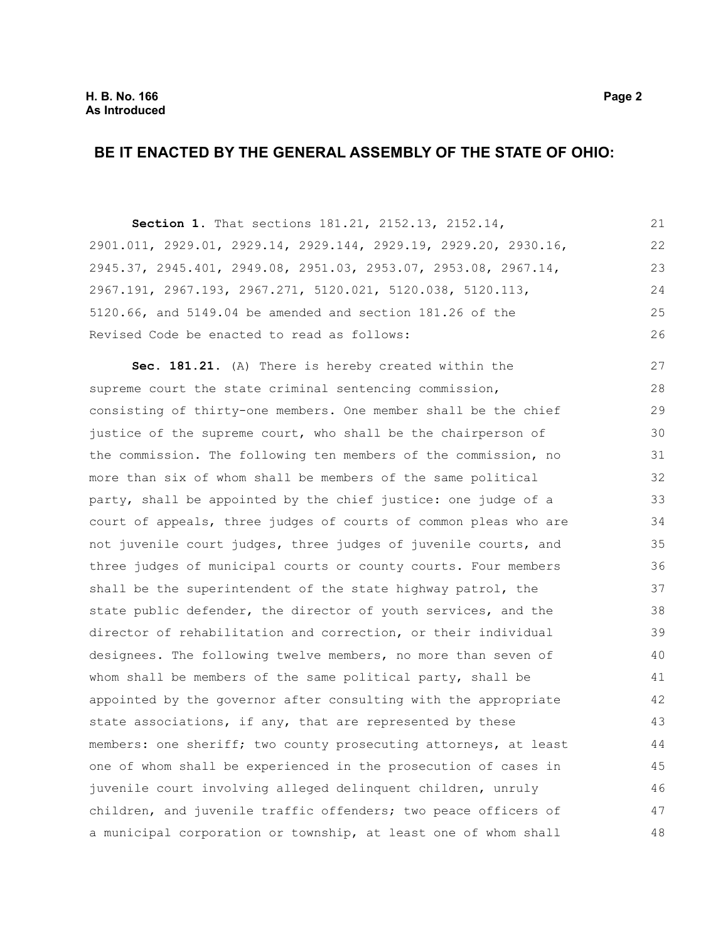### **BE IT ENACTED BY THE GENERAL ASSEMBLY OF THE STATE OF OHIO:**

**Section 1.** That sections 181.21, 2152.13, 2152.14, 2901.011, 2929.01, 2929.14, 2929.144, 2929.19, 2929.20, 2930.16, 2945.37, 2945.401, 2949.08, 2951.03, 2953.07, 2953.08, 2967.14, 2967.191, 2967.193, 2967.271, 5120.021, 5120.038, 5120.113, 5120.66, and 5149.04 be amended and section 181.26 of the Revised Code be enacted to read as follows: 21 22 23 24 25 26

**Sec. 181.21.** (A) There is hereby created within the supreme court the state criminal sentencing commission, consisting of thirty-one members. One member shall be the chief justice of the supreme court, who shall be the chairperson of the commission. The following ten members of the commission, no more than six of whom shall be members of the same political party, shall be appointed by the chief justice: one judge of a court of appeals, three judges of courts of common pleas who are not juvenile court judges, three judges of juvenile courts, and three judges of municipal courts or county courts. Four members shall be the superintendent of the state highway patrol, the state public defender, the director of youth services, and the director of rehabilitation and correction, or their individual designees. The following twelve members, no more than seven of whom shall be members of the same political party, shall be appointed by the governor after consulting with the appropriate state associations, if any, that are represented by these members: one sheriff; two county prosecuting attorneys, at least one of whom shall be experienced in the prosecution of cases in juvenile court involving alleged delinquent children, unruly children, and juvenile traffic offenders; two peace officers of a municipal corporation or township, at least one of whom shall 27 28 29 30 31 32 33 34 35 36 37 38 39 40 41 42 43 44 45 46 47 48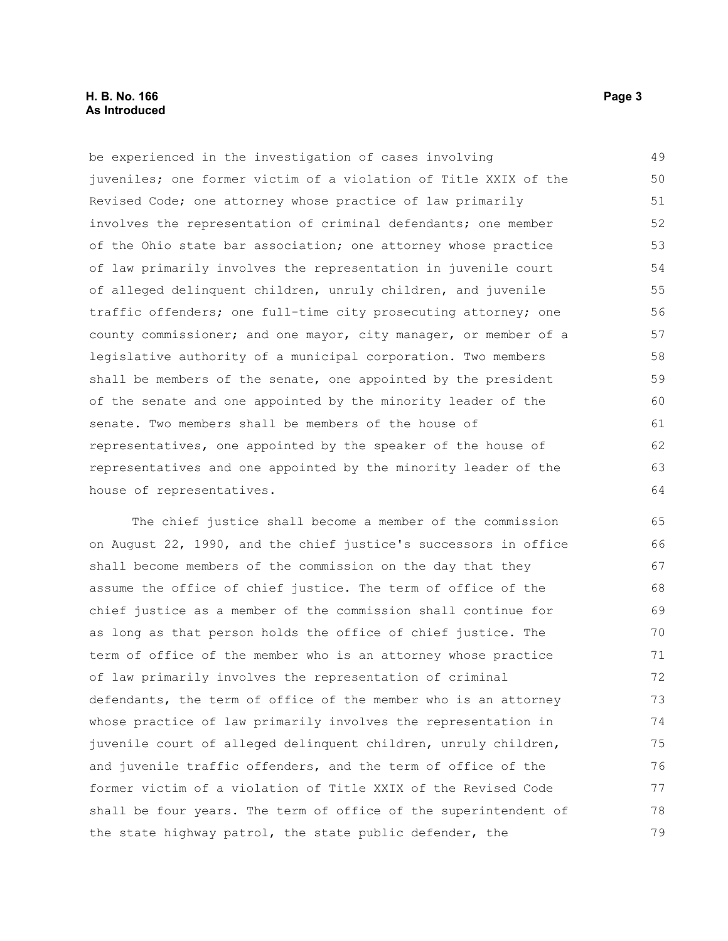#### **H. B. No. 166** Page 3 **As Introduced**

be experienced in the investigation of cases involving juveniles; one former victim of a violation of Title XXIX of the Revised Code; one attorney whose practice of law primarily involves the representation of criminal defendants; one member of the Ohio state bar association; one attorney whose practice of law primarily involves the representation in juvenile court of alleged delinquent children, unruly children, and juvenile traffic offenders; one full-time city prosecuting attorney; one county commissioner; and one mayor, city manager, or member of a legislative authority of a municipal corporation. Two members shall be members of the senate, one appointed by the president of the senate and one appointed by the minority leader of the senate. Two members shall be members of the house of representatives, one appointed by the speaker of the house of representatives and one appointed by the minority leader of the house of representatives. 49 50 51 52 53 54 55 56 57 58 59 60 61 62 63 64

The chief justice shall become a member of the commission on August 22, 1990, and the chief justice's successors in office shall become members of the commission on the day that they assume the office of chief justice. The term of office of the chief justice as a member of the commission shall continue for as long as that person holds the office of chief justice. The term of office of the member who is an attorney whose practice of law primarily involves the representation of criminal defendants, the term of office of the member who is an attorney whose practice of law primarily involves the representation in juvenile court of alleged delinquent children, unruly children, and juvenile traffic offenders, and the term of office of the former victim of a violation of Title XXIX of the Revised Code shall be four years. The term of office of the superintendent of the state highway patrol, the state public defender, the 65 66 67 68 69 70 71 72 73 74 75 76 77 78 79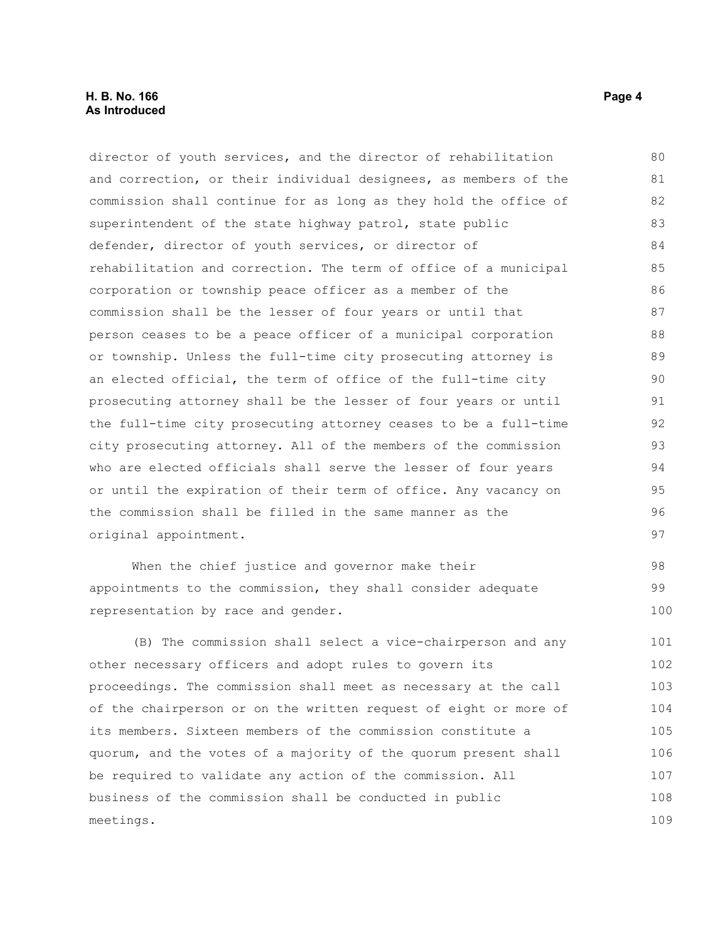#### **H. B. No. 166** Page 4 **As Introduced**

director of youth services, and the director of rehabilitation and correction, or their individual designees, as members of the commission shall continue for as long as they hold the office of superintendent of the state highway patrol, state public defender, director of youth services, or director of rehabilitation and correction. The term of office of a municipal corporation or township peace officer as a member of the commission shall be the lesser of four years or until that person ceases to be a peace officer of a municipal corporation or township. Unless the full-time city prosecuting attorney is an elected official, the term of office of the full-time city prosecuting attorney shall be the lesser of four years or until the full-time city prosecuting attorney ceases to be a full-time city prosecuting attorney. All of the members of the commission who are elected officials shall serve the lesser of four years or until the expiration of their term of office. Any vacancy on the commission shall be filled in the same manner as the original appointment. When the chief justice and governor make their appointments to the commission, they shall consider adequate representation by race and gender. (B) The commission shall select a vice-chairperson and any other necessary officers and adopt rules to govern its proceedings. The commission shall meet as necessary at the call of the chairperson or on the written request of eight or more of its members. Sixteen members of the commission constitute a quorum, and the votes of a majority of the quorum present shall be required to validate any action of the commission. All business of the commission shall be conducted in public meetings. 80 81 82 83 84 85 86 87 88 89 90 91 92 93 94 95 96 97 98 99 100 101 102 103 104 105 106 107 108 109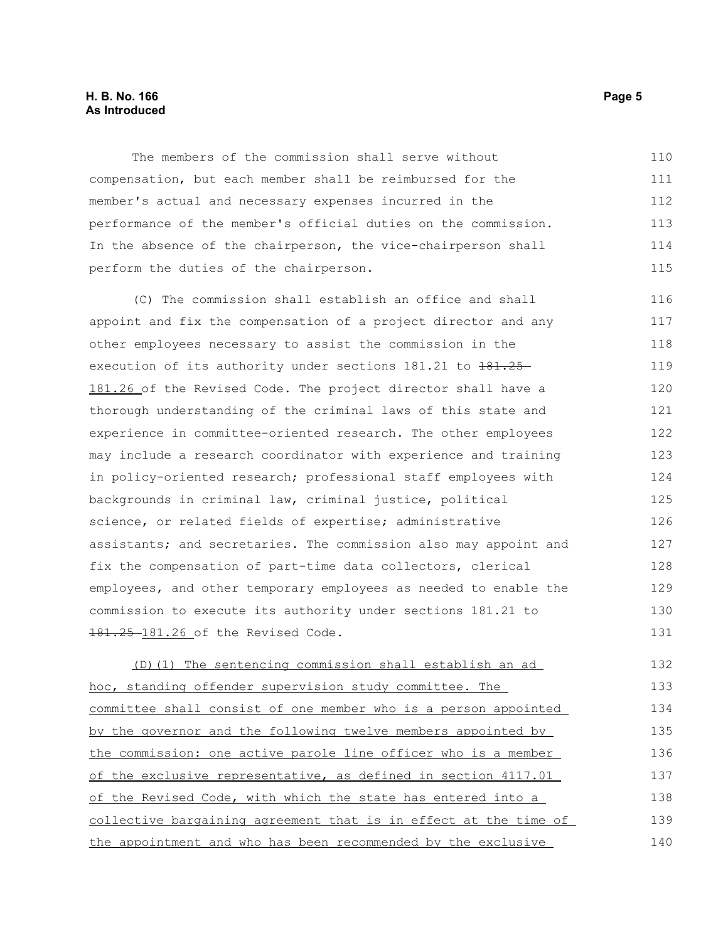#### **H. B. No. 166** Page 5 **As Introduced**

The members of the commission shall serve without compensation, but each member shall be reimbursed for the member's actual and necessary expenses incurred in the performance of the member's official duties on the commission. In the absence of the chairperson, the vice-chairperson shall perform the duties of the chairperson. 110 111 112 113 114 115

(C) The commission shall establish an office and shall appoint and fix the compensation of a project director and any other employees necessary to assist the commission in the execution of its authority under sections 181.21 to 181.25-181.26 of the Revised Code. The project director shall have a thorough understanding of the criminal laws of this state and experience in committee-oriented research. The other employees may include a research coordinator with experience and training in policy-oriented research; professional staff employees with backgrounds in criminal law, criminal justice, political science, or related fields of expertise; administrative assistants; and secretaries. The commission also may appoint and fix the compensation of part-time data collectors, clerical employees, and other temporary employees as needed to enable the commission to execute its authority under sections 181.21 to 181.25-181.26 of the Revised Code. 116 117 118 119 120 121 122 123 124 125 126 127 128 129 130 131

(D)(1) The sentencing commission shall establish an ad hoc, standing offender supervision study committee. The committee shall consist of one member who is a person appointed by the governor and the following twelve members appointed by the commission: one active parole line officer who is a member of the exclusive representative, as defined in section 4117.01 of the Revised Code, with which the state has entered into a collective bargaining agreement that is in effect at the time of the appointment and who has been recommended by the exclusive 132 133 134 135 136 137 138 139 140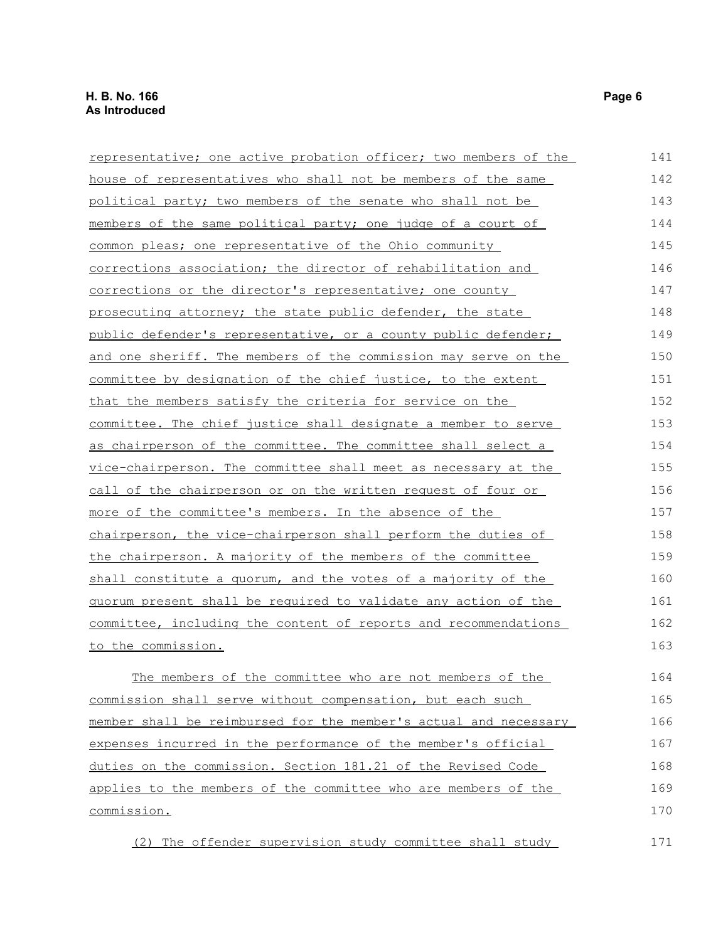| representative; one active probation officer; two members of the      | 141 |
|-----------------------------------------------------------------------|-----|
| house of representatives who shall not be members of the same         | 142 |
| political party; two members of the senate who shall not be           | 143 |
| members of the same political party; one judge of a court of          | 144 |
| common pleas; one representative of the Ohio community                | 145 |
| corrections association; the director of rehabilitation and           | 146 |
| <u>corrections or the director's representative; one county</u>       | 147 |
| prosecuting attorney; the state public defender, the state            | 148 |
| public defender's representative, or a county public defender;        | 149 |
| and one sheriff. The members of the commission may serve on the       | 150 |
| committee by designation of the chief justice, to the extent          | 151 |
| that the members satisfy the criteria for service on the              | 152 |
| committee. The chief justice shall designate a member to serve        | 153 |
| as chairperson of the committee. The committee shall select a         | 154 |
| <u>vice-chairperson. The committee shall meet as necessary at the</u> | 155 |
| call of the chairperson or on the written request of four or          | 156 |
| more of the committee's members. In the absence of the                | 157 |
| chairperson, the vice-chairperson shall perform the duties of         | 158 |
| the chairperson. A majority of the members of the committee           | 159 |
| shall constitute a quorum, and the votes of a majority of the         | 160 |
| quorum present shall be required to validate any action of the        | 161 |
| committee, including the content of reports and recommendations       | 162 |
| to the commission.                                                    | 163 |
| The members of the committee who are not members of the               | 164 |
| commission shall serve without compensation, but each such            | 165 |
| member shall be reimbursed for the member's actual and necessary      | 166 |
| expenses incurred in the performance of the member's official         | 167 |
| duties on the commission. Section 181.21 of the Revised Code          | 168 |
| applies to the members of the committee who are members of the        | 169 |
| commission.                                                           | 170 |

(2) The offender supervision study committee shall study 171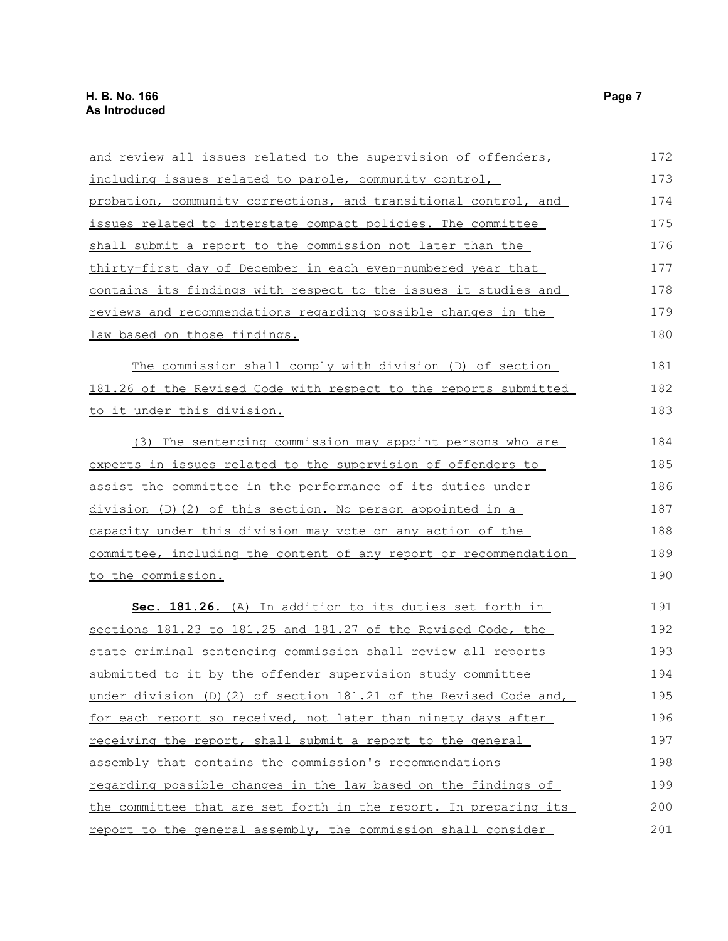| and review all issues related to the supervision of offenders,    | 172 |
|-------------------------------------------------------------------|-----|
| including issues related to parole, community control,            | 173 |
| probation, community corrections, and transitional control, and   | 174 |
| issues related to interstate compact policies. The committee      | 175 |
| shall submit a report to the commission not later than the        | 176 |
| thirty-first day of December in each even-numbered year that      | 177 |
| contains its findings with respect to the issues it studies and   | 178 |
| reviews and recommendations regarding possible changes in the     | 179 |
| law based on those findings.                                      | 180 |
| The commission shall comply with division (D) of section          | 181 |
| 181.26 of the Revised Code with respect to the reports submitted  | 182 |
| to it under this division.                                        | 183 |
| (3) The sentencing commission may appoint persons who are         | 184 |
| experts in issues related to the supervision of offenders to      | 185 |
| assist the committee in the performance of its duties under       | 186 |
| $division (D) (2) of this section. No person appointed in a$      | 187 |
| capacity under this division may vote on any action of the        | 188 |
| committee, including the content of any report or recommendation  | 189 |
| to the commission.                                                | 190 |
| Sec. 181.26. (A) In addition to its duties set forth in           | 191 |
| sections 181.23 to 181.25 and 181.27 of the Revised Code, the     | 192 |
| state criminal sentencing commission shall review all reports     | 193 |
| submitted to it by the offender supervision study committee       | 194 |
| under division (D) (2) of section 181.21 of the Revised Code and, | 195 |
| for each report so received, not later than ninety days after     | 196 |
| receiving the report, shall submit a report to the general        | 197 |
| assembly that contains the commission's recommendations           | 198 |
| regarding possible changes in the law based on the findings of    | 199 |
| the committee that are set forth in the report. In preparing its  | 200 |
| report to the general assembly, the commission shall consider     | 201 |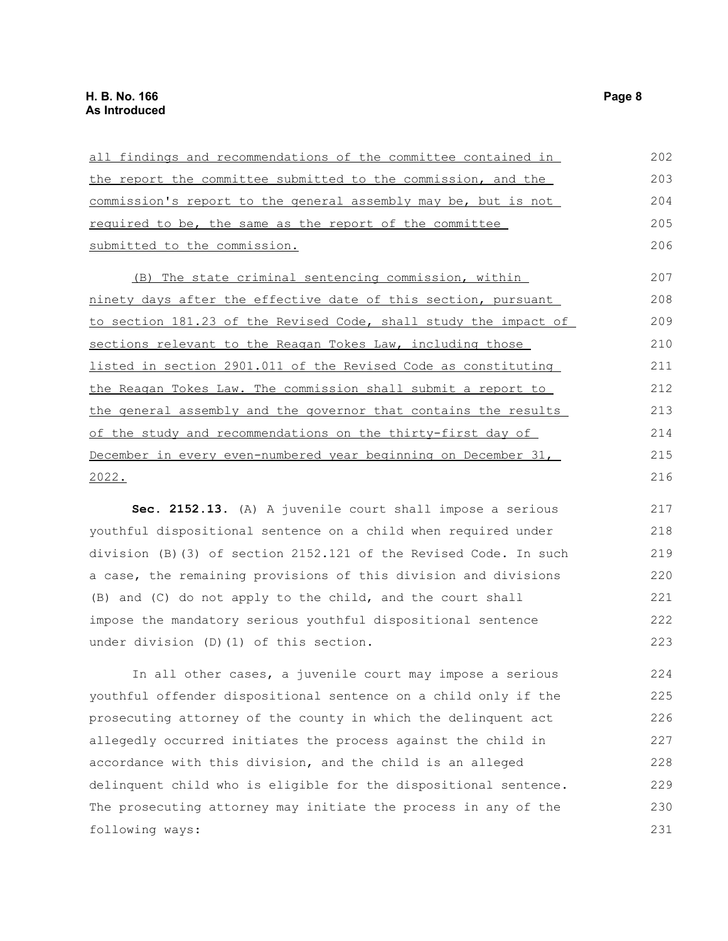| all findings and recommendations of the committee contained in    | 202 |
|-------------------------------------------------------------------|-----|
| the report the committee submitted to the commission, and the     | 203 |
| commission's report to the general assembly may be, but is not    | 204 |
| required to be, the same as the report of the committee           | 205 |
| submitted to the commission.                                      | 206 |
| (B) The state criminal sentencing commission, within              | 207 |
| ninety days after the effective date of this section, pursuant    | 208 |
| to section 181.23 of the Revised Code, shall study the impact of  | 209 |
| sections relevant to the Reagan Tokes Law, including those        | 210 |
| listed in section 2901.011 of the Revised Code as constituting    | 211 |
| the Reagan Tokes Law. The commission shall submit a report to     | 212 |
| the general assembly and the governor that contains the results   | 213 |
| of the study and recommendations on the thirty-first day of       | 214 |
| December in every even-numbered year beginning on December 31,    | 215 |
| 2022.                                                             | 216 |
| Sec. 2152.13. (A) A juvenile court shall impose a serious         | 217 |
| youthful dispositional sentence on a child when required under    | 218 |
| division (B) (3) of section 2152.121 of the Revised Code. In such | 219 |
| a case, the remaining provisions of this division and divisions   | 220 |
| (B) and (C) do not apply to the child, and the court shall        | 221 |
| impose the mandatory serious youthful dispositional sentence      | 222 |
| under division (D) (1) of this section.                           | 223 |
| In all other cases, a juvenile court may impose a serious         | 224 |
| youthful offender dispositional sentence on a child only if the   | 225 |
| prosecuting attorney of the county in which the delinquent act    | 226 |
| allegedly occurred initiates the process against the child in     | 227 |

accordance with this division, and the child is an alleged delinquent child who is eligible for the dispositional sentence. The prosecuting attorney may initiate the process in any of the following ways: 228 229 230 231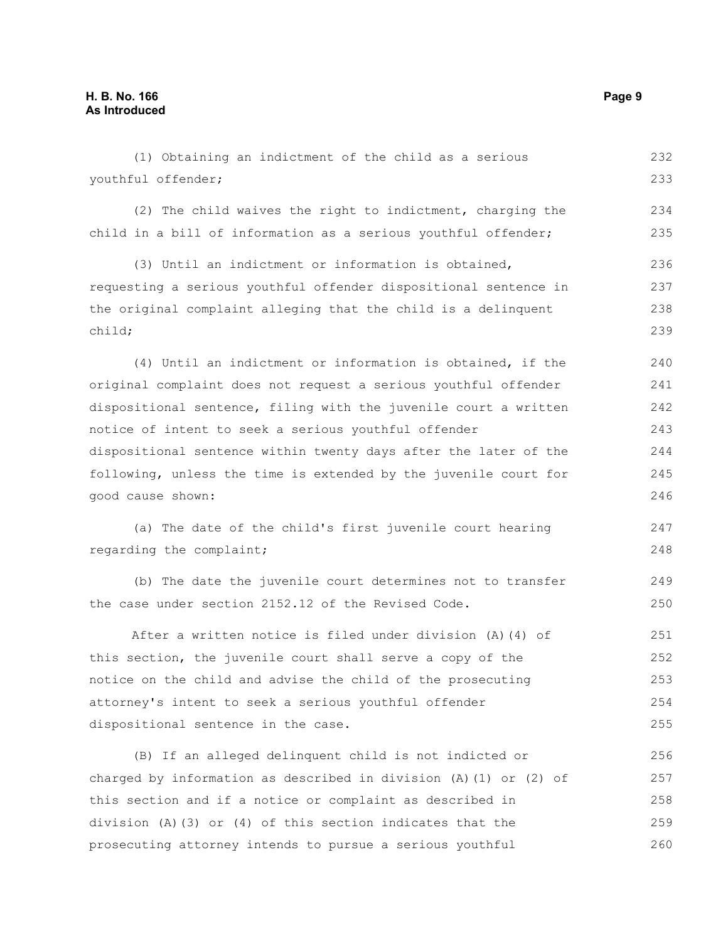(1) Obtaining an indictment of the child as a serious youthful offender; (2) The child waives the right to indictment, charging the child in a bill of information as a serious youthful offender; (3) Until an indictment or information is obtained, requesting a serious youthful offender dispositional sentence in the original complaint alleging that the child is a delinquent child; (4) Until an indictment or information is obtained, if the original complaint does not request a serious youthful offender dispositional sentence, filing with the juvenile court a written notice of intent to seek a serious youthful offender dispositional sentence within twenty days after the later of the following, unless the time is extended by the juvenile court for good cause shown: (a) The date of the child's first juvenile court hearing regarding the complaint; (b) The date the juvenile court determines not to transfer the case under section 2152.12 of the Revised Code. After a written notice is filed under division (A)(4) of this section, the juvenile court shall serve a copy of the notice on the child and advise the child of the prosecuting attorney's intent to seek a serious youthful offender dispositional sentence in the case. 232 233 234 235 236 237 238 239  $240$ 241 242 243 244 245 246 247 248 249 250 251 252 253 254 255

(B) If an alleged delinquent child is not indicted or charged by information as described in division  $(A)$  (1) or (2) of this section and if a notice or complaint as described in division (A)(3) or (4) of this section indicates that the prosecuting attorney intends to pursue a serious youthful 256 257 258 259 260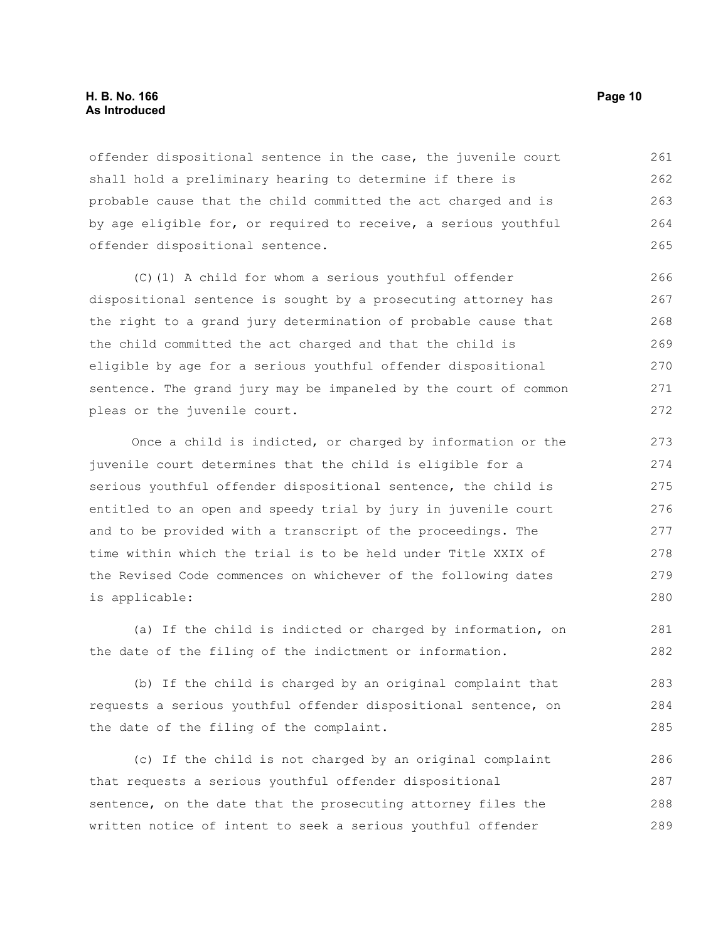#### **H. B. No. 166 Page 10 As Introduced**

offender dispositional sentence in the case, the juvenile court shall hold a preliminary hearing to determine if there is probable cause that the child committed the act charged and is by age eligible for, or required to receive, a serious youthful offender dispositional sentence. 261 262 263 264 265

(C)(1) A child for whom a serious youthful offender dispositional sentence is sought by a prosecuting attorney has the right to a grand jury determination of probable cause that the child committed the act charged and that the child is eligible by age for a serious youthful offender dispositional sentence. The grand jury may be impaneled by the court of common pleas or the juvenile court.

Once a child is indicted, or charged by information or the juvenile court determines that the child is eligible for a serious youthful offender dispositional sentence, the child is entitled to an open and speedy trial by jury in juvenile court and to be provided with a transcript of the proceedings. The time within which the trial is to be held under Title XXIX of the Revised Code commences on whichever of the following dates is applicable:

(a) If the child is indicted or charged by information, on the date of the filing of the indictment or information.

(b) If the child is charged by an original complaint that requests a serious youthful offender dispositional sentence, on the date of the filing of the complaint. 283 284 285

(c) If the child is not charged by an original complaint that requests a serious youthful offender dispositional sentence, on the date that the prosecuting attorney files the written notice of intent to seek a serious youthful offender 286 287 288 289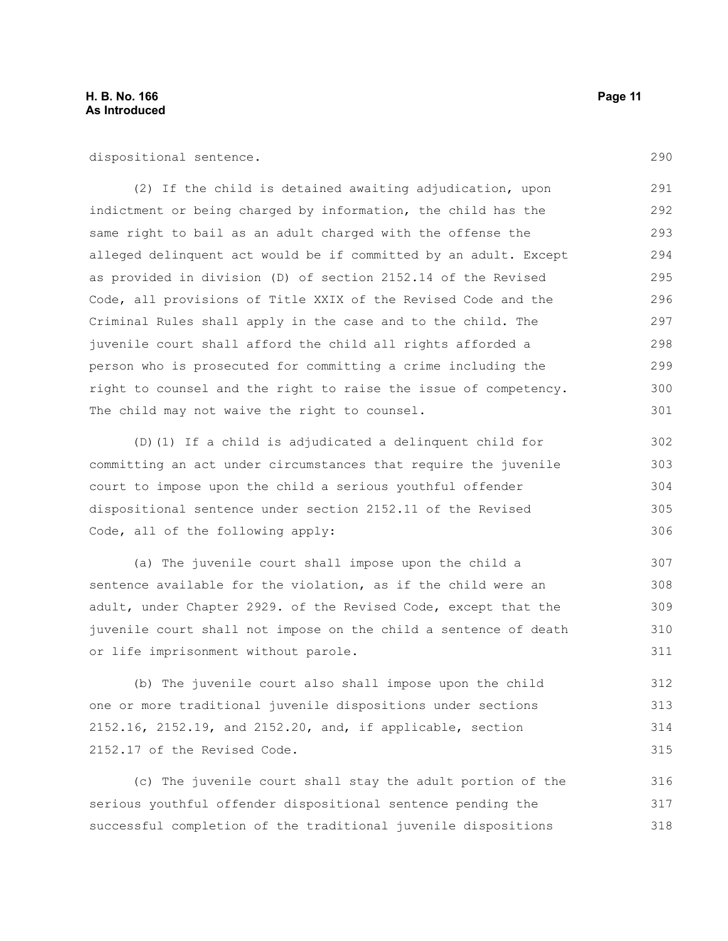(2) If the child is detained awaiting adjudication, upon indictment or being charged by information, the child has the same right to bail as an adult charged with the offense the alleged delinquent act would be if committed by an adult. Except as provided in division (D) of section 2152.14 of the Revised Code, all provisions of Title XXIX of the Revised Code and the Criminal Rules shall apply in the case and to the child. The juvenile court shall afford the child all rights afforded a person who is prosecuted for committing a crime including the right to counsel and the right to raise the issue of competency. The child may not waive the right to counsel. 291 292 293 294 295 296 297 298 299 300 301

(D)(1) If a child is adjudicated a delinquent child for committing an act under circumstances that require the juvenile court to impose upon the child a serious youthful offender dispositional sentence under section 2152.11 of the Revised Code, all of the following apply:

(a) The juvenile court shall impose upon the child a sentence available for the violation, as if the child were an adult, under Chapter 2929. of the Revised Code, except that the juvenile court shall not impose on the child a sentence of death or life imprisonment without parole. 307 308 309 310 311

(b) The juvenile court also shall impose upon the child one or more traditional juvenile dispositions under sections 2152.16, 2152.19, and 2152.20, and, if applicable, section 2152.17 of the Revised Code. 312 313 314 315

(c) The juvenile court shall stay the adult portion of the serious youthful offender dispositional sentence pending the successful completion of the traditional juvenile dispositions 316 317 318

290

306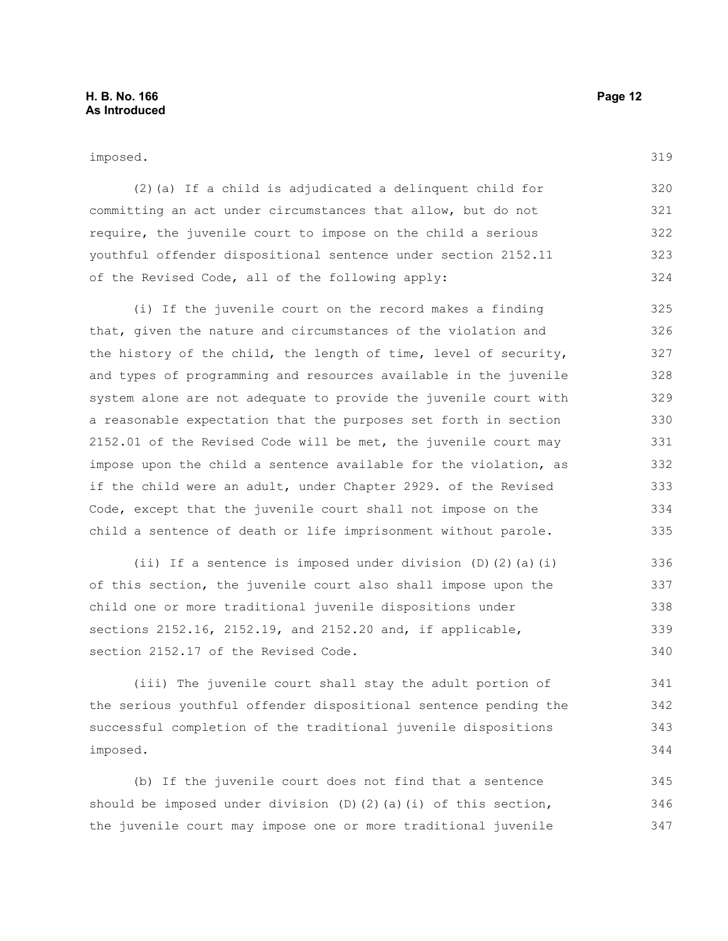(2)(a) If a child is adjudicated a delinquent child for committing an act under circumstances that allow, but do not require, the juvenile court to impose on the child a serious youthful offender dispositional sentence under section 2152.11 of the Revised Code, all of the following apply: 320 321 322 323 324

(i) If the juvenile court on the record makes a finding that, given the nature and circumstances of the violation and the history of the child, the length of time, level of security, and types of programming and resources available in the juvenile system alone are not adequate to provide the juvenile court with a reasonable expectation that the purposes set forth in section 2152.01 of the Revised Code will be met, the juvenile court may impose upon the child a sentence available for the violation, as if the child were an adult, under Chapter 2929. of the Revised Code, except that the juvenile court shall not impose on the child a sentence of death or life imprisonment without parole. 325 326 327 328 329 330 331 332 333 334 335

(ii) If a sentence is imposed under division (D)(2)(a)(i) of this section, the juvenile court also shall impose upon the child one or more traditional juvenile dispositions under sections 2152.16, 2152.19, and 2152.20 and, if applicable, section 2152.17 of the Revised Code. 336 337 338 339 340

(iii) The juvenile court shall stay the adult portion of the serious youthful offender dispositional sentence pending the successful completion of the traditional juvenile dispositions imposed. 341 342 343

(b) If the juvenile court does not find that a sentence should be imposed under division (D)(2)(a)(i) of this section, the juvenile court may impose one or more traditional juvenile 345 346 347

319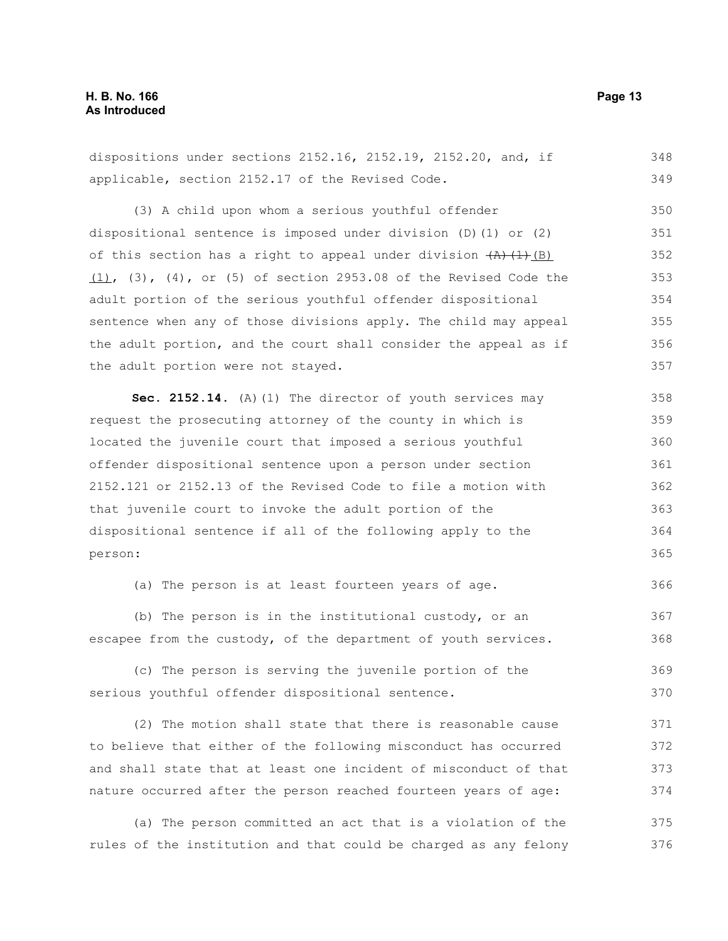dispositions under sections 2152.16, 2152.19, 2152.20, and, if applicable, section 2152.17 of the Revised Code. (3) A child upon whom a serious youthful offender dispositional sentence is imposed under division (D)(1) or (2) of this section has a right to appeal under division  $\overline{(A) (1) (B)}$ (1), (3), (4), or (5) of section 2953.08 of the Revised Code the adult portion of the serious youthful offender dispositional sentence when any of those divisions apply. The child may appeal the adult portion, and the court shall consider the appeal as if the adult portion were not stayed. Sec. 2152.14. (A)(1) The director of youth services may request the prosecuting attorney of the county in which is located the juvenile court that imposed a serious youthful offender dispositional sentence upon a person under section 2152.121 or 2152.13 of the Revised Code to file a motion with that juvenile court to invoke the adult portion of the dispositional sentence if all of the following apply to the person: 348 349 350 351 352 353 354 355 356 357 358 359 360 361 362 363 364 365

(a) The person is at least fourteen years of age. 366

(b) The person is in the institutional custody, or an escapee from the custody, of the department of youth services. 367 368

(c) The person is serving the juvenile portion of the serious youthful offender dispositional sentence. 369 370

(2) The motion shall state that there is reasonable cause to believe that either of the following misconduct has occurred and shall state that at least one incident of misconduct of that nature occurred after the person reached fourteen years of age: 371 372 373 374

(a) The person committed an act that is a violation of the rules of the institution and that could be charged as any felony 375 376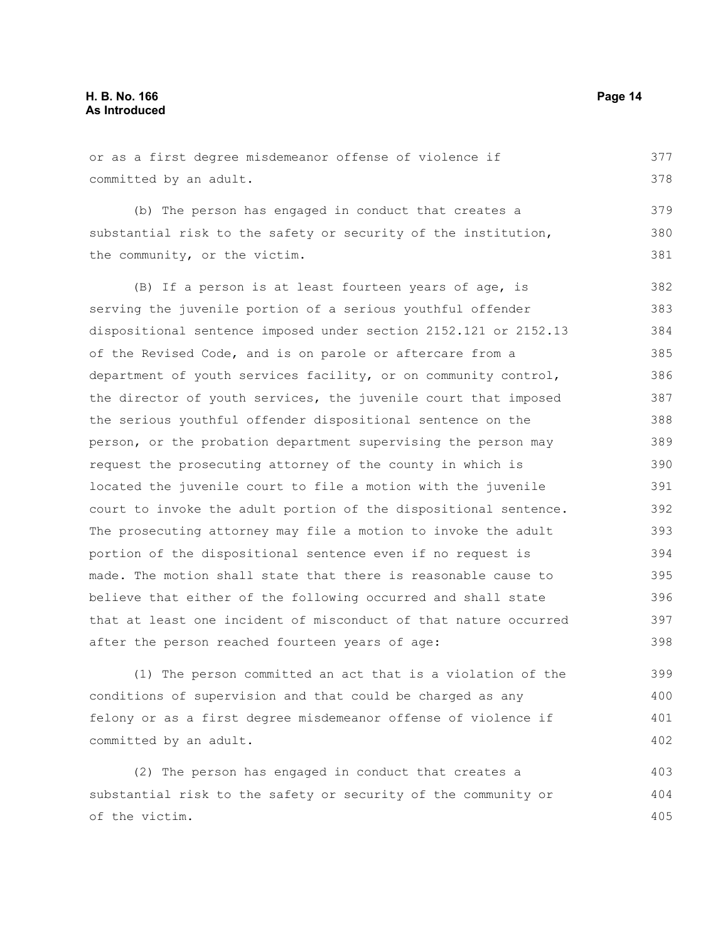or as a first degree misdemeanor offense of violence if committed by an adult. 377 378

(b) The person has engaged in conduct that creates a substantial risk to the safety or security of the institution, the community, or the victim. 379 380 381

(B) If a person is at least fourteen years of age, is serving the juvenile portion of a serious youthful offender dispositional sentence imposed under section 2152.121 or 2152.13 of the Revised Code, and is on parole or aftercare from a department of youth services facility, or on community control, the director of youth services, the juvenile court that imposed the serious youthful offender dispositional sentence on the person, or the probation department supervising the person may request the prosecuting attorney of the county in which is located the juvenile court to file a motion with the juvenile court to invoke the adult portion of the dispositional sentence. The prosecuting attorney may file a motion to invoke the adult portion of the dispositional sentence even if no request is made. The motion shall state that there is reasonable cause to believe that either of the following occurred and shall state that at least one incident of misconduct of that nature occurred after the person reached fourteen years of age: 382 383 384 385 386 387 388 389 390 391 392 393 394 395 396 397 398

(1) The person committed an act that is a violation of the conditions of supervision and that could be charged as any felony or as a first degree misdemeanor offense of violence if committed by an adult. 399 400 401 402

(2) The person has engaged in conduct that creates a substantial risk to the safety or security of the community or of the victim. 403 404 405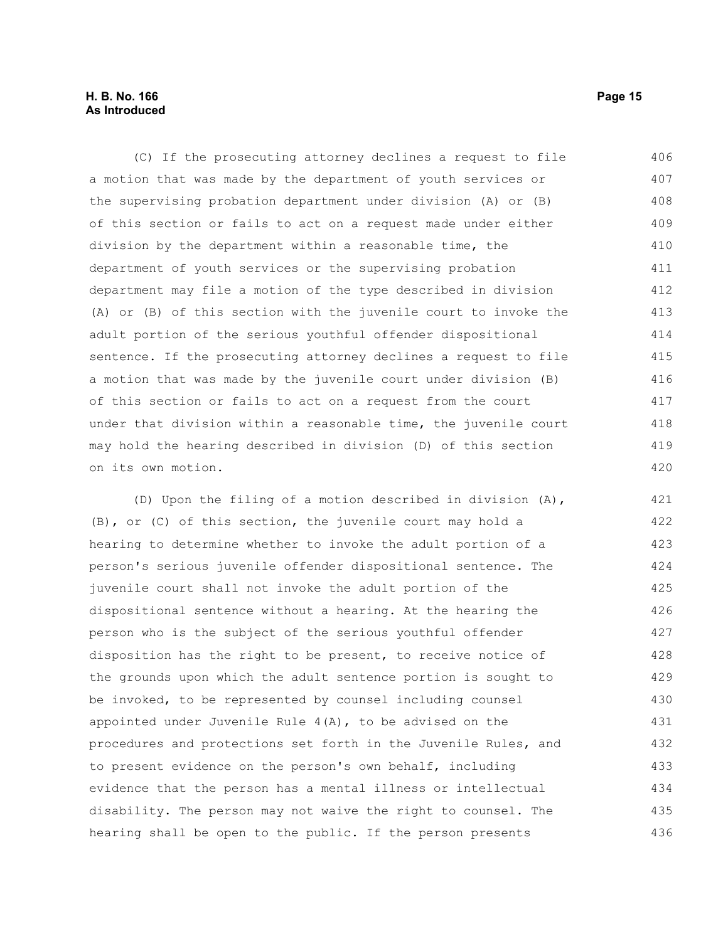#### **H. B. No. 166 Page 15 As Introduced**

(C) If the prosecuting attorney declines a request to file a motion that was made by the department of youth services or the supervising probation department under division (A) or (B) of this section or fails to act on a request made under either division by the department within a reasonable time, the department of youth services or the supervising probation department may file a motion of the type described in division (A) or (B) of this section with the juvenile court to invoke the adult portion of the serious youthful offender dispositional sentence. If the prosecuting attorney declines a request to file a motion that was made by the juvenile court under division (B) of this section or fails to act on a request from the court under that division within a reasonable time, the juvenile court may hold the hearing described in division (D) of this section on its own motion. 406 407 408 409 410 411 412 413 414 415 416 417 418 419 420

(D) Upon the filing of a motion described in division (A), (B), or (C) of this section, the juvenile court may hold a hearing to determine whether to invoke the adult portion of a person's serious juvenile offender dispositional sentence. The juvenile court shall not invoke the adult portion of the dispositional sentence without a hearing. At the hearing the person who is the subject of the serious youthful offender disposition has the right to be present, to receive notice of the grounds upon which the adult sentence portion is sought to be invoked, to be represented by counsel including counsel appointed under Juvenile Rule  $4(A)$ , to be advised on the procedures and protections set forth in the Juvenile Rules, and to present evidence on the person's own behalf, including evidence that the person has a mental illness or intellectual disability. The person may not waive the right to counsel. The hearing shall be open to the public. If the person presents 421 422 423 424 425 426 427 428 429 430 431 432 433 434 435 436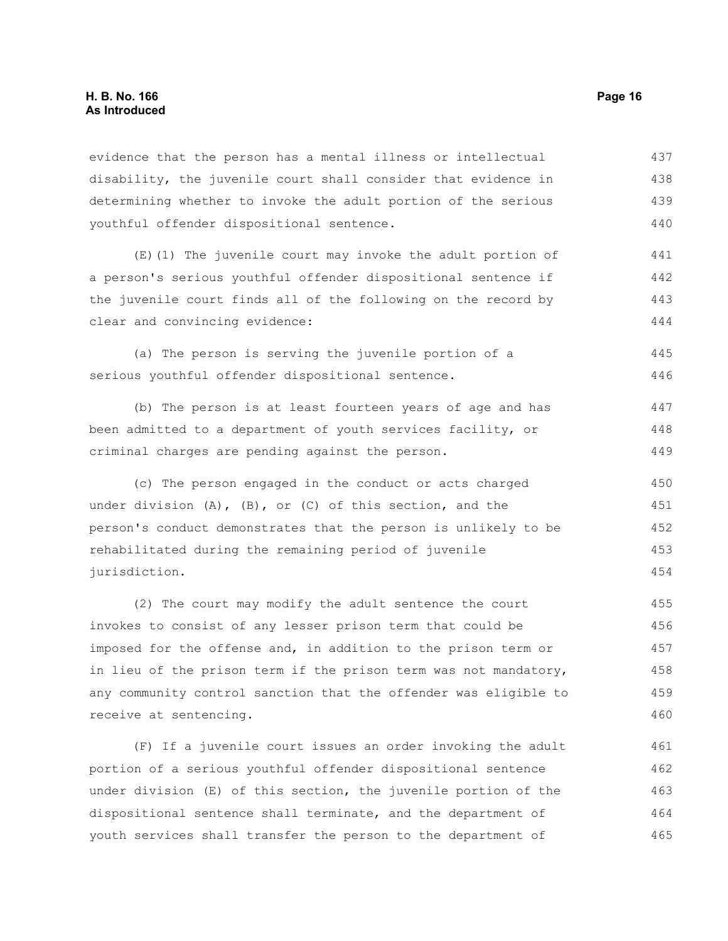#### **H. B. No. 166 Page 16 As Introduced**

evidence that the person has a mental illness or intellectual disability, the juvenile court shall consider that evidence in determining whether to invoke the adult portion of the serious youthful offender dispositional sentence. 437 438 439 440

(E)(1) The juvenile court may invoke the adult portion of a person's serious youthful offender dispositional sentence if the juvenile court finds all of the following on the record by clear and convincing evidence: 441 442 443 444

(a) The person is serving the juvenile portion of a serious youthful offender dispositional sentence. 445 446

(b) The person is at least fourteen years of age and has been admitted to a department of youth services facility, or criminal charges are pending against the person. 447 448 449

(c) The person engaged in the conduct or acts charged under division  $(A)$ ,  $(B)$ , or  $(C)$  of this section, and the person's conduct demonstrates that the person is unlikely to be rehabilitated during the remaining period of juvenile jurisdiction. 450 451 452 453 454

(2) The court may modify the adult sentence the court invokes to consist of any lesser prison term that could be imposed for the offense and, in addition to the prison term or in lieu of the prison term if the prison term was not mandatory, any community control sanction that the offender was eligible to receive at sentencing. 455 456 457 458 459 460

(F) If a juvenile court issues an order invoking the adult portion of a serious youthful offender dispositional sentence under division (E) of this section, the juvenile portion of the dispositional sentence shall terminate, and the department of youth services shall transfer the person to the department of 461 462 463 464 465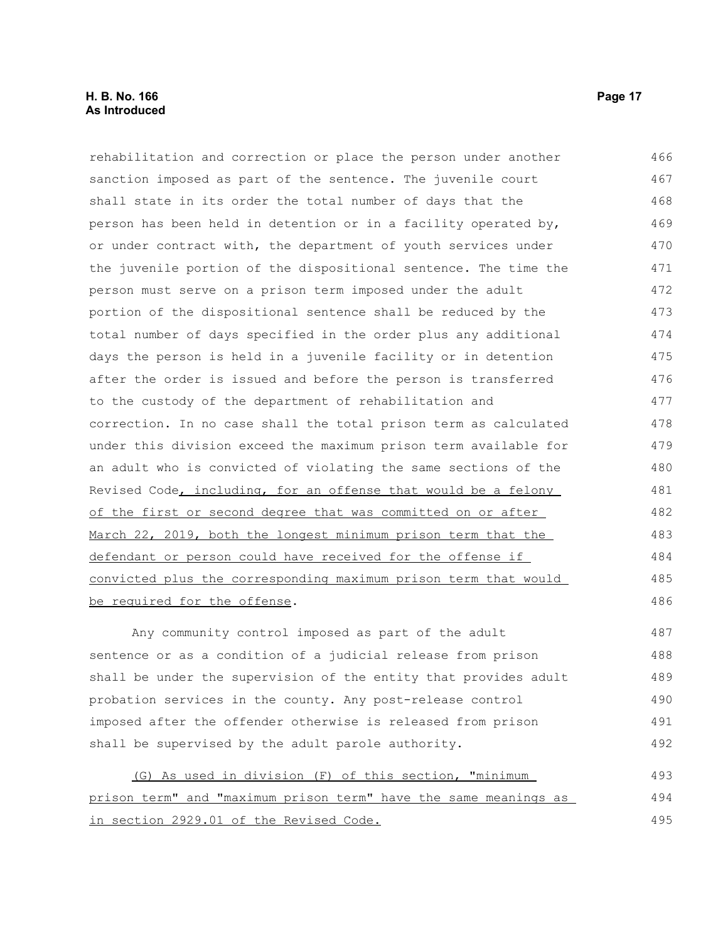#### **H. B. No. 166 Page 17 As Introduced**

rehabilitation and correction or place the person under another sanction imposed as part of the sentence. The juvenile court shall state in its order the total number of days that the person has been held in detention or in a facility operated by, or under contract with, the department of youth services under the juvenile portion of the dispositional sentence. The time the person must serve on a prison term imposed under the adult portion of the dispositional sentence shall be reduced by the total number of days specified in the order plus any additional days the person is held in a juvenile facility or in detention after the order is issued and before the person is transferred to the custody of the department of rehabilitation and correction. In no case shall the total prison term as calculated under this division exceed the maximum prison term available for an adult who is convicted of violating the same sections of the Revised Code, including, for an offense that would be a felony of the first or second degree that was committed on or after March 22, 2019, both the longest minimum prison term that the defendant or person could have received for the offense if convicted plus the corresponding maximum prison term that would be required for the offense. 466 467 468 469 470 471 472 473 474 475 476 477 478 479 480 481 482 483 484 485 486

Any community control imposed as part of the adult sentence or as a condition of a judicial release from prison shall be under the supervision of the entity that provides adult probation services in the county. Any post-release control imposed after the offender otherwise is released from prison shall be supervised by the adult parole authority. 487 488 489 490 491 492

(G) As used in division (F) of this section, "minimum prison term" and "maximum prison term" have the same meanings as in section 2929.01 of the Revised Code. 493 494 495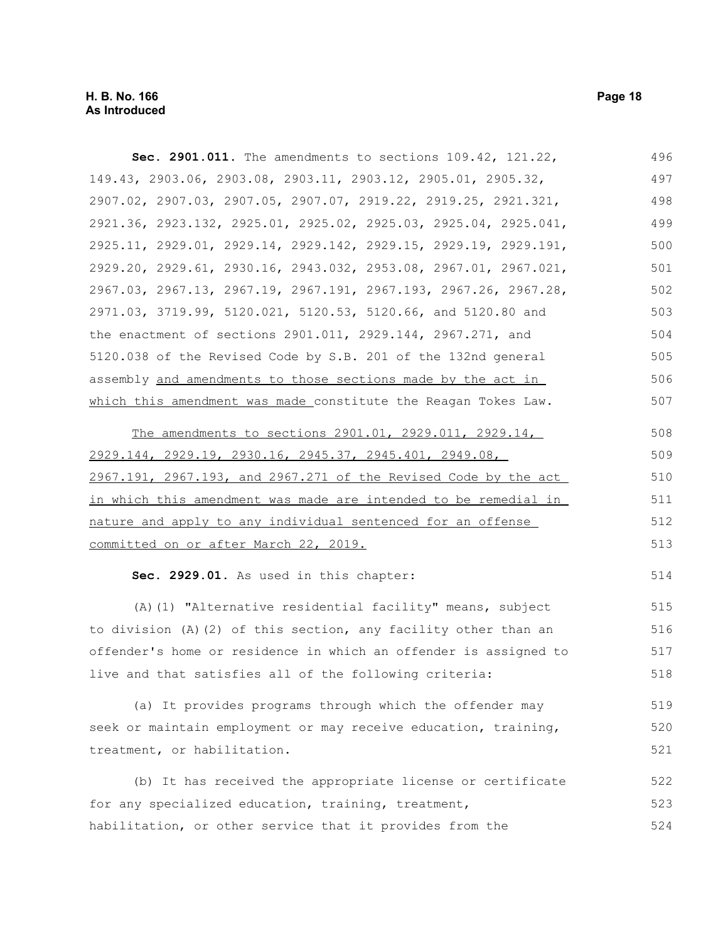**Sec. 2901.011.** The amendments to sections 109.42, 121.22, 149.43, 2903.06, 2903.08, 2903.11, 2903.12, 2905.01, 2905.32, 2907.02, 2907.03, 2907.05, 2907.07, 2919.22, 2919.25, 2921.321, 2921.36, 2923.132, 2925.01, 2925.02, 2925.03, 2925.04, 2925.041, 2925.11, 2929.01, 2929.14, 2929.142, 2929.15, 2929.19, 2929.191, 2929.20, 2929.61, 2930.16, 2943.032, 2953.08, 2967.01, 2967.021, 2967.03, 2967.13, 2967.19, 2967.191, 2967.193, 2967.26, 2967.28, 2971.03, 3719.99, 5120.021, 5120.53, 5120.66, and 5120.80 and the enactment of sections 2901.011, 2929.144, 2967.271, and 5120.038 of the Revised Code by S.B. 201 of the 132nd general assembly and amendments to those sections made by the act in which this amendment was made constitute the Reagan Tokes Law. The amendments to sections 2901.01, 2929.011, 2929.14, 2929.144, 2929.19, 2930.16, 2945.37, 2945.401, 2949.08, 2967.191, 2967.193, and 2967.271 of the Revised Code by the act in which this amendment was made are intended to be remedial in nature and apply to any individual sentenced for an offense committed on or after March 22, 2019. **Sec. 2929.01.** As used in this chapter: (A)(1) "Alternative residential facility" means, subject to division (A)(2) of this section, any facility other than an offender's home or residence in which an offender is assigned to live and that satisfies all of the following criteria: (a) It provides programs through which the offender may seek or maintain employment or may receive education, training, treatment, or habilitation. (b) It has received the appropriate license or certificate 496 497 498 499 500 501 502 503 504 505 506 507 508 509 510 511 512 513 514 515 516 517 518 519 520 521 522

for any specialized education, training, treatment, habilitation, or other service that it provides from the 523 524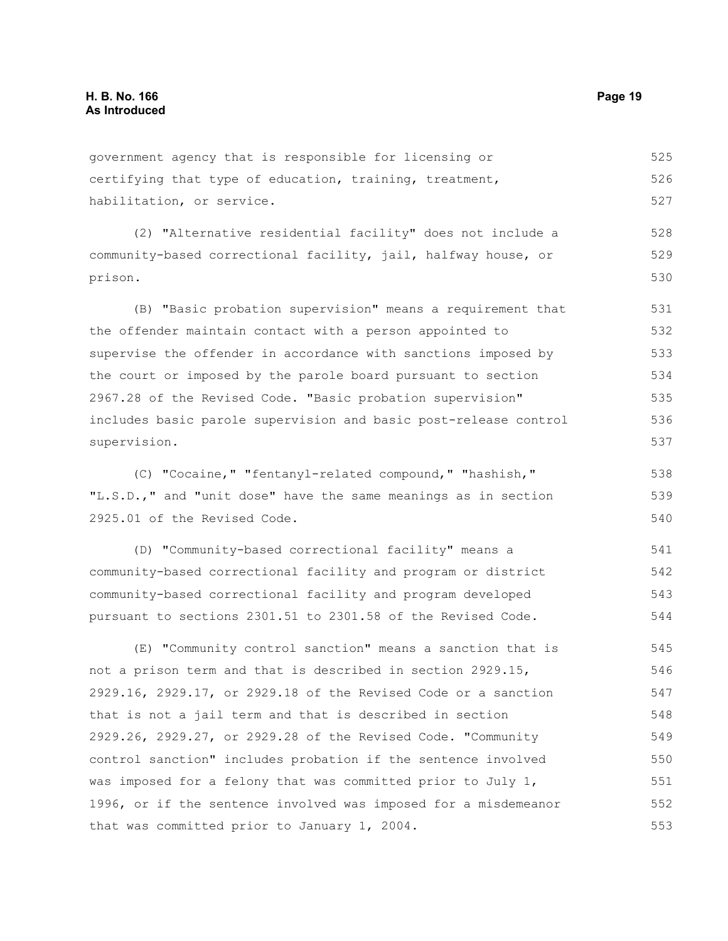government agency that is responsible for licensing or certifying that type of education, training, treatment, habilitation, or service. (2) "Alternative residential facility" does not include a community-based correctional facility, jail, halfway house, or prison. (B) "Basic probation supervision" means a requirement that the offender maintain contact with a person appointed to supervise the offender in accordance with sanctions imposed by the court or imposed by the parole board pursuant to section 2967.28 of the Revised Code. "Basic probation supervision" includes basic parole supervision and basic post-release control supervision. (C) "Cocaine," "fentanyl-related compound," "hashish," 525 526 527 528 529 530 531 532 533 534 535 536 537 538 539

"L.S.D.," and "unit dose" have the same meanings as in section 2925.01 of the Revised Code. 540

(D) "Community-based correctional facility" means a community-based correctional facility and program or district community-based correctional facility and program developed pursuant to sections 2301.51 to 2301.58 of the Revised Code. 541 542 543 544

(E) "Community control sanction" means a sanction that is not a prison term and that is described in section 2929.15, 2929.16, 2929.17, or 2929.18 of the Revised Code or a sanction that is not a jail term and that is described in section 2929.26, 2929.27, or 2929.28 of the Revised Code. "Community control sanction" includes probation if the sentence involved was imposed for a felony that was committed prior to July 1, 1996, or if the sentence involved was imposed for a misdemeanor that was committed prior to January 1, 2004. 545 546 547 548 549 550 551 552 553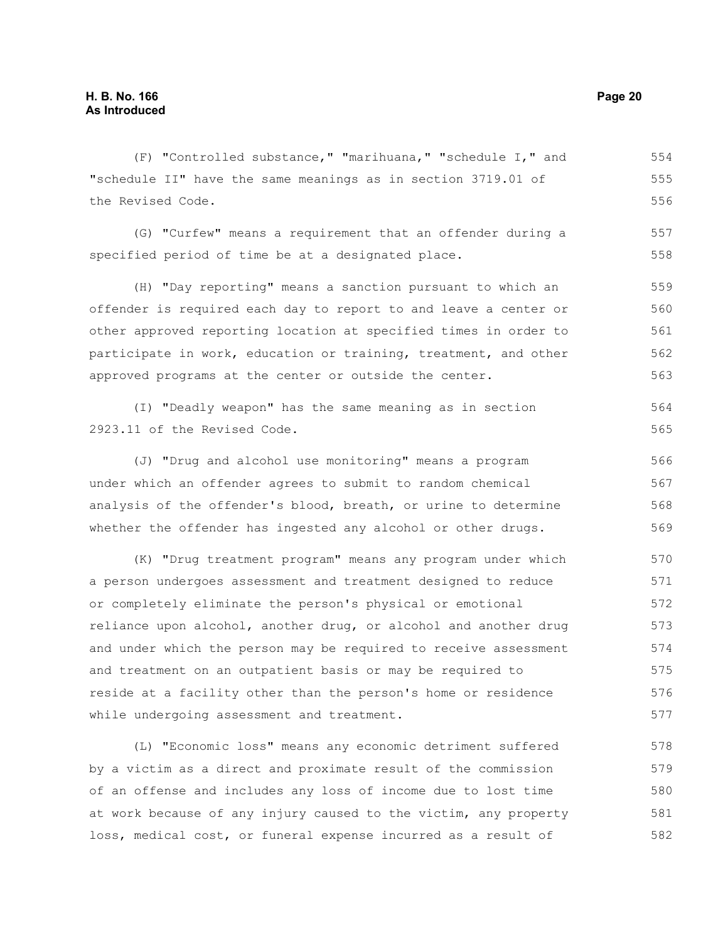(F) "Controlled substance," "marihuana," "schedule I," and "schedule II" have the same meanings as in section 3719.01 of the Revised Code. (G) "Curfew" means a requirement that an offender during a specified period of time be at a designated place. (H) "Day reporting" means a sanction pursuant to which an offender is required each day to report to and leave a center or 555 556 557 558 559 560

other approved reporting location at specified times in order to participate in work, education or training, treatment, and other approved programs at the center or outside the center. 561 562 563

(I) "Deadly weapon" has the same meaning as in section 2923.11 of the Revised Code.

(J) "Drug and alcohol use monitoring" means a program under which an offender agrees to submit to random chemical analysis of the offender's blood, breath, or urine to determine whether the offender has ingested any alcohol or other drugs. 566 567 568 569

(K) "Drug treatment program" means any program under which a person undergoes assessment and treatment designed to reduce or completely eliminate the person's physical or emotional reliance upon alcohol, another drug, or alcohol and another drug and under which the person may be required to receive assessment and treatment on an outpatient basis or may be required to reside at a facility other than the person's home or residence while undergoing assessment and treatment. 570 571 572 573 574 575 576 577

(L) "Economic loss" means any economic detriment suffered by a victim as a direct and proximate result of the commission of an offense and includes any loss of income due to lost time at work because of any injury caused to the victim, any property loss, medical cost, or funeral expense incurred as a result of 578 579 580 581 582

554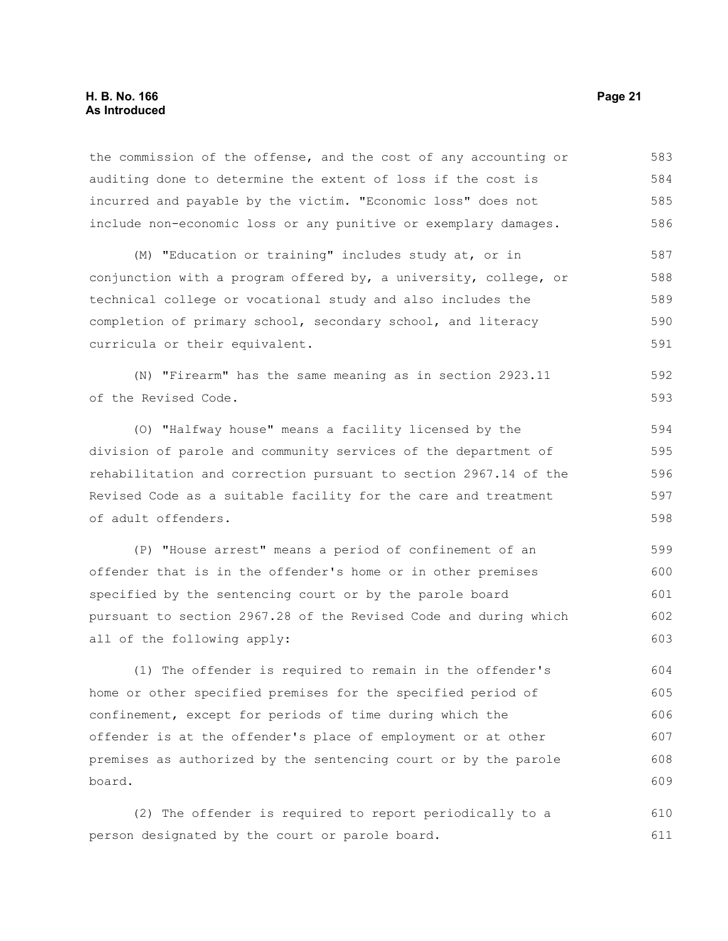#### **H. B. No. 166 Page 21 As Introduced**

the commission of the offense, and the cost of any accounting or auditing done to determine the extent of loss if the cost is incurred and payable by the victim. "Economic loss" does not include non-economic loss or any punitive or exemplary damages. 583 584 585 586

(M) "Education or training" includes study at, or in conjunction with a program offered by, a university, college, or technical college or vocational study and also includes the completion of primary school, secondary school, and literacy curricula or their equivalent. 587 588 589 590 591

(N) "Firearm" has the same meaning as in section 2923.11 of the Revised Code.

(O) "Halfway house" means a facility licensed by the division of parole and community services of the department of rehabilitation and correction pursuant to section 2967.14 of the Revised Code as a suitable facility for the care and treatment of adult offenders. 594 595 596 597 598

(P) "House arrest" means a period of confinement of an offender that is in the offender's home or in other premises specified by the sentencing court or by the parole board pursuant to section 2967.28 of the Revised Code and during which all of the following apply: 599 600 601 602 603

(1) The offender is required to remain in the offender's home or other specified premises for the specified period of confinement, except for periods of time during which the offender is at the offender's place of employment or at other premises as authorized by the sentencing court or by the parole board. 604 605 606 607 608 609

(2) The offender is required to report periodically to a person designated by the court or parole board. 610 611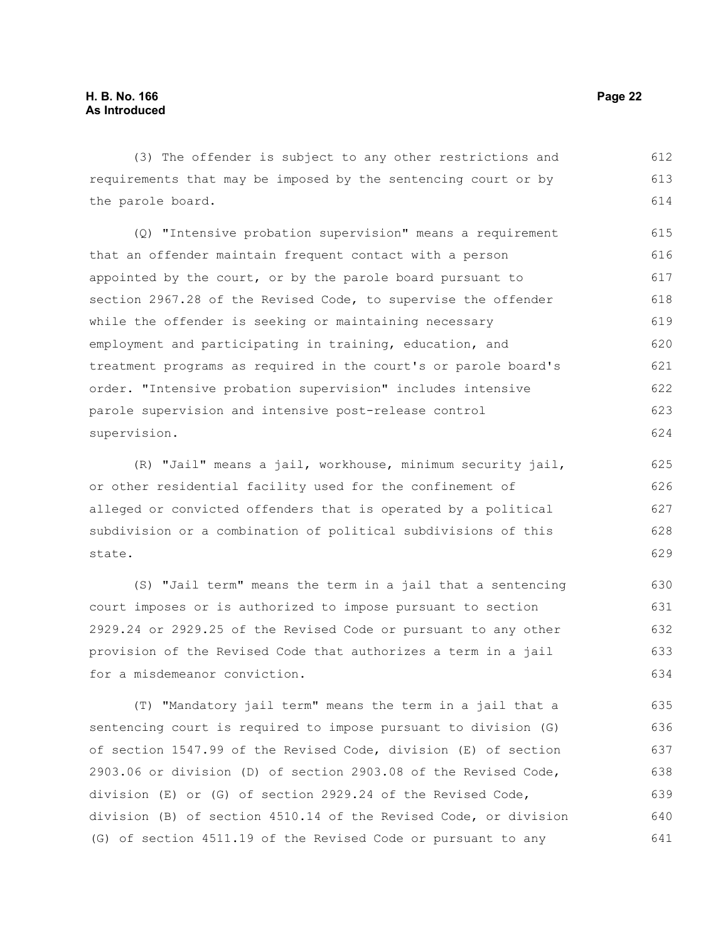(3) The offender is subject to any other restrictions and requirements that may be imposed by the sentencing court or by the parole board. 612 613 614

(Q) "Intensive probation supervision" means a requirement that an offender maintain frequent contact with a person appointed by the court, or by the parole board pursuant to section 2967.28 of the Revised Code, to supervise the offender while the offender is seeking or maintaining necessary employment and participating in training, education, and treatment programs as required in the court's or parole board's order. "Intensive probation supervision" includes intensive parole supervision and intensive post-release control supervision. 615 616 617 618 619 620 621 622 623 624

(R) "Jail" means a jail, workhouse, minimum security jail, or other residential facility used for the confinement of alleged or convicted offenders that is operated by a political subdivision or a combination of political subdivisions of this state. 625 626 627 628 629

(S) "Jail term" means the term in a jail that a sentencing court imposes or is authorized to impose pursuant to section 2929.24 or 2929.25 of the Revised Code or pursuant to any other provision of the Revised Code that authorizes a term in a jail for a misdemeanor conviction.

(T) "Mandatory jail term" means the term in a jail that a sentencing court is required to impose pursuant to division (G) of section 1547.99 of the Revised Code, division (E) of section 2903.06 or division (D) of section 2903.08 of the Revised Code, division (E) or (G) of section 2929.24 of the Revised Code, division (B) of section 4510.14 of the Revised Code, or division (G) of section 4511.19 of the Revised Code or pursuant to any 635 636 637 638 639 640 641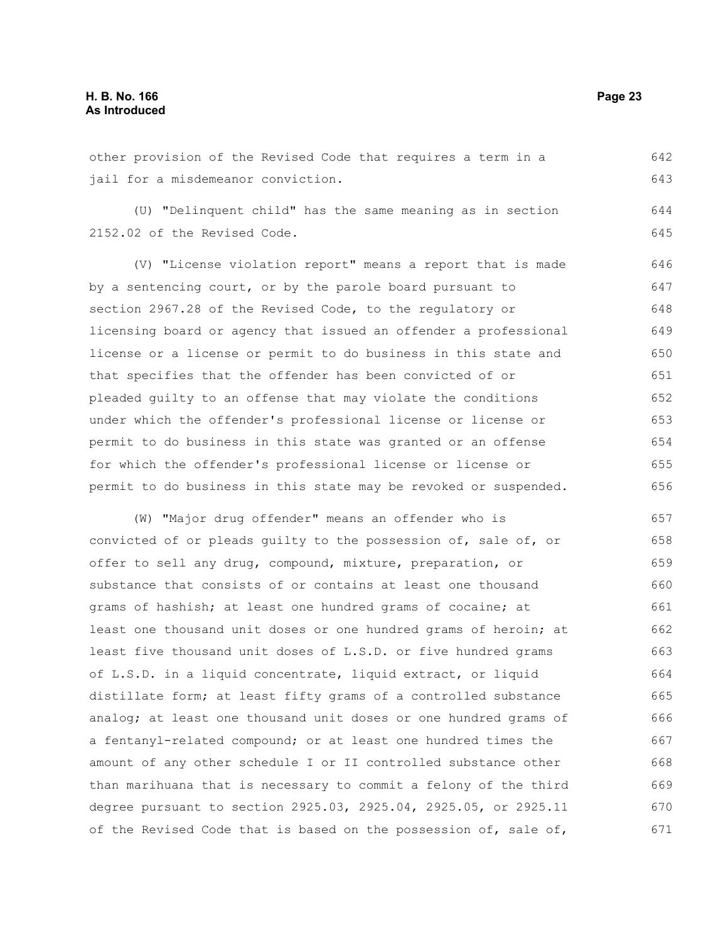other provision of the Revised Code that requires a term in a jail for a misdemeanor conviction. (U) "Delinquent child" has the same meaning as in section 2152.02 of the Revised Code. (V) "License violation report" means a report that is made by a sentencing court, or by the parole board pursuant to section 2967.28 of the Revised Code, to the regulatory or licensing board or agency that issued an offender a professional license or a license or permit to do business in this state and that specifies that the offender has been convicted of or pleaded guilty to an offense that may violate the conditions under which the offender's professional license or license or permit to do business in this state was granted or an offense for which the offender's professional license or license or permit to do business in this state may be revoked or suspended. (W) "Major drug offender" means an offender who is 642 643 644 645 646 647 648 649 650 651 652 653 654 655 656 657

convicted of or pleads guilty to the possession of, sale of, or offer to sell any drug, compound, mixture, preparation, or substance that consists of or contains at least one thousand grams of hashish; at least one hundred grams of cocaine; at least one thousand unit doses or one hundred grams of heroin; at least five thousand unit doses of L.S.D. or five hundred grams of L.S.D. in a liquid concentrate, liquid extract, or liquid distillate form; at least fifty grams of a controlled substance analog; at least one thousand unit doses or one hundred grams of a fentanyl-related compound; or at least one hundred times the amount of any other schedule I or II controlled substance other than marihuana that is necessary to commit a felony of the third degree pursuant to section 2925.03, 2925.04, 2925.05, or 2925.11 of the Revised Code that is based on the possession of, sale of, 658 659 660 661 662 663 664 665 666 667 668 669 670 671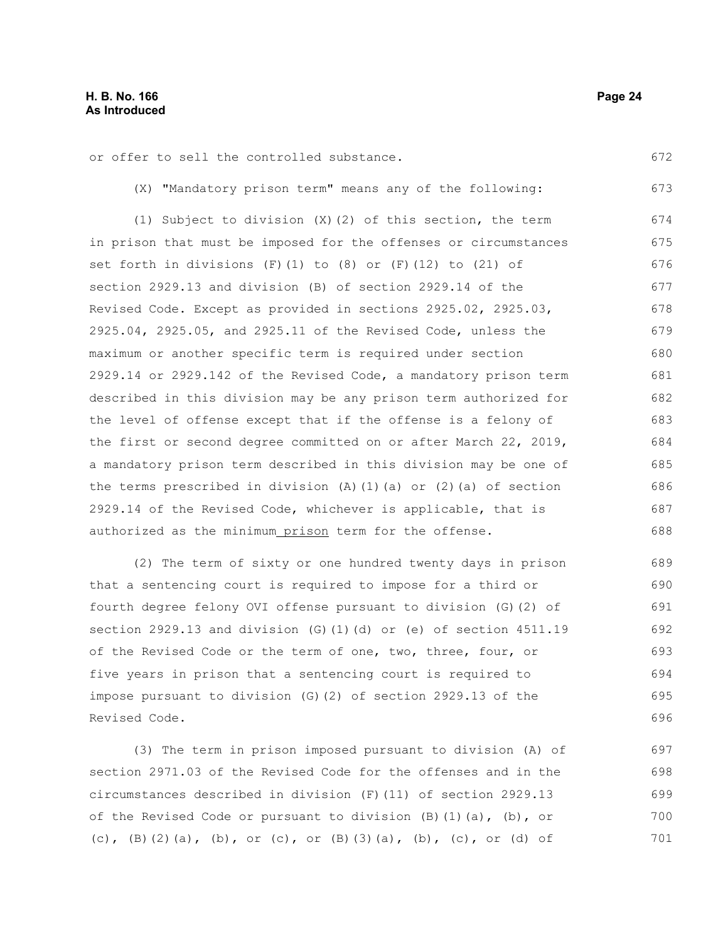or offer to sell the controlled substance. (X) "Mandatory prison term" means any of the following: (1) Subject to division (X)(2) of this section, the term in prison that must be imposed for the offenses or circumstances set forth in divisions  $(F)(1)$  to  $(8)$  or  $(F)(12)$  to  $(21)$  of section 2929.13 and division (B) of section 2929.14 of the Revised Code. Except as provided in sections 2925.02, 2925.03, 2925.04, 2925.05, and 2925.11 of the Revised Code, unless the maximum or another specific term is required under section 2929.14 or 2929.142 of the Revised Code, a mandatory prison term described in this division may be any prison term authorized for the level of offense except that if the offense is a felony of the first or second degree committed on or after March 22, 2019, a mandatory prison term described in this division may be one of the terms prescribed in division  $(A)$   $(1)$   $(a)$  or  $(2)$   $(a)$  of section 2929.14 of the Revised Code, whichever is applicable, that is authorized as the minimum prison term for the offense. 672 673 674 675 676 677 678 679 680 681 682 683 684 685 686 687 688

(2) The term of sixty or one hundred twenty days in prison that a sentencing court is required to impose for a third or fourth degree felony OVI offense pursuant to division (G)(2) of section 2929.13 and division (G)(1)(d) or (e) of section 4511.19 of the Revised Code or the term of one, two, three, four, or five years in prison that a sentencing court is required to impose pursuant to division (G)(2) of section 2929.13 of the Revised Code. 689 690 691 692 693 694 695 696

(3) The term in prison imposed pursuant to division (A) of section 2971.03 of the Revised Code for the offenses and in the circumstances described in division (F)(11) of section 2929.13 of the Revised Code or pursuant to division (B)(1)(a), (b), or (c),  $(B)$ (2)(a), (b), or (c), or  $(B)$ (3)(a), (b), (c), or (d) of 697 698 699 700 701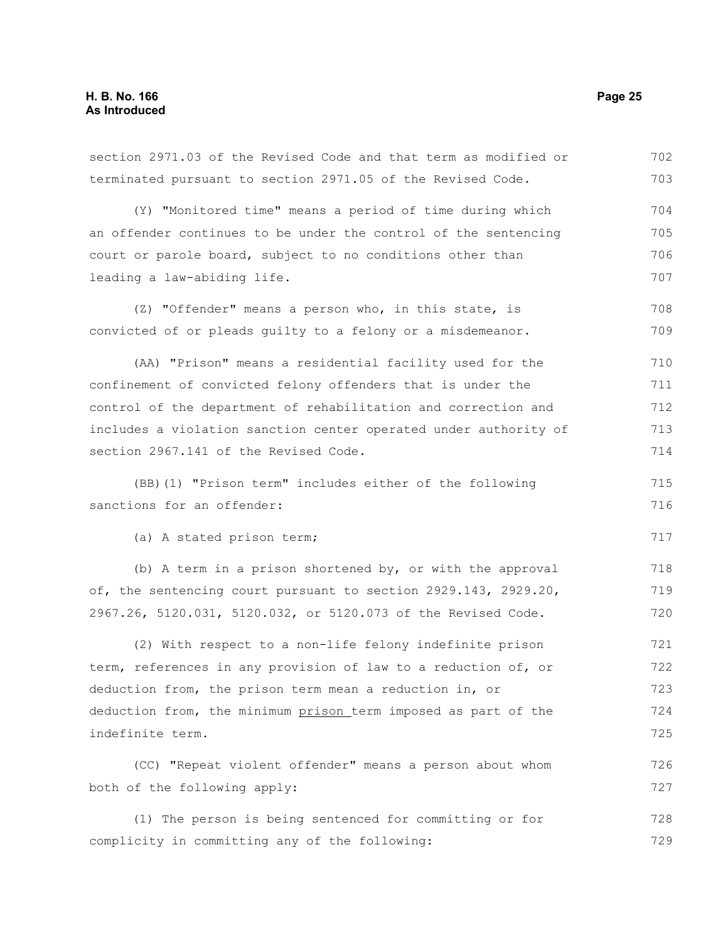| section 2971.03 of the Revised Code and that term as modified or | 702 |
|------------------------------------------------------------------|-----|
| terminated pursuant to section 2971.05 of the Revised Code.      | 703 |
| (Y) "Monitored time" means a period of time during which         | 704 |
| an offender continues to be under the control of the sentencing  | 705 |
| court or parole board, subject to no conditions other than       | 706 |
| leading a law-abiding life.                                      | 707 |
| (Z) "Offender" means a person who, in this state, is             | 708 |
| convicted of or pleads quilty to a felony or a misdemeanor.      | 709 |
| (AA) "Prison" means a residential facility used for the          | 710 |
| confinement of convicted felony offenders that is under the      | 711 |
| control of the department of rehabilitation and correction and   | 712 |
| includes a violation sanction center operated under authority of | 713 |
| section 2967.141 of the Revised Code.                            | 714 |
| (BB) (1) "Prison term" includes either of the following          | 715 |
| sanctions for an offender:                                       | 716 |
| (a) A stated prison term;                                        | 717 |
| (b) A term in a prison shortened by, or with the approval        | 718 |
| of, the sentencing court pursuant to section 2929.143, 2929.20,  | 719 |
| 2967.26, 5120.031, 5120.032, or 5120.073 of the Revised Code.    | 720 |
| (2) With respect to a non-life felony indefinite prison          | 721 |
| term, references in any provision of law to a reduction of, or   | 722 |
| deduction from, the prison term mean a reduction in, or          | 723 |
| deduction from, the minimum prison term imposed as part of the   | 724 |
| indefinite term.                                                 | 725 |
| (CC) "Repeat violent offender" means a person about whom         | 726 |
| both of the following apply:                                     | 727 |
| (1) The person is being sentenced for committing or for          | 728 |
| complicity in committing any of the following:                   | 729 |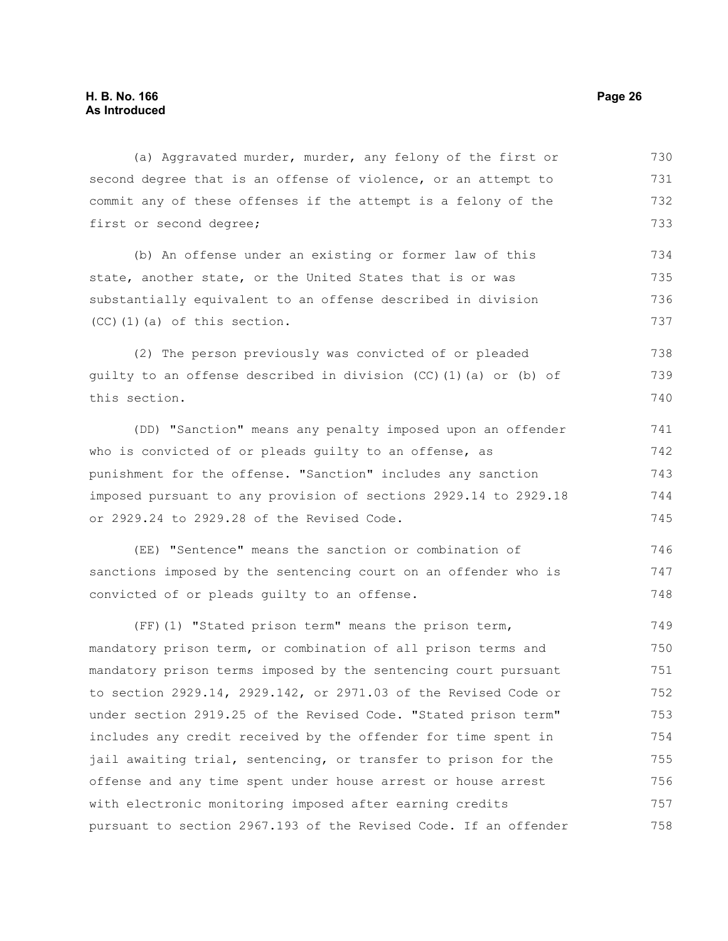(a) Aggravated murder, murder, any felony of the first or second degree that is an offense of violence, or an attempt to commit any of these offenses if the attempt is a felony of the first or second degree; 730 731 732 733

(b) An offense under an existing or former law of this state, another state, or the United States that is or was substantially equivalent to an offense described in division (CC)(1)(a) of this section. 734 735 736 737

(2) The person previously was convicted of or pleaded quilty to an offense described in division (CC)(1)(a) or (b) of this section.

(DD) "Sanction" means any penalty imposed upon an offender who is convicted of or pleads guilty to an offense, as punishment for the offense. "Sanction" includes any sanction imposed pursuant to any provision of sections 2929.14 to 2929.18 or 2929.24 to 2929.28 of the Revised Code. 741 742 743 744 745

(EE) "Sentence" means the sanction or combination of sanctions imposed by the sentencing court on an offender who is convicted of or pleads guilty to an offense. 746 747 748

(FF)(1) "Stated prison term" means the prison term, mandatory prison term, or combination of all prison terms and mandatory prison terms imposed by the sentencing court pursuant to section 2929.14, 2929.142, or 2971.03 of the Revised Code or under section 2919.25 of the Revised Code. "Stated prison term" includes any credit received by the offender for time spent in jail awaiting trial, sentencing, or transfer to prison for the offense and any time spent under house arrest or house arrest with electronic monitoring imposed after earning credits pursuant to section 2967.193 of the Revised Code. If an offender 749 750 751 752 753 754 755 756 757 758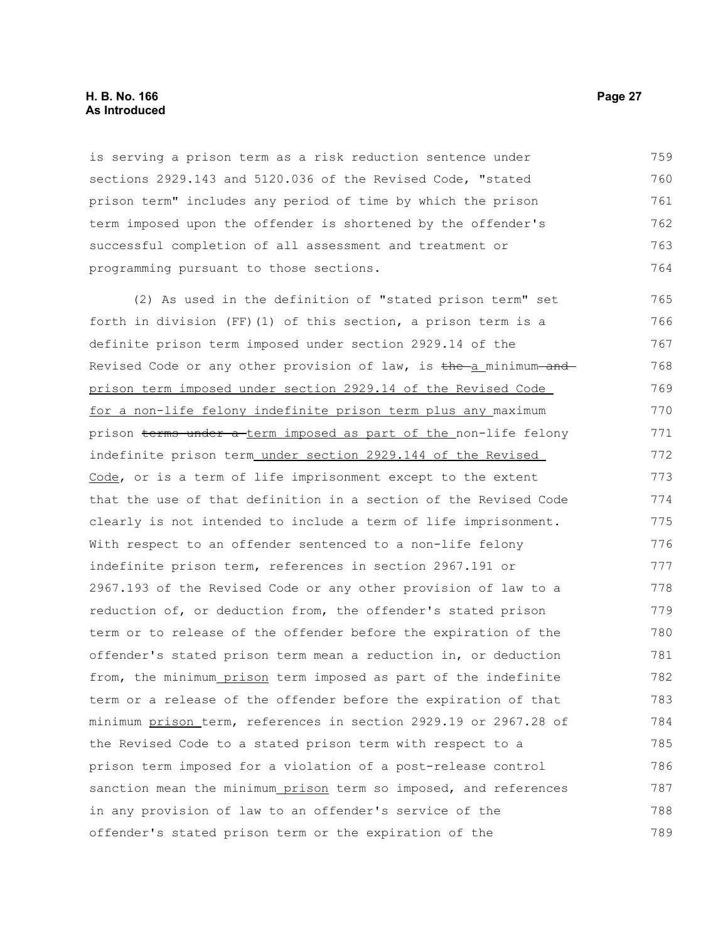#### **H. B. No. 166 Page 27 As Introduced**

is serving a prison term as a risk reduction sentence under sections 2929.143 and 5120.036 of the Revised Code, "stated prison term" includes any period of time by which the prison term imposed upon the offender is shortened by the offender's successful completion of all assessment and treatment or programming pursuant to those sections. 759 760 761 762 763 764

(2) As used in the definition of "stated prison term" set forth in division (FF)(1) of this section, a prison term is a definite prison term imposed under section 2929.14 of the Revised Code or any other provision of law, is the a minimum and prison term imposed under section 2929.14 of the Revised Code for a non-life felony indefinite prison term plus any maximum prison terms under a term imposed as part of the non-life felony indefinite prison term under section 2929.144 of the Revised Code, or is a term of life imprisonment except to the extent that the use of that definition in a section of the Revised Code clearly is not intended to include a term of life imprisonment. With respect to an offender sentenced to a non-life felony indefinite prison term, references in section 2967.191 or 2967.193 of the Revised Code or any other provision of law to a reduction of, or deduction from, the offender's stated prison term or to release of the offender before the expiration of the offender's stated prison term mean a reduction in, or deduction from, the minimum prison term imposed as part of the indefinite term or a release of the offender before the expiration of that minimum prison term, references in section 2929.19 or 2967.28 of the Revised Code to a stated prison term with respect to a prison term imposed for a violation of a post-release control sanction mean the minimum prison term so imposed, and references in any provision of law to an offender's service of the offender's stated prison term or the expiration of the 765 766 767 768 769 770 771 772 773 774 775 776 777 778 779 780 781 782 783 784 785 786 787 788 789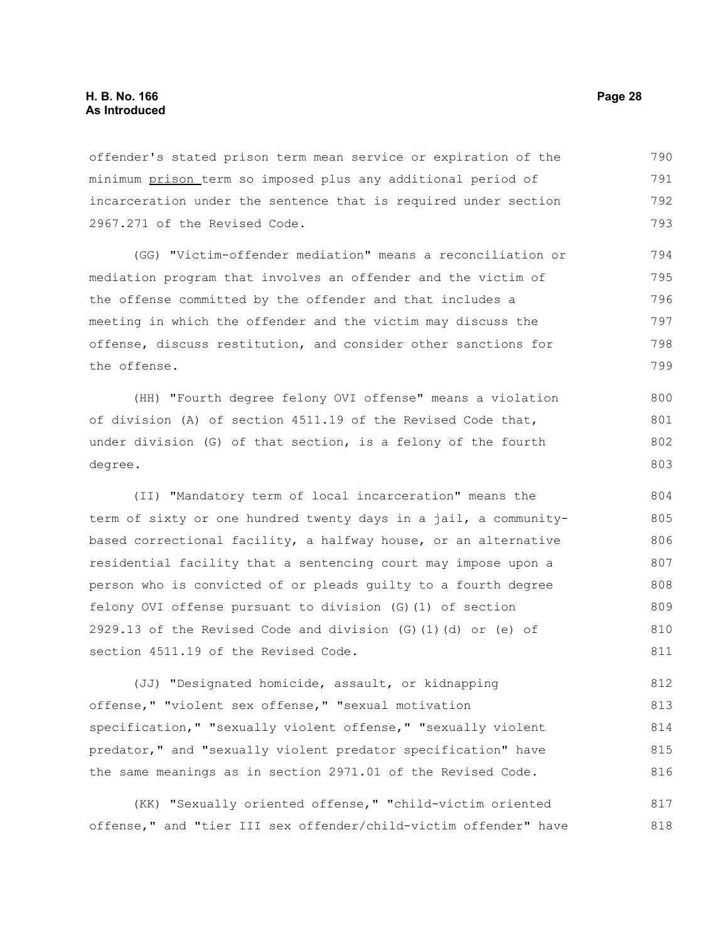offender's stated prison term mean service or expiration of the minimum prison term so imposed plus any additional period of incarceration under the sentence that is required under section 2967.271 of the Revised Code. 790 791 792 793

(GG) "Victim-offender mediation" means a reconciliation or mediation program that involves an offender and the victim of the offense committed by the offender and that includes a meeting in which the offender and the victim may discuss the offense, discuss restitution, and consider other sanctions for the offense. 794 795 796 797 798 799

(HH) "Fourth degree felony OVI offense" means a violation of division (A) of section 4511.19 of the Revised Code that, under division (G) of that section, is a felony of the fourth degree. 800 801 802 803

(II) "Mandatory term of local incarceration" means the term of sixty or one hundred twenty days in a jail, a communitybased correctional facility, a halfway house, or an alternative residential facility that a sentencing court may impose upon a person who is convicted of or pleads guilty to a fourth degree felony OVI offense pursuant to division (G)(1) of section 2929.13 of the Revised Code and division (G)(1)(d) or (e) of section 4511.19 of the Revised Code. 804 805 806 807 808 809 810 811

(JJ) "Designated homicide, assault, or kidnapping offense," "violent sex offense," "sexual motivation specification," "sexually violent offense," "sexually violent predator," and "sexually violent predator specification" have the same meanings as in section 2971.01 of the Revised Code. 812 813 814 815 816

(KK) "Sexually oriented offense," "child-victim oriented offense," and "tier III sex offender/child-victim offender" have 817 818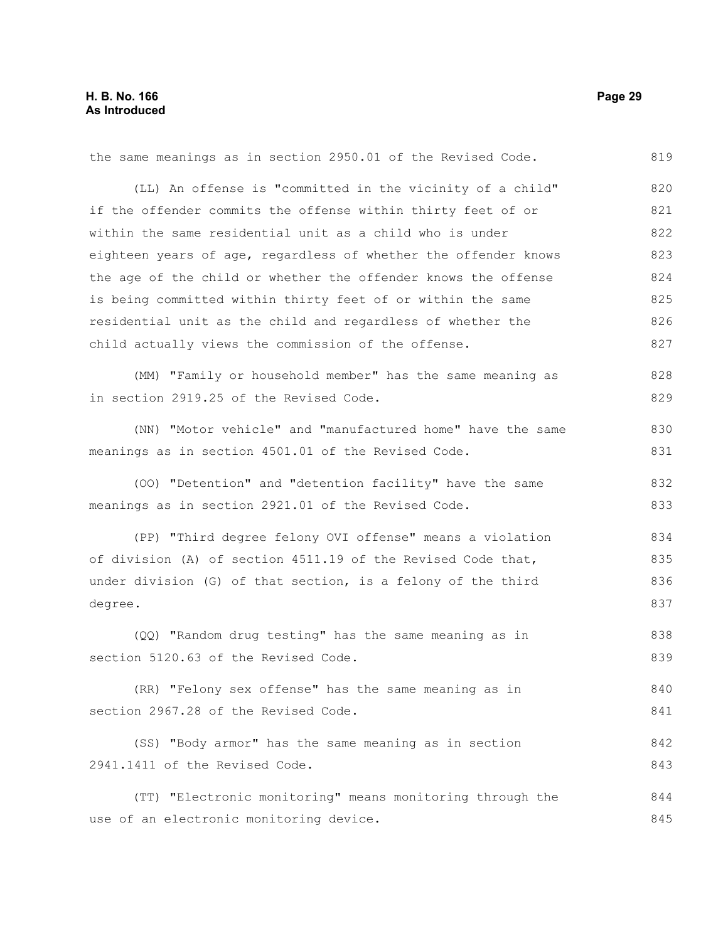the same meanings as in section 2950.01 of the Revised Code. (LL) An offense is "committed in the vicinity of a child" if the offender commits the offense within thirty feet of or within the same residential unit as a child who is under eighteen years of age, regardless of whether the offender knows the age of the child or whether the offender knows the offense is being committed within thirty feet of or within the same residential unit as the child and regardless of whether the child actually views the commission of the offense. (MM) "Family or household member" has the same meaning as in section 2919.25 of the Revised Code. (NN) "Motor vehicle" and "manufactured home" have the same meanings as in section 4501.01 of the Revised Code. (OO) "Detention" and "detention facility" have the same meanings as in section 2921.01 of the Revised Code. (PP) "Third degree felony OVI offense" means a violation of division (A) of section 4511.19 of the Revised Code that, under division (G) of that section, is a felony of the third degree. (QQ) "Random drug testing" has the same meaning as in section 5120.63 of the Revised Code. (RR) "Felony sex offense" has the same meaning as in section 2967.28 of the Revised Code. (SS) "Body armor" has the same meaning as in section 2941.1411 of the Revised Code. (TT) "Electronic monitoring" means monitoring through the use of an electronic monitoring device. 819 820 821 822 823 824 825 826 827 828 829 830 831 832 833 834 835 836 837 838 839 840 841 842 843 844 845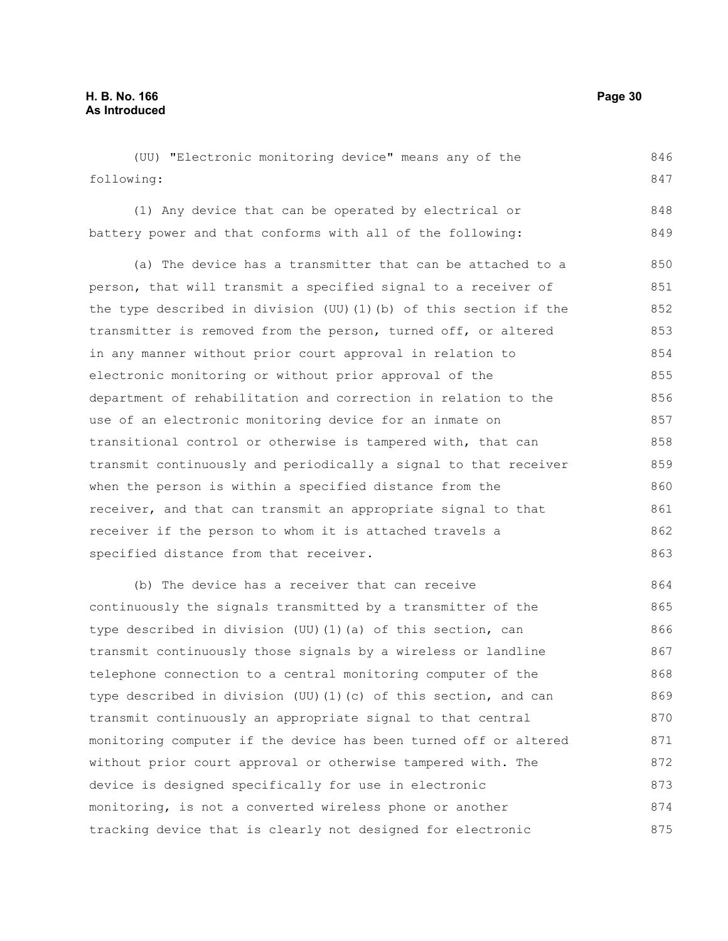(UU) "Electronic monitoring device" means any of the following: (1) Any device that can be operated by electrical or battery power and that conforms with all of the following: (a) The device has a transmitter that can be attached to a person, that will transmit a specified signal to a receiver of the type described in division (UU)(1)(b) of this section if the transmitter is removed from the person, turned off, or altered in any manner without prior court approval in relation to electronic monitoring or without prior approval of the department of rehabilitation and correction in relation to the use of an electronic monitoring device for an inmate on transitional control or otherwise is tampered with, that can transmit continuously and periodically a signal to that receiver when the person is within a specified distance from the receiver, and that can transmit an appropriate signal to that receiver if the person to whom it is attached travels a specified distance from that receiver. 846 847 848 849 850 851 852 853 854 855 856 857 858 859 860 861 862 863

(b) The device has a receiver that can receive continuously the signals transmitted by a transmitter of the type described in division (UU)(1)(a) of this section, can transmit continuously those signals by a wireless or landline telephone connection to a central monitoring computer of the type described in division (UU)(1)(c) of this section, and can transmit continuously an appropriate signal to that central monitoring computer if the device has been turned off or altered without prior court approval or otherwise tampered with. The device is designed specifically for use in electronic monitoring, is not a converted wireless phone or another tracking device that is clearly not designed for electronic 864 865 866 867 868 869 870 871 872 873 874 875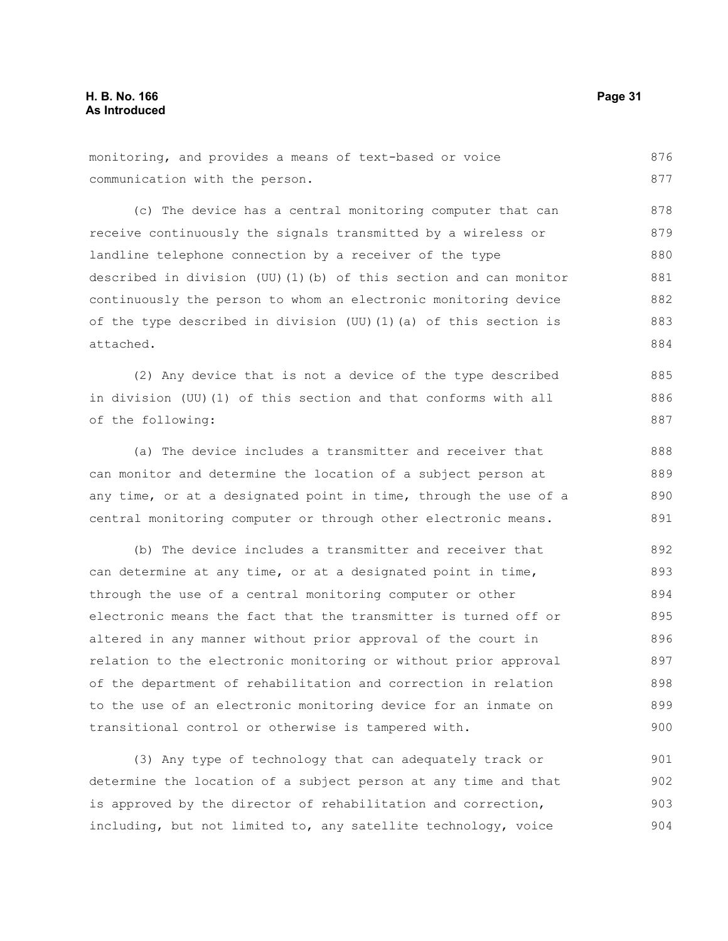monitoring, and provides a means of text-based or voice communication with the person. 876 877

(c) The device has a central monitoring computer that can receive continuously the signals transmitted by a wireless or landline telephone connection by a receiver of the type described in division (UU)(1)(b) of this section and can monitor continuously the person to whom an electronic monitoring device of the type described in division (UU)(1)(a) of this section is attached. 878 879 880 881 882 883 884

(2) Any device that is not a device of the type described in division (UU)(1) of this section and that conforms with all of the following: 885 886 887

(a) The device includes a transmitter and receiver that can monitor and determine the location of a subject person at any time, or at a designated point in time, through the use of a central monitoring computer or through other electronic means. 888 889 890 891

(b) The device includes a transmitter and receiver that can determine at any time, or at a designated point in time, through the use of a central monitoring computer or other electronic means the fact that the transmitter is turned off or altered in any manner without prior approval of the court in relation to the electronic monitoring or without prior approval of the department of rehabilitation and correction in relation to the use of an electronic monitoring device for an inmate on transitional control or otherwise is tampered with. 892 893 894 895 896 897 898 899 900

(3) Any type of technology that can adequately track or determine the location of a subject person at any time and that is approved by the director of rehabilitation and correction, including, but not limited to, any satellite technology, voice 901 902 903 904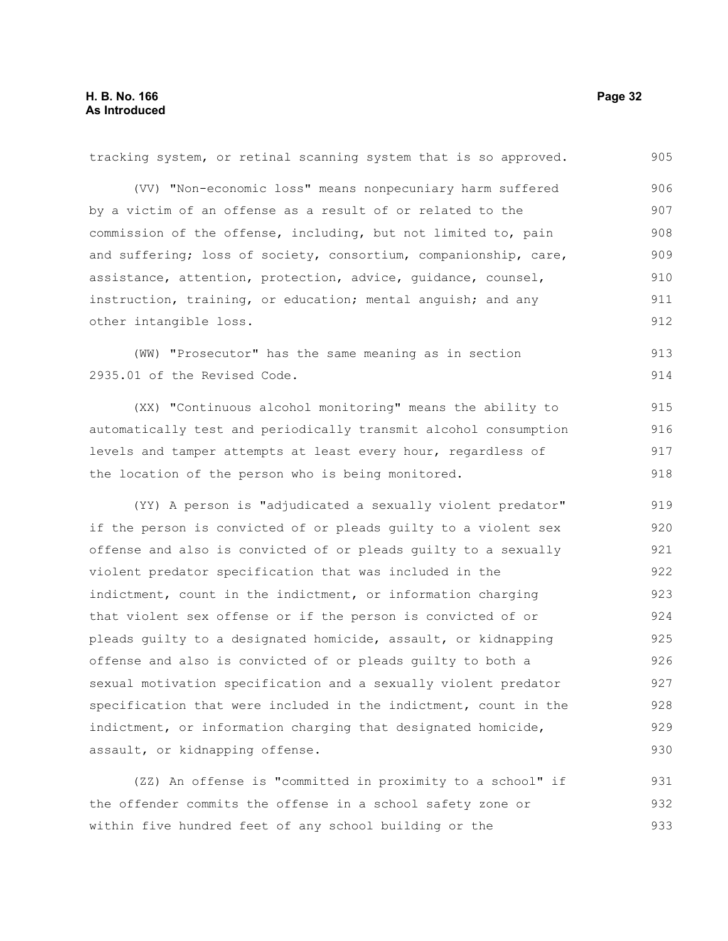| (VV) "Non-economic loss" means nonpecuniary harm suffered                    | 906  |
|------------------------------------------------------------------------------|------|
| by a victim of an offense as a result of or related to the                   | 907  |
| commission of the offense, including, but not limited to, pain               | 908  |
| and suffering; loss of society, consortium, companionship, care,             | 909  |
| assistance, attention, protection, advice, guidance, counsel,                | 910  |
| instruction, training, or education; mental anguish; and any                 | 911  |
| other intangible loss.                                                       | 912  |
| (WW) "Prosecutor" has the same meaning as in section                         | 913  |
| 2935.01 of the Revised Code.                                                 | 914  |
| (XX) "Continuous alcohol monitoring" means the ability to                    | 915  |
| automatically test and periodically transmit alcohol consumption             | 916  |
| levels and tamper attempts at least every hour, regardless of                | 917  |
| the location of the person who is being monitored.                           | 918  |
| (YY) A person is "adjudicated a sexually violent predator"                   | 919  |
| if the person is convicted of or pleads guilty to a violent sex              | 920  |
| offense and also is convicted of or pleads guilty to a sexually              | 921  |
| violent predator specification that was included in the                      | 922  |
| indictment, count in the indictment, or information charging                 | 923  |
| that violent sex offense or if the person is convicted of or                 | 924  |
| pleads guilty to a designated homicide, assault, or kidnapping               | 925  |
| offense and also is convicted of or pleads guilty to both a                  | 926  |
| sexual motivation specification and a sexually violent predator              | 927  |
| specification that were included in the indictment, count in the             | 928  |
| indictment, or information charging that designated homicide,                | 929  |
| assault, or kidnapping offense.                                              | 930  |
| $(77)$ $\lambda$ $\alpha$ effected in Hermanitted in provinct to the endeath | 0.21 |

tracking system, or retinal scanning system that is so approved.

(ZZ) An offense is "committed in proximity to a school" if the offender commits the offense in a school safety zone or within five hundred feet of any school building or the 931 932 933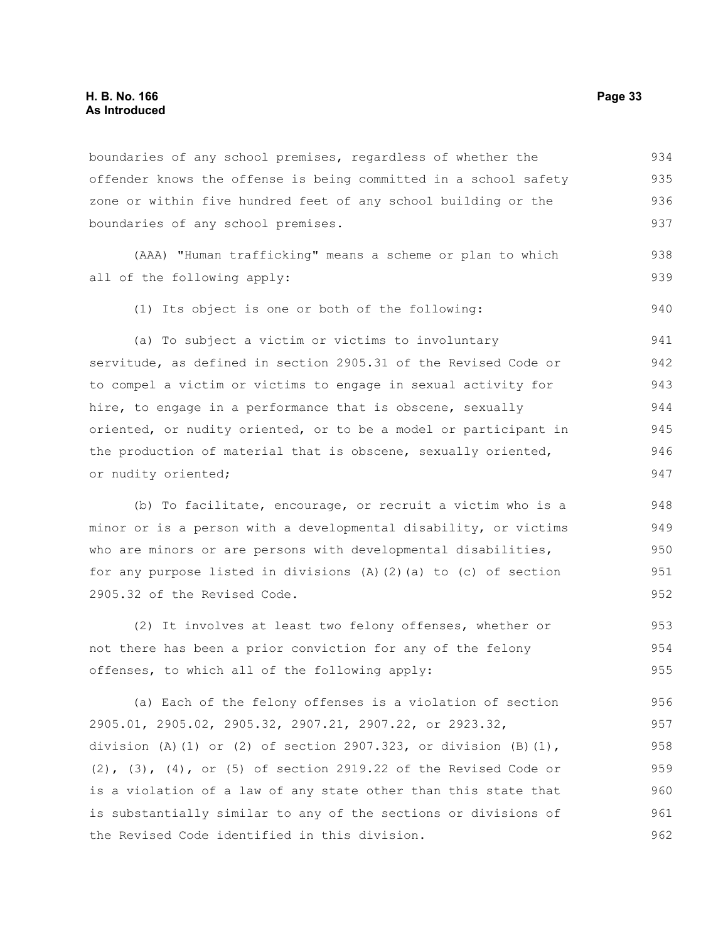boundaries of any school premises, regardless of whether the offender knows the offense is being committed in a school safety zone or within five hundred feet of any school building or the boundaries of any school premises. 934 935 936 937

(AAA) "Human trafficking" means a scheme or plan to which all of the following apply:

(1) Its object is one or both of the following:

(a) To subject a victim or victims to involuntary servitude, as defined in section 2905.31 of the Revised Code or to compel a victim or victims to engage in sexual activity for hire, to engage in a performance that is obscene, sexually oriented, or nudity oriented, or to be a model or participant in the production of material that is obscene, sexually oriented, or nudity oriented; 941 942 943 944 945 946 947

(b) To facilitate, encourage, or recruit a victim who is a minor or is a person with a developmental disability, or victims who are minors or are persons with developmental disabilities, for any purpose listed in divisions  $(A)$   $(2)$   $(a)$  to  $(c)$  of section 2905.32 of the Revised Code.

(2) It involves at least two felony offenses, whether or not there has been a prior conviction for any of the felony offenses, to which all of the following apply: 953 954 955

(a) Each of the felony offenses is a violation of section 2905.01, 2905.02, 2905.32, 2907.21, 2907.22, or 2923.32, division (A)(1) or (2) of section 2907.323, or division (B)(1), (2), (3), (4), or (5) of section 2919.22 of the Revised Code or is a violation of a law of any state other than this state that is substantially similar to any of the sections or divisions of the Revised Code identified in this division. 956 957 958 959 960 961 962

938 939

940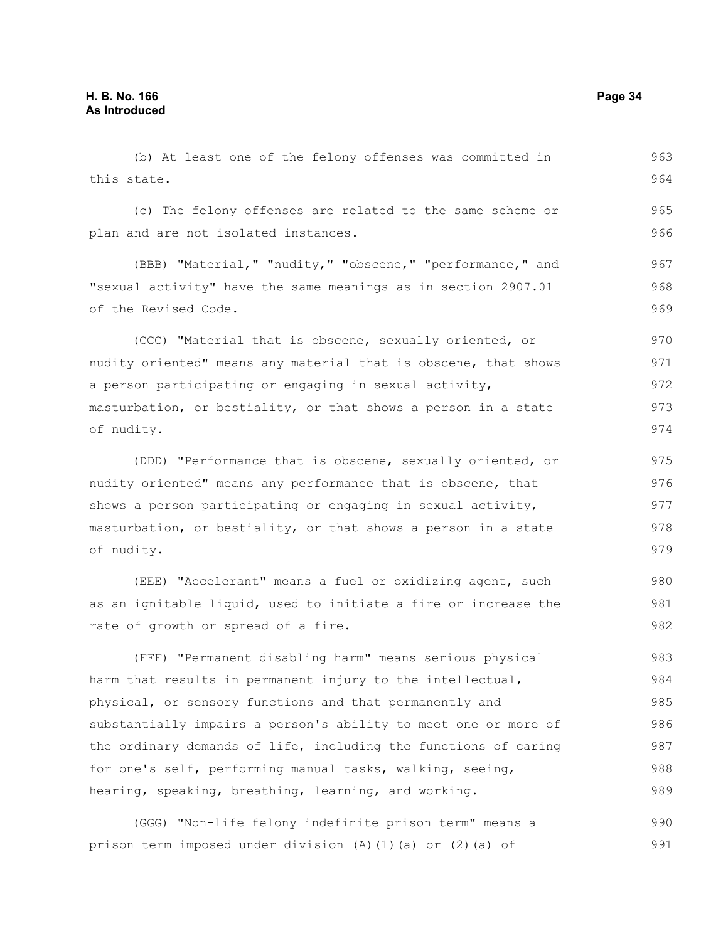| this state.                                                     | 964 |
|-----------------------------------------------------------------|-----|
| (c) The felony offenses are related to the same scheme or       | 965 |
| plan and are not isolated instances.                            | 966 |
| (BBB) "Material," "nudity," "obscene," "performance," and       | 967 |
| "sexual activity" have the same meanings as in section 2907.01  | 968 |
| of the Revised Code.                                            | 969 |
| (CCC) "Material that is obscene, sexually oriented, or          | 970 |
| nudity oriented" means any material that is obscene, that shows | 971 |
| a person participating or engaging in sexual activity,          | 972 |
| masturbation, or bestiality, or that shows a person in a state  | 973 |
| of nudity.                                                      | 974 |
| (DDD) "Performance that is obscene, sexually oriented, or       | 975 |
| nudity oriented" means any performance that is obscene, that    | 976 |
| shows a person participating or engaging in sexual activity,    | 977 |
| masturbation, or bestiality, or that shows a person in a state  | 978 |
| of nudity.                                                      | 979 |
| (EEE) "Accelerant" means a fuel or oxidizing agent, such        | 980 |
| as an ignitable liquid, used to initiate a fire or increase the | 981 |
| rate of growth or spread of a fire.                             | 982 |
| (FFF) "Permanent disabling harm" means serious physical         | 983 |
| harm that results in permanent injury to the intellectual,      | 984 |
| physical, or sensory functions and that permanently and         | 985 |
| substantially impairs a person's ability to meet one or more of | 986 |
| the ordinary demands of life, including the functions of caring | 987 |
| for one's self, performing manual tasks, walking, seeing,       | 988 |
| hearing, speaking, breathing, learning, and working.            | 989 |
| (GGG) "Non-life felony indefinite prison term" means a          | 990 |

prison term imposed under division (A)(1)(a) or (2)(a) of

(b) At least one of the felony offenses was committed in

963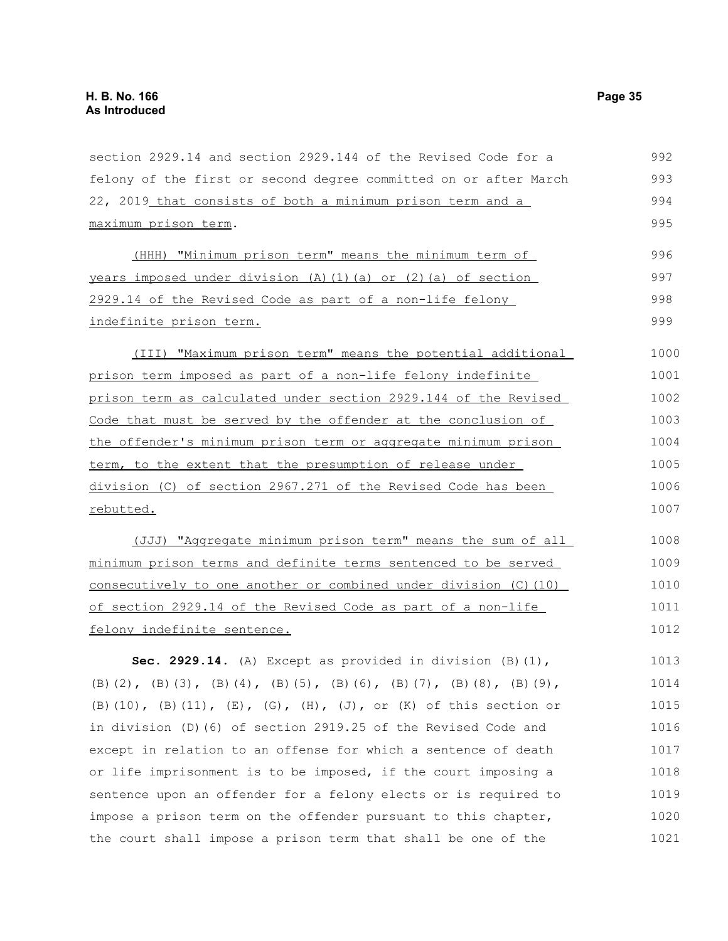| section 2929.14 and section 2929.144 of the Revised Code for a                          | 992  |
|-----------------------------------------------------------------------------------------|------|
| felony of the first or second degree committed on or after March                        | 993  |
| 22, 2019 that consists of both a minimum prison term and a                              | 994  |
| <u>maximum prison term.</u>                                                             | 995  |
| (HHH) "Minimum prison term" means the minimum term of                                   | 996  |
| years imposed under division (A)(1)(a) or (2)(a) of section                             | 997  |
| 2929.14 of the Revised Code as part of a non-life felony                                | 998  |
| indefinite prison term.                                                                 | 999  |
| (III) "Maximum prison term" means the potential additional                              | 1000 |
| prison term imposed as part of a non-life felony indefinite                             | 1001 |
| <u>prison term as calculated under section 2929.144 of the Revised </u>                 | 1002 |
| Code that must be served by the offender at the conclusion of                           | 1003 |
| the offender's minimum prison term or aggregate minimum prison                          | 1004 |
| term, to the extent that the presumption of release under                               | 1005 |
| division (C) of section 2967.271 of the Revised Code has been                           | 1006 |
| rebutted.                                                                               | 1007 |
| (JJJ) "Aggregate minimum prison term" means the sum of all                              | 1008 |
| minimum prison terms and definite terms sentenced to be served                          | 1009 |
| consecutively to one another or combined under division (C) (10)                        | 1010 |
| of section 2929.14 of the Revised Code as part of a non-life                            | 1011 |
| felony indefinite sentence.                                                             | 1012 |
| Sec. 2929.14. (A) Except as provided in division $(B)$ (1),                             | 1013 |
| (B) (2), (B) (3), (B) (4), (B) (5), (B) (6), (B) (7), (B) (8), (B) (9),                 | 1014 |
| (B) $(10)$ , $(B)$ $(11)$ , $(E)$ , $(G)$ , $(H)$ , $(J)$ , or $(K)$ of this section or | 1015 |
| in division (D) (6) of section 2919.25 of the Revised Code and                          | 1016 |
| except in relation to an offense for which a sentence of death                          | 1017 |
| or life imprisonment is to be imposed, if the court imposing a                          | 1018 |
| sentence upon an offender for a felony elects or is required to                         | 1019 |
| impose a prison term on the offender pursuant to this chapter,                          | 1020 |
| the court shall impose a prison term that shall be one of the                           | 1021 |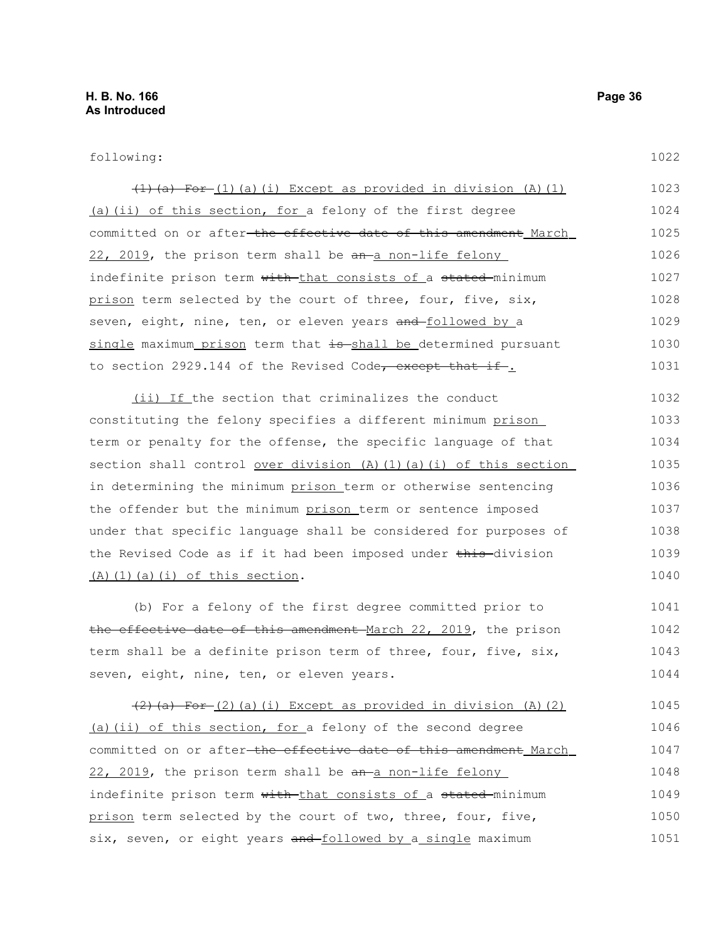following:

(1)(a) For (1)(a)(i) Except as provided in division (A)(1) (a)(ii) of this section, for a felony of the first degree committed on or after-the effective date of this amendment March 22, 2019, the prison term shall be an a non-life felony indefinite prison term with that consists of a stated minimum prison term selected by the court of three, four, five, six, seven, eight, nine, ten, or eleven years and followed by a single maximum prison term that is shall be determined pursuant to section 2929.144 of the Revised Code, except that if. 1023 1024 1025 1026 1027 1028 1029 1030 1031

(ii) If the section that criminalizes the conduct constituting the felony specifies a different minimum prison term or penalty for the offense, the specific language of that section shall control over division (A)(1)(a)(i) of this section in determining the minimum prison term or otherwise sentencing the offender but the minimum prison term or sentence imposed under that specific language shall be considered for purposes of the Revised Code as if it had been imposed under this division  $(A)$   $(1)$   $(a)$   $(i)$  of this section. 1032 1033 1034 1035 1036 1037 1038 1039 1040

(b) For a felony of the first degree committed prior to the effective date of this amendment March 22, 2019, the prison term shall be a definite prison term of three, four, five, six, seven, eight, nine, ten, or eleven years. 1041 1042 1043 1044

 $(2)$  (a) For (2)(a)(i) Except as provided in division (A)(2) (a)(ii) of this section, for a felony of the second degree committed on or after-the effective date of this amendment March 22, 2019, the prison term shall be an-a non-life felony indefinite prison term with that consists of a stated minimum prison term selected by the court of two, three, four, five, six, seven, or eight years and followed by a single maximum 1045 1046 1047 1048 1049 1050 1051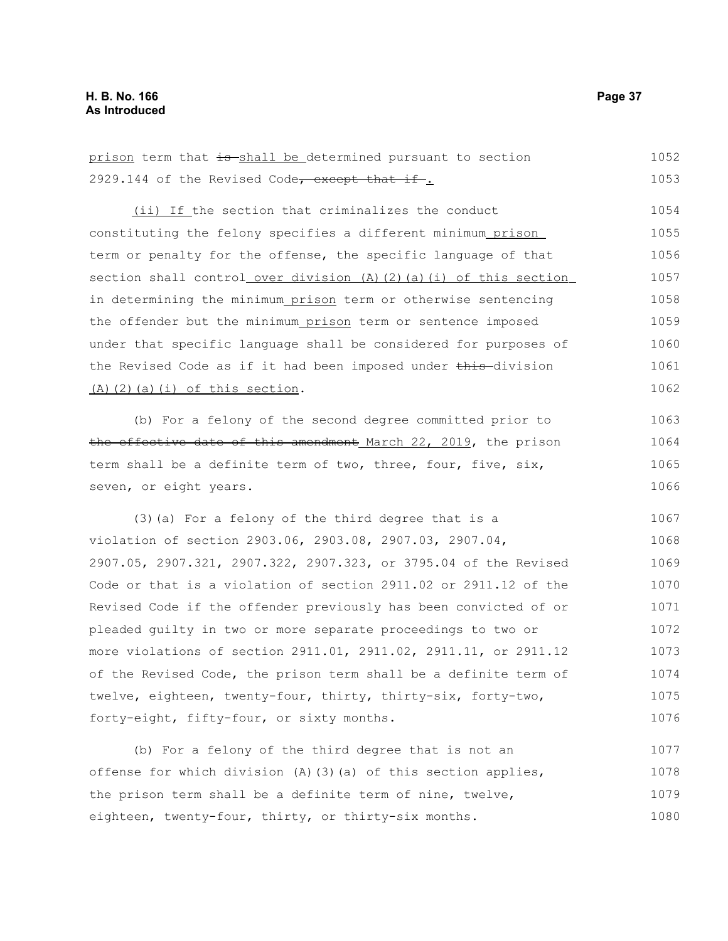prison term that is shall be determined pursuant to section 2929.144 of the Revised Code, except that if. (ii) If the section that criminalizes the conduct constituting the felony specifies a different minimum prison term or penalty for the offense, the specific language of that section shall control over division (A)(2)(a)(i) of this section in determining the minimum prison term or otherwise sentencing the offender but the minimum prison term or sentence imposed under that specific language shall be considered for purposes of the Revised Code as if it had been imposed under this division  $(A)$  $(2)$  $(a)$  $(i)$  of this section. (b) For a felony of the second degree committed prior to the effective date of this amendment March 22, 2019, the prison term shall be a definite term of two, three, four, five, six, seven, or eight years. 1052 1053 1054 1055 1056 1057 1058 1059 1060 1061 1062 1063 1064 1065 1066

(3)(a) For a felony of the third degree that is a violation of section 2903.06, 2903.08, 2907.03, 2907.04, 2907.05, 2907.321, 2907.322, 2907.323, or 3795.04 of the Revised Code or that is a violation of section 2911.02 or 2911.12 of the Revised Code if the offender previously has been convicted of or pleaded guilty in two or more separate proceedings to two or more violations of section 2911.01, 2911.02, 2911.11, or 2911.12 of the Revised Code, the prison term shall be a definite term of twelve, eighteen, twenty-four, thirty, thirty-six, forty-two, forty-eight, fifty-four, or sixty months. 1067 1068 1069 1070 1071 1072 1073 1074 1075 1076

(b) For a felony of the third degree that is not an offense for which division (A)(3)(a) of this section applies, the prison term shall be a definite term of nine, twelve, eighteen, twenty-four, thirty, or thirty-six months. 1077 1078 1079 1080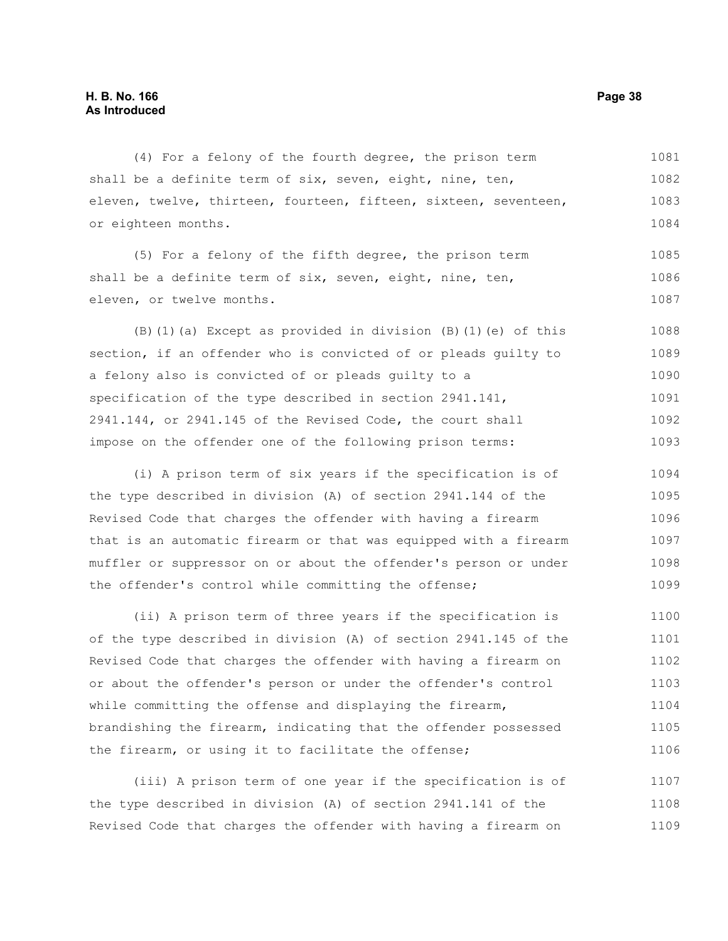(4) For a felony of the fourth degree, the prison term shall be a definite term of six, seven, eight, nine, ten, eleven, twelve, thirteen, fourteen, fifteen, sixteen, seventeen, or eighteen months. 1081 1082 1083 1084

(5) For a felony of the fifth degree, the prison term shall be a definite term of six, seven, eight, nine, ten, eleven, or twelve months. 1085 1086 1087

(B)(1)(a) Except as provided in division (B)(1)(e) of this section, if an offender who is convicted of or pleads guilty to a felony also is convicted of or pleads guilty to a specification of the type described in section 2941.141, 2941.144, or 2941.145 of the Revised Code, the court shall impose on the offender one of the following prison terms: 1088 1089 1090 1091 1092 1093

(i) A prison term of six years if the specification is of the type described in division (A) of section 2941.144 of the Revised Code that charges the offender with having a firearm that is an automatic firearm or that was equipped with a firearm muffler or suppressor on or about the offender's person or under the offender's control while committing the offense; 1094 1095 1096 1097 1098 1099

(ii) A prison term of three years if the specification is of the type described in division (A) of section 2941.145 of the Revised Code that charges the offender with having a firearm on or about the offender's person or under the offender's control while committing the offense and displaying the firearm, brandishing the firearm, indicating that the offender possessed the firearm, or using it to facilitate the offense; 1100 1101 1102 1103 1104 1105 1106

(iii) A prison term of one year if the specification is of the type described in division (A) of section 2941.141 of the Revised Code that charges the offender with having a firearm on 1107 1108 1109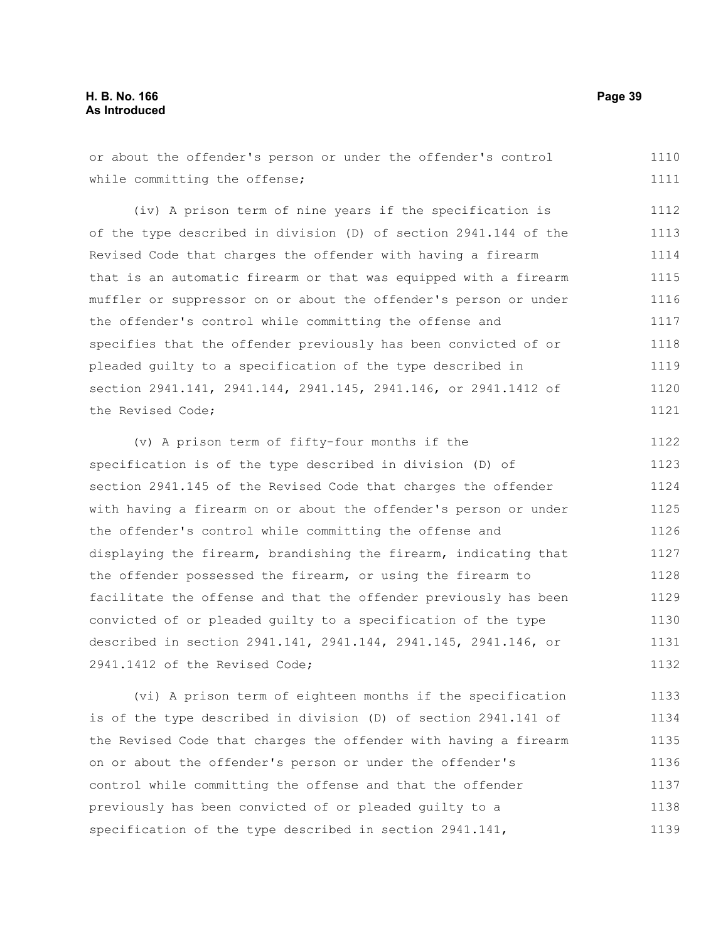or about the offender's person or under the offender's control while committing the offense; 1110 1111

(iv) A prison term of nine years if the specification is of the type described in division (D) of section 2941.144 of the Revised Code that charges the offender with having a firearm that is an automatic firearm or that was equipped with a firearm muffler or suppressor on or about the offender's person or under the offender's control while committing the offense and specifies that the offender previously has been convicted of or pleaded guilty to a specification of the type described in section 2941.141, 2941.144, 2941.145, 2941.146, or 2941.1412 of the Revised Code; 1112 1113 1114 1115 1116 1117 1118 1119 1120 1121

(v) A prison term of fifty-four months if the specification is of the type described in division (D) of section 2941.145 of the Revised Code that charges the offender with having a firearm on or about the offender's person or under the offender's control while committing the offense and displaying the firearm, brandishing the firearm, indicating that the offender possessed the firearm, or using the firearm to facilitate the offense and that the offender previously has been convicted of or pleaded guilty to a specification of the type described in section 2941.141, 2941.144, 2941.145, 2941.146, or 2941.1412 of the Revised Code; 1122 1123 1124 1125 1126 1127 1128 1129 1130 1131 1132

(vi) A prison term of eighteen months if the specification is of the type described in division (D) of section 2941.141 of the Revised Code that charges the offender with having a firearm on or about the offender's person or under the offender's control while committing the offense and that the offender previously has been convicted of or pleaded guilty to a specification of the type described in section 2941.141, 1133 1134 1135 1136 1137 1138 1139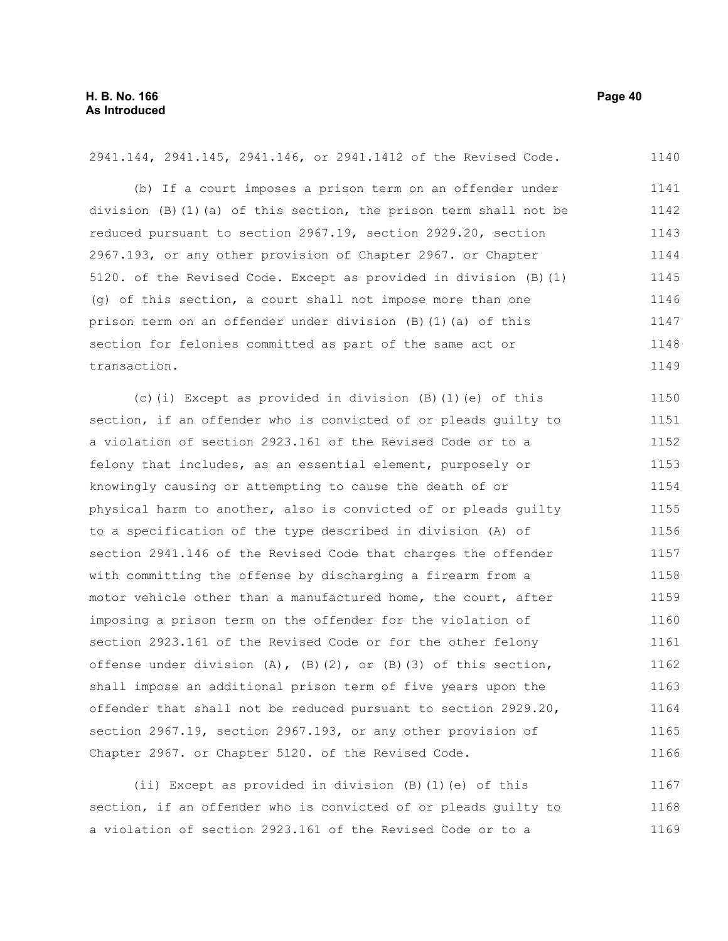2941.144, 2941.145, 2941.146, or 2941.1412 of the Revised Code. (b) If a court imposes a prison term on an offender under division (B)(1)(a) of this section, the prison term shall not be reduced pursuant to section 2967.19, section 2929.20, section 2967.193, or any other provision of Chapter 2967. or Chapter 5120. of the Revised Code. Except as provided in division (B)(1) (g) of this section, a court shall not impose more than one prison term on an offender under division (B)(1)(a) of this section for felonies committed as part of the same act or transaction. (c)(i) Except as provided in division (B)(1)(e) of this 1140 1141 1142 1143 1144 1145 1146 1147 1148 1149 1150

section, if an offender who is convicted of or pleads guilty to a violation of section 2923.161 of the Revised Code or to a felony that includes, as an essential element, purposely or knowingly causing or attempting to cause the death of or physical harm to another, also is convicted of or pleads guilty to a specification of the type described in division (A) of section 2941.146 of the Revised Code that charges the offender with committing the offense by discharging a firearm from a motor vehicle other than a manufactured home, the court, after imposing a prison term on the offender for the violation of section 2923.161 of the Revised Code or for the other felony offense under division (A), (B)(2), or (B)(3) of this section, shall impose an additional prison term of five years upon the offender that shall not be reduced pursuant to section 2929.20, section 2967.19, section 2967.193, or any other provision of Chapter 2967. or Chapter 5120. of the Revised Code. 1151 1152 1153 1154 1155 1156 1157 1158 1159 1160 1161 1162 1163 1164 1165 1166

(ii) Except as provided in division (B)(1)(e) of this section, if an offender who is convicted of or pleads guilty to a violation of section 2923.161 of the Revised Code or to a 1167 1168 1169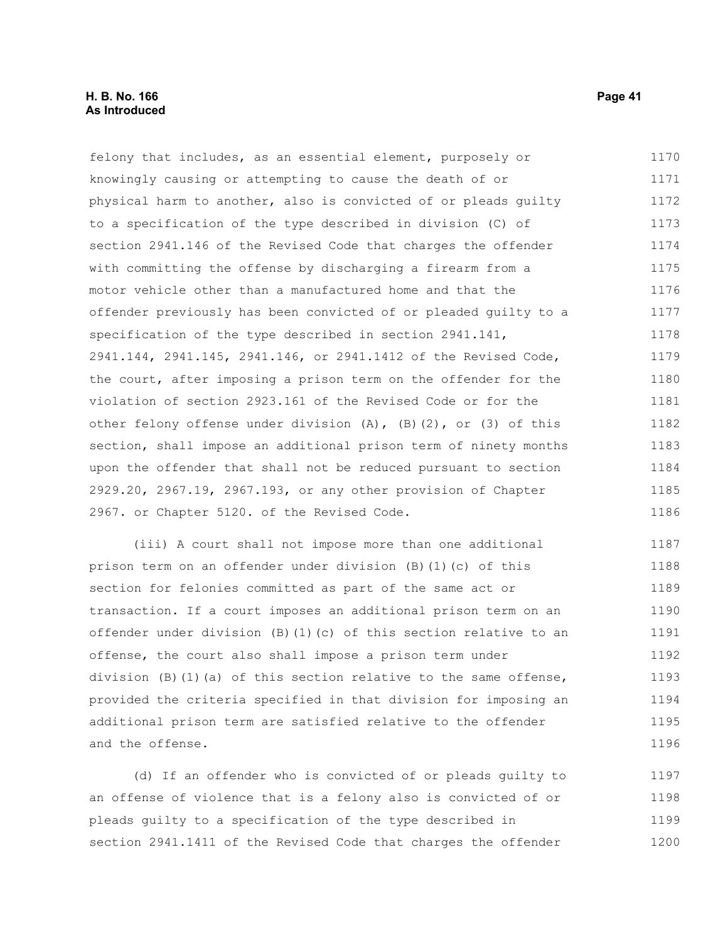felony that includes, as an essential element, purposely or knowingly causing or attempting to cause the death of or physical harm to another, also is convicted of or pleads guilty to a specification of the type described in division (C) of section 2941.146 of the Revised Code that charges the offender with committing the offense by discharging a firearm from a motor vehicle other than a manufactured home and that the offender previously has been convicted of or pleaded guilty to a specification of the type described in section 2941.141, 2941.144, 2941.145, 2941.146, or 2941.1412 of the Revised Code, the court, after imposing a prison term on the offender for the violation of section 2923.161 of the Revised Code or for the other felony offense under division  $(A)$ ,  $(B)$   $(2)$ , or  $(3)$  of this section, shall impose an additional prison term of ninety months upon the offender that shall not be reduced pursuant to section 2929.20, 2967.19, 2967.193, or any other provision of Chapter 2967. or Chapter 5120. of the Revised Code. 1170 1171 1172 1173 1174 1175 1176 1177 1178 1179 1180 1181 1182 1183 1184 1185 1186

(iii) A court shall not impose more than one additional prison term on an offender under division (B)(1)(c) of this section for felonies committed as part of the same act or transaction. If a court imposes an additional prison term on an offender under division (B)(1)(c) of this section relative to an offense, the court also shall impose a prison term under division (B)(1)(a) of this section relative to the same offense, provided the criteria specified in that division for imposing an additional prison term are satisfied relative to the offender and the offense. 1187 1188 1189 1190 1191 1192 1193 1194 1195 1196

(d) If an offender who is convicted of or pleads guilty to an offense of violence that is a felony also is convicted of or pleads guilty to a specification of the type described in section 2941.1411 of the Revised Code that charges the offender 1197 1198 1199 1200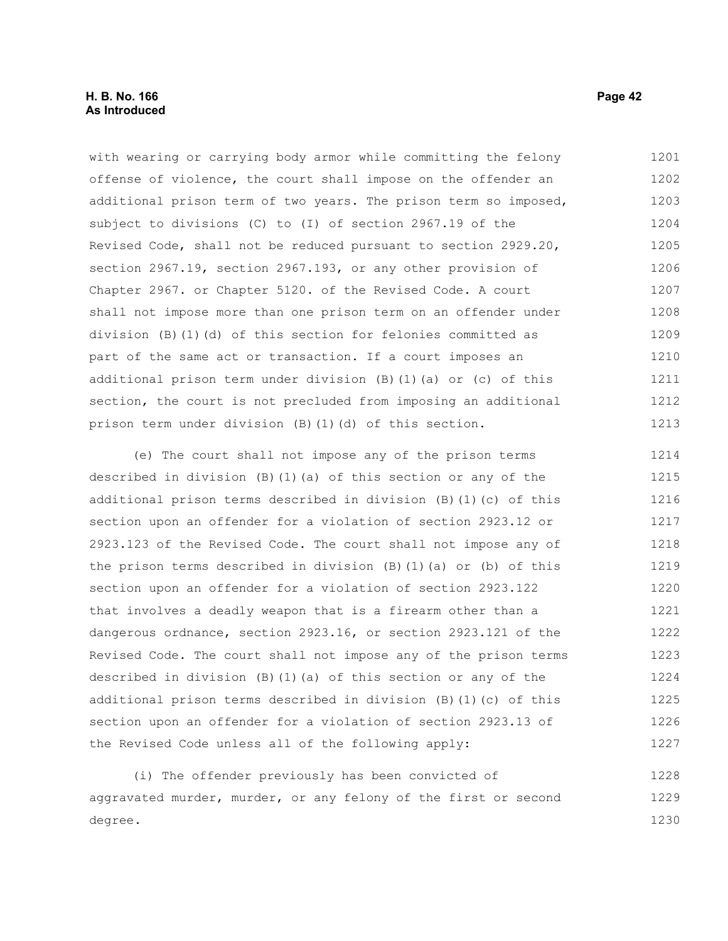with wearing or carrying body armor while committing the felony offense of violence, the court shall impose on the offender an additional prison term of two years. The prison term so imposed, subject to divisions (C) to (I) of section 2967.19 of the Revised Code, shall not be reduced pursuant to section 2929.20, section 2967.19, section 2967.193, or any other provision of Chapter 2967. or Chapter 5120. of the Revised Code. A court shall not impose more than one prison term on an offender under division (B)(1)(d) of this section for felonies committed as part of the same act or transaction. If a court imposes an additional prison term under division (B)(1)(a) or (c) of this section, the court is not precluded from imposing an additional prison term under division (B)(1)(d) of this section. 1201 1202 1203 1204 1205 1206 1207 1208 1209 1210 1211 1212 1213

(e) The court shall not impose any of the prison terms described in division  $(B)$  (1)(a) of this section or any of the additional prison terms described in division (B)(1)(c) of this section upon an offender for a violation of section 2923.12 or 2923.123 of the Revised Code. The court shall not impose any of the prison terms described in division (B)(1)(a) or (b) of this section upon an offender for a violation of section 2923.122 that involves a deadly weapon that is a firearm other than a dangerous ordnance, section 2923.16, or section 2923.121 of the Revised Code. The court shall not impose any of the prison terms described in division (B)(1)(a) of this section or any of the additional prison terms described in division (B)(1)(c) of this section upon an offender for a violation of section 2923.13 of the Revised Code unless all of the following apply: 1214 1215 1216 1217 1218 1219 1220 1221 1222 1223 1224 1225 1226 1227

(i) The offender previously has been convicted of aggravated murder, murder, or any felony of the first or second degree. 1228 1229 1230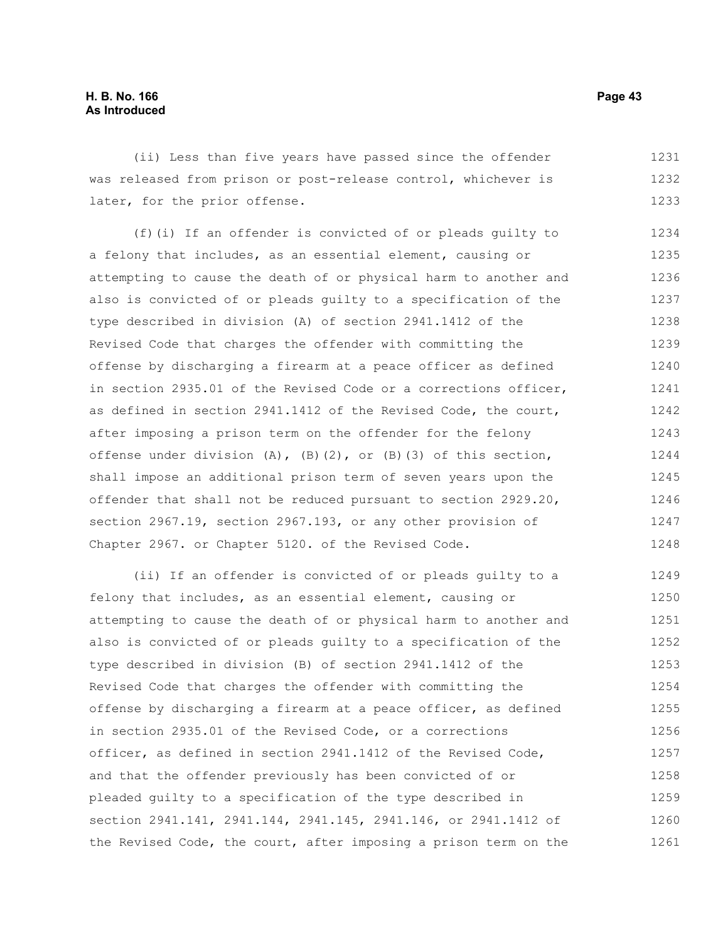# **H. B. No. 166 Page 43 As Introduced**

(ii) Less than five years have passed since the offender was released from prison or post-release control, whichever is later, for the prior offense. 1231 1232 1233

(f)(i) If an offender is convicted of or pleads guilty to a felony that includes, as an essential element, causing or attempting to cause the death of or physical harm to another and also is convicted of or pleads guilty to a specification of the type described in division (A) of section 2941.1412 of the Revised Code that charges the offender with committing the offense by discharging a firearm at a peace officer as defined in section 2935.01 of the Revised Code or a corrections officer, as defined in section 2941.1412 of the Revised Code, the court, after imposing a prison term on the offender for the felony offense under division  $(A)$ ,  $(B)$ (2), or  $(B)$ (3) of this section, shall impose an additional prison term of seven years upon the offender that shall not be reduced pursuant to section 2929.20, section 2967.19, section 2967.193, or any other provision of Chapter 2967. or Chapter 5120. of the Revised Code. 1234 1235 1236 1237 1238 1239 1240 1241 1242 1243 1244 1245 1246 1247 1248

(ii) If an offender is convicted of or pleads guilty to a felony that includes, as an essential element, causing or attempting to cause the death of or physical harm to another and also is convicted of or pleads guilty to a specification of the type described in division (B) of section 2941.1412 of the Revised Code that charges the offender with committing the offense by discharging a firearm at a peace officer, as defined in section 2935.01 of the Revised Code, or a corrections officer, as defined in section 2941.1412 of the Revised Code, and that the offender previously has been convicted of or pleaded guilty to a specification of the type described in section 2941.141, 2941.144, 2941.145, 2941.146, or 2941.1412 of the Revised Code, the court, after imposing a prison term on the 1249 1250 1251 1252 1253 1254 1255 1256 1257 1258 1259 1260 1261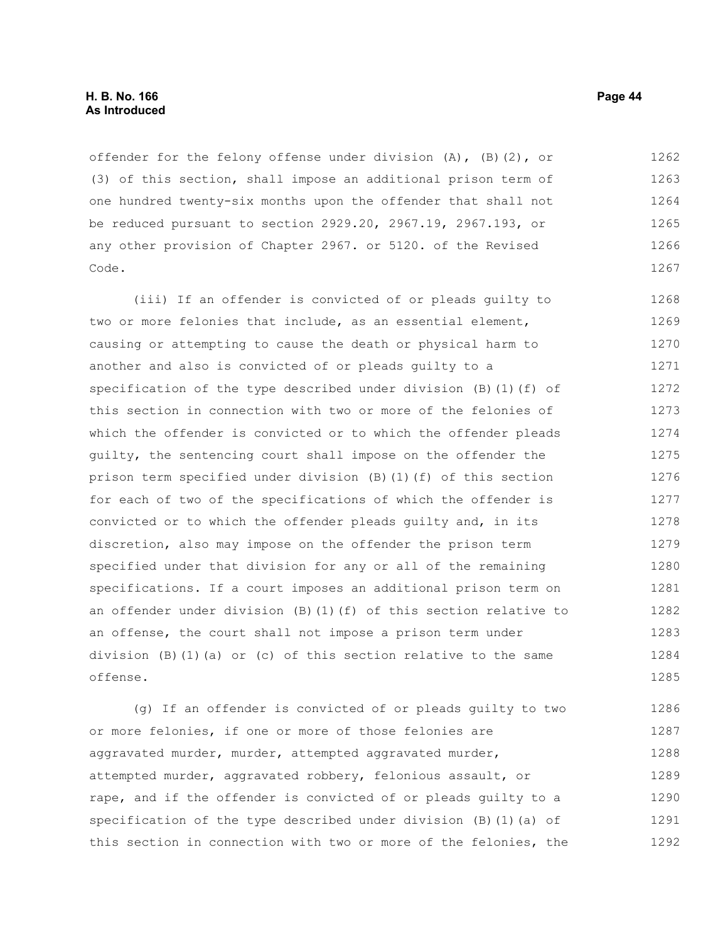offender for the felony offense under division  $(A)$ ,  $(B)$   $(2)$ , or (3) of this section, shall impose an additional prison term of one hundred twenty-six months upon the offender that shall not be reduced pursuant to section 2929.20, 2967.19, 2967.193, or any other provision of Chapter 2967. or 5120. of the Revised Code. 1262 1263 1264 1265 1266 1267

(iii) If an offender is convicted of or pleads guilty to two or more felonies that include, as an essential element, causing or attempting to cause the death or physical harm to another and also is convicted of or pleads guilty to a specification of the type described under division  $(B)$  (1)(f) of this section in connection with two or more of the felonies of which the offender is convicted or to which the offender pleads guilty, the sentencing court shall impose on the offender the prison term specified under division (B)(1)(f) of this section for each of two of the specifications of which the offender is convicted or to which the offender pleads guilty and, in its discretion, also may impose on the offender the prison term specified under that division for any or all of the remaining specifications. If a court imposes an additional prison term on an offender under division (B)(1)(f) of this section relative to an offense, the court shall not impose a prison term under division (B)(1)(a) or (c) of this section relative to the same offense. 1268 1269 1270 1271 1272 1273 1274 1275 1276 1277 1278 1279 1280 1281 1282 1283 1284 1285

(g) If an offender is convicted of or pleads guilty to two or more felonies, if one or more of those felonies are aggravated murder, murder, attempted aggravated murder, attempted murder, aggravated robbery, felonious assault, or rape, and if the offender is convicted of or pleads guilty to a specification of the type described under division (B)(1)(a) of this section in connection with two or more of the felonies, the 1286 1287 1288 1289 1290 1291 1292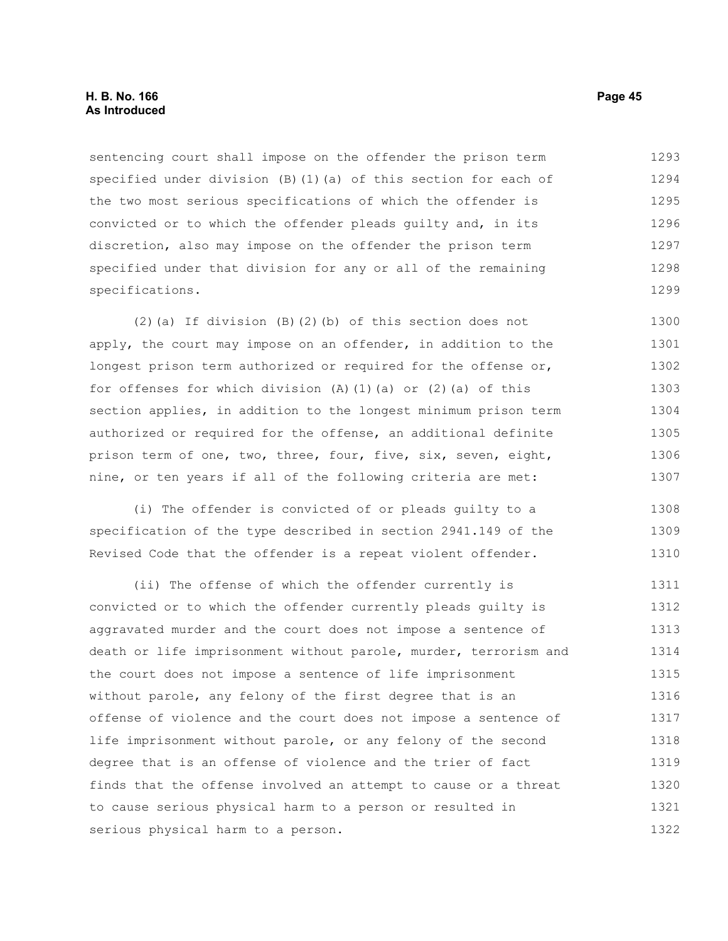sentencing court shall impose on the offender the prison term specified under division (B)(1)(a) of this section for each of the two most serious specifications of which the offender is convicted or to which the offender pleads guilty and, in its discretion, also may impose on the offender the prison term specified under that division for any or all of the remaining specifications. 1293 1294 1295 1296 1297 1298 1299

(2)(a) If division (B)(2)(b) of this section does not apply, the court may impose on an offender, in addition to the longest prison term authorized or required for the offense or, for offenses for which division  $(A)$   $(1)$   $(a)$  or  $(2)$   $(a)$  of this section applies, in addition to the longest minimum prison term authorized or required for the offense, an additional definite prison term of one, two, three, four, five, six, seven, eight, nine, or ten years if all of the following criteria are met: 1300 1301 1302 1303 1304 1305 1306 1307

(i) The offender is convicted of or pleads guilty to a specification of the type described in section 2941.149 of the Revised Code that the offender is a repeat violent offender. 1308 1309 1310

(ii) The offense of which the offender currently is convicted or to which the offender currently pleads guilty is aggravated murder and the court does not impose a sentence of death or life imprisonment without parole, murder, terrorism and the court does not impose a sentence of life imprisonment without parole, any felony of the first degree that is an offense of violence and the court does not impose a sentence of life imprisonment without parole, or any felony of the second degree that is an offense of violence and the trier of fact finds that the offense involved an attempt to cause or a threat to cause serious physical harm to a person or resulted in serious physical harm to a person. 1311 1312 1313 1314 1315 1316 1317 1318 1319 1320 1321 1322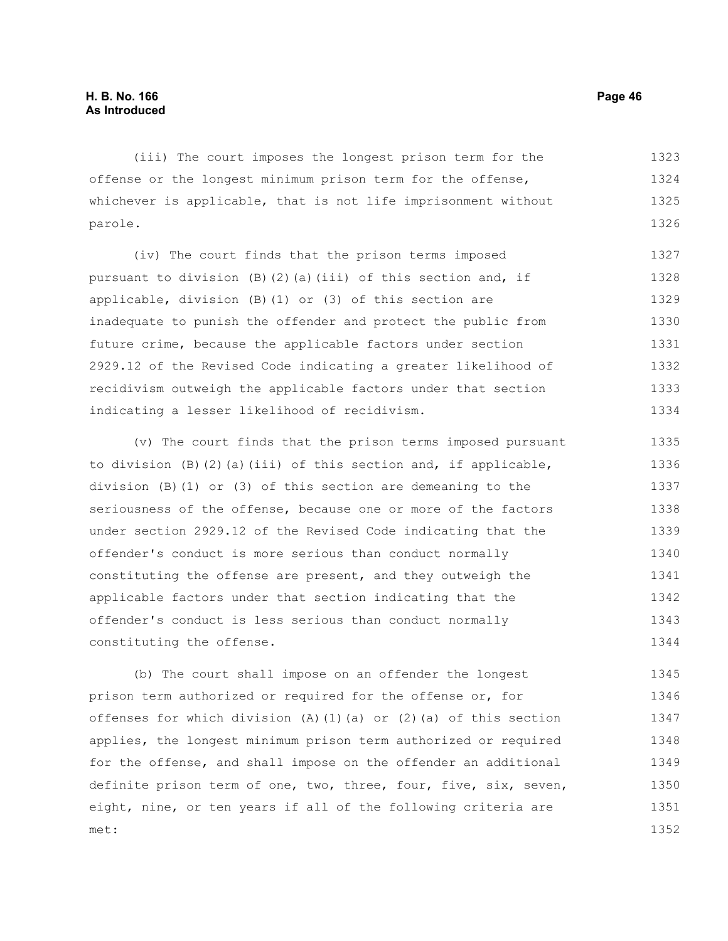(iii) The court imposes the longest prison term for the offense or the longest minimum prison term for the offense, whichever is applicable, that is not life imprisonment without parole. 1323 1324 1325 1326

(iv) The court finds that the prison terms imposed pursuant to division (B)(2)(a)(iii) of this section and, if applicable, division (B)(1) or (3) of this section are inadequate to punish the offender and protect the public from future crime, because the applicable factors under section 2929.12 of the Revised Code indicating a greater likelihood of recidivism outweigh the applicable factors under that section indicating a lesser likelihood of recidivism. 1327 1328 1329 1330 1331 1332 1333 1334

(v) The court finds that the prison terms imposed pursuant to division  $(B)$   $(2)$   $(a)$   $(iii)$  of this section and, if applicable, division (B)(1) or (3) of this section are demeaning to the seriousness of the offense, because one or more of the factors under section 2929.12 of the Revised Code indicating that the offender's conduct is more serious than conduct normally constituting the offense are present, and they outweigh the applicable factors under that section indicating that the offender's conduct is less serious than conduct normally constituting the offense. 1335 1336 1337 1338 1339 1340 1341 1342 1343 1344

(b) The court shall impose on an offender the longest prison term authorized or required for the offense or, for offenses for which division (A)(1)(a) or (2)(a) of this section applies, the longest minimum prison term authorized or required for the offense, and shall impose on the offender an additional definite prison term of one, two, three, four, five, six, seven, eight, nine, or ten years if all of the following criteria are met: 1345 1346 1347 1348 1349 1350 1351 1352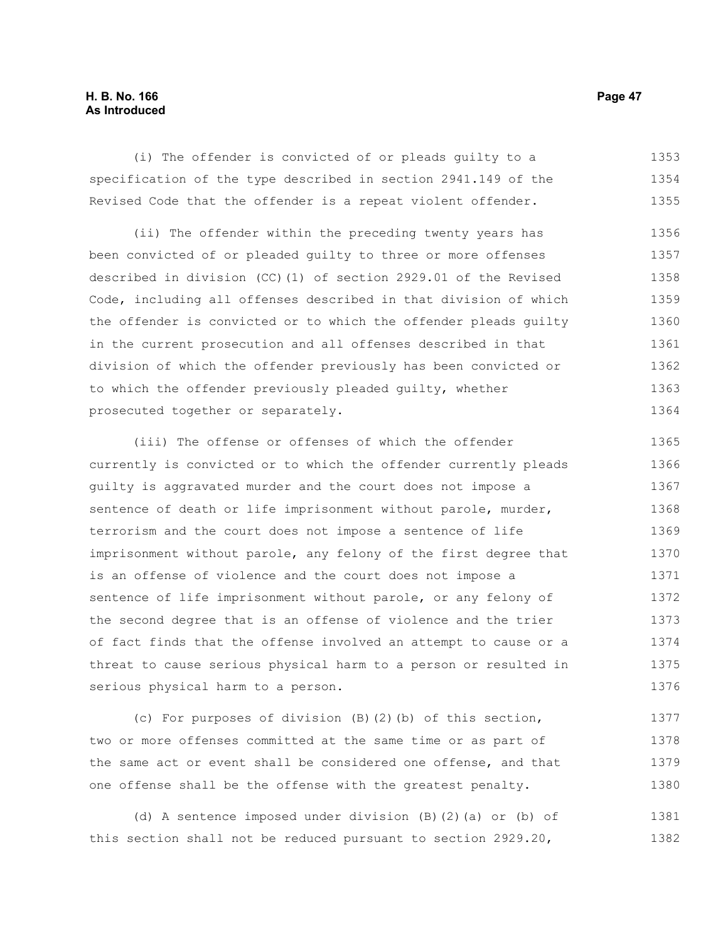# **H. B. No. 166 Page 47 As Introduced**

(i) The offender is convicted of or pleads guilty to a specification of the type described in section 2941.149 of the Revised Code that the offender is a repeat violent offender. 1353 1354 1355

(ii) The offender within the preceding twenty years has been convicted of or pleaded guilty to three or more offenses described in division (CC)(1) of section 2929.01 of the Revised Code, including all offenses described in that division of which the offender is convicted or to which the offender pleads guilty in the current prosecution and all offenses described in that division of which the offender previously has been convicted or to which the offender previously pleaded guilty, whether prosecuted together or separately. 1356 1357 1358 1359 1360 1361 1362 1363 1364

(iii) The offense or offenses of which the offender currently is convicted or to which the offender currently pleads guilty is aggravated murder and the court does not impose a sentence of death or life imprisonment without parole, murder, terrorism and the court does not impose a sentence of life imprisonment without parole, any felony of the first degree that is an offense of violence and the court does not impose a sentence of life imprisonment without parole, or any felony of the second degree that is an offense of violence and the trier of fact finds that the offense involved an attempt to cause or a threat to cause serious physical harm to a person or resulted in serious physical harm to a person. 1365 1366 1367 1368 1369 1370 1371 1372 1373 1374 1375 1376

(c) For purposes of division (B)(2)(b) of this section, two or more offenses committed at the same time or as part of the same act or event shall be considered one offense, and that one offense shall be the offense with the greatest penalty. 1377 1378 1379 1380

(d) A sentence imposed under division (B)(2)(a) or (b) of this section shall not be reduced pursuant to section 2929.20, 1381 1382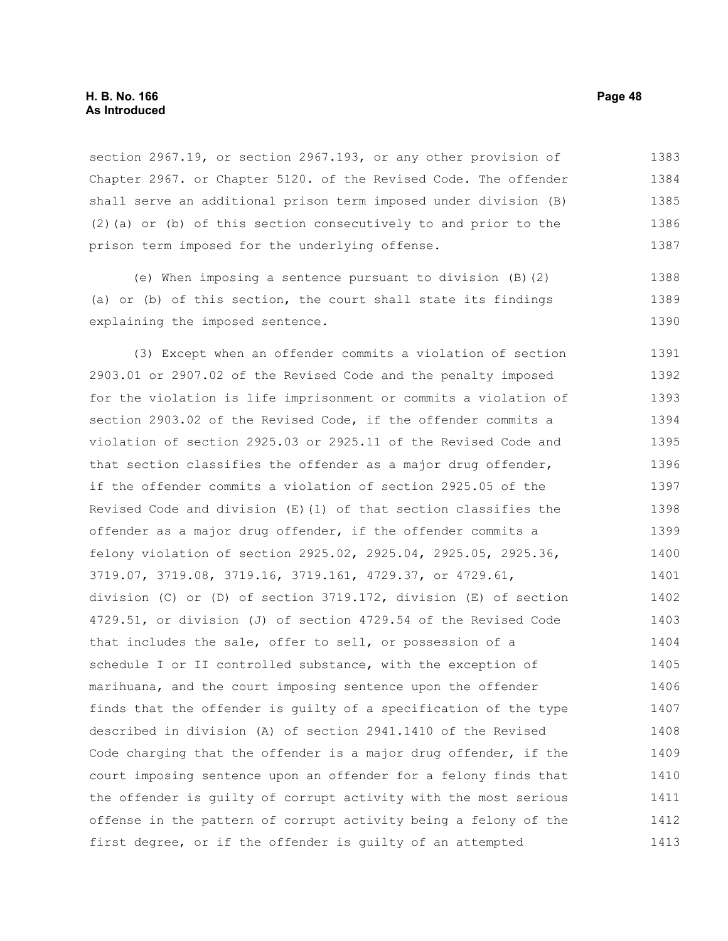# **H. B. No. 166 Page 48 As Introduced**

section 2967.19, or section 2967.193, or any other provision of Chapter 2967. or Chapter 5120. of the Revised Code. The offender shall serve an additional prison term imposed under division (B) (2)(a) or (b) of this section consecutively to and prior to the prison term imposed for the underlying offense. 1383 1384 1385 1386 1387

(e) When imposing a sentence pursuant to division (B)(2) (a) or (b) of this section, the court shall state its findings explaining the imposed sentence.

(3) Except when an offender commits a violation of section 2903.01 or 2907.02 of the Revised Code and the penalty imposed for the violation is life imprisonment or commits a violation of section 2903.02 of the Revised Code, if the offender commits a violation of section 2925.03 or 2925.11 of the Revised Code and that section classifies the offender as a major drug offender, if the offender commits a violation of section 2925.05 of the Revised Code and division (E)(1) of that section classifies the offender as a major drug offender, if the offender commits a felony violation of section 2925.02, 2925.04, 2925.05, 2925.36, 3719.07, 3719.08, 3719.16, 3719.161, 4729.37, or 4729.61, division (C) or (D) of section 3719.172, division (E) of section 4729.51, or division (J) of section 4729.54 of the Revised Code that includes the sale, offer to sell, or possession of a schedule I or II controlled substance, with the exception of marihuana, and the court imposing sentence upon the offender finds that the offender is guilty of a specification of the type described in division (A) of section 2941.1410 of the Revised Code charging that the offender is a major drug offender, if the court imposing sentence upon an offender for a felony finds that the offender is guilty of corrupt activity with the most serious offense in the pattern of corrupt activity being a felony of the first degree, or if the offender is guilty of an attempted 1391 1392 1393 1394 1395 1396 1397 1398 1399 1400 1401 1402 1403 1404 1405 1406 1407 1408 1409 1410 1411 1412 1413

1388 1389 1390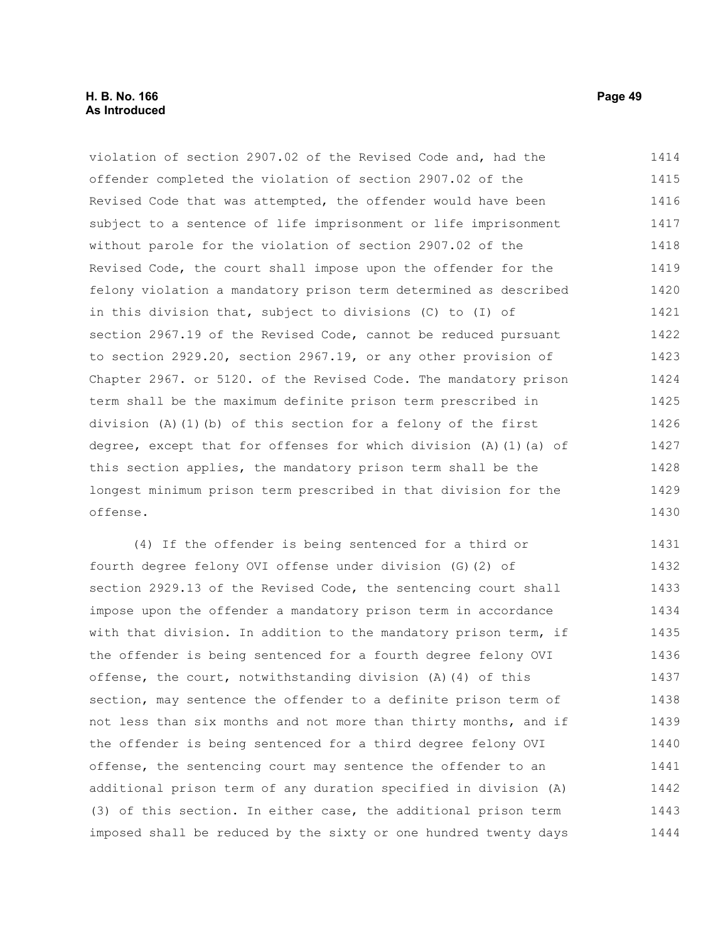violation of section 2907.02 of the Revised Code and, had the offender completed the violation of section 2907.02 of the Revised Code that was attempted, the offender would have been subject to a sentence of life imprisonment or life imprisonment without parole for the violation of section 2907.02 of the Revised Code, the court shall impose upon the offender for the felony violation a mandatory prison term determined as described in this division that, subject to divisions (C) to (I) of section 2967.19 of the Revised Code, cannot be reduced pursuant to section 2929.20, section 2967.19, or any other provision of Chapter 2967. or 5120. of the Revised Code. The mandatory prison term shall be the maximum definite prison term prescribed in division (A)(1)(b) of this section for a felony of the first degree, except that for offenses for which division (A)(1)(a) of this section applies, the mandatory prison term shall be the longest minimum prison term prescribed in that division for the offense. 1414 1415 1416 1417 1418 1419 1420 1421 1422 1423 1424 1425 1426 1427 1428 1429 1430

(4) If the offender is being sentenced for a third or fourth degree felony OVI offense under division (G)(2) of section 2929.13 of the Revised Code, the sentencing court shall impose upon the offender a mandatory prison term in accordance with that division. In addition to the mandatory prison term, if the offender is being sentenced for a fourth degree felony OVI offense, the court, notwithstanding division (A)(4) of this section, may sentence the offender to a definite prison term of not less than six months and not more than thirty months, and if the offender is being sentenced for a third degree felony OVI offense, the sentencing court may sentence the offender to an additional prison term of any duration specified in division (A) (3) of this section. In either case, the additional prison term imposed shall be reduced by the sixty or one hundred twenty days 1431 1432 1433 1434 1435 1436 1437 1438 1439 1440 1441 1442 1443 1444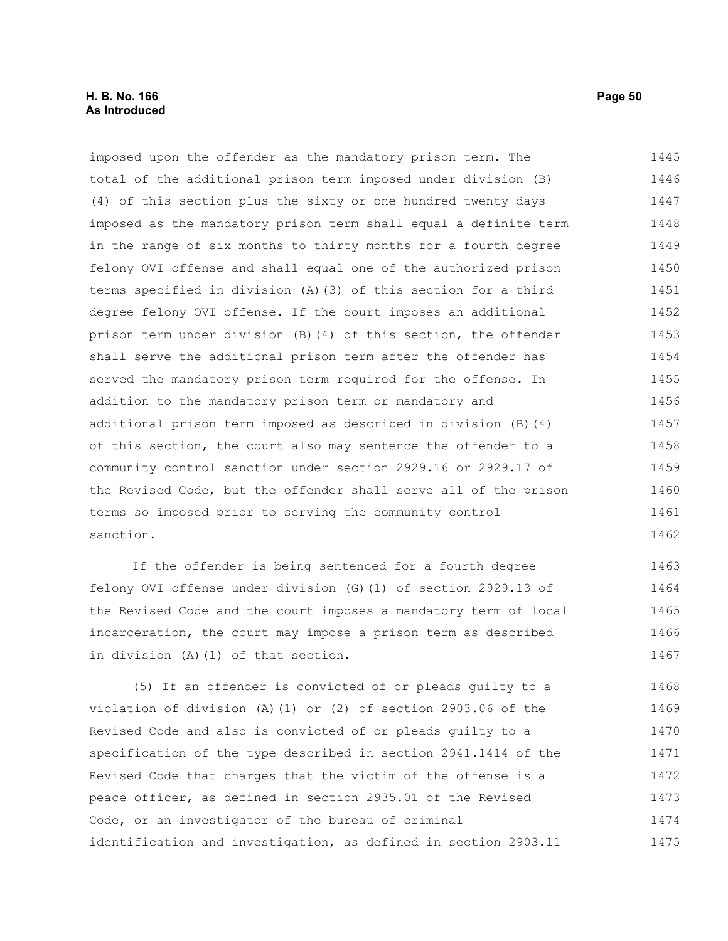imposed upon the offender as the mandatory prison term. The total of the additional prison term imposed under division (B) (4) of this section plus the sixty or one hundred twenty days imposed as the mandatory prison term shall equal a definite term in the range of six months to thirty months for a fourth degree felony OVI offense and shall equal one of the authorized prison terms specified in division (A)(3) of this section for a third degree felony OVI offense. If the court imposes an additional prison term under division (B)(4) of this section, the offender shall serve the additional prison term after the offender has served the mandatory prison term required for the offense. In addition to the mandatory prison term or mandatory and additional prison term imposed as described in division (B)(4) of this section, the court also may sentence the offender to a community control sanction under section 2929.16 or 2929.17 of the Revised Code, but the offender shall serve all of the prison terms so imposed prior to serving the community control sanction. 1445 1446 1447 1448 1449 1450 1451 1452 1453 1454 1455 1456 1457 1458 1459 1460 1461 1462

If the offender is being sentenced for a fourth degree felony OVI offense under division (G)(1) of section 2929.13 of the Revised Code and the court imposes a mandatory term of local incarceration, the court may impose a prison term as described in division (A)(1) of that section. 1463 1464 1465 1466 1467

(5) If an offender is convicted of or pleads guilty to a violation of division (A)(1) or (2) of section 2903.06 of the Revised Code and also is convicted of or pleads guilty to a specification of the type described in section 2941.1414 of the Revised Code that charges that the victim of the offense is a peace officer, as defined in section 2935.01 of the Revised Code, or an investigator of the bureau of criminal identification and investigation, as defined in section 2903.11 1468 1469 1470 1471 1472 1473 1474 1475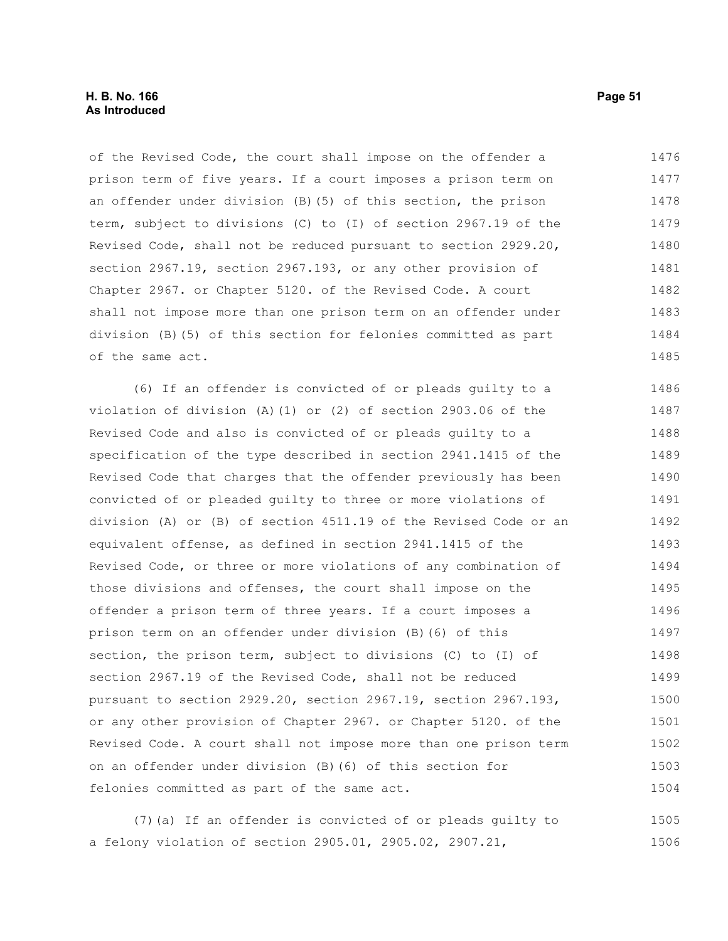# **H. B. No. 166 Page 51 As Introduced**

of the Revised Code, the court shall impose on the offender a prison term of five years. If a court imposes a prison term on an offender under division (B)(5) of this section, the prison term, subject to divisions (C) to (I) of section 2967.19 of the Revised Code, shall not be reduced pursuant to section 2929.20, section 2967.19, section 2967.193, or any other provision of Chapter 2967. or Chapter 5120. of the Revised Code. A court shall not impose more than one prison term on an offender under division (B)(5) of this section for felonies committed as part of the same act. 1476 1477 1478 1479 1480 1481 1482 1483 1484 1485

(6) If an offender is convicted of or pleads guilty to a violation of division (A)(1) or (2) of section 2903.06 of the Revised Code and also is convicted of or pleads guilty to a specification of the type described in section 2941.1415 of the Revised Code that charges that the offender previously has been convicted of or pleaded guilty to three or more violations of division (A) or (B) of section 4511.19 of the Revised Code or an equivalent offense, as defined in section 2941.1415 of the Revised Code, or three or more violations of any combination of those divisions and offenses, the court shall impose on the offender a prison term of three years. If a court imposes a prison term on an offender under division (B)(6) of this section, the prison term, subject to divisions (C) to (I) of section 2967.19 of the Revised Code, shall not be reduced pursuant to section 2929.20, section 2967.19, section 2967.193, or any other provision of Chapter 2967. or Chapter 5120. of the Revised Code. A court shall not impose more than one prison term on an offender under division (B)(6) of this section for felonies committed as part of the same act. 1486 1487 1488 1489 1490 1491 1492 1493 1494 1495 1496 1497 1498 1499 1500 1501 1502 1503 1504

(7)(a) If an offender is convicted of or pleads guilty to a felony violation of section 2905.01, 2905.02, 2907.21, 1505 1506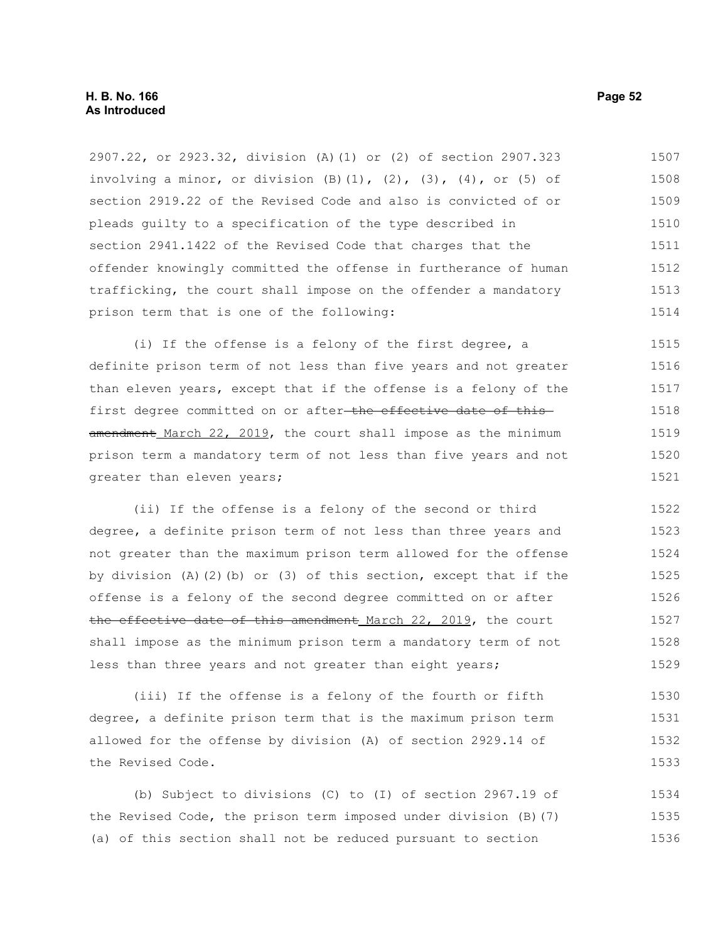2907.22, or 2923.32, division (A)(1) or (2) of section 2907.323 involving a minor, or division  $(B)$ (1),  $(2)$ ,  $(3)$ ,  $(4)$ , or  $(5)$  of section 2919.22 of the Revised Code and also is convicted of or pleads guilty to a specification of the type described in section 2941.1422 of the Revised Code that charges that the offender knowingly committed the offense in furtherance of human trafficking, the court shall impose on the offender a mandatory prison term that is one of the following: 1507 1508 1509 1510 1511 1512 1513 1514

(i) If the offense is a felony of the first degree, a definite prison term of not less than five years and not greater than eleven years, except that if the offense is a felony of the first degree committed on or after the effective date of this amendment March 22, 2019, the court shall impose as the minimum prison term a mandatory term of not less than five years and not greater than eleven years; 1515 1516 1517 1518 1519 1520 1521

(ii) If the offense is a felony of the second or third degree, a definite prison term of not less than three years and not greater than the maximum prison term allowed for the offense by division  $(A)$   $(2)$   $(b)$  or  $(3)$  of this section, except that if the offense is a felony of the second degree committed on or after the effective date of this amendment March 22, 2019, the court shall impose as the minimum prison term a mandatory term of not less than three years and not greater than eight years; 1522 1523 1524 1525 1526 1527 1528 1529

(iii) If the offense is a felony of the fourth or fifth degree, a definite prison term that is the maximum prison term allowed for the offense by division (A) of section 2929.14 of the Revised Code. 1530 1531 1532 1533

(b) Subject to divisions (C) to (I) of section 2967.19 of the Revised Code, the prison term imposed under division (B)(7) (a) of this section shall not be reduced pursuant to section 1534 1535 1536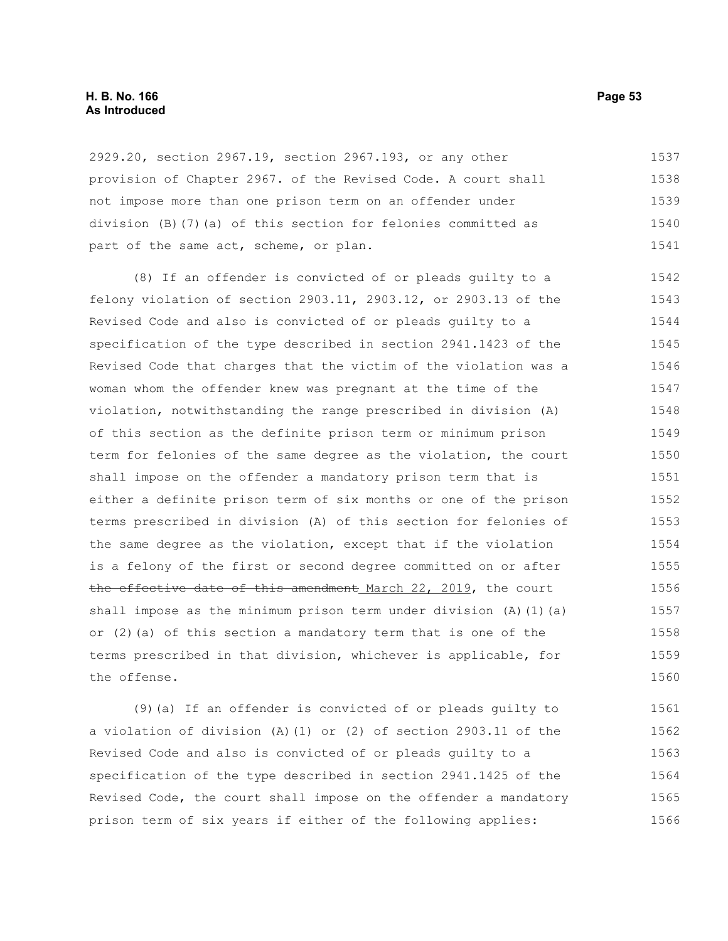## **H. B. No. 166 Page 53 As Introduced**

2929.20, section 2967.19, section 2967.193, or any other provision of Chapter 2967. of the Revised Code. A court shall not impose more than one prison term on an offender under division (B)(7)(a) of this section for felonies committed as part of the same act, scheme, or plan. 1537 1538 1539 1540 1541

(8) If an offender is convicted of or pleads guilty to a felony violation of section 2903.11, 2903.12, or 2903.13 of the Revised Code and also is convicted of or pleads guilty to a specification of the type described in section 2941.1423 of the Revised Code that charges that the victim of the violation was a woman whom the offender knew was pregnant at the time of the violation, notwithstanding the range prescribed in division (A) of this section as the definite prison term or minimum prison term for felonies of the same degree as the violation, the court shall impose on the offender a mandatory prison term that is either a definite prison term of six months or one of the prison terms prescribed in division (A) of this section for felonies of the same degree as the violation, except that if the violation is a felony of the first or second degree committed on or after the effective date of this amendment March 22, 2019, the court shall impose as the minimum prison term under division  $(A)$   $(1)$   $(a)$ or  $(2)$  (a) of this section a mandatory term that is one of the terms prescribed in that division, whichever is applicable, for the offense. 1542 1543 1544 1545 1546 1547 1548 1549 1550 1551 1552 1553 1554 1555 1556 1557 1558 1559 1560

(9)(a) If an offender is convicted of or pleads guilty to a violation of division (A)(1) or (2) of section 2903.11 of the Revised Code and also is convicted of or pleads guilty to a specification of the type described in section 2941.1425 of the Revised Code, the court shall impose on the offender a mandatory prison term of six years if either of the following applies: 1561 1562 1563 1564 1565 1566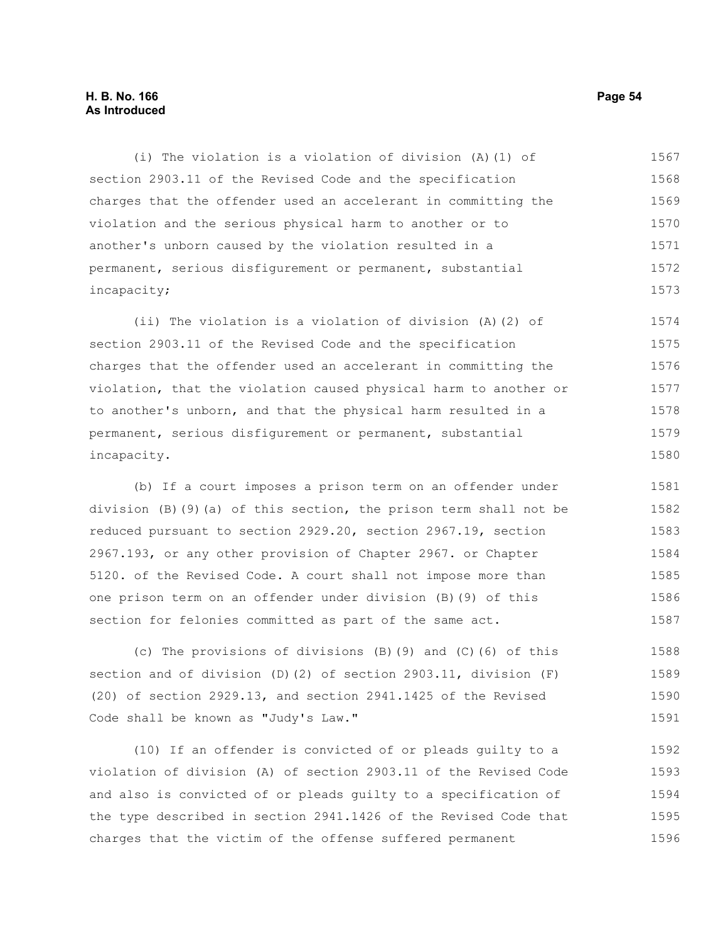## **H. B. No. 166 Page 54 As Introduced**

(i) The violation is a violation of division (A)(1) of section 2903.11 of the Revised Code and the specification charges that the offender used an accelerant in committing the violation and the serious physical harm to another or to another's unborn caused by the violation resulted in a permanent, serious disfigurement or permanent, substantial incapacity; 1567 1568 1569 1570 1571 1572 1573

(ii) The violation is a violation of division (A)(2) of section 2903.11 of the Revised Code and the specification charges that the offender used an accelerant in committing the violation, that the violation caused physical harm to another or to another's unborn, and that the physical harm resulted in a permanent, serious disfigurement or permanent, substantial incapacity. 1574 1575 1576 1577 1578 1579 1580

(b) If a court imposes a prison term on an offender under division (B)(9)(a) of this section, the prison term shall not be reduced pursuant to section 2929.20, section 2967.19, section 2967.193, or any other provision of Chapter 2967. or Chapter 5120. of the Revised Code. A court shall not impose more than one prison term on an offender under division (B)(9) of this section for felonies committed as part of the same act. 1581 1582 1583 1584 1585 1586 1587

(c) The provisions of divisions (B)(9) and (C)(6) of this section and of division (D)(2) of section 2903.11, division (F) (20) of section 2929.13, and section 2941.1425 of the Revised Code shall be known as "Judy's Law." 1588 1589 1590 1591

(10) If an offender is convicted of or pleads guilty to a violation of division (A) of section 2903.11 of the Revised Code and also is convicted of or pleads guilty to a specification of the type described in section 2941.1426 of the Revised Code that charges that the victim of the offense suffered permanent 1592 1593 1594 1595 1596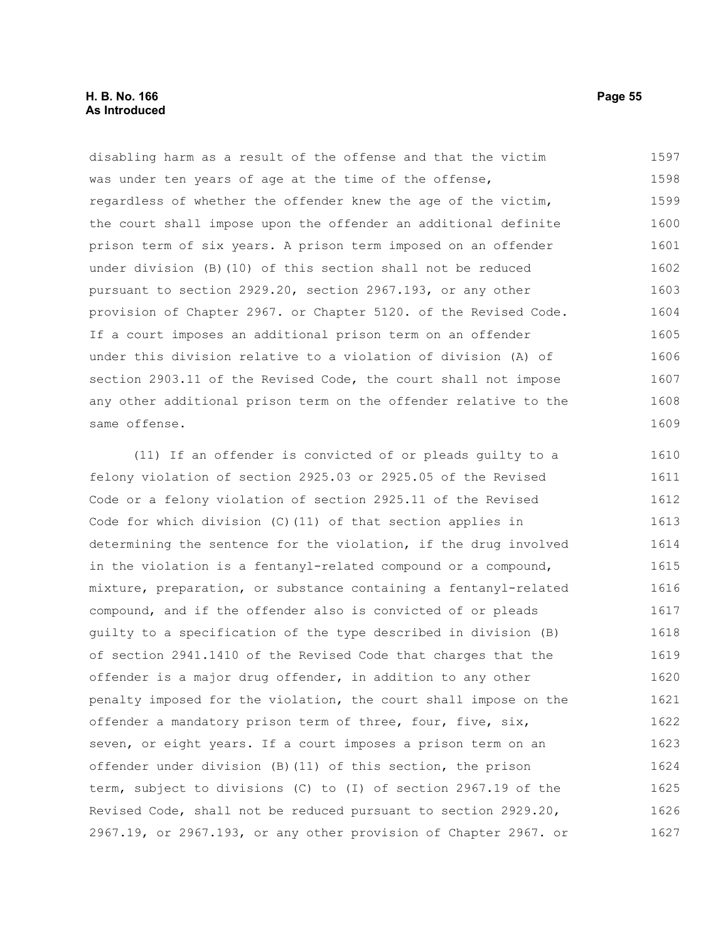# **H. B. No. 166 Page 55 As Introduced**

disabling harm as a result of the offense and that the victim was under ten years of age at the time of the offense, regardless of whether the offender knew the age of the victim, the court shall impose upon the offender an additional definite prison term of six years. A prison term imposed on an offender under division (B)(10) of this section shall not be reduced pursuant to section 2929.20, section 2967.193, or any other provision of Chapter 2967. or Chapter 5120. of the Revised Code. If a court imposes an additional prison term on an offender under this division relative to a violation of division (A) of section 2903.11 of the Revised Code, the court shall not impose any other additional prison term on the offender relative to the same offense. 1597 1598 1599 1600 1601 1602 1603 1604 1605 1606 1607 1608 1609

(11) If an offender is convicted of or pleads guilty to a felony violation of section 2925.03 or 2925.05 of the Revised Code or a felony violation of section 2925.11 of the Revised Code for which division (C)(11) of that section applies in determining the sentence for the violation, if the drug involved in the violation is a fentanyl-related compound or a compound, mixture, preparation, or substance containing a fentanyl-related compound, and if the offender also is convicted of or pleads guilty to a specification of the type described in division (B) of section 2941.1410 of the Revised Code that charges that the offender is a major drug offender, in addition to any other penalty imposed for the violation, the court shall impose on the offender a mandatory prison term of three, four, five, six, seven, or eight years. If a court imposes a prison term on an offender under division (B)(11) of this section, the prison term, subject to divisions (C) to (I) of section 2967.19 of the Revised Code, shall not be reduced pursuant to section 2929.20, 2967.19, or 2967.193, or any other provision of Chapter 2967. or 1610 1611 1612 1613 1614 1615 1616 1617 1618 1619 1620 1621 1622 1623 1624 1625 1626 1627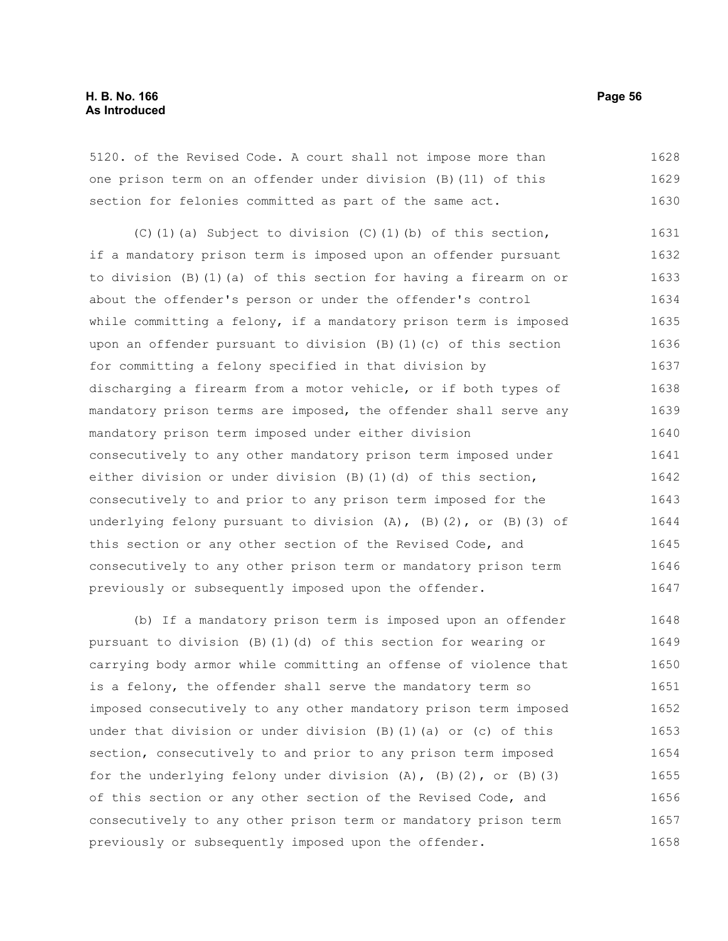5120. of the Revised Code. A court shall not impose more than one prison term on an offender under division (B)(11) of this section for felonies committed as part of the same act. 1628 1629 1630

(C)(1)(a) Subject to division (C)(1)(b) of this section, if a mandatory prison term is imposed upon an offender pursuant to division (B)(1)(a) of this section for having a firearm on or about the offender's person or under the offender's control while committing a felony, if a mandatory prison term is imposed upon an offender pursuant to division (B)(1)(c) of this section for committing a felony specified in that division by discharging a firearm from a motor vehicle, or if both types of mandatory prison terms are imposed, the offender shall serve any mandatory prison term imposed under either division consecutively to any other mandatory prison term imposed under either division or under division (B)(1)(d) of this section, consecutively to and prior to any prison term imposed for the underlying felony pursuant to division (A), (B)(2), or (B)(3) of this section or any other section of the Revised Code, and consecutively to any other prison term or mandatory prison term previously or subsequently imposed upon the offender. 1631 1632 1633 1634 1635 1636 1637 1638 1639 1640 1641 1642 1643 1644 1645 1646 1647

(b) If a mandatory prison term is imposed upon an offender pursuant to division (B)(1)(d) of this section for wearing or carrying body armor while committing an offense of violence that is a felony, the offender shall serve the mandatory term so imposed consecutively to any other mandatory prison term imposed under that division or under division (B)(1)(a) or (c) of this section, consecutively to and prior to any prison term imposed for the underlying felony under division (A), (B)(2), or (B)(3) of this section or any other section of the Revised Code, and consecutively to any other prison term or mandatory prison term previously or subsequently imposed upon the offender. 1648 1649 1650 1651 1652 1653 1654 1655 1656 1657 1658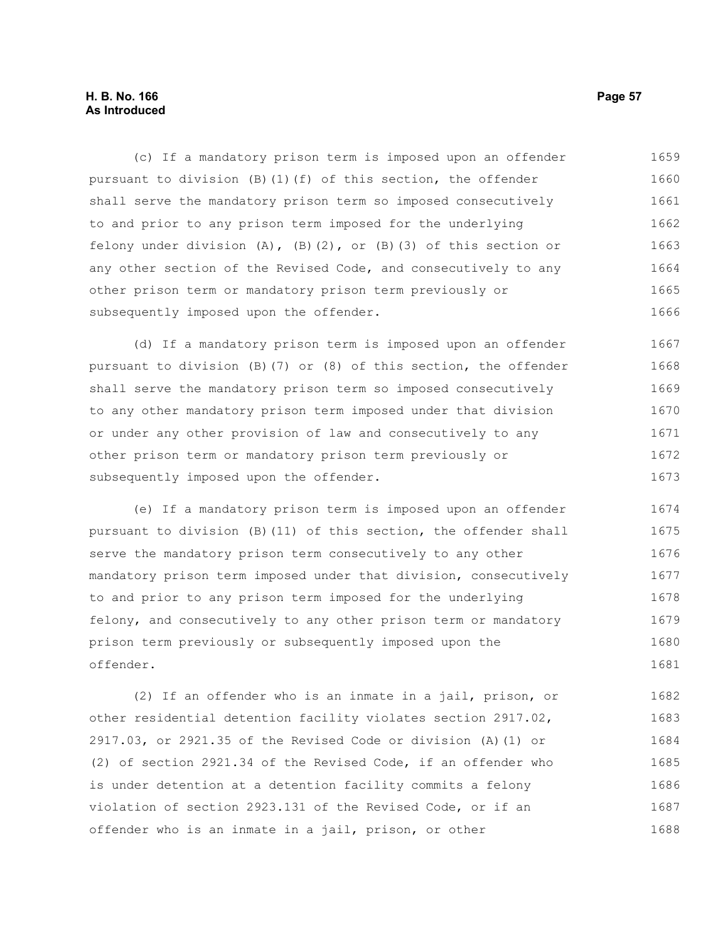# **H. B. No. 166 Page 57 As Introduced**

(c) If a mandatory prison term is imposed upon an offender pursuant to division  $(B)$  (1)(f) of this section, the offender shall serve the mandatory prison term so imposed consecutively to and prior to any prison term imposed for the underlying felony under division  $(A)$ ,  $(B)$   $(2)$ , or  $(B)$   $(3)$  of this section or any other section of the Revised Code, and consecutively to any other prison term or mandatory prison term previously or subsequently imposed upon the offender. 1659 1660 1661 1662 1663 1664 1665 1666

(d) If a mandatory prison term is imposed upon an offender pursuant to division (B)(7) or (8) of this section, the offender shall serve the mandatory prison term so imposed consecutively to any other mandatory prison term imposed under that division or under any other provision of law and consecutively to any other prison term or mandatory prison term previously or subsequently imposed upon the offender. 1667 1668 1669 1670 1671 1672 1673

(e) If a mandatory prison term is imposed upon an offender pursuant to division (B)(11) of this section, the offender shall serve the mandatory prison term consecutively to any other mandatory prison term imposed under that division, consecutively to and prior to any prison term imposed for the underlying felony, and consecutively to any other prison term or mandatory prison term previously or subsequently imposed upon the offender. 1674 1675 1676 1677 1678 1679 1680 1681

(2) If an offender who is an inmate in a jail, prison, or other residential detention facility violates section 2917.02, 2917.03, or 2921.35 of the Revised Code or division (A)(1) or (2) of section 2921.34 of the Revised Code, if an offender who is under detention at a detention facility commits a felony violation of section 2923.131 of the Revised Code, or if an offender who is an inmate in a jail, prison, or other 1682 1683 1684 1685 1686 1687 1688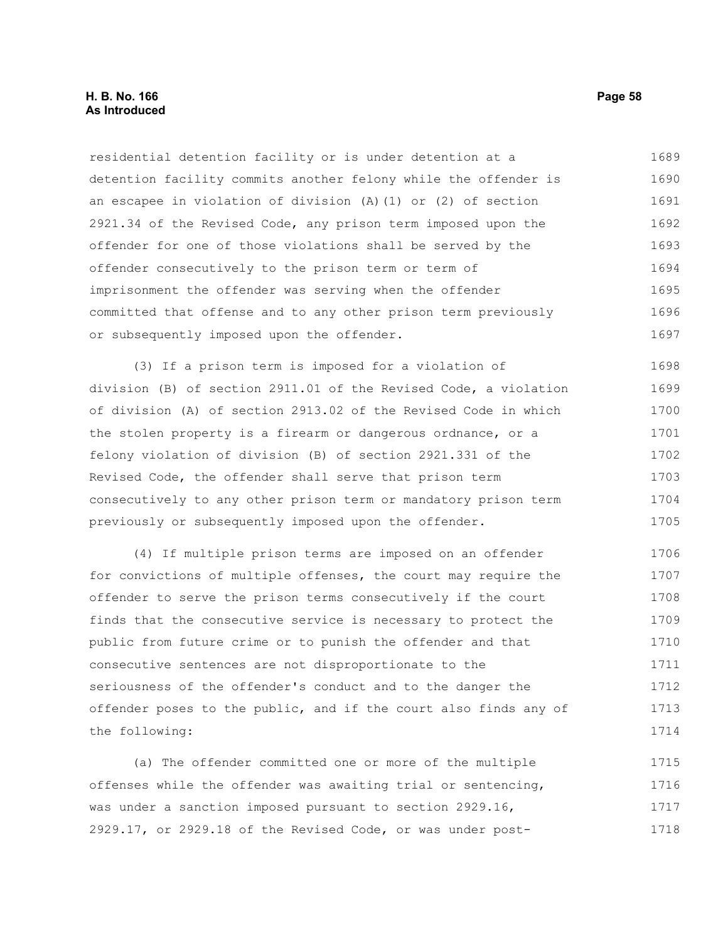## **H. B. No. 166 Page 58 As Introduced**

residential detention facility or is under detention at a detention facility commits another felony while the offender is an escapee in violation of division (A)(1) or (2) of section 2921.34 of the Revised Code, any prison term imposed upon the offender for one of those violations shall be served by the offender consecutively to the prison term or term of imprisonment the offender was serving when the offender committed that offense and to any other prison term previously or subsequently imposed upon the offender. 1689 1690 1691 1692 1693 1694 1695 1696 1697

(3) If a prison term is imposed for a violation of division (B) of section 2911.01 of the Revised Code, a violation of division (A) of section 2913.02 of the Revised Code in which the stolen property is a firearm or dangerous ordnance, or a felony violation of division (B) of section 2921.331 of the Revised Code, the offender shall serve that prison term consecutively to any other prison term or mandatory prison term previously or subsequently imposed upon the offender. 1698 1699 1700 1701 1702 1703 1704 1705

(4) If multiple prison terms are imposed on an offender for convictions of multiple offenses, the court may require the offender to serve the prison terms consecutively if the court finds that the consecutive service is necessary to protect the public from future crime or to punish the offender and that consecutive sentences are not disproportionate to the seriousness of the offender's conduct and to the danger the offender poses to the public, and if the court also finds any of the following: 1706 1707 1708 1709 1710 1711 1712 1713 1714

(a) The offender committed one or more of the multiple offenses while the offender was awaiting trial or sentencing, was under a sanction imposed pursuant to section 2929.16, 2929.17, or 2929.18 of the Revised Code, or was under post-1715 1716 1717 1718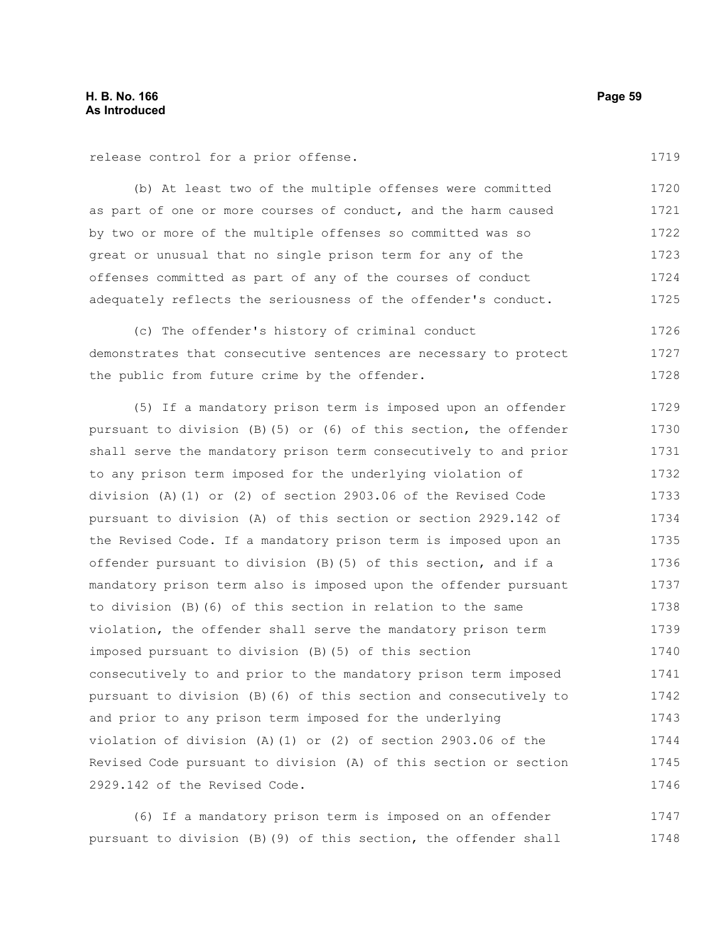release control for a prior offense.

(b) At least two of the multiple offenses were committed as part of one or more courses of conduct, and the harm caused by two or more of the multiple offenses so committed was so great or unusual that no single prison term for any of the offenses committed as part of any of the courses of conduct adequately reflects the seriousness of the offender's conduct. 1720 1721 1722 1723 1724 1725

(c) The offender's history of criminal conduct demonstrates that consecutive sentences are necessary to protect the public from future crime by the offender. 1726 1727 1728

(5) If a mandatory prison term is imposed upon an offender pursuant to division (B)(5) or (6) of this section, the offender shall serve the mandatory prison term consecutively to and prior to any prison term imposed for the underlying violation of division (A)(1) or (2) of section 2903.06 of the Revised Code pursuant to division (A) of this section or section 2929.142 of the Revised Code. If a mandatory prison term is imposed upon an offender pursuant to division (B)(5) of this section, and if a mandatory prison term also is imposed upon the offender pursuant to division (B)(6) of this section in relation to the same violation, the offender shall serve the mandatory prison term imposed pursuant to division (B)(5) of this section consecutively to and prior to the mandatory prison term imposed pursuant to division (B)(6) of this section and consecutively to and prior to any prison term imposed for the underlying violation of division (A)(1) or (2) of section 2903.06 of the Revised Code pursuant to division (A) of this section or section 2929.142 of the Revised Code. 1729 1730 1731 1732 1733 1734 1735 1736 1737 1738 1739 1740 1741 1742 1743 1744 1745 1746

(6) If a mandatory prison term is imposed on an offender pursuant to division (B)(9) of this section, the offender shall 1747 1748

1719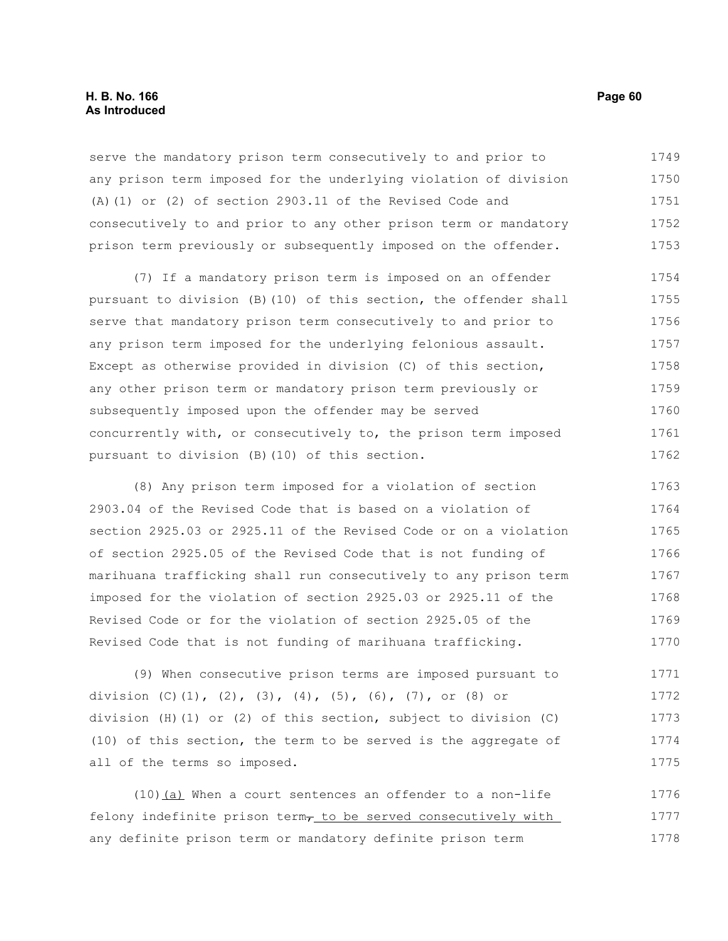serve the mandatory prison term consecutively to and prior to any prison term imposed for the underlying violation of division (A)(1) or (2) of section 2903.11 of the Revised Code and consecutively to and prior to any other prison term or mandatory prison term previously or subsequently imposed on the offender. 1749 1750 1751 1752 1753

(7) If a mandatory prison term is imposed on an offender pursuant to division (B)(10) of this section, the offender shall serve that mandatory prison term consecutively to and prior to any prison term imposed for the underlying felonious assault. Except as otherwise provided in division (C) of this section, any other prison term or mandatory prison term previously or subsequently imposed upon the offender may be served concurrently with, or consecutively to, the prison term imposed pursuant to division (B)(10) of this section. 1754 1755 1756 1757 1758 1759 1760 1761 1762

(8) Any prison term imposed for a violation of section 2903.04 of the Revised Code that is based on a violation of section 2925.03 or 2925.11 of the Revised Code or on a violation of section 2925.05 of the Revised Code that is not funding of marihuana trafficking shall run consecutively to any prison term imposed for the violation of section 2925.03 or 2925.11 of the Revised Code or for the violation of section 2925.05 of the Revised Code that is not funding of marihuana trafficking. 1763 1764 1765 1766 1767 1768 1769 1770

(9) When consecutive prison terms are imposed pursuant to division  $(C)$ (1),  $(2)$ ,  $(3)$ ,  $(4)$ ,  $(5)$ ,  $(6)$ ,  $(7)$ , or  $(8)$  or division (H)(1) or (2) of this section, subject to division (C) (10) of this section, the term to be served is the aggregate of all of the terms so imposed. 1771 1772 1773 1774 1775

(10)(a) When a court sentences an offender to a non-life felony indefinite prison term, to be served consecutively with any definite prison term or mandatory definite prison term 1776 1777 1778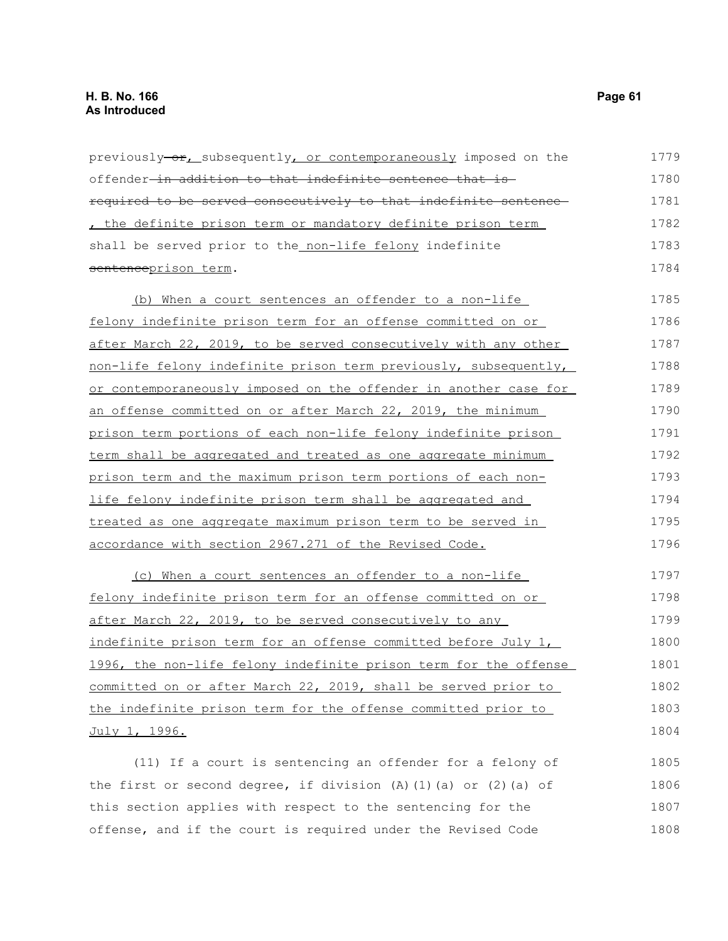| previously-or, subsequently, or contemporaneously imposed on the            | 1779 |
|-----------------------------------------------------------------------------|------|
| offender-in addition to that indefinite sentence that is-                   | 1780 |
| required to be served consecutively to that indefinite sentence-            | 1781 |
| , the definite prison term or mandatory definite prison term                | 1782 |
| shall be served prior to the non-life felony indefinite                     | 1783 |
| sentenceprison term.                                                        | 1784 |
| (b) When a court sentences an offender to a non-life                        | 1785 |
| felony indefinite prison term for an offense committed on or                | 1786 |
| after March 22, 2019, to be served consecutively with any other             | 1787 |
| non-life felony indefinite prison term previously, subsequently,            | 1788 |
| or contemporaneously imposed on the offender in another case for            | 1789 |
| an offense committed on or after March 22, 2019, the minimum                | 1790 |
| prison term portions of each non-life felony indefinite prison              | 1791 |
| term shall be aggregated and treated as one aggregate minimum               | 1792 |
| prison term and the maximum prison term portions of each non-               | 1793 |
| life felony indefinite prison term shall be aggregated and                  | 1794 |
| treated as one aggregate maximum prison term to be served in                | 1795 |
| accordance with section 2967.271 of the Revised Code.                       | 1796 |
| (c) When a court sentences an offender to a non-life                        | 1797 |
| felony indefinite prison term for an offense committed on or                | 1798 |
| after March 22, 2019, to be served consecutively to any                     | 1799 |
| indefinite prison term for an offense committed before July 1,              | 1800 |
| 1996, the non-life felony indefinite prison term for the offense            | 1801 |
| committed on or after March 22, 2019, shall be served prior to              | 1802 |
| the indefinite prison term for the offense committed prior to               | 1803 |
| <u>July 1, 1996.</u>                                                        | 1804 |
| (11) If a court is sentencing an offender for a felony of                   | 1805 |
| the first or second degree, if division $(A)$ $(1)$ $(a)$ or $(2)$ $(a)$ of | 1806 |

the first or second degree, if division  $(A)$   $(1)$   $(a)$  or  $(2)$   $(a)$  of this section applies with respect to the sentencing for the offense, and if the court is required under the Revised Code 1807 1808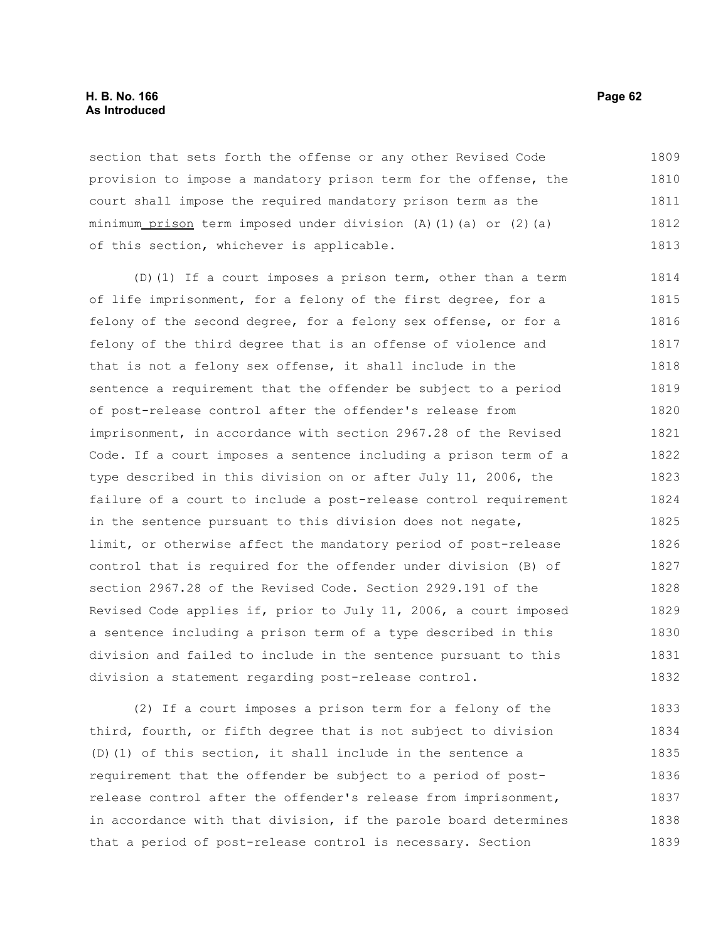## **H. B. No. 166 Page 62 As Introduced**

section that sets forth the offense or any other Revised Code provision to impose a mandatory prison term for the offense, the court shall impose the required mandatory prison term as the minimum prison term imposed under division  $(A)$   $(1)$   $(a)$  or  $(2)$   $(a)$ of this section, whichever is applicable. 1809 1810 1811 1812 1813

(D)(1) If a court imposes a prison term, other than a term of life imprisonment, for a felony of the first degree, for a felony of the second degree, for a felony sex offense, or for a felony of the third degree that is an offense of violence and that is not a felony sex offense, it shall include in the sentence a requirement that the offender be subject to a period of post-release control after the offender's release from imprisonment, in accordance with section 2967.28 of the Revised Code. If a court imposes a sentence including a prison term of a type described in this division on or after July 11, 2006, the failure of a court to include a post-release control requirement in the sentence pursuant to this division does not negate, limit, or otherwise affect the mandatory period of post-release control that is required for the offender under division (B) of section 2967.28 of the Revised Code. Section 2929.191 of the Revised Code applies if, prior to July 11, 2006, a court imposed a sentence including a prison term of a type described in this division and failed to include in the sentence pursuant to this division a statement regarding post-release control. 1814 1815 1816 1817 1818 1819 1820 1821 1822 1823 1824 1825 1826 1827 1828 1829 1830 1831 1832

(2) If a court imposes a prison term for a felony of the third, fourth, or fifth degree that is not subject to division (D)(1) of this section, it shall include in the sentence a requirement that the offender be subject to a period of postrelease control after the offender's release from imprisonment, in accordance with that division, if the parole board determines that a period of post-release control is necessary. Section 1833 1834 1835 1836 1837 1838 1839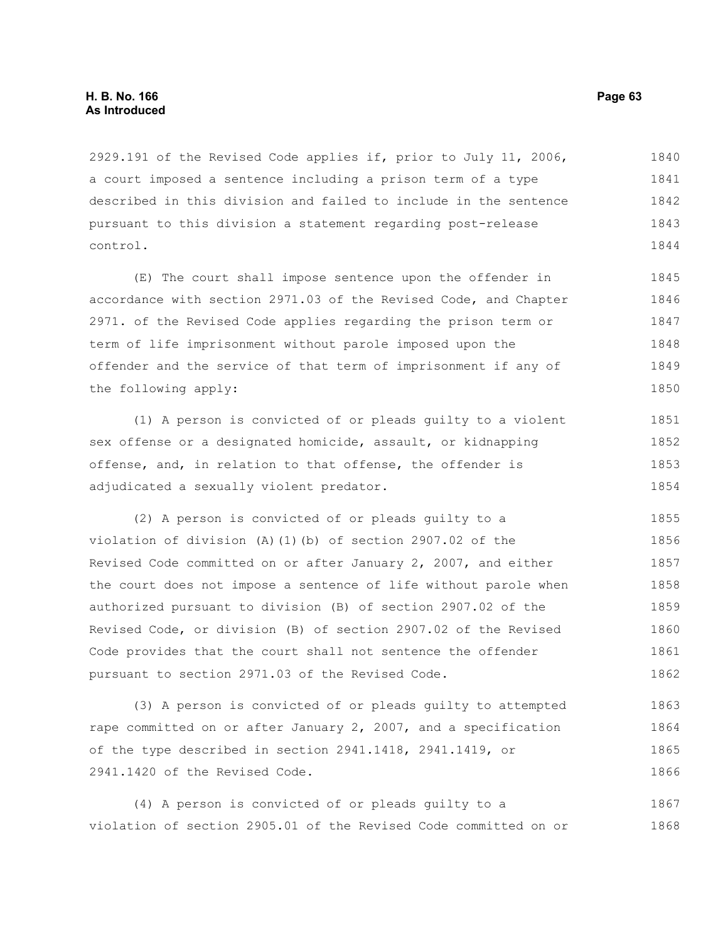2929.191 of the Revised Code applies if, prior to July 11, 2006, a court imposed a sentence including a prison term of a type described in this division and failed to include in the sentence pursuant to this division a statement regarding post-release control. 1840 1841 1842 1843 1844

(E) The court shall impose sentence upon the offender in accordance with section 2971.03 of the Revised Code, and Chapter 2971. of the Revised Code applies regarding the prison term or term of life imprisonment without parole imposed upon the offender and the service of that term of imprisonment if any of the following apply: 1845 1846 1847 1848 1849 1850

(1) A person is convicted of or pleads guilty to a violent sex offense or a designated homicide, assault, or kidnapping offense, and, in relation to that offense, the offender is adjudicated a sexually violent predator. 1851 1852 1853 1854

(2) A person is convicted of or pleads guilty to a violation of division (A)(1)(b) of section 2907.02 of the Revised Code committed on or after January 2, 2007, and either the court does not impose a sentence of life without parole when authorized pursuant to division (B) of section 2907.02 of the Revised Code, or division (B) of section 2907.02 of the Revised Code provides that the court shall not sentence the offender pursuant to section 2971.03 of the Revised Code. 1855 1856 1857 1858 1859 1860 1861 1862

(3) A person is convicted of or pleads guilty to attempted rape committed on or after January 2, 2007, and a specification of the type described in section 2941.1418, 2941.1419, or 2941.1420 of the Revised Code. 1863 1864 1865 1866

(4) A person is convicted of or pleads guilty to a violation of section 2905.01 of the Revised Code committed on or 1867 1868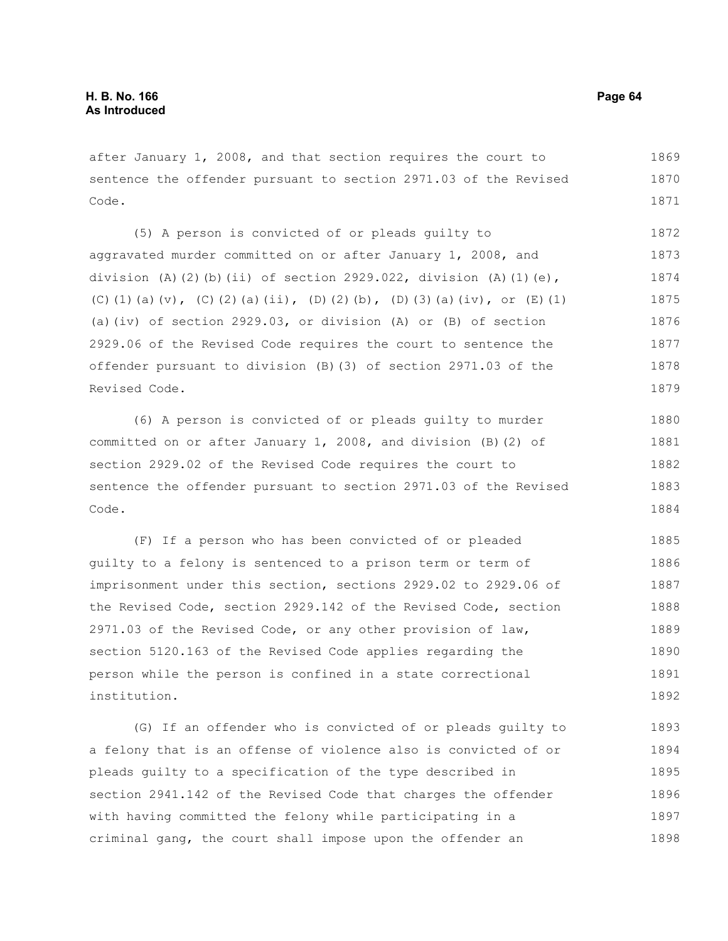after January 1, 2008, and that section requires the court to sentence the offender pursuant to section 2971.03 of the Revised Code. 1869 1870 1871

(5) A person is convicted of or pleads guilty to aggravated murder committed on or after January 1, 2008, and division (A)(2)(b)(ii) of section 2929.022, division (A)(1)(e), (C)(1)(a)(v), (C)(2)(a)(ii), (D)(2)(b), (D)(3)(a)(iv), or (E)(1) (a)(iv) of section 2929.03, or division (A) or (B) of section 2929.06 of the Revised Code requires the court to sentence the offender pursuant to division (B)(3) of section 2971.03 of the Revised Code. 1872 1873 1874 1875 1876 1877 1878 1879

(6) A person is convicted of or pleads guilty to murder committed on or after January 1, 2008, and division (B)(2) of section 2929.02 of the Revised Code requires the court to sentence the offender pursuant to section 2971.03 of the Revised Code. 1880 1881 1882 1883 1884

(F) If a person who has been convicted of or pleaded guilty to a felony is sentenced to a prison term or term of imprisonment under this section, sections 2929.02 to 2929.06 of the Revised Code, section 2929.142 of the Revised Code, section 2971.03 of the Revised Code, or any other provision of law, section 5120.163 of the Revised Code applies regarding the person while the person is confined in a state correctional institution. 1885 1886 1887 1888 1889 1890 1891 1892

(G) If an offender who is convicted of or pleads guilty to a felony that is an offense of violence also is convicted of or pleads guilty to a specification of the type described in section 2941.142 of the Revised Code that charges the offender with having committed the felony while participating in a criminal gang, the court shall impose upon the offender an 1893 1894 1895 1896 1897 1898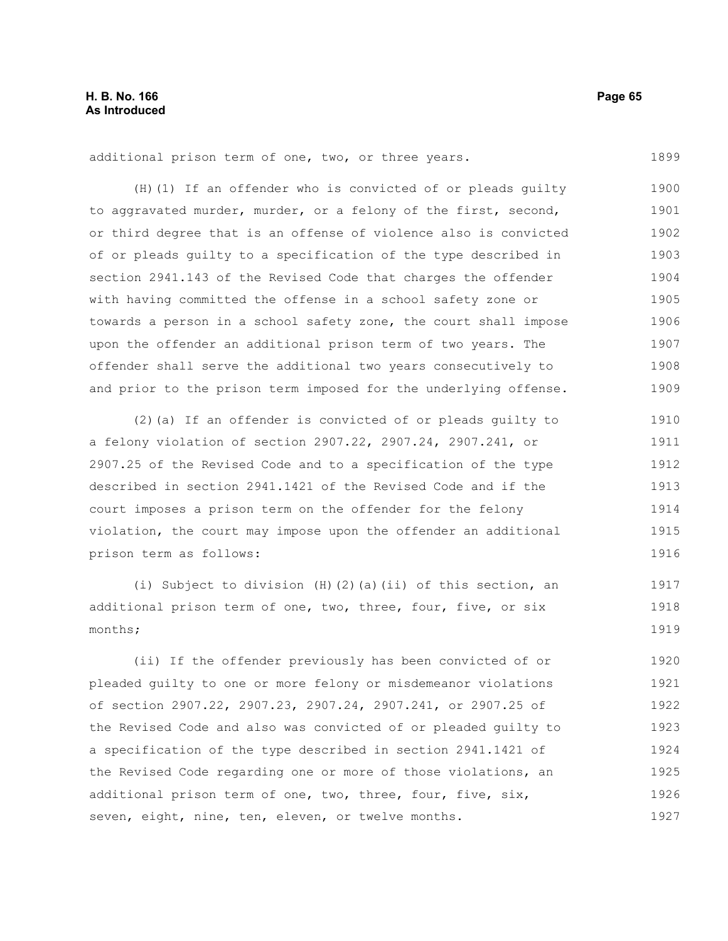additional prison term of one, two, or three years.

(H)(1) If an offender who is convicted of or pleads guilty to aggravated murder, murder, or a felony of the first, second, or third degree that is an offense of violence also is convicted of or pleads guilty to a specification of the type described in section 2941.143 of the Revised Code that charges the offender with having committed the offense in a school safety zone or towards a person in a school safety zone, the court shall impose upon the offender an additional prison term of two years. The offender shall serve the additional two years consecutively to and prior to the prison term imposed for the underlying offense. 1900 1901 1902 1903 1904 1905 1906 1907 1908 1909

(2)(a) If an offender is convicted of or pleads guilty to a felony violation of section 2907.22, 2907.24, 2907.241, or 2907.25 of the Revised Code and to a specification of the type described in section 2941.1421 of the Revised Code and if the court imposes a prison term on the offender for the felony violation, the court may impose upon the offender an additional prison term as follows: 1910 1911 1912 1913 1914 1915 1916

(i) Subject to division (H)(2)(a)(ii) of this section, an additional prison term of one, two, three, four, five, or six months;

(ii) If the offender previously has been convicted of or pleaded guilty to one or more felony or misdemeanor violations of section 2907.22, 2907.23, 2907.24, 2907.241, or 2907.25 of the Revised Code and also was convicted of or pleaded guilty to a specification of the type described in section 2941.1421 of the Revised Code regarding one or more of those violations, an additional prison term of one, two, three, four, five, six, seven, eight, nine, ten, eleven, or twelve months. 1920 1921 1922 1923 1924 1925 1926 1927

1899

1917 1918 1919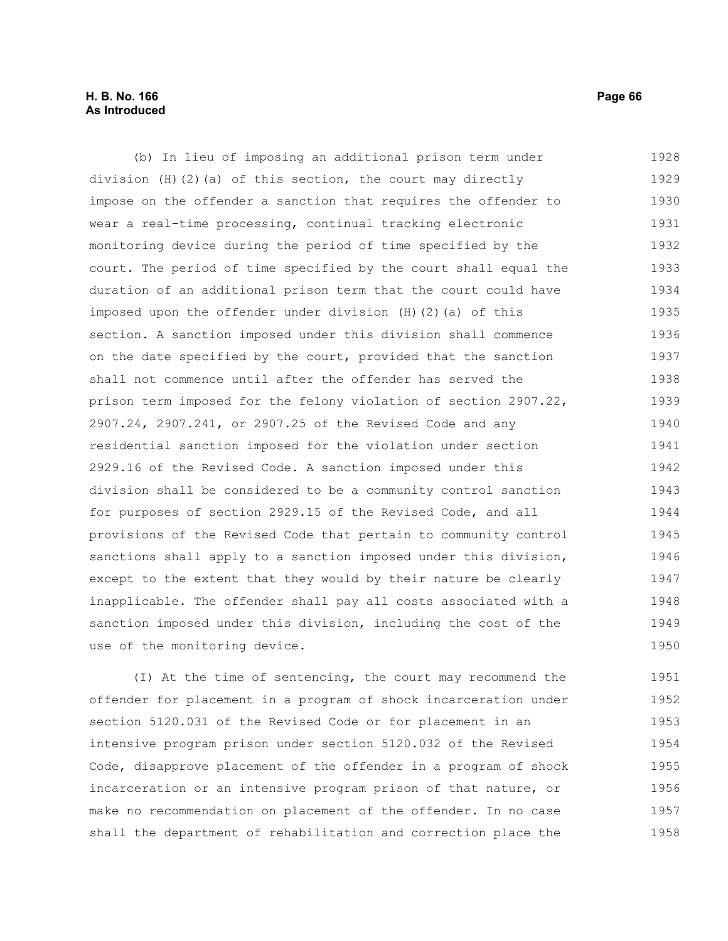# **H. B. No. 166 Page 66 As Introduced**

(b) In lieu of imposing an additional prison term under division (H)(2)(a) of this section, the court may directly impose on the offender a sanction that requires the offender to wear a real-time processing, continual tracking electronic monitoring device during the period of time specified by the court. The period of time specified by the court shall equal the duration of an additional prison term that the court could have imposed upon the offender under division (H)(2)(a) of this section. A sanction imposed under this division shall commence on the date specified by the court, provided that the sanction shall not commence until after the offender has served the prison term imposed for the felony violation of section 2907.22, 2907.24, 2907.241, or 2907.25 of the Revised Code and any residential sanction imposed for the violation under section 2929.16 of the Revised Code. A sanction imposed under this division shall be considered to be a community control sanction for purposes of section 2929.15 of the Revised Code, and all provisions of the Revised Code that pertain to community control sanctions shall apply to a sanction imposed under this division, except to the extent that they would by their nature be clearly inapplicable. The offender shall pay all costs associated with a sanction imposed under this division, including the cost of the use of the monitoring device. 1928 1929 1930 1931 1932 1933 1934 1935 1936 1937 1938 1939 1940 1941 1942 1943 1944 1945 1946 1947 1948 1949 1950

(I) At the time of sentencing, the court may recommend the offender for placement in a program of shock incarceration under section 5120.031 of the Revised Code or for placement in an intensive program prison under section 5120.032 of the Revised Code, disapprove placement of the offender in a program of shock incarceration or an intensive program prison of that nature, or make no recommendation on placement of the offender. In no case shall the department of rehabilitation and correction place the 1951 1952 1953 1954 1955 1956 1957 1958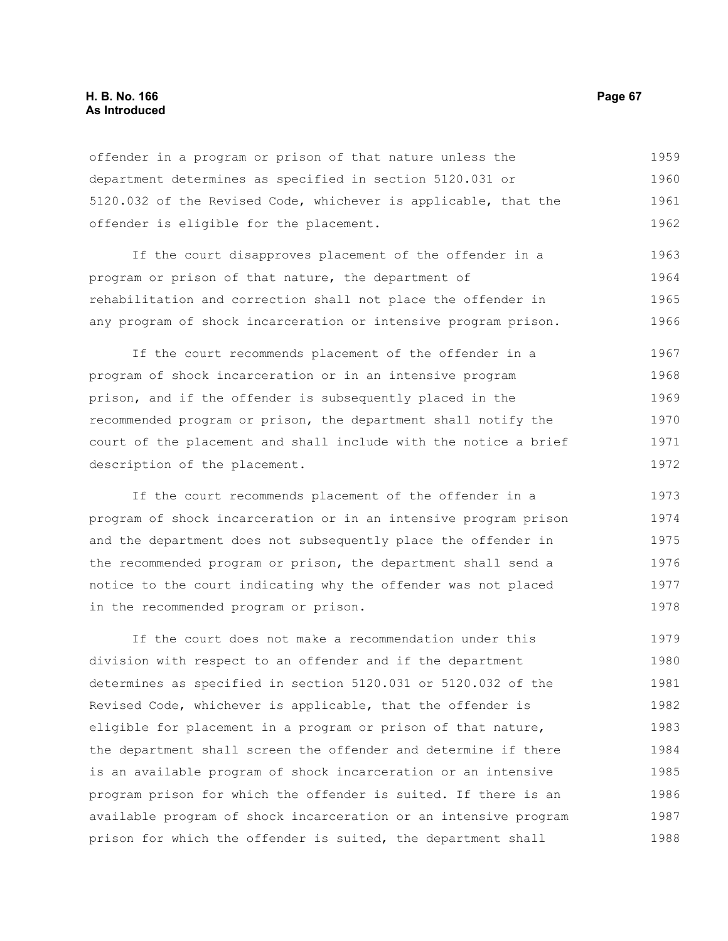## **H. B. No. 166 Page 67 As Introduced**

offender in a program or prison of that nature unless the department determines as specified in section 5120.031 or 5120.032 of the Revised Code, whichever is applicable, that the offender is eligible for the placement. 1959 1960 1961 1962

If the court disapproves placement of the offender in a program or prison of that nature, the department of rehabilitation and correction shall not place the offender in any program of shock incarceration or intensive program prison. 1963 1964 1965 1966

If the court recommends placement of the offender in a program of shock incarceration or in an intensive program prison, and if the offender is subsequently placed in the recommended program or prison, the department shall notify the court of the placement and shall include with the notice a brief description of the placement. 1967 1968 1969 1970 1971 1972

If the court recommends placement of the offender in a program of shock incarceration or in an intensive program prison and the department does not subsequently place the offender in the recommended program or prison, the department shall send a notice to the court indicating why the offender was not placed in the recommended program or prison. 1973 1974 1975 1976 1977 1978

If the court does not make a recommendation under this division with respect to an offender and if the department determines as specified in section 5120.031 or 5120.032 of the Revised Code, whichever is applicable, that the offender is eligible for placement in a program or prison of that nature, the department shall screen the offender and determine if there is an available program of shock incarceration or an intensive program prison for which the offender is suited. If there is an available program of shock incarceration or an intensive program prison for which the offender is suited, the department shall 1979 1980 1981 1982 1983 1984 1985 1986 1987 1988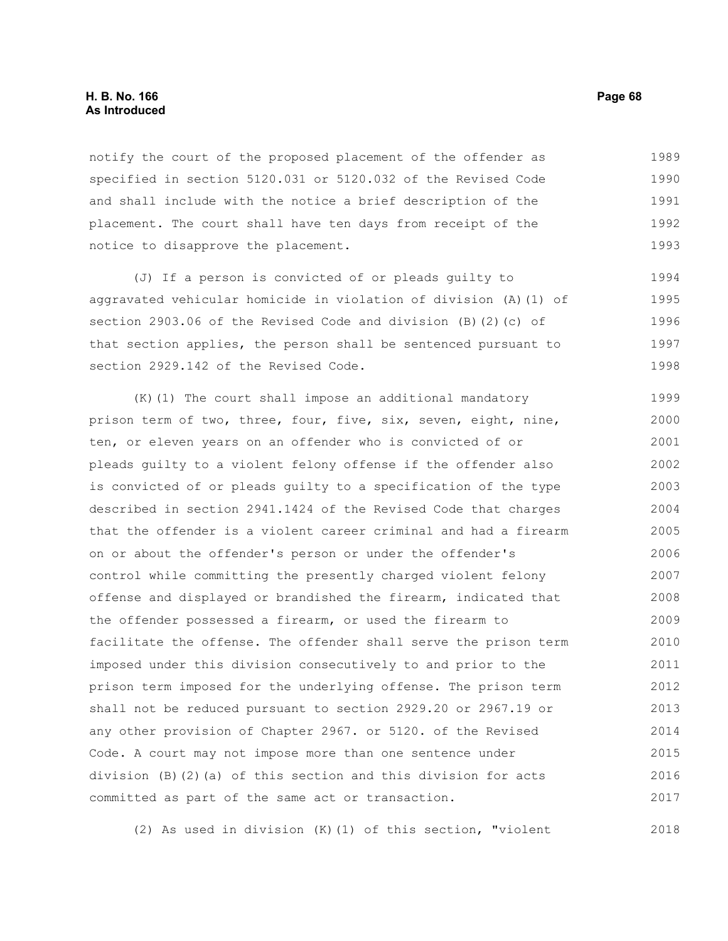## **H. B. No. 166 Page 68 As Introduced**

notify the court of the proposed placement of the offender as specified in section 5120.031 or 5120.032 of the Revised Code and shall include with the notice a brief description of the placement. The court shall have ten days from receipt of the notice to disapprove the placement. 1989 1990 1991 1992 1993

(J) If a person is convicted of or pleads guilty to aggravated vehicular homicide in violation of division (A)(1) of section 2903.06 of the Revised Code and division (B)(2)(c) of that section applies, the person shall be sentenced pursuant to section 2929.142 of the Revised Code. 1994 1995 1996 1997 1998

(K)(1) The court shall impose an additional mandatory prison term of two, three, four, five, six, seven, eight, nine, ten, or eleven years on an offender who is convicted of or pleads guilty to a violent felony offense if the offender also is convicted of or pleads guilty to a specification of the type described in section 2941.1424 of the Revised Code that charges that the offender is a violent career criminal and had a firearm on or about the offender's person or under the offender's control while committing the presently charged violent felony offense and displayed or brandished the firearm, indicated that the offender possessed a firearm, or used the firearm to facilitate the offense. The offender shall serve the prison term imposed under this division consecutively to and prior to the prison term imposed for the underlying offense. The prison term shall not be reduced pursuant to section 2929.20 or 2967.19 or any other provision of Chapter 2967. or 5120. of the Revised Code. A court may not impose more than one sentence under division (B)(2)(a) of this section and this division for acts committed as part of the same act or transaction. 1999 2000 2001 2002 2003 2004 2005 2006 2007 2008 2009 2010 2011 2012 2013 2014 2015 2016 2017

(2) As used in division (K)(1) of this section, "violent

2018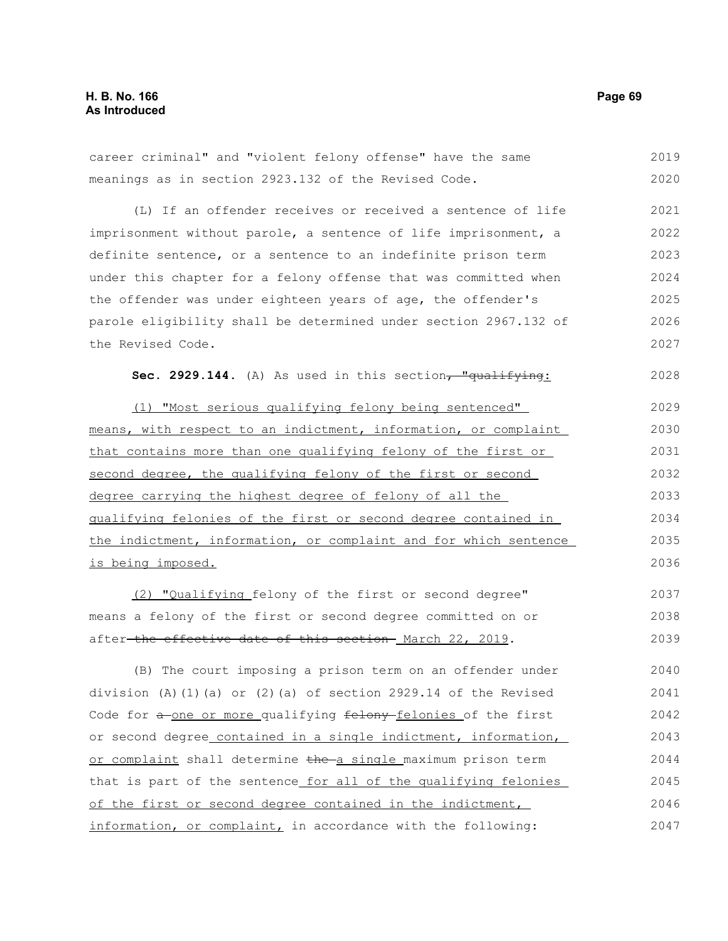career criminal" and "violent felony offense" have the same meanings as in section 2923.132 of the Revised Code. (L) If an offender receives or received a sentence of life imprisonment without parole, a sentence of life imprisonment, a definite sentence, or a sentence to an indefinite prison term under this chapter for a felony offense that was committed when the offender was under eighteen years of age, the offender's parole eligibility shall be determined under section 2967.132 of the Revised Code. Sec. 2929.144. (A) As used in this section, "qualifying: (1) "Most serious qualifying felony being sentenced" means, with respect to an indictment, information, or complaint that contains more than one qualifying felony of the first or second degree, the qualifying felony of the first or second degree carrying the highest degree of felony of all the qualifying felonies of the first or second degree contained in the indictment, information, or complaint and for which sentence is being imposed. (2) "Qualifying felony of the first or second degree" means a felony of the first or second degree committed on or after-the effective date of this section- March 22, 2019. (B) The court imposing a prison term on an offender under division (A)(1)(a) or (2)(a) of section 2929.14 of the Revised Code for a one or more qualifying felony felonies of the first or second degree contained in a single indictment, information, or complaint shall determine the a single maximum prison term that is part of the sentence for all of the qualifying felonies 2019 2020 2021 2022 2023 2024 2025 2026 2027 2028 2029 2030 2031 2032 2033 2034 2035 2036 2037 2038 2039 2040 2041 2042 2043 2044 2045

of the first or second degree contained in the indictment, information, or complaint, in accordance with the following: 2046 2047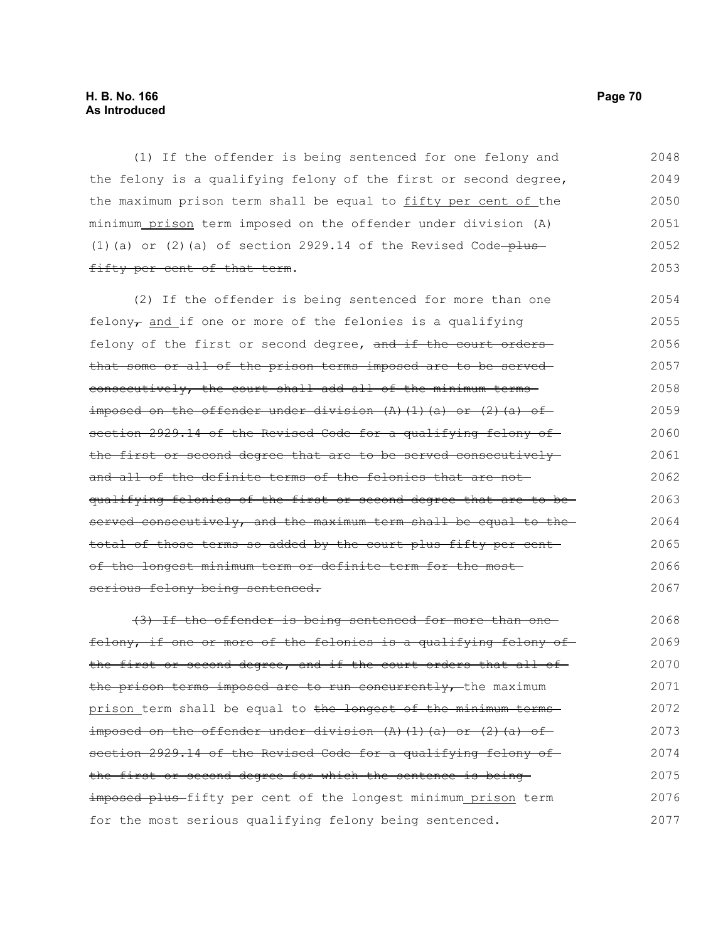# **H. B. No. 166 Page 70 As Introduced**

(1) If the offender is being sentenced for one felony and the felony is a qualifying felony of the first or second degree, the maximum prison term shall be equal to fifty per cent of the minimum prison term imposed on the offender under division (A) (1)(a) or (2)(a) of section 2929.14 of the Revised Code- $p_{\text{t}}$ fifty per cent of that term. 2048 2049 2050 2051 2052 2053

(2) If the offender is being sentenced for more than one felony $\tau$  and if one or more of the felonies is a qualifying felony of the first or second degree, and if the court ordersthat some or all of the prison terms imposed are to be served consecutively, the court shall add all of the minimum terms imposed on the offender under division  $(A)$  (1)(a) or (2)(a) of section 2929.14 of the Revised Code for a qualifying felony of the first or second degree that are to be served consecutively and all of the definite terms of the felonies that are notqualifying felonies of the first or second degree that are to be served consecutively, and the maximum term shall be equal to the total of those terms so added by the court plus fifty per cent of the longest minimum term or definite term for the most serious felony being sentenced. 2054 2055 2056 2057 2058 2059 2060 2061 2062 2063 2064 2065 2066 2067

(3) If the offender is being sentenced for more than one felony, if one or more of the felonies is a qualifying felony of the first or second degree, and if the court orders that all ofthe prison terms imposed are to run concurrently, the maximum prison term shall be equal to the longest of the minimum terms imposed on the offender under division  $(A)$   $(1)$   $(a)$  or  $(2)$   $(a)$  of section 2929.14 of the Revised Code for a qualifying felony of the first or second degree for which the sentence is being imposed plus-fifty per cent of the longest minimum prison term for the most serious qualifying felony being sentenced. 2068 2069 2070 2071 2072 2073 2074 2075 2076 2077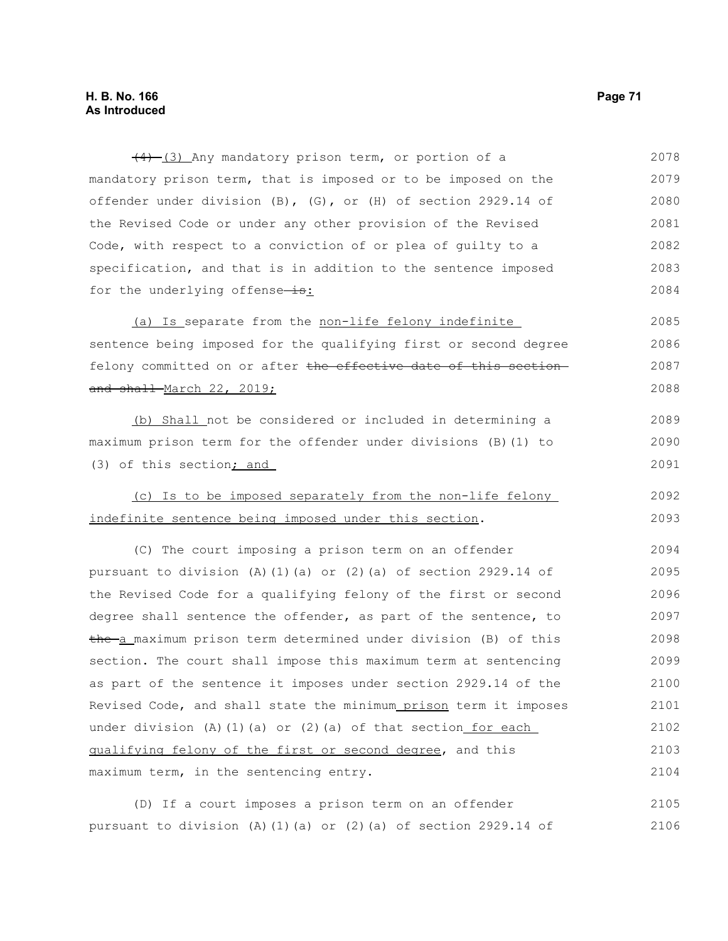## **H. B. No. 166 Page 71 As Introduced**

 $(4)$   $(3)$  Any mandatory prison term, or portion of a mandatory prison term, that is imposed or to be imposed on the offender under division (B), (G), or (H) of section 2929.14 of the Revised Code or under any other provision of the Revised Code, with respect to a conviction of or plea of guilty to a specification, and that is in addition to the sentence imposed for the underlying offense $-i\pi$ : 2078 2079 2080 2081 2082 2083 2084 2085

(a) Is separate from the non-life felony indefinite sentence being imposed for the qualifying first or second degree felony committed on or after the effective date of this sectionand shall March 22, 2019; 2086 2087 2088

(b) Shall not be considered or included in determining a maximum prison term for the offender under divisions (B)(1) to (3) of this section; and

#### (c) Is to be imposed separately from the non-life felony indefinite sentence being imposed under this section. 2092 2093

(C) The court imposing a prison term on an offender pursuant to division (A)(1)(a) or (2)(a) of section 2929.14 of the Revised Code for a qualifying felony of the first or second degree shall sentence the offender, as part of the sentence, to the a maximum prison term determined under division (B) of this section. The court shall impose this maximum term at sentencing as part of the sentence it imposes under section 2929.14 of the Revised Code, and shall state the minimum prison term it imposes under division (A)(1)(a) or (2)(a) of that section for each qualifying felony of the first or second degree, and this maximum term, in the sentencing entry. 2094 2095 2096 2097 2098 2099 2100 2101 2102 2103 2104

(D) If a court imposes a prison term on an offender pursuant to division (A)(1)(a) or (2)(a) of section 2929.14 of 2105 2106

2089 2090 2091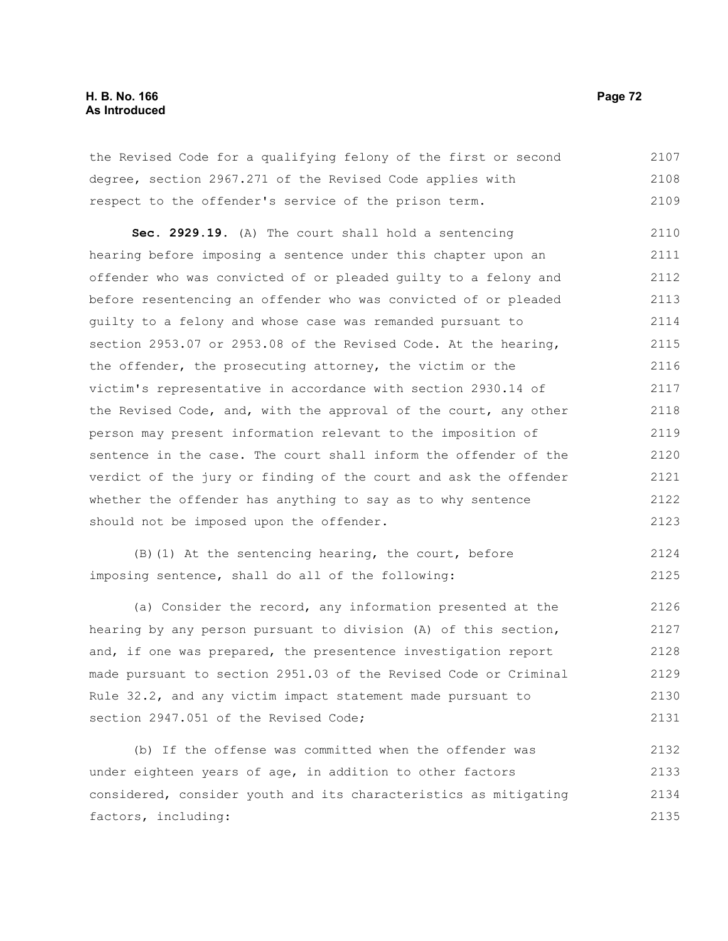# **H. B. No. 166 Page 72 As Introduced**

the Revised Code for a qualifying felony of the first or second degree, section 2967.271 of the Revised Code applies with respect to the offender's service of the prison term. 2107 2108 2109

**Sec. 2929.19.** (A) The court shall hold a sentencing hearing before imposing a sentence under this chapter upon an offender who was convicted of or pleaded guilty to a felony and before resentencing an offender who was convicted of or pleaded guilty to a felony and whose case was remanded pursuant to section 2953.07 or 2953.08 of the Revised Code. At the hearing, the offender, the prosecuting attorney, the victim or the victim's representative in accordance with section 2930.14 of the Revised Code, and, with the approval of the court, any other person may present information relevant to the imposition of sentence in the case. The court shall inform the offender of the verdict of the jury or finding of the court and ask the offender whether the offender has anything to say as to why sentence should not be imposed upon the offender. 2110 2111 2112 2113 2114 2115 2116 2117 2118 2119 2120 2121 2122 2123

(B)(1) At the sentencing hearing, the court, before imposing sentence, shall do all of the following: 2124 2125

(a) Consider the record, any information presented at the hearing by any person pursuant to division (A) of this section, and, if one was prepared, the presentence investigation report made pursuant to section 2951.03 of the Revised Code or Criminal Rule 32.2, and any victim impact statement made pursuant to section 2947.051 of the Revised Code; 2126 2127 2128 2129 2130 2131

(b) If the offense was committed when the offender was under eighteen years of age, in addition to other factors considered, consider youth and its characteristics as mitigating factors, including: 2132 2133 2134 2135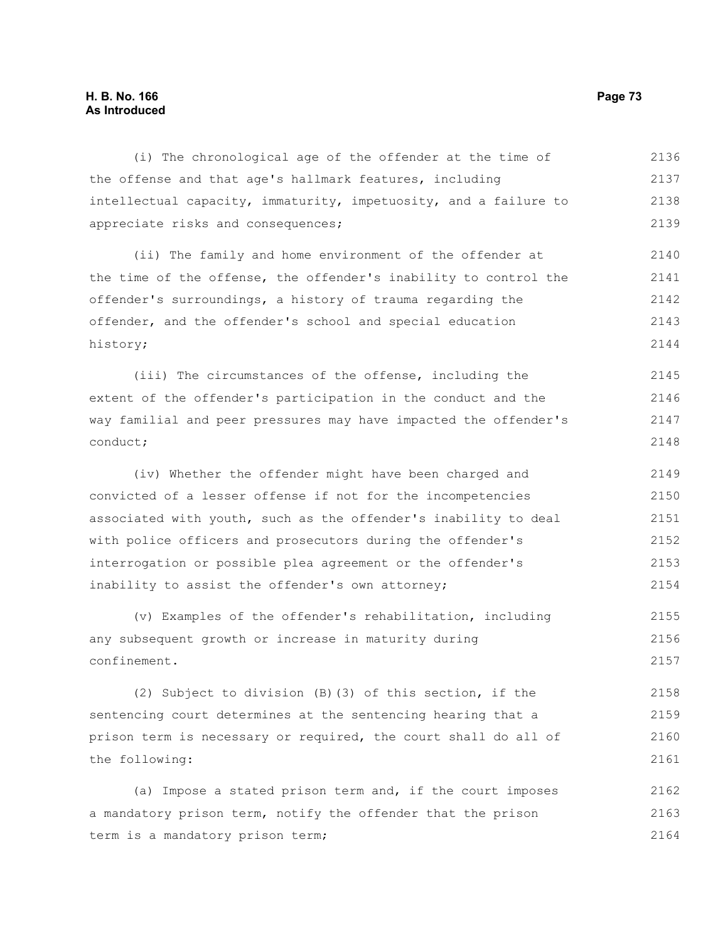# **H. B. No. 166 Page 73 As Introduced**

term is a mandatory prison term;

(i) The chronological age of the offender at the time of the offense and that age's hallmark features, including intellectual capacity, immaturity, impetuosity, and a failure to appreciate risks and consequences; (ii) The family and home environment of the offender at the time of the offense, the offender's inability to control the offender's surroundings, a history of trauma regarding the offender, and the offender's school and special education history; (iii) The circumstances of the offense, including the extent of the offender's participation in the conduct and the way familial and peer pressures may have impacted the offender's conduct; (iv) Whether the offender might have been charged and convicted of a lesser offense if not for the incompetencies associated with youth, such as the offender's inability to deal with police officers and prosecutors during the offender's interrogation or possible plea agreement or the offender's inability to assist the offender's own attorney; (v) Examples of the offender's rehabilitation, including any subsequent growth or increase in maturity during confinement. (2) Subject to division (B)(3) of this section, if the sentencing court determines at the sentencing hearing that a prison term is necessary or required, the court shall do all of the following: (a) Impose a stated prison term and, if the court imposes a mandatory prison term, notify the offender that the prison 2136 2137 2138 2139 2140 2141 2142 2143 2144 2145 2146 2147 2148 2149 2150 2151 2152 2153 2154 2155 2156 2157 2158 2159 2160 2161 2162 2163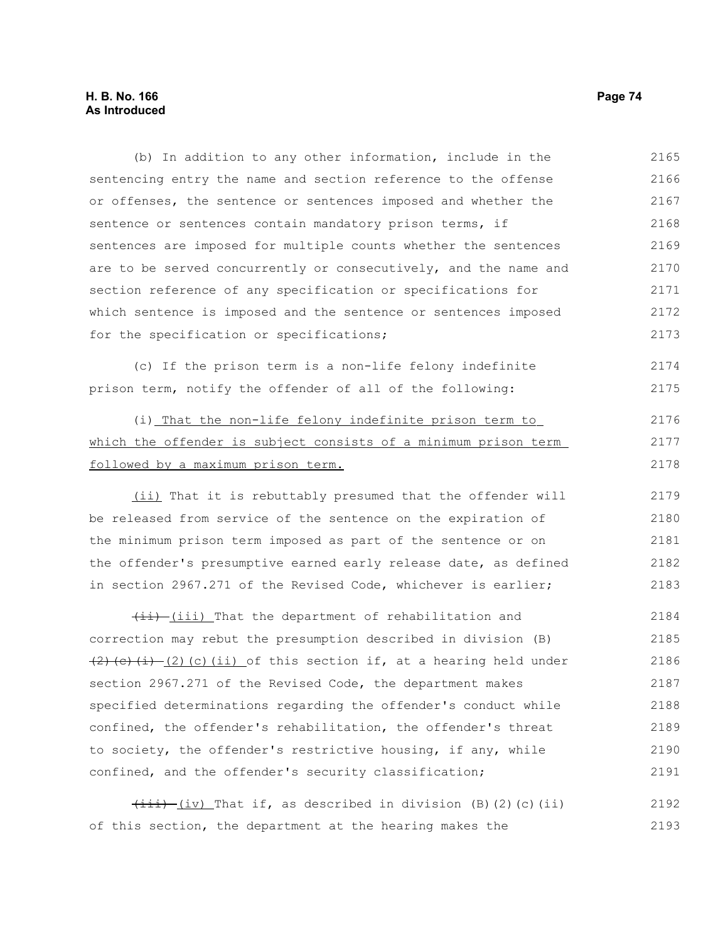(b) In addition to any other information, include in the sentencing entry the name and section reference to the offense or offenses, the sentence or sentences imposed and whether the sentence or sentences contain mandatory prison terms, if sentences are imposed for multiple counts whether the sentences are to be served concurrently or consecutively, and the name and section reference of any specification or specifications for which sentence is imposed and the sentence or sentences imposed for the specification or specifications; 2165 2166 2167 2168 2169 2170 2171 2172 2173

(c) If the prison term is a non-life felony indefinite prison term, notify the offender of all of the following: 2174 2175

(i) That the non-life felony indefinite prison term to which the offender is subject consists of a minimum prison term followed by a maximum prison term.

(ii) That it is rebuttably presumed that the offender will be released from service of the sentence on the expiration of the minimum prison term imposed as part of the sentence or on the offender's presumptive earned early release date, as defined in section 2967.271 of the Revised Code, whichever is earlier; 2179 2180 2181 2182 2183

(ii) (iii) That the department of rehabilitation and correction may rebut the presumption described in division (B)  $(2)$  (c)(ii) of this section if, at a hearing held under section 2967.271 of the Revised Code, the department makes specified determinations regarding the offender's conduct while confined, the offender's rehabilitation, the offender's threat to society, the offender's restrictive housing, if any, while confined, and the offender's security classification; 2184 2185 2186 2187 2188 2189 2190 2191

 $\overline{(iii)}$   $\overline{(iv)}$  That if, as described in division (B)(2)(c)(ii) of this section, the department at the hearing makes the 2192 2193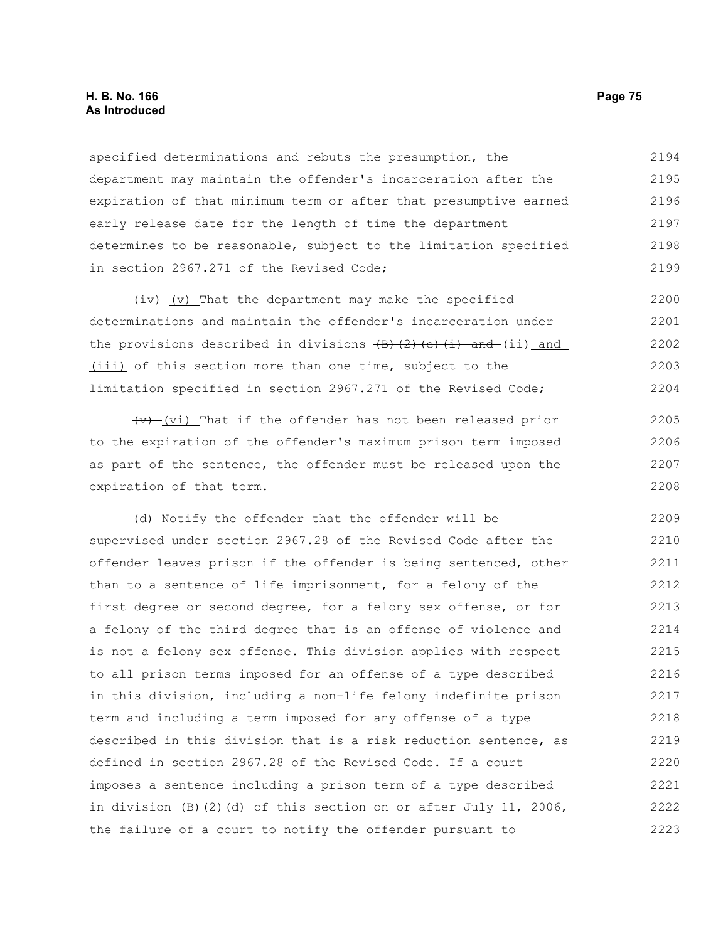#### **H. B. No. 166 Page 75 As Introduced**

specified determinations and rebuts the presumption, the department may maintain the offender's incarceration after the expiration of that minimum term or after that presumptive earned early release date for the length of time the department determines to be reasonable, subject to the limitation specified in section 2967.271 of the Revised Code; 2194 2195 2196 2197 2198 2199

 $\overline{(iv)}$  (v) That the department may make the specified determinations and maintain the offender's incarceration under the provisions described in divisions  $(B)$   $(2)$   $(c)$   $(i)$  and (ii) and (iii) of this section more than one time, subject to the limitation specified in section 2967.271 of the Revised Code; 2200 2201 2202 2203 2204

 $(v)$  (vi) That if the offender has not been released prior to the expiration of the offender's maximum prison term imposed as part of the sentence, the offender must be released upon the expiration of that term. 2205 2206 2207 2208

(d) Notify the offender that the offender will be supervised under section 2967.28 of the Revised Code after the offender leaves prison if the offender is being sentenced, other than to a sentence of life imprisonment, for a felony of the first degree or second degree, for a felony sex offense, or for a felony of the third degree that is an offense of violence and is not a felony sex offense. This division applies with respect to all prison terms imposed for an offense of a type described in this division, including a non-life felony indefinite prison term and including a term imposed for any offense of a type described in this division that is a risk reduction sentence, as defined in section 2967.28 of the Revised Code. If a court imposes a sentence including a prison term of a type described in division (B)(2)(d) of this section on or after July 11, 2006, the failure of a court to notify the offender pursuant to 2209 2210 2211 2212 2213 2214 2215 2216 2217 2218 2219 2220 2221 2222 2223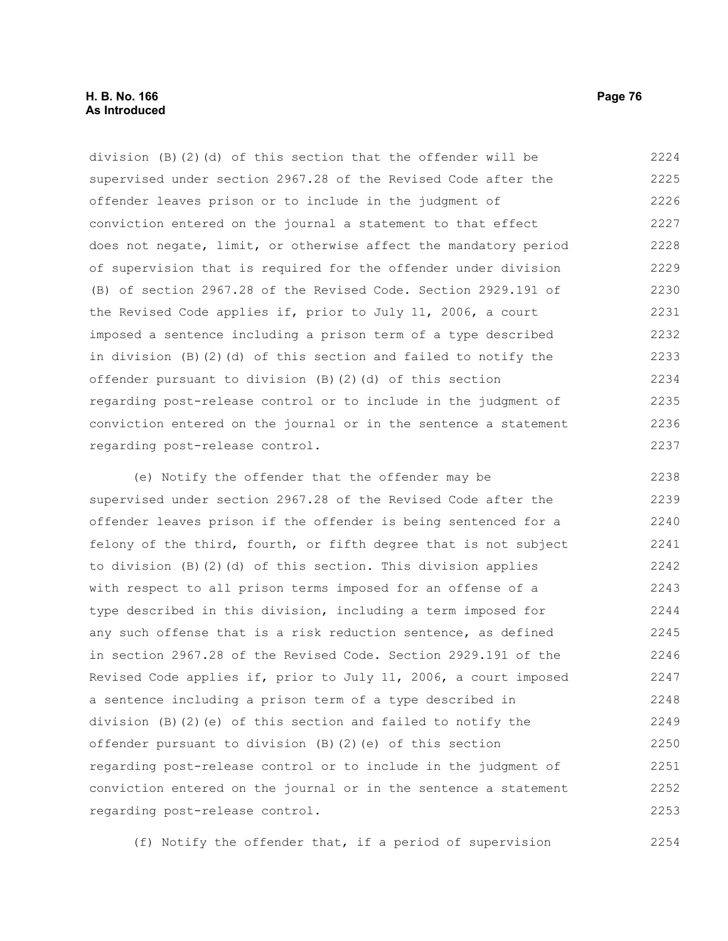division (B)(2)(d) of this section that the offender will be supervised under section 2967.28 of the Revised Code after the offender leaves prison or to include in the judgment of conviction entered on the journal a statement to that effect does not negate, limit, or otherwise affect the mandatory period of supervision that is required for the offender under division (B) of section 2967.28 of the Revised Code. Section 2929.191 of the Revised Code applies if, prior to July 11, 2006, a court imposed a sentence including a prison term of a type described in division (B)(2)(d) of this section and failed to notify the offender pursuant to division (B)(2)(d) of this section regarding post-release control or to include in the judgment of conviction entered on the journal or in the sentence a statement regarding post-release control. 2224 2225 2226 2227 2228 2229 2230 2231 2232 2233 2234 2235 2236 2237

(e) Notify the offender that the offender may be supervised under section 2967.28 of the Revised Code after the offender leaves prison if the offender is being sentenced for a felony of the third, fourth, or fifth degree that is not subject to division (B)(2)(d) of this section. This division applies with respect to all prison terms imposed for an offense of a type described in this division, including a term imposed for any such offense that is a risk reduction sentence, as defined in section 2967.28 of the Revised Code. Section 2929.191 of the Revised Code applies if, prior to July 11, 2006, a court imposed a sentence including a prison term of a type described in division  $(B)$  (2)(e) of this section and failed to notify the offender pursuant to division (B)(2)(e) of this section regarding post-release control or to include in the judgment of conviction entered on the journal or in the sentence a statement regarding post-release control. 2238 2239 2240 2241 2242 2243 2244 2245 2246 2247 2248 2249 2250 2251 2252 2253

(f) Notify the offender that, if a period of supervision 2254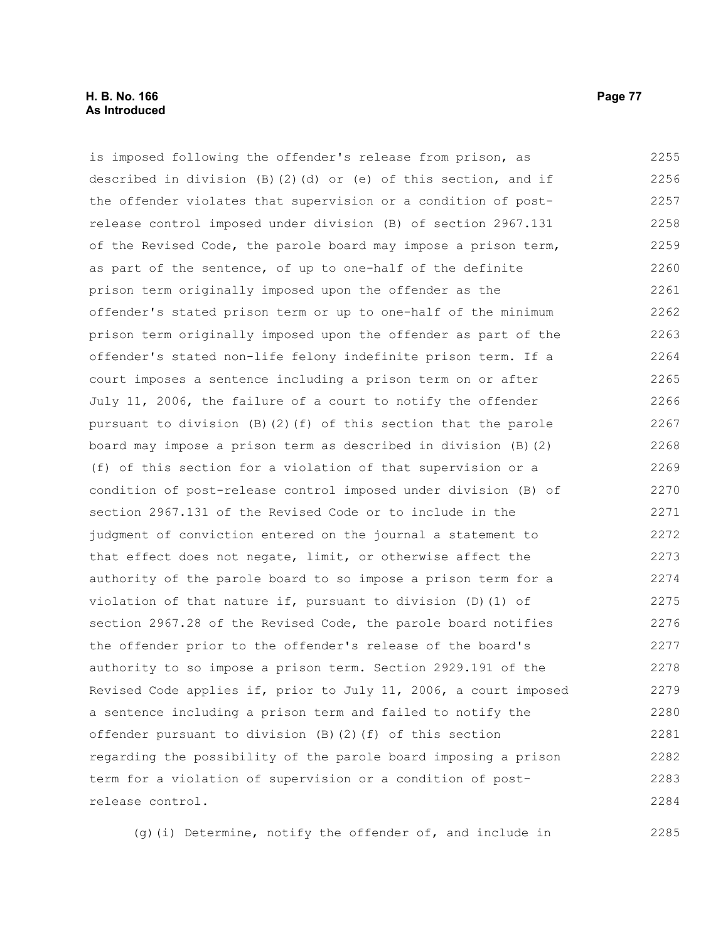#### **H. B. No. 166 Page 77 As Introduced**

is imposed following the offender's release from prison, as described in division (B)(2)(d) or (e) of this section, and if the offender violates that supervision or a condition of postrelease control imposed under division (B) of section 2967.131 of the Revised Code, the parole board may impose a prison term, as part of the sentence, of up to one-half of the definite prison term originally imposed upon the offender as the offender's stated prison term or up to one-half of the minimum prison term originally imposed upon the offender as part of the offender's stated non-life felony indefinite prison term. If a court imposes a sentence including a prison term on or after July 11, 2006, the failure of a court to notify the offender pursuant to division  $(B)(2)(f)$  of this section that the parole board may impose a prison term as described in division (B)(2) (f) of this section for a violation of that supervision or a condition of post-release control imposed under division (B) of section 2967.131 of the Revised Code or to include in the judgment of conviction entered on the journal a statement to that effect does not negate, limit, or otherwise affect the authority of the parole board to so impose a prison term for a violation of that nature if, pursuant to division (D)(1) of section 2967.28 of the Revised Code, the parole board notifies the offender prior to the offender's release of the board's authority to so impose a prison term. Section 2929.191 of the Revised Code applies if, prior to July 11, 2006, a court imposed a sentence including a prison term and failed to notify the offender pursuant to division (B)(2)(f) of this section regarding the possibility of the parole board imposing a prison term for a violation of supervision or a condition of postrelease control. 2255 2256 2257 2258 2259 2260 2261 2262 2263 2264 2265 2266 2267 2268 2269 2270 2271 2272 2273 2274 2275 2276 2277 2278 2279 2280 2281 2282 2283 2284

(g)(i) Determine, notify the offender of, and include in 2285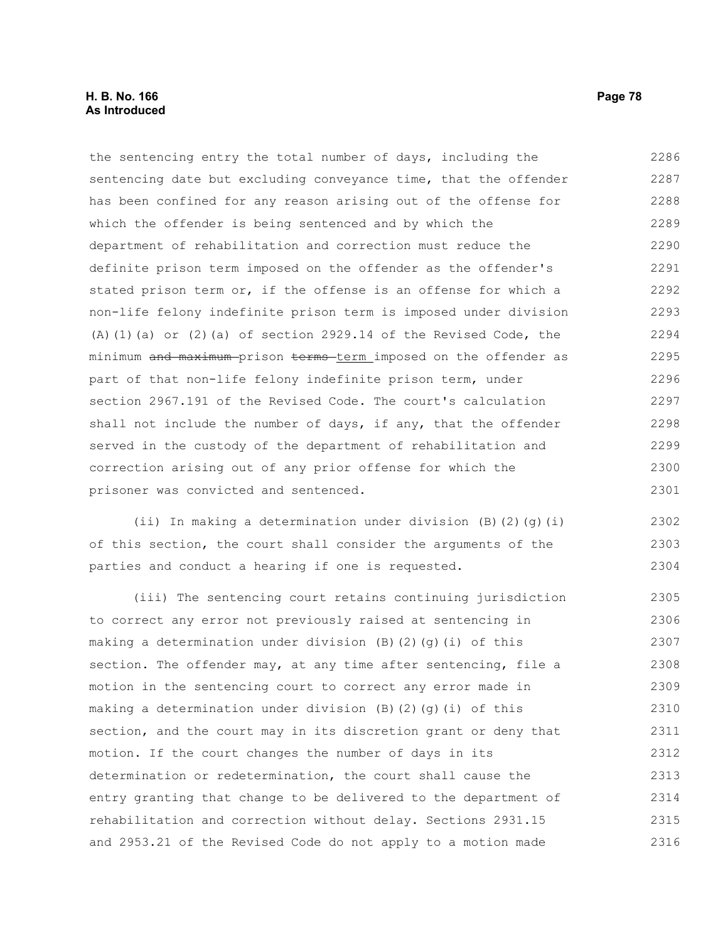# **H. B. No. 166 Page 78 As Introduced**

the sentencing entry the total number of days, including the sentencing date but excluding conveyance time, that the offender has been confined for any reason arising out of the offense for which the offender is being sentenced and by which the department of rehabilitation and correction must reduce the definite prison term imposed on the offender as the offender's stated prison term or, if the offense is an offense for which a non-life felony indefinite prison term is imposed under division (A)(1)(a) or (2)(a) of section  $2929.14$  of the Revised Code, the minimum and maximum prison terms term imposed on the offender as part of that non-life felony indefinite prison term, under section 2967.191 of the Revised Code. The court's calculation shall not include the number of days, if any, that the offender served in the custody of the department of rehabilitation and correction arising out of any prior offense for which the prisoner was convicted and sentenced. 2286 2287 2288 2289 2290 2291 2292 2293 2294 2295 2296 2297 2298 2299 2300 2301

(ii) In making a determination under division (B)(2)(g)(i) of this section, the court shall consider the arguments of the parties and conduct a hearing if one is requested. 2302 2303 2304

(iii) The sentencing court retains continuing jurisdiction to correct any error not previously raised at sentencing in making a determination under division  $(B)$   $(2)$   $(q)$   $(i)$  of this section. The offender may, at any time after sentencing, file a motion in the sentencing court to correct any error made in making a determination under division  $(B)$   $(2)$   $(q)$   $(i)$  of this section, and the court may in its discretion grant or deny that motion. If the court changes the number of days in its determination or redetermination, the court shall cause the entry granting that change to be delivered to the department of rehabilitation and correction without delay. Sections 2931.15 and 2953.21 of the Revised Code do not apply to a motion made 2305 2306 2307 2308 2309 2310 2311 2312 2313 2314 2315 2316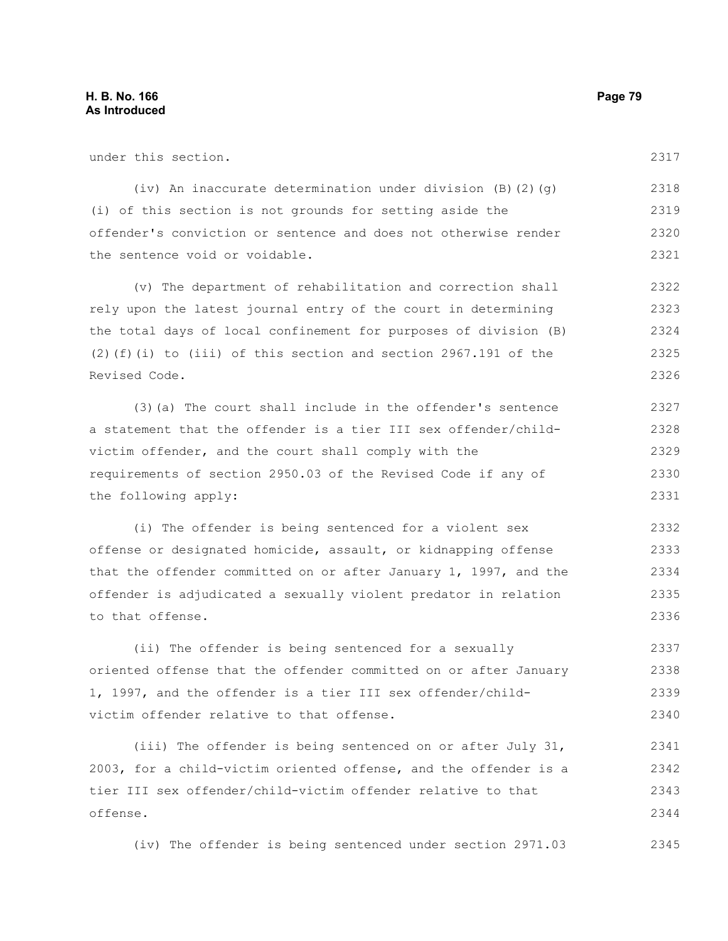| under this section.                                                | 2317 |
|--------------------------------------------------------------------|------|
| (iv) An inaccurate determination under division $(B)$ $(2)$ $(q)$  | 2318 |
| (i) of this section is not grounds for setting aside the           | 2319 |
| offender's conviction or sentence and does not otherwise render    | 2320 |
| the sentence void or voidable.                                     | 2321 |
| (v) The department of rehabilitation and correction shall          | 2322 |
| rely upon the latest journal entry of the court in determining     | 2323 |
| the total days of local confinement for purposes of division (B)   | 2324 |
| $(2)$ (f) (i) to (iii) of this section and section 2967.191 of the | 2325 |
| Revised Code.                                                      | 2326 |
| (3) (a) The court shall include in the offender's sentence         | 2327 |
| a statement that the offender is a tier III sex offender/child-    | 2328 |
| victim offender, and the court shall comply with the               | 2329 |
| requirements of section 2950.03 of the Revised Code if any of      | 2330 |
| the following apply:                                               | 2331 |
| (i) The offender is being sentenced for a violent sex              | 2332 |
| offense or designated homicide, assault, or kidnapping offense     | 2333 |
| that the offender committed on or after January 1, 1997, and the   | 2334 |
| offender is adjudicated a sexually violent predator in relation    | 2335 |
| to that offense.                                                   | 2336 |

(ii) The offender is being sentenced for a sexually oriented offense that the offender committed on or after January 1, 1997, and the offender is a tier III sex offender/childvictim offender relative to that offense. 2337 2338 2339 2340

(iii) The offender is being sentenced on or after July 31, 2003, for a child-victim oriented offense, and the offender is a tier III sex offender/child-victim offender relative to that offense. 2341 2342 2343 2344

(iv) The offender is being sentenced under section 2971.03 2345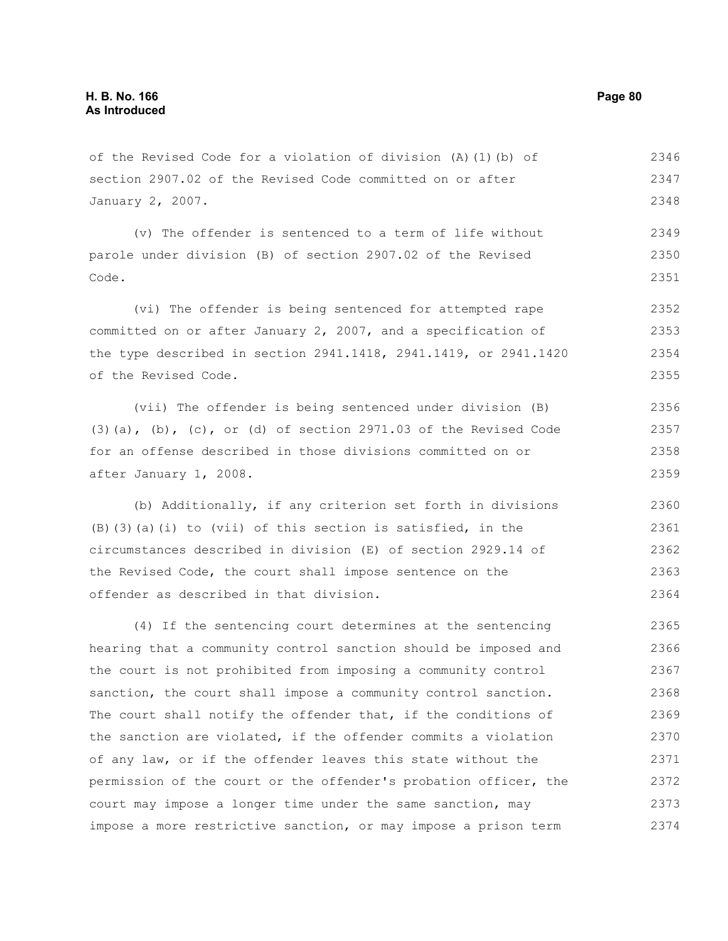of the Revised Code for a violation of division (A)(1)(b) of section 2907.02 of the Revised Code committed on or after January 2, 2007. 2346 2347 2348

(v) The offender is sentenced to a term of life without parole under division (B) of section 2907.02 of the Revised Code. 2349 2350 2351

(vi) The offender is being sentenced for attempted rape committed on or after January 2, 2007, and a specification of the type described in section 2941.1418, 2941.1419, or 2941.1420 of the Revised Code. 2352 2353 2354 2355

(vii) The offender is being sentenced under division (B)  $(3)(a)$ ,  $(b)$ ,  $(c)$ , or  $(d)$  of section 2971.03 of the Revised Code for an offense described in those divisions committed on or after January 1, 2008. 2356 2357 2358 2359

(b) Additionally, if any criterion set forth in divisions (B)(3)(a)(i) to (vii) of this section is satisfied, in the circumstances described in division (E) of section 2929.14 of the Revised Code, the court shall impose sentence on the offender as described in that division. 2360 2361 2362 2363 2364

(4) If the sentencing court determines at the sentencing hearing that a community control sanction should be imposed and the court is not prohibited from imposing a community control sanction, the court shall impose a community control sanction. The court shall notify the offender that, if the conditions of the sanction are violated, if the offender commits a violation of any law, or if the offender leaves this state without the permission of the court or the offender's probation officer, the court may impose a longer time under the same sanction, may impose a more restrictive sanction, or may impose a prison term 2365 2366 2367 2368 2369 2370 2371 2372 2373 2374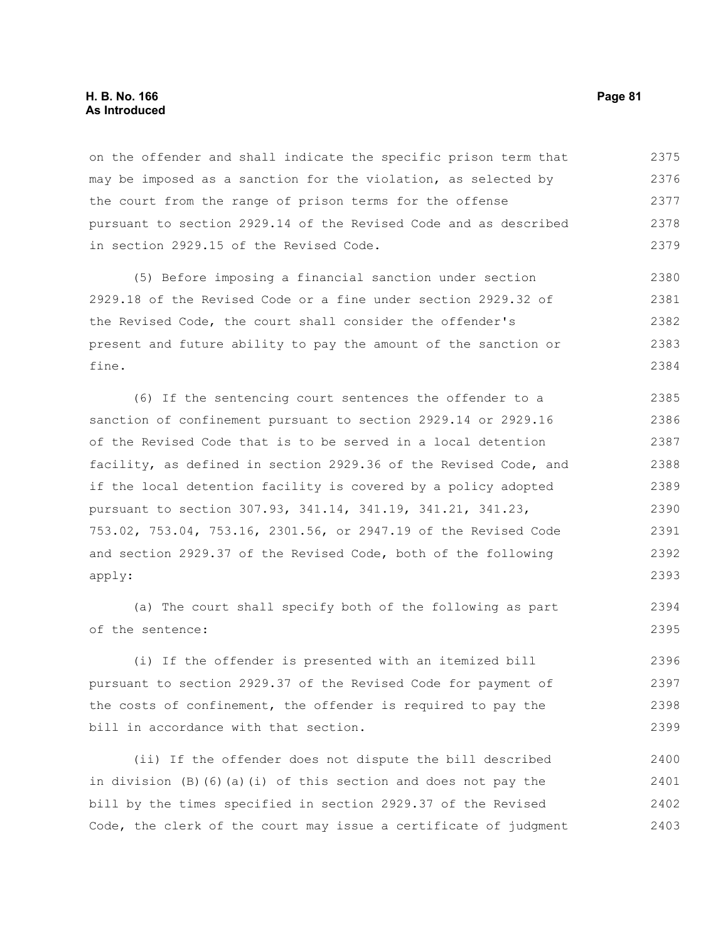#### **H. B. No. 166 Page 81 As Introduced**

on the offender and shall indicate the specific prison term that may be imposed as a sanction for the violation, as selected by the court from the range of prison terms for the offense pursuant to section 2929.14 of the Revised Code and as described in section 2929.15 of the Revised Code. 2375 2376 2377 2378 2379

(5) Before imposing a financial sanction under section 2929.18 of the Revised Code or a fine under section 2929.32 of the Revised Code, the court shall consider the offender's present and future ability to pay the amount of the sanction or fine. 2380 2381 2382 2383 2384

(6) If the sentencing court sentences the offender to a sanction of confinement pursuant to section 2929.14 or 2929.16 of the Revised Code that is to be served in a local detention facility, as defined in section 2929.36 of the Revised Code, and if the local detention facility is covered by a policy adopted pursuant to section 307.93, 341.14, 341.19, 341.21, 341.23, 753.02, 753.04, 753.16, 2301.56, or 2947.19 of the Revised Code and section 2929.37 of the Revised Code, both of the following apply: 2385 2386 2387 2388 2389 2390 2391 2392 2393

(a) The court shall specify both of the following as part of the sentence:

(i) If the offender is presented with an itemized bill pursuant to section 2929.37 of the Revised Code for payment of the costs of confinement, the offender is required to pay the bill in accordance with that section. 2396 2397 2398 2399

(ii) If the offender does not dispute the bill described in division (B)(6)(a)(i) of this section and does not pay the bill by the times specified in section 2929.37 of the Revised Code, the clerk of the court may issue a certificate of judgment 2400 2401 2402 2403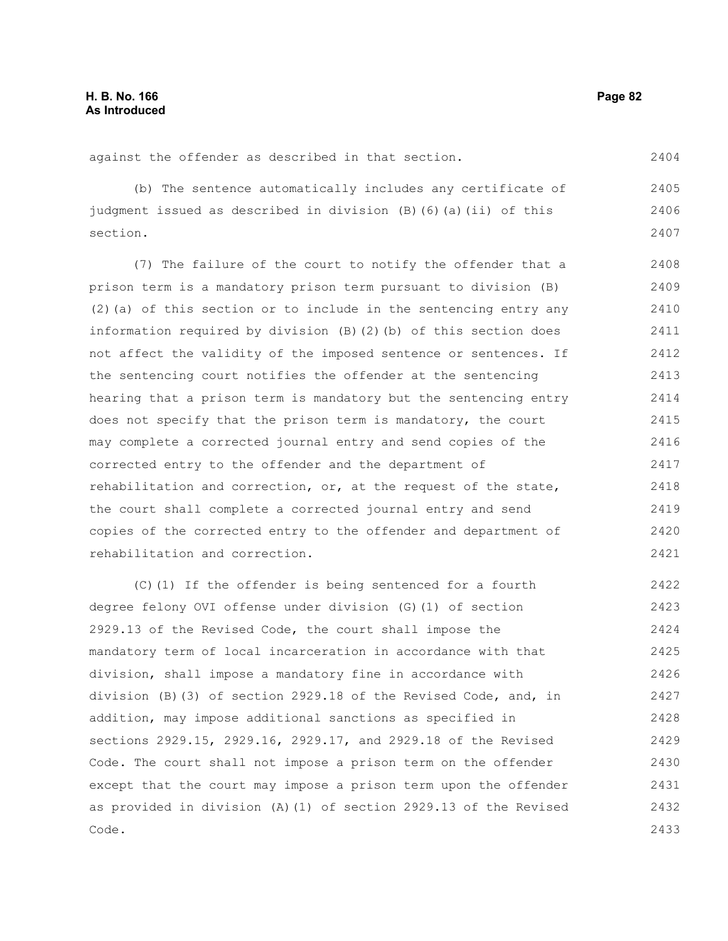against the offender as described in that section.

(b) The sentence automatically includes any certificate of judgment issued as described in division (B)(6)(a)(ii) of this section. 2405 2406 2407

(7) The failure of the court to notify the offender that a prison term is a mandatory prison term pursuant to division (B) (2)(a) of this section or to include in the sentencing entry any information required by division (B)(2)(b) of this section does not affect the validity of the imposed sentence or sentences. If the sentencing court notifies the offender at the sentencing hearing that a prison term is mandatory but the sentencing entry does not specify that the prison term is mandatory, the court may complete a corrected journal entry and send copies of the corrected entry to the offender and the department of rehabilitation and correction, or, at the request of the state, the court shall complete a corrected journal entry and send copies of the corrected entry to the offender and department of rehabilitation and correction. 2408 2409 2410 2411 2412 2413 2414 2415 2416 2417 2418 2419 2420 2421

(C)(1) If the offender is being sentenced for a fourth degree felony OVI offense under division (G)(1) of section 2929.13 of the Revised Code, the court shall impose the mandatory term of local incarceration in accordance with that division, shall impose a mandatory fine in accordance with division (B)(3) of section 2929.18 of the Revised Code, and, in addition, may impose additional sanctions as specified in sections 2929.15, 2929.16, 2929.17, and 2929.18 of the Revised Code. The court shall not impose a prison term on the offender except that the court may impose a prison term upon the offender as provided in division (A)(1) of section 2929.13 of the Revised Code. 2422 2423 2424 2425 2426 2427 2428 2429 2430 2431 2432 2433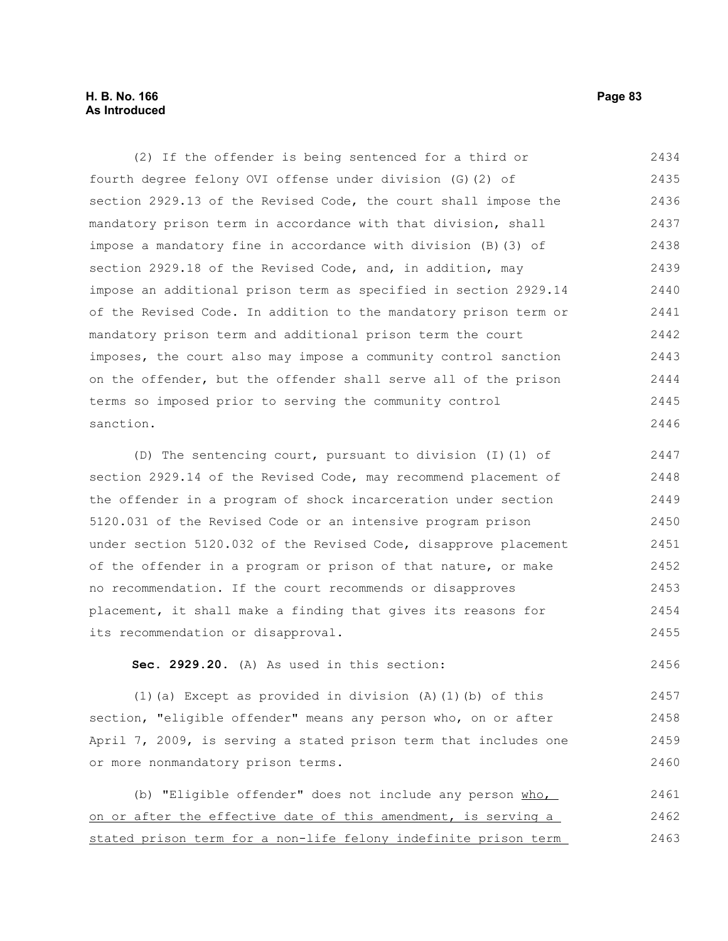# **H. B. No. 166 Page 83 As Introduced**

(2) If the offender is being sentenced for a third or fourth degree felony OVI offense under division (G)(2) of section 2929.13 of the Revised Code, the court shall impose the mandatory prison term in accordance with that division, shall impose a mandatory fine in accordance with division (B)(3) of section 2929.18 of the Revised Code, and, in addition, may impose an additional prison term as specified in section 2929.14 of the Revised Code. In addition to the mandatory prison term or mandatory prison term and additional prison term the court imposes, the court also may impose a community control sanction on the offender, but the offender shall serve all of the prison terms so imposed prior to serving the community control sanction. 2434 2435 2436 2437 2438 2439 2440 2441 2442 2443 2444 2445 2446

(D) The sentencing court, pursuant to division (I)(1) of section 2929.14 of the Revised Code, may recommend placement of the offender in a program of shock incarceration under section 5120.031 of the Revised Code or an intensive program prison under section 5120.032 of the Revised Code, disapprove placement of the offender in a program or prison of that nature, or make no recommendation. If the court recommends or disapproves placement, it shall make a finding that gives its reasons for its recommendation or disapproval. 2447 2448 2449 2450 2451 2452 2453 2454 2455

**Sec. 2929.20.** (A) As used in this section:

(1)(a) Except as provided in division (A)(1)(b) of this section, "eligible offender" means any person who, on or after April 7, 2009, is serving a stated prison term that includes one or more nonmandatory prison terms. 2457 2458 2459 2460

(b) "Eligible offender" does not include any person who, on or after the effective date of this amendment, is serving a stated prison term for a non-life felony indefinite prison term 2461 2462 2463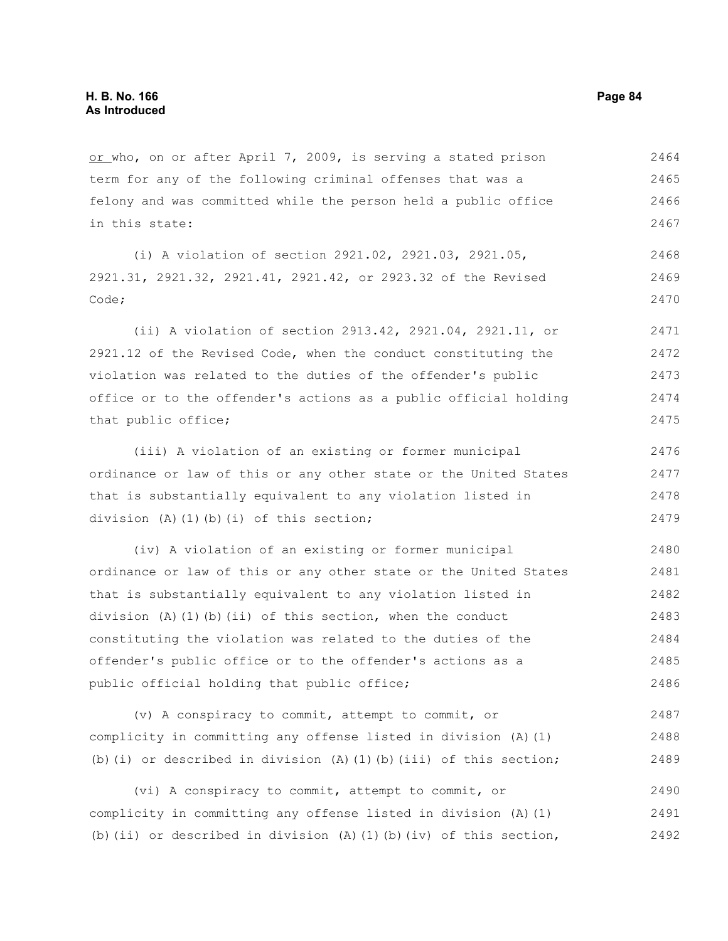or who, on or after April 7, 2009, is serving a stated prison term for any of the following criminal offenses that was a felony and was committed while the person held a public office in this state: 2464 2465 2466 2467

(i) A violation of section 2921.02, 2921.03, 2921.05, 2921.31, 2921.32, 2921.41, 2921.42, or 2923.32 of the Revised Code; 2468 2469 2470

(ii) A violation of section 2913.42, 2921.04, 2921.11, or 2921.12 of the Revised Code, when the conduct constituting the violation was related to the duties of the offender's public office or to the offender's actions as a public official holding that public office; 2471 2472 2473 2474 2475

(iii) A violation of an existing or former municipal ordinance or law of this or any other state or the United States that is substantially equivalent to any violation listed in division (A)(1)(b)(i) of this section; 2476 2477 2478 2479

(iv) A violation of an existing or former municipal ordinance or law of this or any other state or the United States that is substantially equivalent to any violation listed in division (A)(1)(b)(ii) of this section, when the conduct constituting the violation was related to the duties of the offender's public office or to the offender's actions as a public official holding that public office; 2480 2481 2482 2483 2484 2485 2486

(v) A conspiracy to commit, attempt to commit, or complicity in committing any offense listed in division (A)(1) (b)(i) or described in division (A)(1)(b)(iii) of this section; 2487 2488 2489

(vi) A conspiracy to commit, attempt to commit, or complicity in committing any offense listed in division (A)(1) (b)(ii) or described in division (A)(1)(b)(iv) of this section, 2490 2491 2492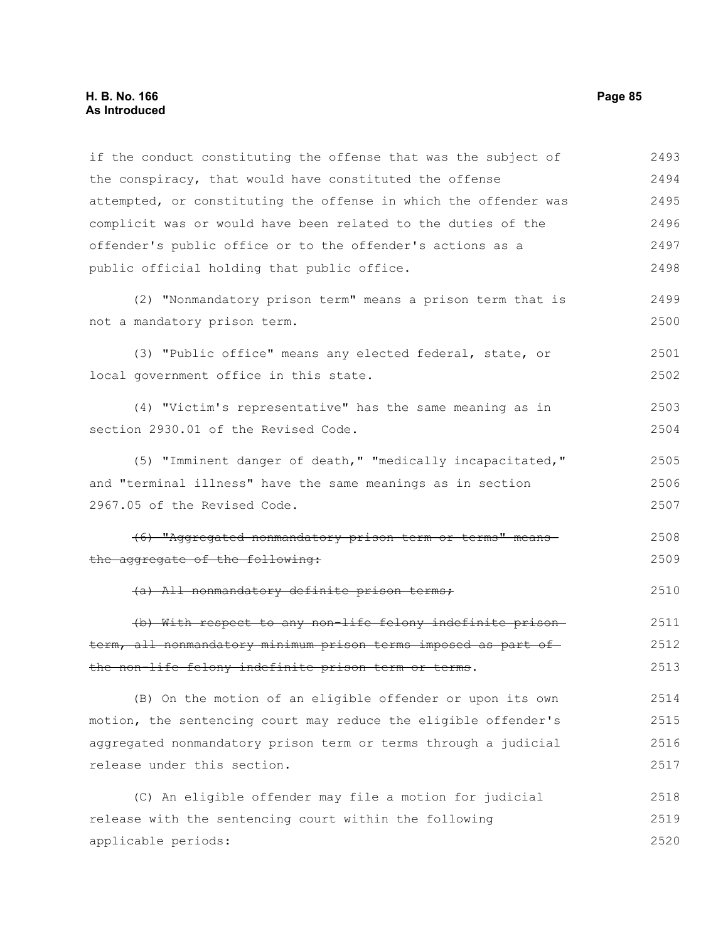#### **H. B. No. 166 Page 85 As Introduced**

if the conduct constituting the offense that was the subject of the conspiracy, that would have constituted the offense attempted, or constituting the offense in which the offender was complicit was or would have been related to the duties of the offender's public office or to the offender's actions as a public official holding that public office. (2) "Nonmandatory prison term" means a prison term that is not a mandatory prison term. (3) "Public office" means any elected federal, state, or local government office in this state. (4) "Victim's representative" has the same meaning as in section 2930.01 of the Revised Code. 2493 2494 2495 2496 2497 2498 2499 2500 2501 2502 2503 2504

(5) "Imminent danger of death," "medically incapacitated," and "terminal illness" have the same meanings as in section 2967.05 of the Revised Code. 2505 2506 2507

(6) "Aggregated nonmandatory prison term or terms" means the aggregate of the following: 2508 2509

(a) All nonmandatory definite prison terms;

(b) With respect to any non-life felony indefinite prison term, all nonmandatory minimum prison terms imposed as part ofthe non-life felony indefinite prison term or terms. 2511 2512 2513

(B) On the motion of an eligible offender or upon its own motion, the sentencing court may reduce the eligible offender's aggregated nonmandatory prison term or terms through a judicial release under this section. 2514 2515 2516 2517

(C) An eligible offender may file a motion for judicial release with the sentencing court within the following applicable periods: 2518 2519 2520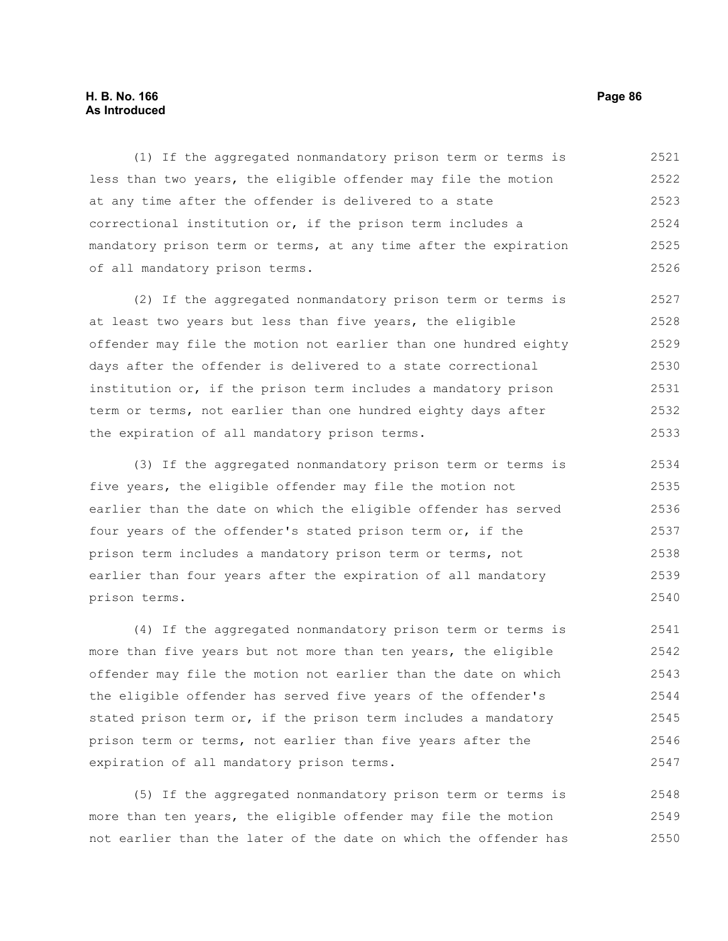# **H. B. No. 166 Page 86 As Introduced**

(1) If the aggregated nonmandatory prison term or terms is less than two years, the eligible offender may file the motion at any time after the offender is delivered to a state correctional institution or, if the prison term includes a mandatory prison term or terms, at any time after the expiration of all mandatory prison terms. 2521 2522 2523 2524 2525 2526

(2) If the aggregated nonmandatory prison term or terms is at least two years but less than five years, the eligible offender may file the motion not earlier than one hundred eighty days after the offender is delivered to a state correctional institution or, if the prison term includes a mandatory prison term or terms, not earlier than one hundred eighty days after the expiration of all mandatory prison terms. 2527 2528 2529 2530 2531 2532 2533

(3) If the aggregated nonmandatory prison term or terms is five years, the eligible offender may file the motion not earlier than the date on which the eligible offender has served four years of the offender's stated prison term or, if the prison term includes a mandatory prison term or terms, not earlier than four years after the expiration of all mandatory prison terms. 2534 2535 2536 2537 2538 2539 2540

(4) If the aggregated nonmandatory prison term or terms is more than five years but not more than ten years, the eligible offender may file the motion not earlier than the date on which the eligible offender has served five years of the offender's stated prison term or, if the prison term includes a mandatory prison term or terms, not earlier than five years after the expiration of all mandatory prison terms. 2541 2542 2543 2544 2545 2546 2547

(5) If the aggregated nonmandatory prison term or terms is more than ten years, the eligible offender may file the motion not earlier than the later of the date on which the offender has 2548 2549 2550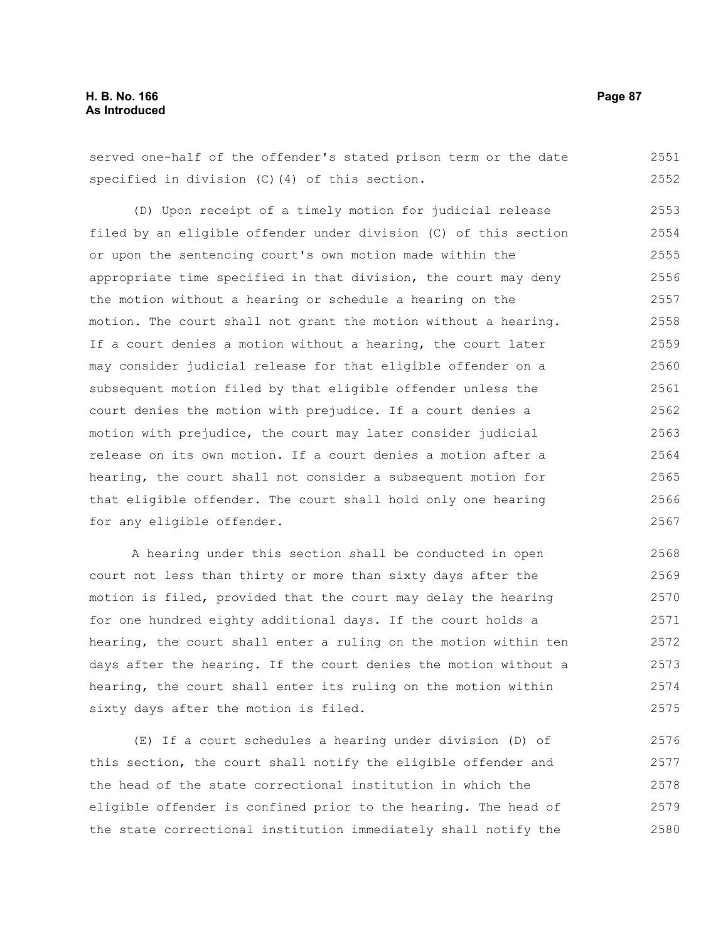served one-half of the offender's stated prison term or the date specified in division (C)(4) of this section. 2551 2552

(D) Upon receipt of a timely motion for judicial release filed by an eligible offender under division (C) of this section or upon the sentencing court's own motion made within the appropriate time specified in that division, the court may deny the motion without a hearing or schedule a hearing on the motion. The court shall not grant the motion without a hearing. If a court denies a motion without a hearing, the court later may consider judicial release for that eligible offender on a subsequent motion filed by that eligible offender unless the court denies the motion with prejudice. If a court denies a motion with prejudice, the court may later consider judicial release on its own motion. If a court denies a motion after a hearing, the court shall not consider a subsequent motion for that eligible offender. The court shall hold only one hearing for any eligible offender. 2553 2554 2555 2556 2557 2558 2559 2560 2561 2562 2563 2564 2565 2566 2567

A hearing under this section shall be conducted in open court not less than thirty or more than sixty days after the motion is filed, provided that the court may delay the hearing for one hundred eighty additional days. If the court holds a hearing, the court shall enter a ruling on the motion within ten days after the hearing. If the court denies the motion without a hearing, the court shall enter its ruling on the motion within sixty days after the motion is filed. 2568 2569 2570 2571 2572 2573 2574 2575

(E) If a court schedules a hearing under division (D) of this section, the court shall notify the eligible offender and the head of the state correctional institution in which the eligible offender is confined prior to the hearing. The head of the state correctional institution immediately shall notify the 2576 2577 2578 2579 2580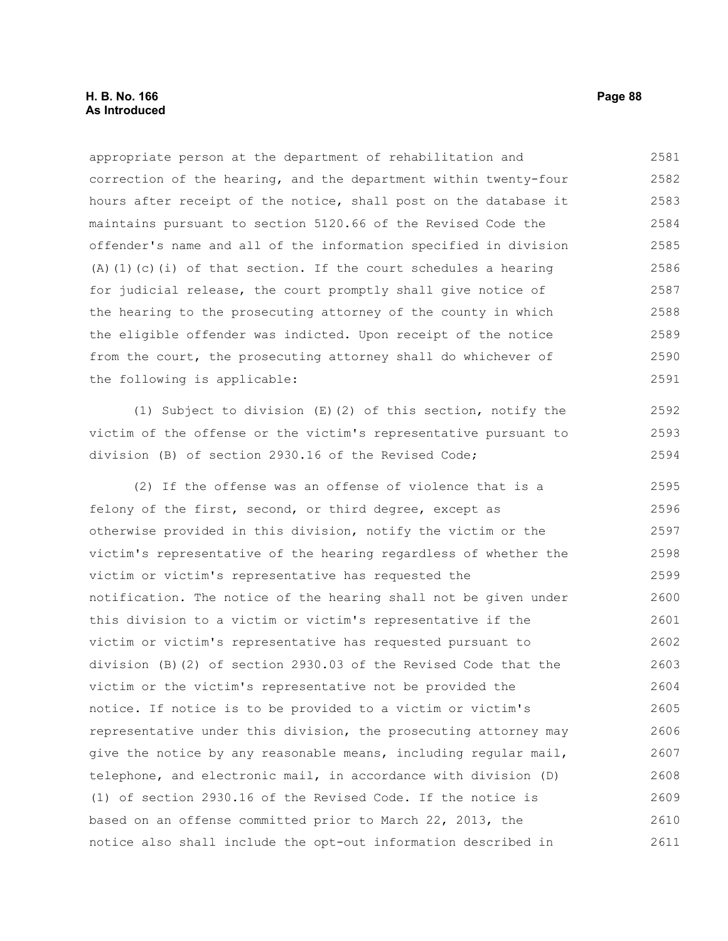# **H. B. No. 166 Page 88 As Introduced**

appropriate person at the department of rehabilitation and correction of the hearing, and the department within twenty-four hours after receipt of the notice, shall post on the database it maintains pursuant to section 5120.66 of the Revised Code the offender's name and all of the information specified in division (A)(1)(c)(i) of that section. If the court schedules a hearing for judicial release, the court promptly shall give notice of the hearing to the prosecuting attorney of the county in which the eligible offender was indicted. Upon receipt of the notice from the court, the prosecuting attorney shall do whichever of the following is applicable: 2581 2582 2583 2584 2585 2586 2587 2588 2589 2590 2591

(1) Subject to division (E)(2) of this section, notify the victim of the offense or the victim's representative pursuant to division (B) of section 2930.16 of the Revised Code;

(2) If the offense was an offense of violence that is a felony of the first, second, or third degree, except as otherwise provided in this division, notify the victim or the victim's representative of the hearing regardless of whether the victim or victim's representative has requested the notification. The notice of the hearing shall not be given under this division to a victim or victim's representative if the victim or victim's representative has requested pursuant to division (B)(2) of section 2930.03 of the Revised Code that the victim or the victim's representative not be provided the notice. If notice is to be provided to a victim or victim's representative under this division, the prosecuting attorney may give the notice by any reasonable means, including regular mail, telephone, and electronic mail, in accordance with division (D) (1) of section 2930.16 of the Revised Code. If the notice is based on an offense committed prior to March 22, 2013, the notice also shall include the opt-out information described in 2595 2596 2597 2598 2599 2600 2601 2602 2603 2604 2605 2606 2607 2608 2609 2610 2611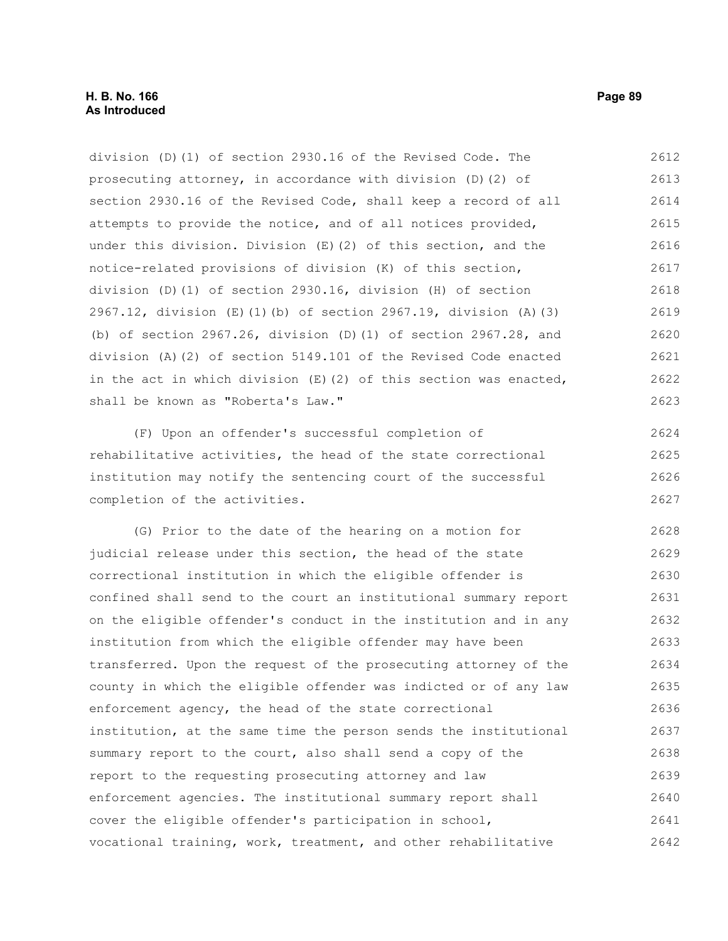division (D)(1) of section 2930.16 of the Revised Code. The prosecuting attorney, in accordance with division (D)(2) of section 2930.16 of the Revised Code, shall keep a record of all attempts to provide the notice, and of all notices provided, under this division. Division (E)(2) of this section, and the notice-related provisions of division (K) of this section, division (D)(1) of section 2930.16, division (H) of section 2967.12, division (E)(1)(b) of section 2967.19, division (A)(3) (b) of section 2967.26, division (D)(1) of section 2967.28, and division (A)(2) of section 5149.101 of the Revised Code enacted in the act in which division  $(E)(2)$  of this section was enacted, shall be known as "Roberta's Law." 2612 2613 2614 2615 2616 2617 2618 2619 2620 2621 2622 2623

(F) Upon an offender's successful completion of rehabilitative activities, the head of the state correctional institution may notify the sentencing court of the successful completion of the activities. 2624 2625 2626 2627

(G) Prior to the date of the hearing on a motion for judicial release under this section, the head of the state correctional institution in which the eligible offender is confined shall send to the court an institutional summary report on the eligible offender's conduct in the institution and in any institution from which the eligible offender may have been transferred. Upon the request of the prosecuting attorney of the county in which the eligible offender was indicted or of any law enforcement agency, the head of the state correctional institution, at the same time the person sends the institutional summary report to the court, also shall send a copy of the report to the requesting prosecuting attorney and law enforcement agencies. The institutional summary report shall cover the eligible offender's participation in school, vocational training, work, treatment, and other rehabilitative 2628 2629 2630 2631 2632 2633 2634 2635 2636 2637 2638 2639 2640 2641 2642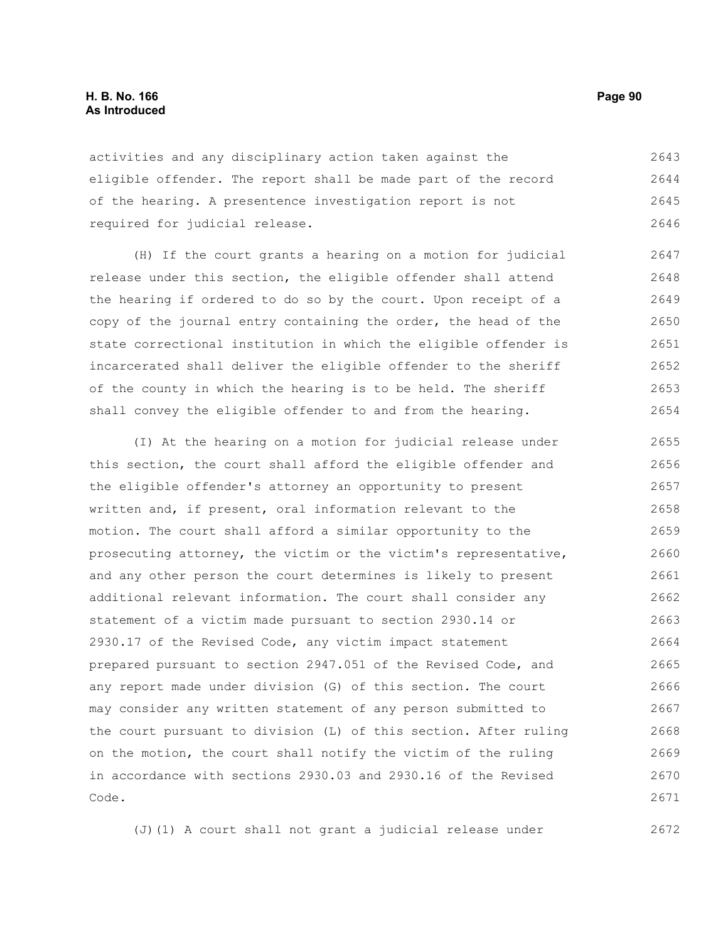# **H. B. No. 166 Page 90 As Introduced**

activities and any disciplinary action taken against the eligible offender. The report shall be made part of the record of the hearing. A presentence investigation report is not required for judicial release. 2643 2644 2645 2646

(H) If the court grants a hearing on a motion for judicial release under this section, the eligible offender shall attend the hearing if ordered to do so by the court. Upon receipt of a copy of the journal entry containing the order, the head of the state correctional institution in which the eligible offender is incarcerated shall deliver the eligible offender to the sheriff of the county in which the hearing is to be held. The sheriff shall convey the eligible offender to and from the hearing. 2647 2648 2649 2650 2651 2652 2653 2654

(I) At the hearing on a motion for judicial release under this section, the court shall afford the eligible offender and the eligible offender's attorney an opportunity to present written and, if present, oral information relevant to the motion. The court shall afford a similar opportunity to the prosecuting attorney, the victim or the victim's representative, and any other person the court determines is likely to present additional relevant information. The court shall consider any statement of a victim made pursuant to section 2930.14 or 2930.17 of the Revised Code, any victim impact statement prepared pursuant to section 2947.051 of the Revised Code, and any report made under division (G) of this section. The court may consider any written statement of any person submitted to the court pursuant to division (L) of this section. After ruling on the motion, the court shall notify the victim of the ruling in accordance with sections 2930.03 and 2930.16 of the Revised Code. 2655 2656 2657 2658 2659 2660 2661 2662 2663 2664 2665 2666 2667 2668 2669 2670 2671

(J)(1) A court shall not grant a judicial release under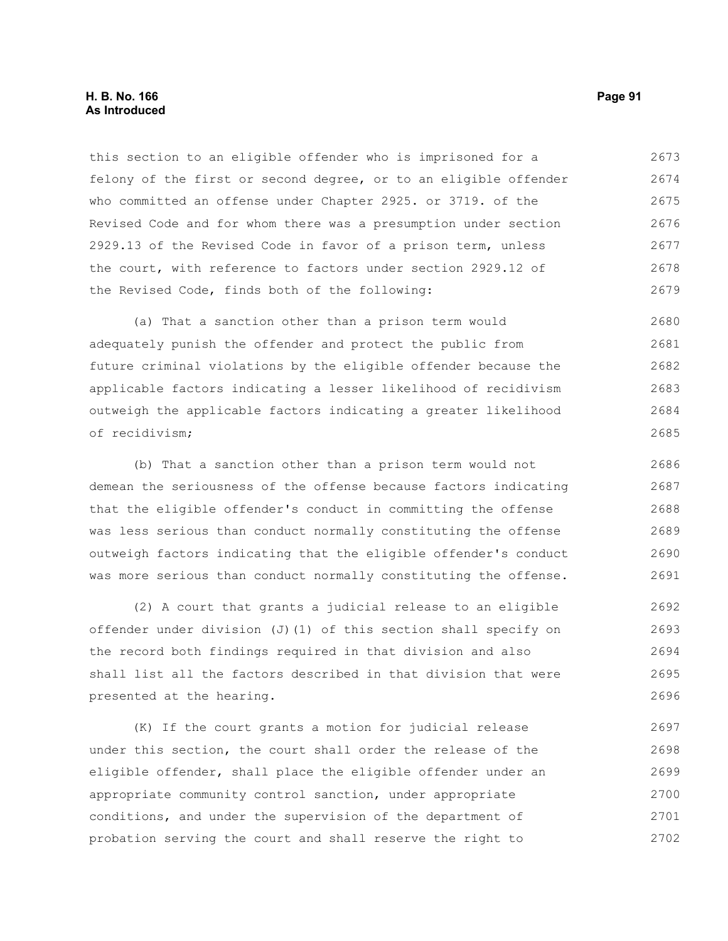#### **H. B. No. 166 Page 91 As Introduced**

this section to an eligible offender who is imprisoned for a felony of the first or second degree, or to an eligible offender who committed an offense under Chapter 2925. or 3719. of the Revised Code and for whom there was a presumption under section 2929.13 of the Revised Code in favor of a prison term, unless the court, with reference to factors under section 2929.12 of the Revised Code, finds both of the following: 2673 2674 2675 2676 2677 2678 2679

(a) That a sanction other than a prison term would adequately punish the offender and protect the public from future criminal violations by the eligible offender because the applicable factors indicating a lesser likelihood of recidivism outweigh the applicable factors indicating a greater likelihood of recidivism; 2680 2681 2682 2683 2684 2685

(b) That a sanction other than a prison term would not demean the seriousness of the offense because factors indicating that the eligible offender's conduct in committing the offense was less serious than conduct normally constituting the offense outweigh factors indicating that the eligible offender's conduct was more serious than conduct normally constituting the offense. 2686 2687 2688 2689 2690 2691

(2) A court that grants a judicial release to an eligible offender under division (J)(1) of this section shall specify on the record both findings required in that division and also shall list all the factors described in that division that were presented at the hearing. 2692 2693 2694 2695 2696

(K) If the court grants a motion for judicial release under this section, the court shall order the release of the eligible offender, shall place the eligible offender under an appropriate community control sanction, under appropriate conditions, and under the supervision of the department of probation serving the court and shall reserve the right to 2697 2698 2699 2700 2701 2702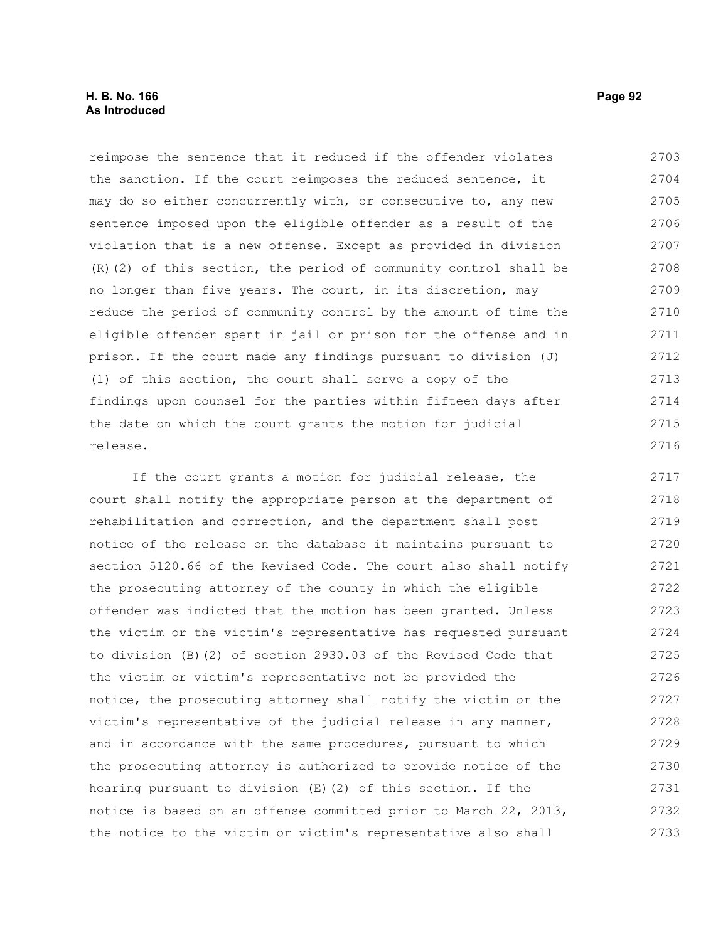reimpose the sentence that it reduced if the offender violates the sanction. If the court reimposes the reduced sentence, it may do so either concurrently with, or consecutive to, any new sentence imposed upon the eligible offender as a result of the violation that is a new offense. Except as provided in division (R)(2) of this section, the period of community control shall be no longer than five years. The court, in its discretion, may reduce the period of community control by the amount of time the eligible offender spent in jail or prison for the offense and in prison. If the court made any findings pursuant to division (J) (1) of this section, the court shall serve a copy of the findings upon counsel for the parties within fifteen days after the date on which the court grants the motion for judicial release. 2703 2704 2705 2706 2707 2708 2709 2710 2711 2712 2713 2714 2715 2716

If the court grants a motion for judicial release, the court shall notify the appropriate person at the department of rehabilitation and correction, and the department shall post notice of the release on the database it maintains pursuant to section 5120.66 of the Revised Code. The court also shall notify the prosecuting attorney of the county in which the eligible offender was indicted that the motion has been granted. Unless the victim or the victim's representative has requested pursuant to division (B)(2) of section 2930.03 of the Revised Code that the victim or victim's representative not be provided the notice, the prosecuting attorney shall notify the victim or the victim's representative of the judicial release in any manner, and in accordance with the same procedures, pursuant to which the prosecuting attorney is authorized to provide notice of the hearing pursuant to division (E)(2) of this section. If the notice is based on an offense committed prior to March 22, 2013, the notice to the victim or victim's representative also shall 2717 2718 2719 2720 2721 2722 2723 2724 2725 2726 2727 2728 2729 2730 2731 2732 2733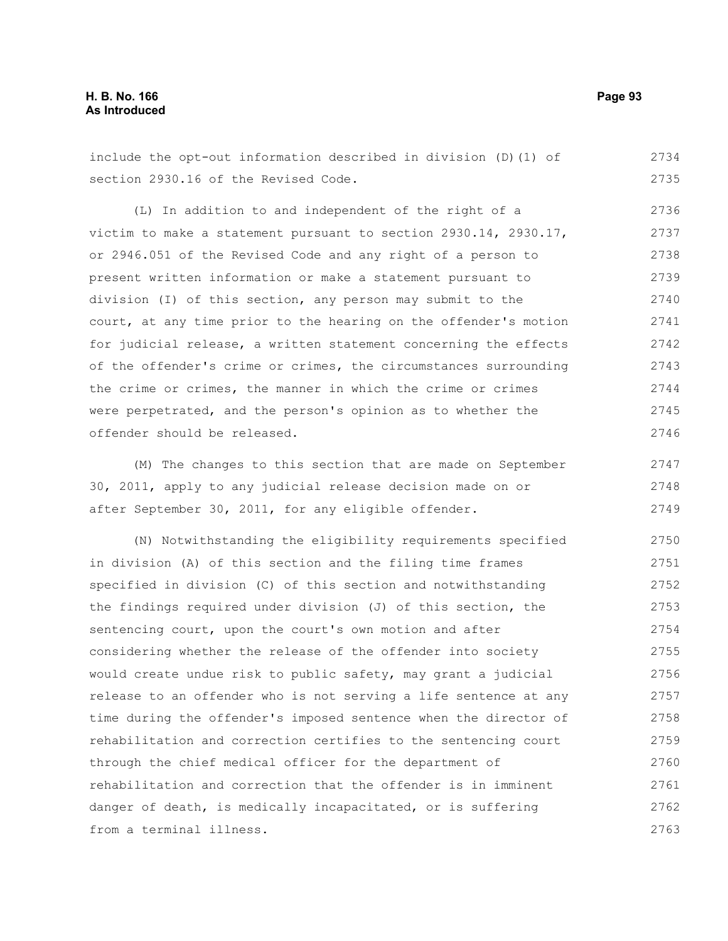include the opt-out information described in division (D)(1) of section 2930.16 of the Revised Code. 2734 2735

(L) In addition to and independent of the right of a victim to make a statement pursuant to section 2930.14, 2930.17, or 2946.051 of the Revised Code and any right of a person to present written information or make a statement pursuant to division (I) of this section, any person may submit to the court, at any time prior to the hearing on the offender's motion for judicial release, a written statement concerning the effects of the offender's crime or crimes, the circumstances surrounding the crime or crimes, the manner in which the crime or crimes were perpetrated, and the person's opinion as to whether the offender should be released. 2736 2737 2738 2739 2740 2741 2742 2743 2744 2745 2746

(M) The changes to this section that are made on September 30, 2011, apply to any judicial release decision made on or after September 30, 2011, for any eligible offender. 2747 2748 2749

(N) Notwithstanding the eligibility requirements specified in division (A) of this section and the filing time frames specified in division (C) of this section and notwithstanding the findings required under division (J) of this section, the sentencing court, upon the court's own motion and after considering whether the release of the offender into society would create undue risk to public safety, may grant a judicial release to an offender who is not serving a life sentence at any time during the offender's imposed sentence when the director of rehabilitation and correction certifies to the sentencing court through the chief medical officer for the department of rehabilitation and correction that the offender is in imminent danger of death, is medically incapacitated, or is suffering from a terminal illness. 2750 2751 2752 2753 2754 2755 2756 2757 2758 2759 2760 2761 2762 2763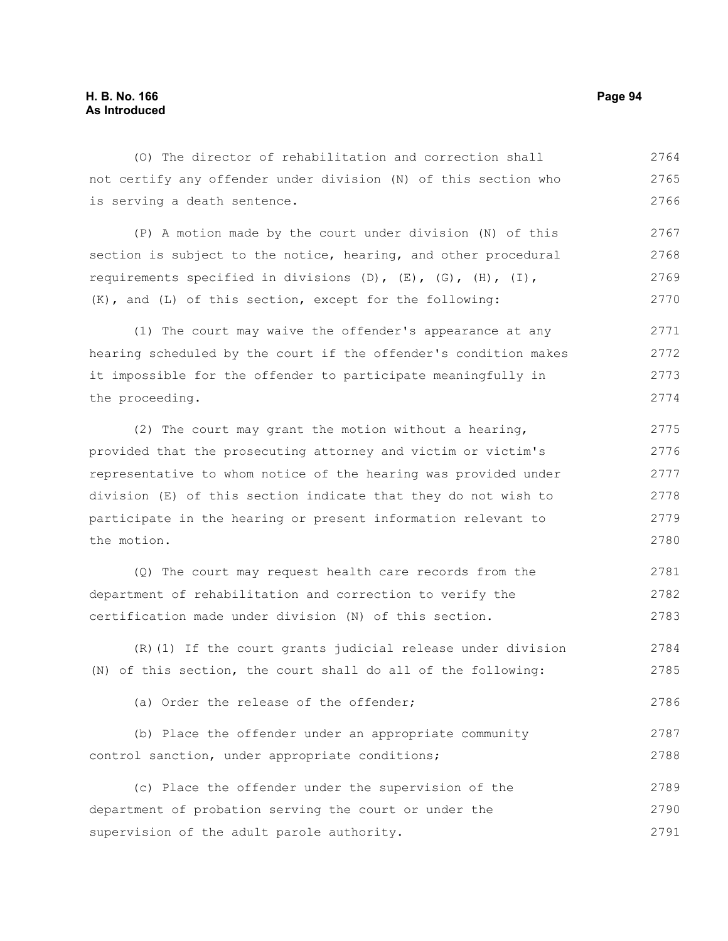(O) The director of rehabilitation and correction shall not certify any offender under division (N) of this section who is serving a death sentence. 2764 2765 2766

(P) A motion made by the court under division (N) of this section is subject to the notice, hearing, and other procedural requirements specified in divisions  $(D)$ ,  $(E)$ ,  $(G)$ ,  $(H)$ ,  $(I)$ , (K), and (L) of this section, except for the following: 2767 2768 2769 2770

(1) The court may waive the offender's appearance at any hearing scheduled by the court if the offender's condition makes it impossible for the offender to participate meaningfully in the proceeding. 2771 2772 2773 2774

(2) The court may grant the motion without a hearing, provided that the prosecuting attorney and victim or victim's representative to whom notice of the hearing was provided under division (E) of this section indicate that they do not wish to participate in the hearing or present information relevant to the motion. 2775 2776 2777 2778 2779 2780

(Q) The court may request health care records from the department of rehabilitation and correction to verify the certification made under division (N) of this section. 2781 2782 2783

(R)(1) If the court grants judicial release under division (N) of this section, the court shall do all of the following: 2784 2785

(a) Order the release of the offender;

(b) Place the offender under an appropriate community control sanction, under appropriate conditions; 2787 2788

(c) Place the offender under the supervision of the department of probation serving the court or under the supervision of the adult parole authority. 2789 2790 2791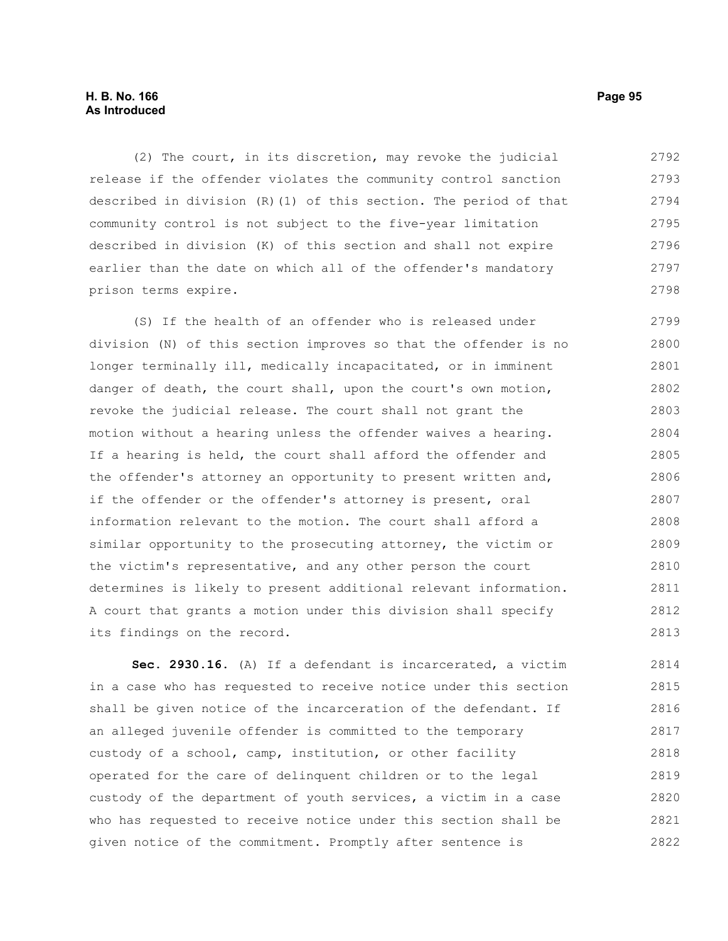# **H. B. No. 166 Page 95 As Introduced**

(2) The court, in its discretion, may revoke the judicial release if the offender violates the community control sanction described in division (R)(1) of this section. The period of that community control is not subject to the five-year limitation described in division (K) of this section and shall not expire earlier than the date on which all of the offender's mandatory prison terms expire. 2792 2793 2794 2795 2796 2797 2798

(S) If the health of an offender who is released under division (N) of this section improves so that the offender is no longer terminally ill, medically incapacitated, or in imminent danger of death, the court shall, upon the court's own motion, revoke the judicial release. The court shall not grant the motion without a hearing unless the offender waives a hearing. If a hearing is held, the court shall afford the offender and the offender's attorney an opportunity to present written and, if the offender or the offender's attorney is present, oral information relevant to the motion. The court shall afford a similar opportunity to the prosecuting attorney, the victim or the victim's representative, and any other person the court determines is likely to present additional relevant information. A court that grants a motion under this division shall specify its findings on the record. 2799 2800 2801 2802 2803 2804 2805 2806 2807 2808 2809 2810 2811 2812 2813

**Sec. 2930.16.** (A) If a defendant is incarcerated, a victim in a case who has requested to receive notice under this section shall be given notice of the incarceration of the defendant. If an alleged juvenile offender is committed to the temporary custody of a school, camp, institution, or other facility operated for the care of delinquent children or to the legal custody of the department of youth services, a victim in a case who has requested to receive notice under this section shall be given notice of the commitment. Promptly after sentence is 2814 2815 2816 2817 2818 2819 2820 2821 2822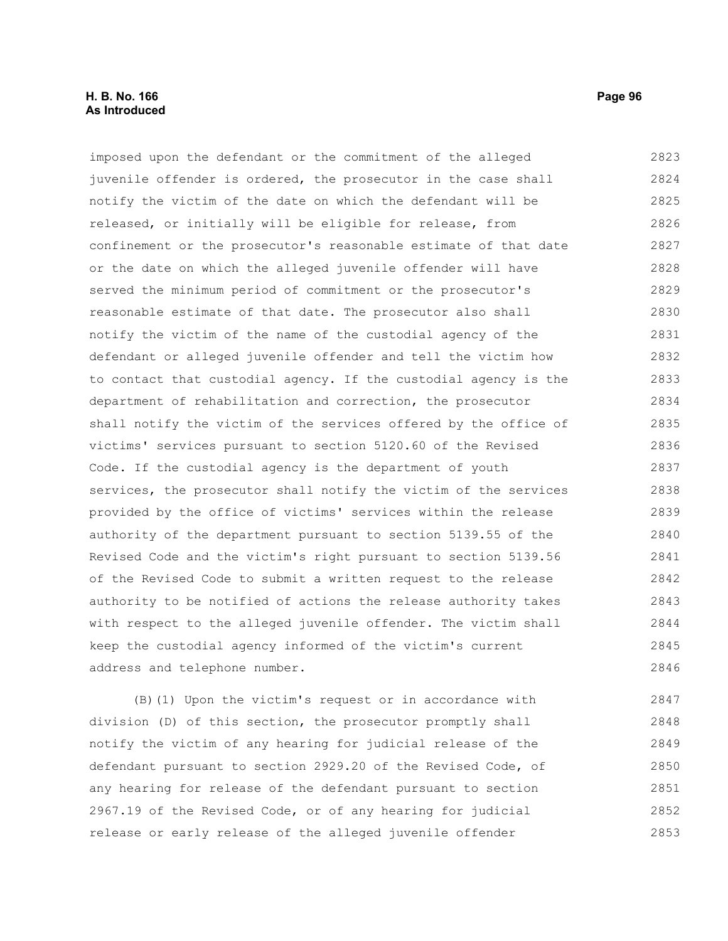# **H. B. No. 166 Page 96 As Introduced**

imposed upon the defendant or the commitment of the alleged juvenile offender is ordered, the prosecutor in the case shall notify the victim of the date on which the defendant will be released, or initially will be eligible for release, from confinement or the prosecutor's reasonable estimate of that date or the date on which the alleged juvenile offender will have served the minimum period of commitment or the prosecutor's reasonable estimate of that date. The prosecutor also shall notify the victim of the name of the custodial agency of the defendant or alleged juvenile offender and tell the victim how to contact that custodial agency. If the custodial agency is the department of rehabilitation and correction, the prosecutor shall notify the victim of the services offered by the office of victims' services pursuant to section 5120.60 of the Revised Code. If the custodial agency is the department of youth services, the prosecutor shall notify the victim of the services provided by the office of victims' services within the release authority of the department pursuant to section 5139.55 of the Revised Code and the victim's right pursuant to section 5139.56 of the Revised Code to submit a written request to the release authority to be notified of actions the release authority takes with respect to the alleged juvenile offender. The victim shall keep the custodial agency informed of the victim's current address and telephone number. 2823 2824 2825 2826 2827 2828 2829 2830 2831 2832 2833 2834 2835 2836 2837 2838 2839 2840 2841 2842 2843 2844 2845 2846

(B)(1) Upon the victim's request or in accordance with division (D) of this section, the prosecutor promptly shall notify the victim of any hearing for judicial release of the defendant pursuant to section 2929.20 of the Revised Code, of any hearing for release of the defendant pursuant to section 2967.19 of the Revised Code, or of any hearing for judicial release or early release of the alleged juvenile offender 2847 2848 2849 2850 2851 2852 2853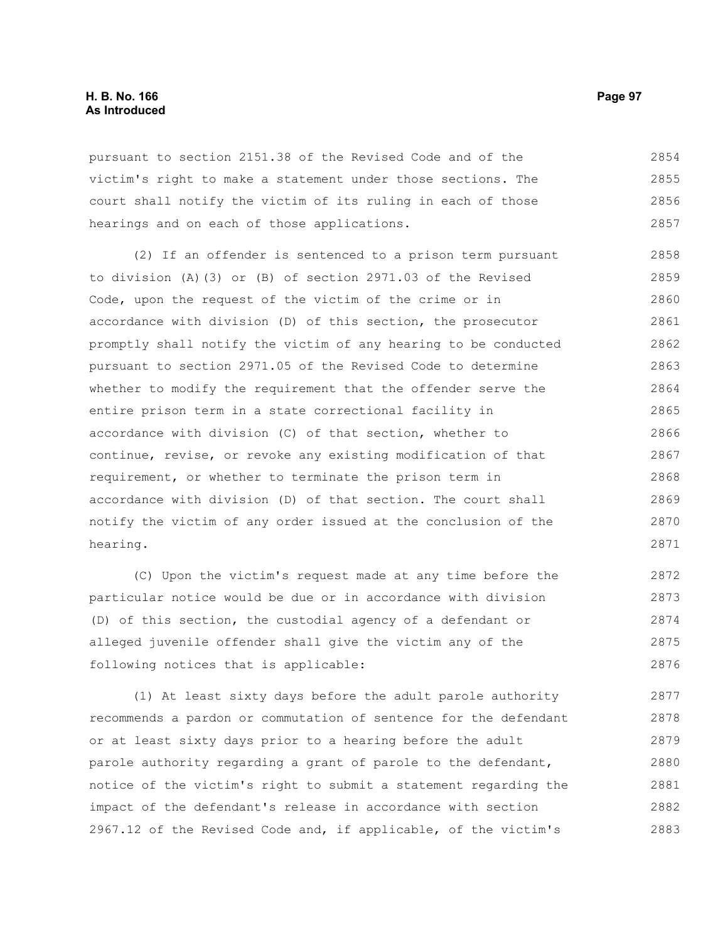# **H. B. No. 166 Page 97 As Introduced**

pursuant to section 2151.38 of the Revised Code and of the victim's right to make a statement under those sections. The court shall notify the victim of its ruling in each of those hearings and on each of those applications. 2854 2855 2856 2857

(2) If an offender is sentenced to a prison term pursuant to division (A)(3) or (B) of section 2971.03 of the Revised Code, upon the request of the victim of the crime or in accordance with division (D) of this section, the prosecutor promptly shall notify the victim of any hearing to be conducted pursuant to section 2971.05 of the Revised Code to determine whether to modify the requirement that the offender serve the entire prison term in a state correctional facility in accordance with division (C) of that section, whether to continue, revise, or revoke any existing modification of that requirement, or whether to terminate the prison term in accordance with division (D) of that section. The court shall notify the victim of any order issued at the conclusion of the hearing. 2858 2859 2860 2861 2862 2863 2864 2865 2866 2867 2868 2869 2870 2871

(C) Upon the victim's request made at any time before the particular notice would be due or in accordance with division (D) of this section, the custodial agency of a defendant or alleged juvenile offender shall give the victim any of the following notices that is applicable: 2872 2873 2874 2875 2876

(1) At least sixty days before the adult parole authority recommends a pardon or commutation of sentence for the defendant or at least sixty days prior to a hearing before the adult parole authority regarding a grant of parole to the defendant, notice of the victim's right to submit a statement regarding the impact of the defendant's release in accordance with section 2967.12 of the Revised Code and, if applicable, of the victim's 2877 2878 2879 2880 2881 2882 2883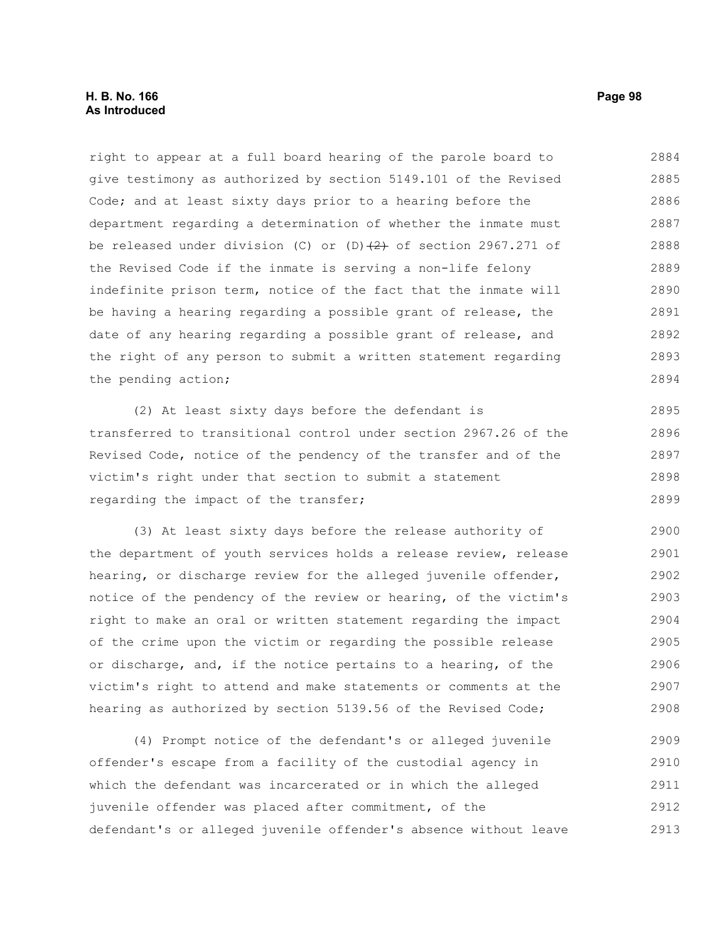# **H. B. No. 166 Page 98 As Introduced**

right to appear at a full board hearing of the parole board to give testimony as authorized by section 5149.101 of the Revised Code; and at least sixty days prior to a hearing before the department regarding a determination of whether the inmate must be released under division (C) or (D) $(2)$  of section 2967.271 of the Revised Code if the inmate is serving a non-life felony indefinite prison term, notice of the fact that the inmate will be having a hearing regarding a possible grant of release, the date of any hearing regarding a possible grant of release, and the right of any person to submit a written statement regarding the pending action; 2884 2885 2886 2887 2888 2889 2890 2891 2892 2893 2894

(2) At least sixty days before the defendant is transferred to transitional control under section 2967.26 of the Revised Code, notice of the pendency of the transfer and of the victim's right under that section to submit a statement regarding the impact of the transfer; 2895 2896 2897 2898 2899

(3) At least sixty days before the release authority of the department of youth services holds a release review, release hearing, or discharge review for the alleged juvenile offender, notice of the pendency of the review or hearing, of the victim's right to make an oral or written statement regarding the impact of the crime upon the victim or regarding the possible release or discharge, and, if the notice pertains to a hearing, of the victim's right to attend and make statements or comments at the hearing as authorized by section 5139.56 of the Revised Code; 2900 2901 2902 2903 2904 2905 2906 2907 2908

(4) Prompt notice of the defendant's or alleged juvenile offender's escape from a facility of the custodial agency in which the defendant was incarcerated or in which the alleged juvenile offender was placed after commitment, of the defendant's or alleged juvenile offender's absence without leave 2909 2910 2911 2912 2913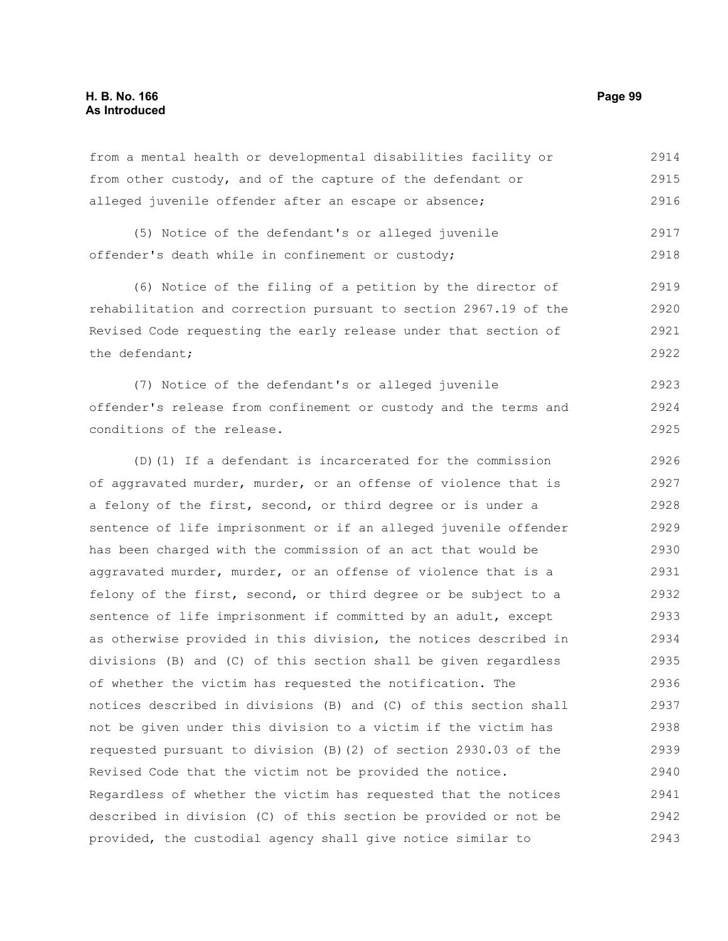from a mental health or developmental disabilities facility or from other custody, and of the capture of the defendant or alleged juvenile offender after an escape or absence; 2914 2915 2916

(5) Notice of the defendant's or alleged juvenile offender's death while in confinement or custody; 2917 2918

(6) Notice of the filing of a petition by the director of rehabilitation and correction pursuant to section 2967.19 of the Revised Code requesting the early release under that section of the defendant; 2919 2920 2921 2922

(7) Notice of the defendant's or alleged juvenile offender's release from confinement or custody and the terms and conditions of the release. 2923 2924 2925

(D)(1) If a defendant is incarcerated for the commission of aggravated murder, murder, or an offense of violence that is a felony of the first, second, or third degree or is under a sentence of life imprisonment or if an alleged juvenile offender has been charged with the commission of an act that would be aggravated murder, murder, or an offense of violence that is a felony of the first, second, or third degree or be subject to a sentence of life imprisonment if committed by an adult, except as otherwise provided in this division, the notices described in divisions (B) and (C) of this section shall be given regardless of whether the victim has requested the notification. The notices described in divisions (B) and (C) of this section shall not be given under this division to a victim if the victim has requested pursuant to division (B)(2) of section 2930.03 of the Revised Code that the victim not be provided the notice. Regardless of whether the victim has requested that the notices described in division (C) of this section be provided or not be provided, the custodial agency shall give notice similar to 2926 2927 2928 2929 2930 2931 2932 2933 2934 2935 2936 2937 2938 2939 2940 2941 2942 2943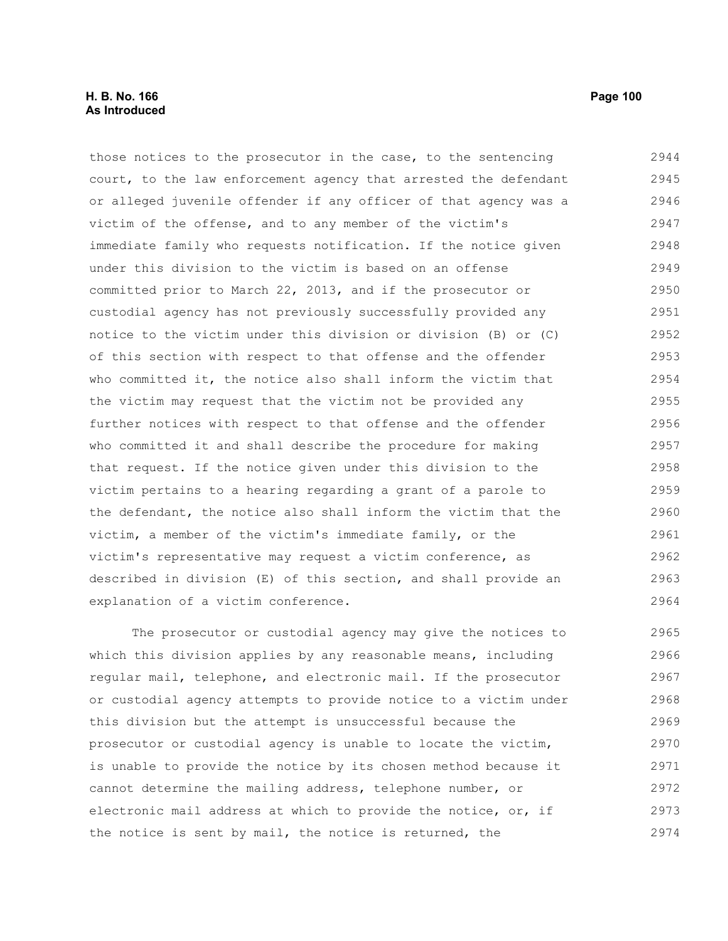# **H. B. No. 166 Page 100 As Introduced**

those notices to the prosecutor in the case, to the sentencing court, to the law enforcement agency that arrested the defendant or alleged juvenile offender if any officer of that agency was a victim of the offense, and to any member of the victim's immediate family who requests notification. If the notice given under this division to the victim is based on an offense committed prior to March 22, 2013, and if the prosecutor or custodial agency has not previously successfully provided any notice to the victim under this division or division (B) or (C) of this section with respect to that offense and the offender who committed it, the notice also shall inform the victim that the victim may request that the victim not be provided any further notices with respect to that offense and the offender who committed it and shall describe the procedure for making that request. If the notice given under this division to the victim pertains to a hearing regarding a grant of a parole to the defendant, the notice also shall inform the victim that the victim, a member of the victim's immediate family, or the victim's representative may request a victim conference, as described in division (E) of this section, and shall provide an explanation of a victim conference. 2944 2945 2946 2947 2948 2949 2950 2951 2952 2953 2954 2955 2956 2957 2958 2959 2960 2961 2962 2963 2964

The prosecutor or custodial agency may give the notices to which this division applies by any reasonable means, including regular mail, telephone, and electronic mail. If the prosecutor or custodial agency attempts to provide notice to a victim under this division but the attempt is unsuccessful because the prosecutor or custodial agency is unable to locate the victim, is unable to provide the notice by its chosen method because it cannot determine the mailing address, telephone number, or electronic mail address at which to provide the notice, or, if the notice is sent by mail, the notice is returned, the 2965 2966 2967 2968 2969 2970 2971 2972 2973 2974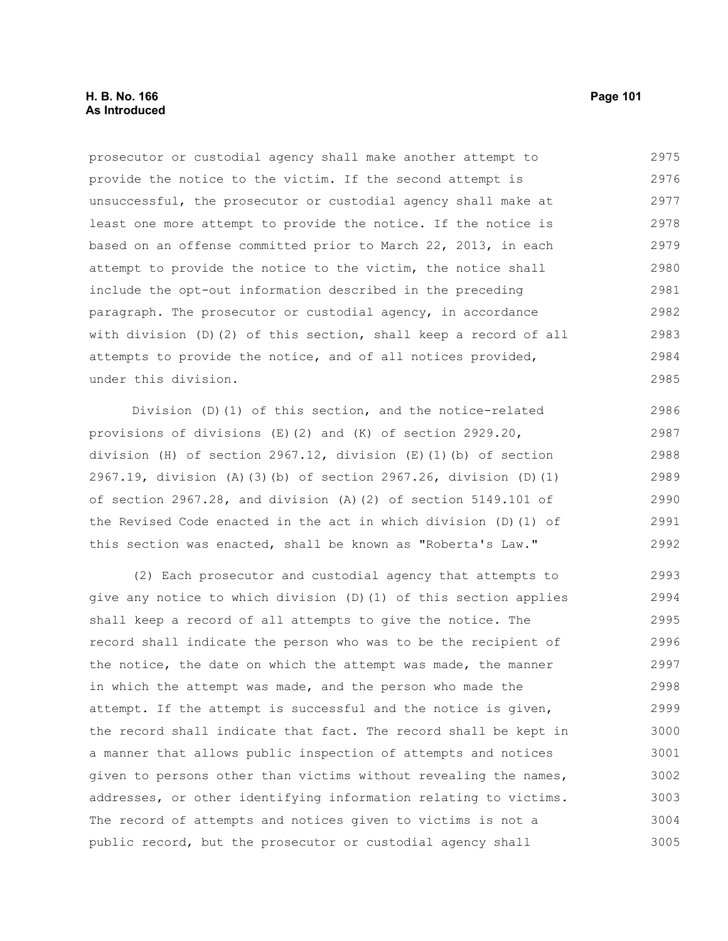# **H. B. No. 166 Page 101 As Introduced**

prosecutor or custodial agency shall make another attempt to provide the notice to the victim. If the second attempt is unsuccessful, the prosecutor or custodial agency shall make at least one more attempt to provide the notice. If the notice is based on an offense committed prior to March 22, 2013, in each attempt to provide the notice to the victim, the notice shall include the opt-out information described in the preceding paragraph. The prosecutor or custodial agency, in accordance with division (D)(2) of this section, shall keep a record of all attempts to provide the notice, and of all notices provided, under this division. 2975 2976 2977 2978 2979 2980 2981 2982 2983 2984 2985

Division (D)(1) of this section, and the notice-related provisions of divisions (E)(2) and (K) of section 2929.20, division (H) of section 2967.12, division (E)(1)(b) of section 2967.19, division (A)(3)(b) of section 2967.26, division (D)(1) of section 2967.28, and division (A)(2) of section 5149.101 of the Revised Code enacted in the act in which division (D)(1) of this section was enacted, shall be known as "Roberta's Law." 2986 2987 2988 2989 2990 2991 2992

(2) Each prosecutor and custodial agency that attempts to give any notice to which division (D)(1) of this section applies shall keep a record of all attempts to give the notice. The record shall indicate the person who was to be the recipient of the notice, the date on which the attempt was made, the manner in which the attempt was made, and the person who made the attempt. If the attempt is successful and the notice is given, the record shall indicate that fact. The record shall be kept in a manner that allows public inspection of attempts and notices given to persons other than victims without revealing the names, addresses, or other identifying information relating to victims. The record of attempts and notices given to victims is not a public record, but the prosecutor or custodial agency shall 2993 2994 2995 2996 2997 2998 2999 3000 3001 3002 3003 3004 3005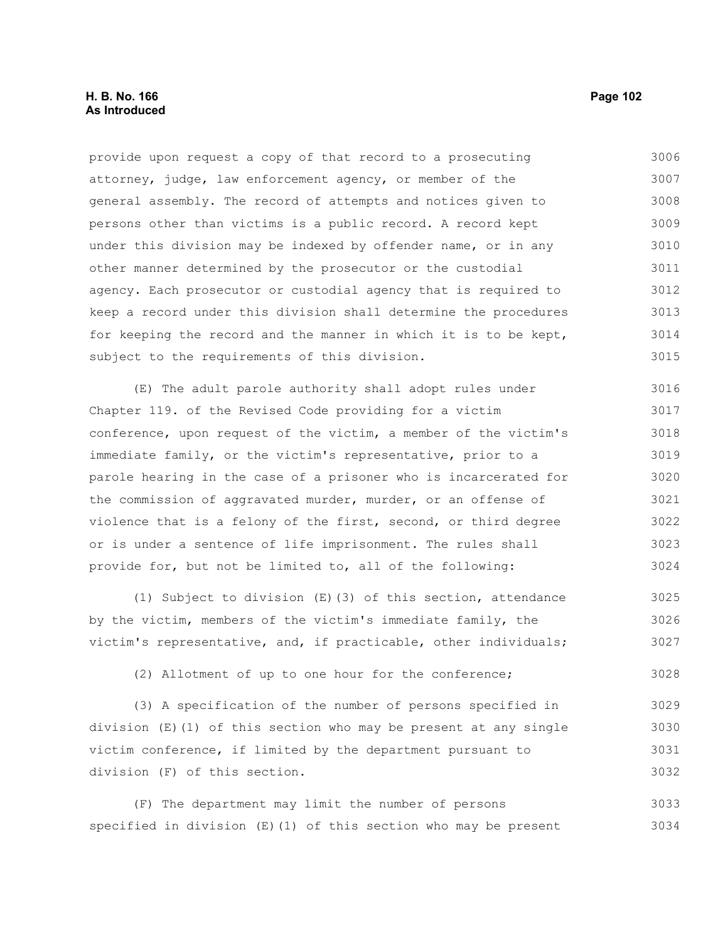# **H. B. No. 166 Page 102 As Introduced**

provide upon request a copy of that record to a prosecuting attorney, judge, law enforcement agency, or member of the general assembly. The record of attempts and notices given to persons other than victims is a public record. A record kept under this division may be indexed by offender name, or in any other manner determined by the prosecutor or the custodial agency. Each prosecutor or custodial agency that is required to keep a record under this division shall determine the procedures for keeping the record and the manner in which it is to be kept, subject to the requirements of this division. 3006 3007 3008 3009 3010 3011 3012 3013 3014 3015

(E) The adult parole authority shall adopt rules under Chapter 119. of the Revised Code providing for a victim conference, upon request of the victim, a member of the victim's immediate family, or the victim's representative, prior to a parole hearing in the case of a prisoner who is incarcerated for the commission of aggravated murder, murder, or an offense of violence that is a felony of the first, second, or third degree or is under a sentence of life imprisonment. The rules shall provide for, but not be limited to, all of the following: 3016 3017 3018 3019 3020 3021 3022 3023 3024

(1) Subject to division (E)(3) of this section, attendance by the victim, members of the victim's immediate family, the victim's representative, and, if practicable, other individuals; 3025 3026 3027

(2) Allotment of up to one hour for the conference;

(3) A specification of the number of persons specified in division (E)(1) of this section who may be present at any single victim conference, if limited by the department pursuant to division (F) of this section. 3029 3030 3031 3032

(F) The department may limit the number of persons specified in division (E)(1) of this section who may be present 3033 3034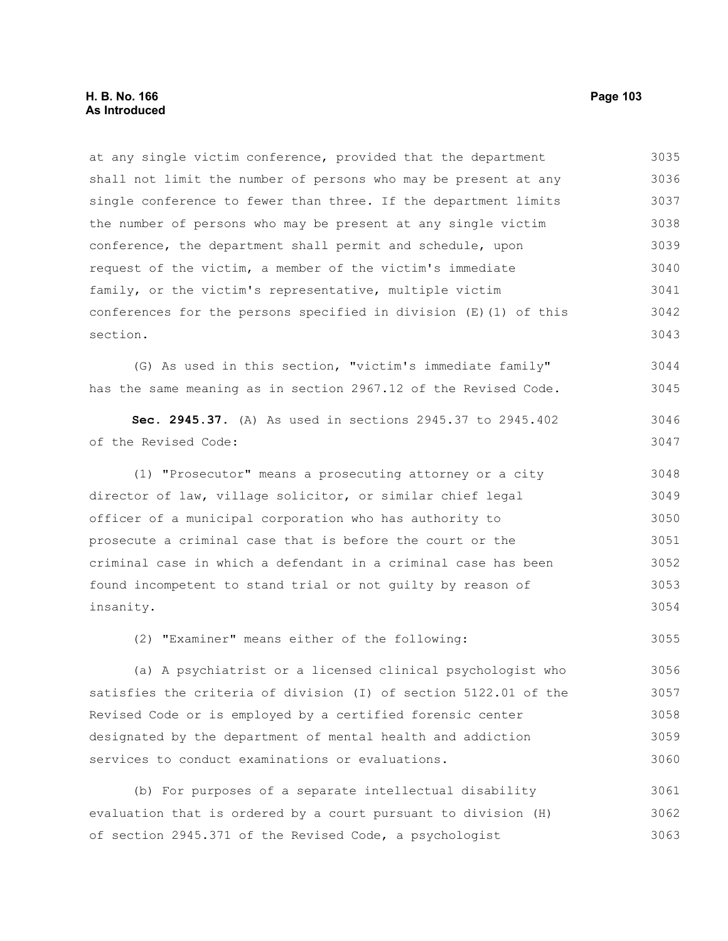#### **H. B. No. 166 Page 103 As Introduced**

at any single victim conference, provided that the department shall not limit the number of persons who may be present at any single conference to fewer than three. If the department limits the number of persons who may be present at any single victim conference, the department shall permit and schedule, upon request of the victim, a member of the victim's immediate family, or the victim's representative, multiple victim conferences for the persons specified in division (E)(1) of this section. (G) As used in this section, "victim's immediate family" has the same meaning as in section 2967.12 of the Revised Code. **Sec. 2945.37.** (A) As used in sections 2945.37 to 2945.402 of the Revised Code: (1) "Prosecutor" means a prosecuting attorney or a city director of law, village solicitor, or similar chief legal officer of a municipal corporation who has authority to prosecute a criminal case that is before the court or the criminal case in which a defendant in a criminal case has been found incompetent to stand trial or not guilty by reason of insanity. (2) "Examiner" means either of the following: (a) A psychiatrist or a licensed clinical psychologist who satisfies the criteria of division (I) of section 5122.01 of the Revised Code or is employed by a certified forensic center 3035 3036 3037 3038 3039 3040 3041 3042 3043 3044 3045 3046 3047 3048 3049 3050 3051 3052 3053 3054 3055 3056 3057 3058

designated by the department of mental health and addiction services to conduct examinations or evaluations.

(b) For purposes of a separate intellectual disability evaluation that is ordered by a court pursuant to division (H) of section 2945.371 of the Revised Code, a psychologist 3061 3062 3063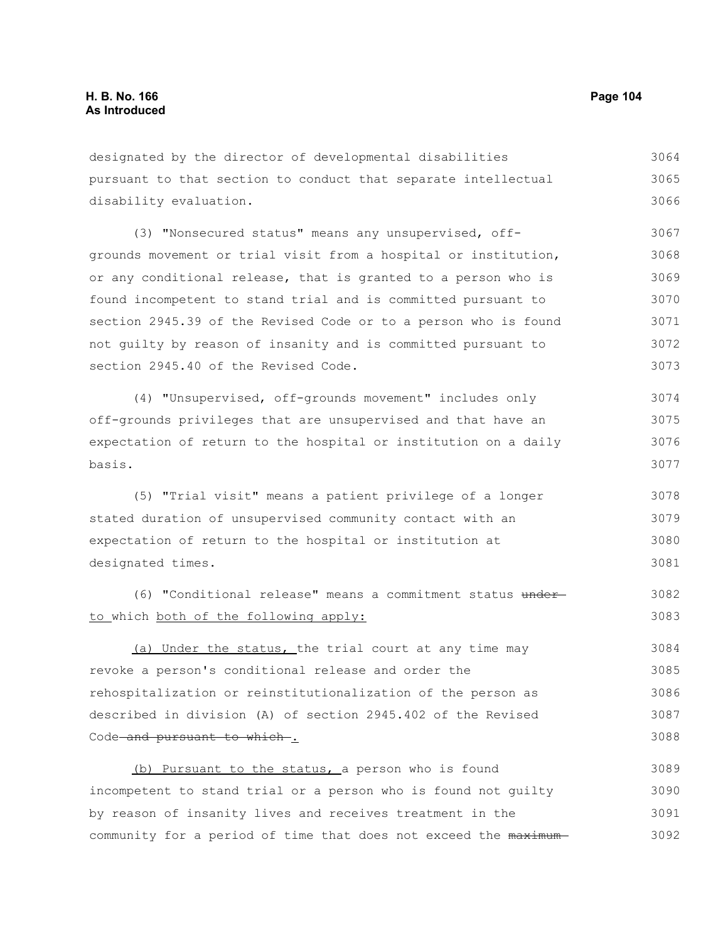#### designated by the director of developmental disabilities pursuant to that section to conduct that separate intellectual disability evaluation. (3) "Nonsecured status" means any unsupervised, offgrounds movement or trial visit from a hospital or institution, or any conditional release, that is granted to a person who is found incompetent to stand trial and is committed pursuant to section 2945.39 of the Revised Code or to a person who is found not guilty by reason of insanity and is committed pursuant to section 2945.40 of the Revised Code. (4) "Unsupervised, off-grounds movement" includes only off-grounds privileges that are unsupervised and that have an expectation of return to the hospital or institution on a daily basis. (5) "Trial visit" means a patient privilege of a longer stated duration of unsupervised community contact with an expectation of return to the hospital or institution at designated times. (6) "Conditional release" means a commitment status under to which both of the following apply: (a) Under the status, the trial court at any time may revoke a person's conditional release and order the rehospitalization or reinstitutionalization of the person as described in division (A) of section 2945.402 of the Revised Code and pursuant to which. (b) Pursuant to the status, a person who is found incompetent to stand trial or a person who is found not guilty by reason of insanity lives and receives treatment in the community for a period of time that does not exceed the maximum-3064 3065 3066 3067 3068 3069 3070 3071 3072 3073 3074 3075 3076 3077 3078 3079 3080 3081 3082 3083 3084 3085 3086 3087 3088 3089 3090 3091 3092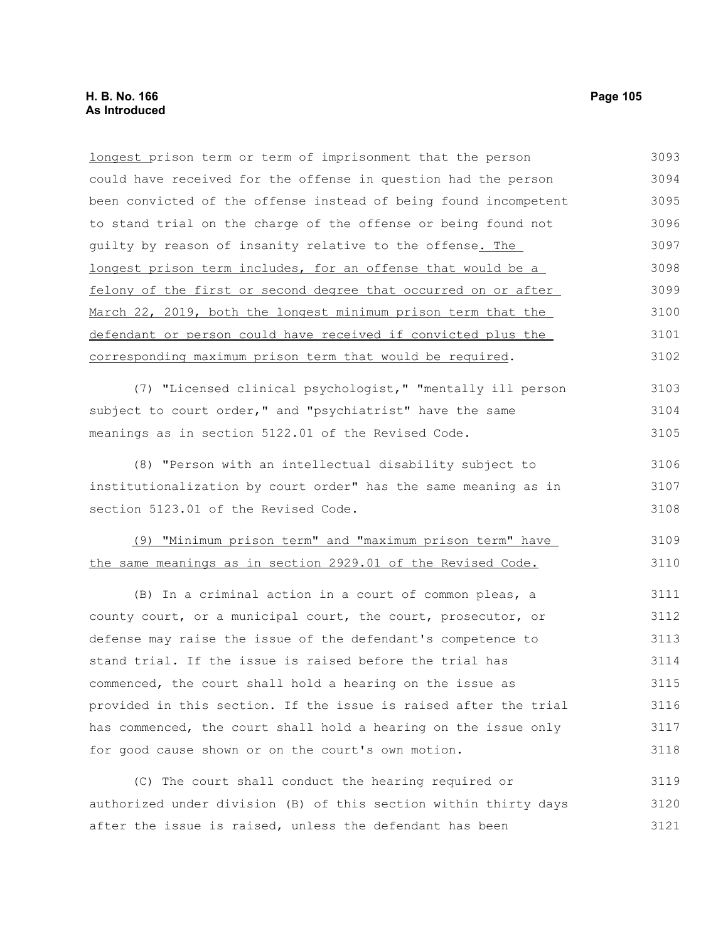longest prison term or term of imprisonment that the person could have received for the offense in question had the person been convicted of the offense instead of being found incompetent to stand trial on the charge of the offense or being found not guilty by reason of insanity relative to the offense. The longest prison term includes, for an offense that would be a felony of the first or second degree that occurred on or after March 22, 2019, both the longest minimum prison term that the defendant or person could have received if convicted plus the corresponding maximum prison term that would be required. (7) "Licensed clinical psychologist," "mentally ill person subject to court order," and "psychiatrist" have the same meanings as in section 5122.01 of the Revised Code. (8) "Person with an intellectual disability subject to institutionalization by court order" has the same meaning as in section 5123.01 of the Revised Code. (9) "Minimum prison term" and "maximum prison term" have the same meanings as in section 2929.01 of the Revised Code. 3093 3094 3095 3096 3097 3098 3099 3100 3101 3102 3103 3104 3105 3106 3107 3108 3109 3110

(B) In a criminal action in a court of common pleas, a county court, or a municipal court, the court, prosecutor, or defense may raise the issue of the defendant's competence to stand trial. If the issue is raised before the trial has commenced, the court shall hold a hearing on the issue as provided in this section. If the issue is raised after the trial has commenced, the court shall hold a hearing on the issue only for good cause shown or on the court's own motion. 3111 3112 3113 3114 3115 3116 3117 3118

(C) The court shall conduct the hearing required or authorized under division (B) of this section within thirty days after the issue is raised, unless the defendant has been 3119 3120 3121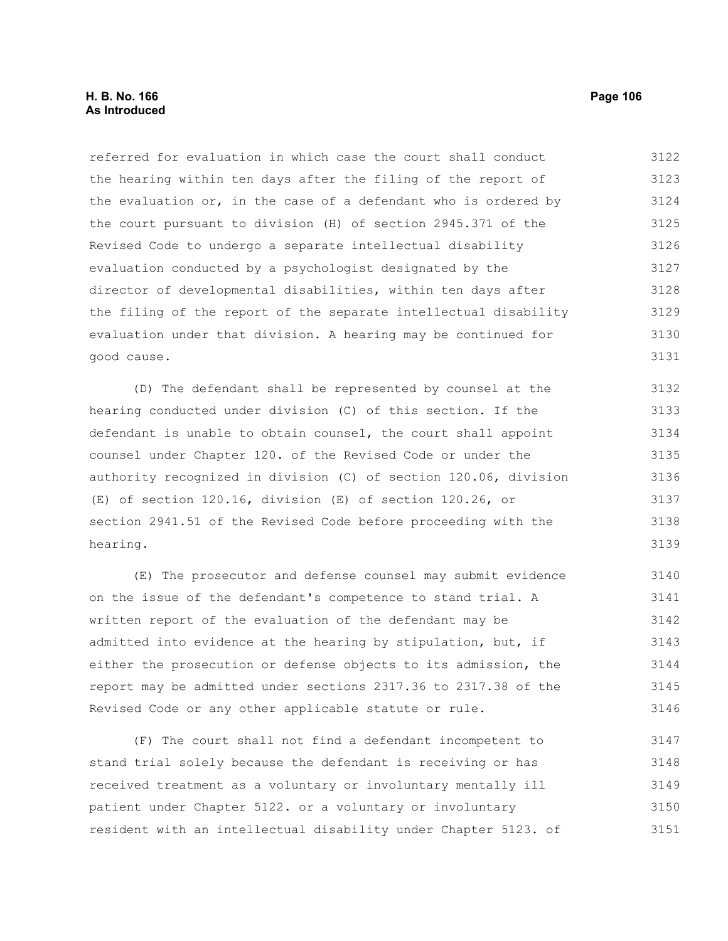referred for evaluation in which case the court shall conduct the hearing within ten days after the filing of the report of the evaluation or, in the case of a defendant who is ordered by the court pursuant to division (H) of section 2945.371 of the Revised Code to undergo a separate intellectual disability evaluation conducted by a psychologist designated by the director of developmental disabilities, within ten days after the filing of the report of the separate intellectual disability evaluation under that division. A hearing may be continued for good cause. 3122 3123 3124 3125 3126 3127 3128 3129 3130 3131

(D) The defendant shall be represented by counsel at the hearing conducted under division (C) of this section. If the defendant is unable to obtain counsel, the court shall appoint counsel under Chapter 120. of the Revised Code or under the authority recognized in division (C) of section 120.06, division (E) of section 120.16, division (E) of section 120.26, or section 2941.51 of the Revised Code before proceeding with the hearing. 3132 3133 3134 3135 3136 3137 3138 3139

(E) The prosecutor and defense counsel may submit evidence on the issue of the defendant's competence to stand trial. A written report of the evaluation of the defendant may be admitted into evidence at the hearing by stipulation, but, if either the prosecution or defense objects to its admission, the report may be admitted under sections 2317.36 to 2317.38 of the Revised Code or any other applicable statute or rule. 3140 3141 3142 3143 3144 3145 3146

(F) The court shall not find a defendant incompetent to stand trial solely because the defendant is receiving or has received treatment as a voluntary or involuntary mentally ill patient under Chapter 5122. or a voluntary or involuntary resident with an intellectual disability under Chapter 5123. of 3147 3148 3149 3150 3151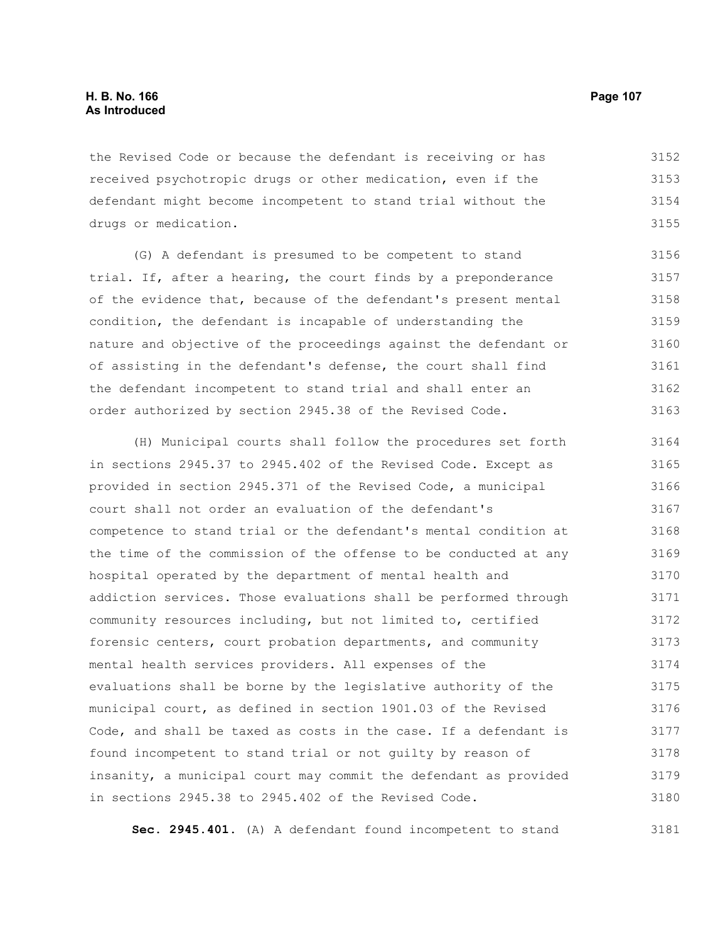the Revised Code or because the defendant is receiving or has received psychotropic drugs or other medication, even if the defendant might become incompetent to stand trial without the drugs or medication. 3152 3153 3154 3155

(G) A defendant is presumed to be competent to stand trial. If, after a hearing, the court finds by a preponderance of the evidence that, because of the defendant's present mental condition, the defendant is incapable of understanding the nature and objective of the proceedings against the defendant or of assisting in the defendant's defense, the court shall find the defendant incompetent to stand trial and shall enter an order authorized by section 2945.38 of the Revised Code. 3156 3157 3158 3159 3160 3161 3162 3163

(H) Municipal courts shall follow the procedures set forth in sections 2945.37 to 2945.402 of the Revised Code. Except as provided in section 2945.371 of the Revised Code, a municipal court shall not order an evaluation of the defendant's competence to stand trial or the defendant's mental condition at the time of the commission of the offense to be conducted at any hospital operated by the department of mental health and addiction services. Those evaluations shall be performed through community resources including, but not limited to, certified forensic centers, court probation departments, and community mental health services providers. All expenses of the evaluations shall be borne by the legislative authority of the municipal court, as defined in section 1901.03 of the Revised Code, and shall be taxed as costs in the case. If a defendant is found incompetent to stand trial or not guilty by reason of insanity, a municipal court may commit the defendant as provided in sections 2945.38 to 2945.402 of the Revised Code. 3164 3165 3166 3167 3168 3169 3170 3171 3172 3173 3174 3175 3176 3177 3178 3179 3180

**Sec. 2945.401.** (A) A defendant found incompetent to stand 3181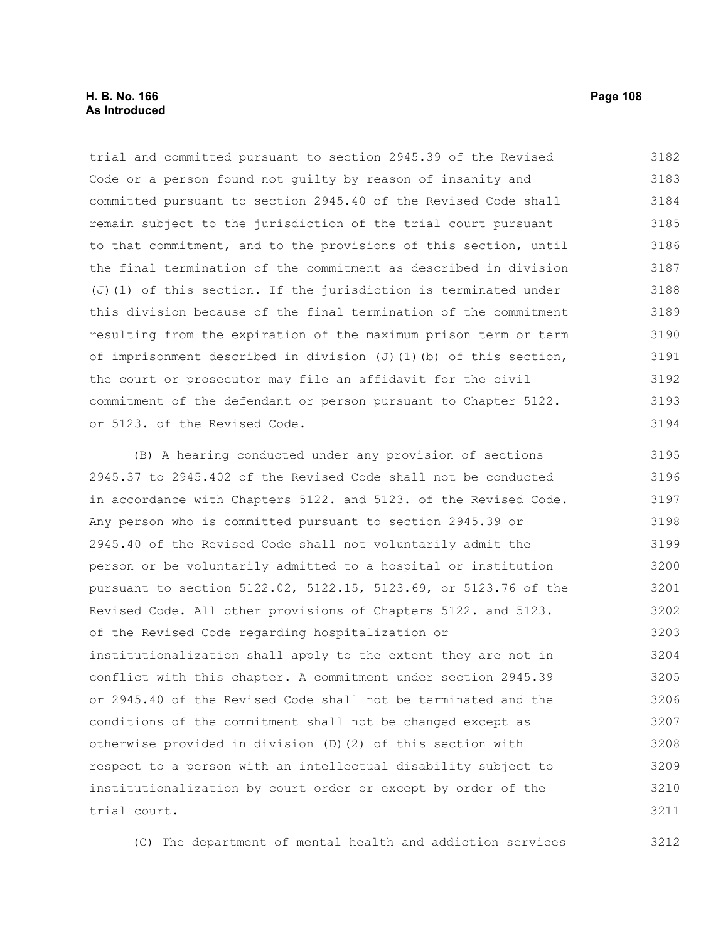# **H. B. No. 166 Page 108 As Introduced**

trial and committed pursuant to section 2945.39 of the Revised Code or a person found not guilty by reason of insanity and committed pursuant to section 2945.40 of the Revised Code shall remain subject to the jurisdiction of the trial court pursuant to that commitment, and to the provisions of this section, until the final termination of the commitment as described in division (J)(1) of this section. If the jurisdiction is terminated under this division because of the final termination of the commitment resulting from the expiration of the maximum prison term or term of imprisonment described in division  $(J)$  (1)(b) of this section, the court or prosecutor may file an affidavit for the civil commitment of the defendant or person pursuant to Chapter 5122. or 5123. of the Revised Code. 3182 3183 3184 3185 3186 3187 3188 3189 3190 3191 3192 3193 3194

(B) A hearing conducted under any provision of sections 2945.37 to 2945.402 of the Revised Code shall not be conducted in accordance with Chapters 5122. and 5123. of the Revised Code. Any person who is committed pursuant to section 2945.39 or 2945.40 of the Revised Code shall not voluntarily admit the person or be voluntarily admitted to a hospital or institution pursuant to section 5122.02, 5122.15, 5123.69, or 5123.76 of the Revised Code. All other provisions of Chapters 5122. and 5123. of the Revised Code regarding hospitalization or institutionalization shall apply to the extent they are not in conflict with this chapter. A commitment under section 2945.39 or 2945.40 of the Revised Code shall not be terminated and the conditions of the commitment shall not be changed except as otherwise provided in division (D)(2) of this section with respect to a person with an intellectual disability subject to institutionalization by court order or except by order of the trial court. 3195 3196 3197 3198 3199 3200 3201 3202 3203 3204 3205 3206 3207 3208 3209 3210 3211

(C) The department of mental health and addiction services 3212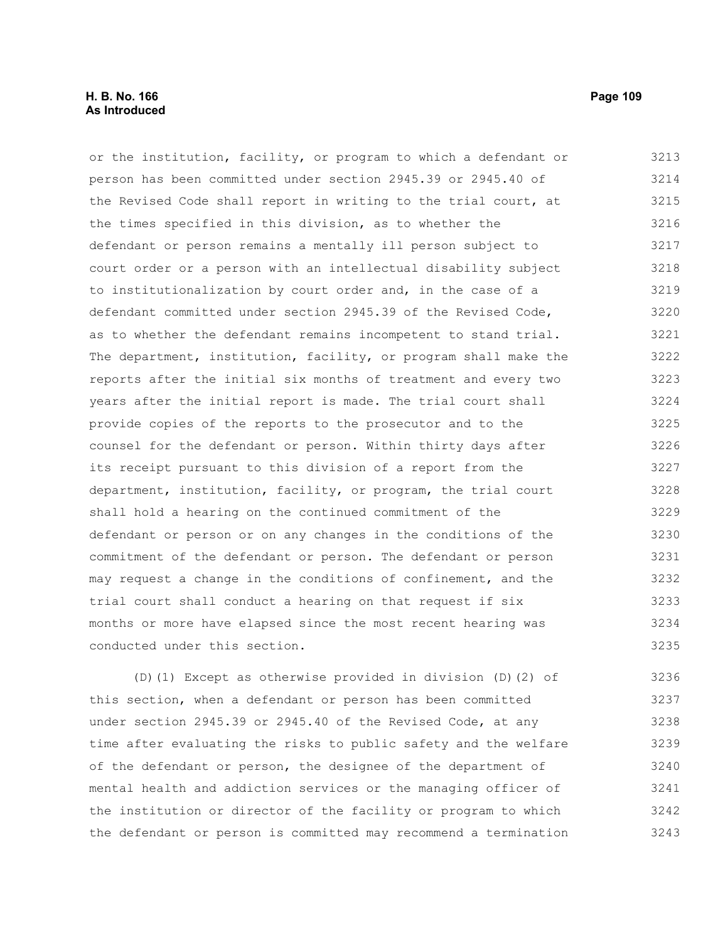## **H. B. No. 166 Page 109 As Introduced**

or the institution, facility, or program to which a defendant or person has been committed under section 2945.39 or 2945.40 of the Revised Code shall report in writing to the trial court, at the times specified in this division, as to whether the defendant or person remains a mentally ill person subject to court order or a person with an intellectual disability subject to institutionalization by court order and, in the case of a defendant committed under section 2945.39 of the Revised Code, as to whether the defendant remains incompetent to stand trial. The department, institution, facility, or program shall make the reports after the initial six months of treatment and every two years after the initial report is made. The trial court shall provide copies of the reports to the prosecutor and to the counsel for the defendant or person. Within thirty days after its receipt pursuant to this division of a report from the department, institution, facility, or program, the trial court shall hold a hearing on the continued commitment of the defendant or person or on any changes in the conditions of the commitment of the defendant or person. The defendant or person may request a change in the conditions of confinement, and the trial court shall conduct a hearing on that request if six months or more have elapsed since the most recent hearing was conducted under this section. 3213 3214 3215 3216 3217 3218 3219 3220 3221 3222 3223 3224 3225 3226 3227 3228 3229 3230 3231 3232 3233 3234 3235

(D)(1) Except as otherwise provided in division (D)(2) of this section, when a defendant or person has been committed under section 2945.39 or 2945.40 of the Revised Code, at any time after evaluating the risks to public safety and the welfare of the defendant or person, the designee of the department of mental health and addiction services or the managing officer of the institution or director of the facility or program to which the defendant or person is committed may recommend a termination 3236 3237 3238 3239 3240 3241 3242 3243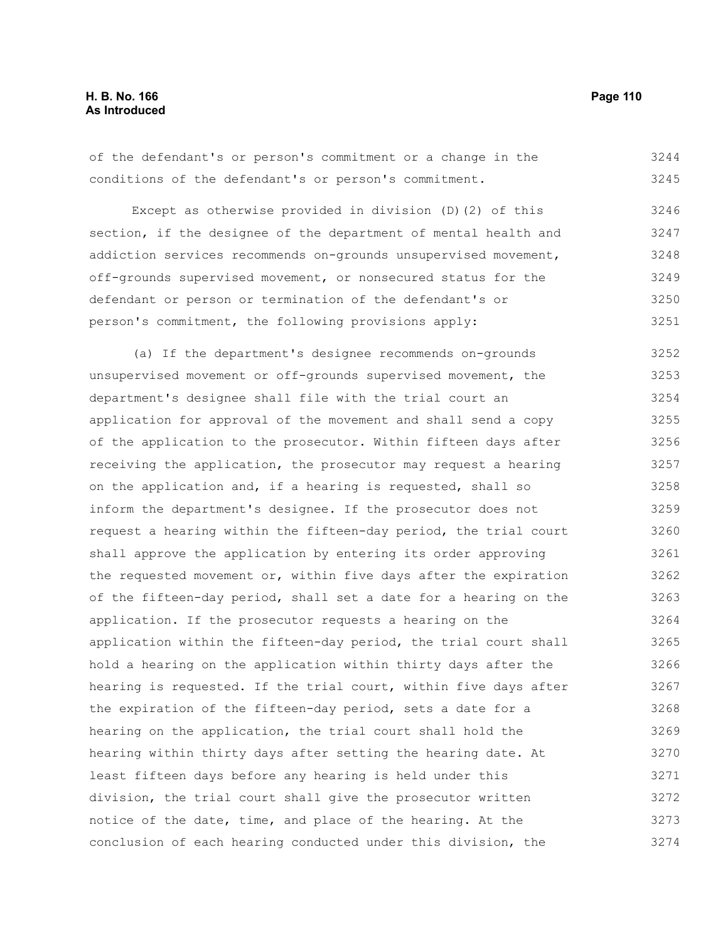of the defendant's or person's commitment or a change in the conditions of the defendant's or person's commitment. 3244 3245

Except as otherwise provided in division (D)(2) of this section, if the designee of the department of mental health and addiction services recommends on-grounds unsupervised movement, off-grounds supervised movement, or nonsecured status for the defendant or person or termination of the defendant's or person's commitment, the following provisions apply: 3246 3247 3248 3249 3250 3251

(a) If the department's designee recommends on-grounds unsupervised movement or off-grounds supervised movement, the department's designee shall file with the trial court an application for approval of the movement and shall send a copy of the application to the prosecutor. Within fifteen days after receiving the application, the prosecutor may request a hearing on the application and, if a hearing is requested, shall so inform the department's designee. If the prosecutor does not request a hearing within the fifteen-day period, the trial court shall approve the application by entering its order approving the requested movement or, within five days after the expiration of the fifteen-day period, shall set a date for a hearing on the application. If the prosecutor requests a hearing on the application within the fifteen-day period, the trial court shall hold a hearing on the application within thirty days after the hearing is requested. If the trial court, within five days after the expiration of the fifteen-day period, sets a date for a hearing on the application, the trial court shall hold the hearing within thirty days after setting the hearing date. At least fifteen days before any hearing is held under this division, the trial court shall give the prosecutor written notice of the date, time, and place of the hearing. At the conclusion of each hearing conducted under this division, the 3252 3253 3254 3255 3256 3257 3258 3259 3260 3261 3262 3263 3264 3265 3266 3267 3268 3269 3270 3271 3272 3273 3274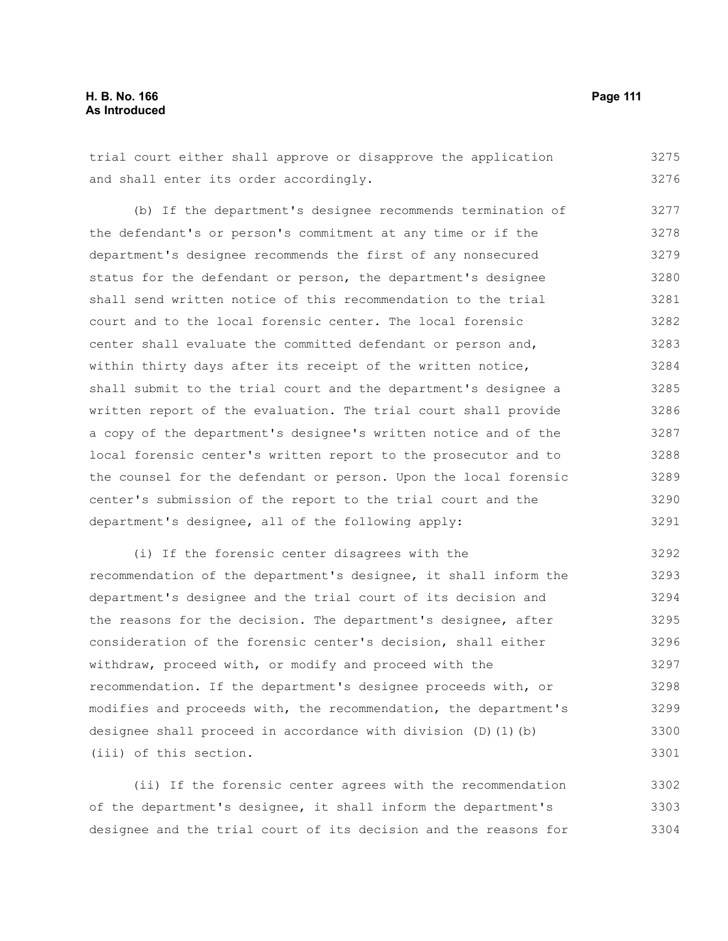trial court either shall approve or disapprove the application and shall enter its order accordingly. (b) If the department's designee recommends termination of the defendant's or person's commitment at any time or if the department's designee recommends the first of any nonsecured status for the defendant or person, the department's designee shall send written notice of this recommendation to the trial court and to the local forensic center. The local forensic center shall evaluate the committed defendant or person and, within thirty days after its receipt of the written notice, shall submit to the trial court and the department's designee a written report of the evaluation. The trial court shall provide a copy of the department's designee's written notice and of the local forensic center's written report to the prosecutor and to the counsel for the defendant or person. Upon the local forensic center's submission of the report to the trial court and the department's designee, all of the following apply: 3275 3276 3277 3278 3279 3280 3281 3282 3283 3284 3285 3286 3287 3288 3289 3290 3291

(i) If the forensic center disagrees with the recommendation of the department's designee, it shall inform the department's designee and the trial court of its decision and the reasons for the decision. The department's designee, after consideration of the forensic center's decision, shall either withdraw, proceed with, or modify and proceed with the recommendation. If the department's designee proceeds with, or modifies and proceeds with, the recommendation, the department's designee shall proceed in accordance with division (D)(1)(b) (iii) of this section. 3292 3293 3294 3295 3296 3297 3298 3299 3300 3301

(ii) If the forensic center agrees with the recommendation of the department's designee, it shall inform the department's designee and the trial court of its decision and the reasons for 3302 3303 3304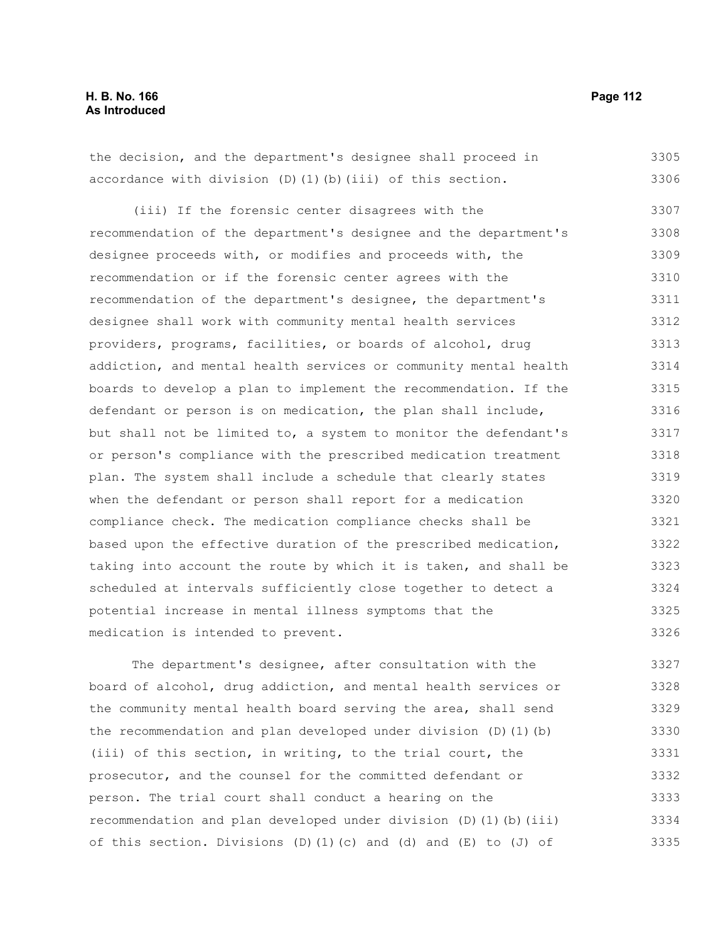| the decision, and the department's designee shall proceed in     | 3305 |
|------------------------------------------------------------------|------|
| accordance with division (D)(1)(b)(iii) of this section.         | 3306 |
| (iii) If the forensic center disagrees with the                  | 3307 |
| recommendation of the department's designee and the department's | 3308 |
| designee proceeds with, or modifies and proceeds with, the       | 3309 |
| recommendation or if the forensic center agrees with the         | 3310 |
| recommendation of the department's designee, the department's    | 3311 |
| designee shall work with community mental health services        | 3312 |
| providers, programs, facilities, or boards of alcohol, drug      | 3313 |
| addiction, and mental health services or community mental health | 3314 |
| boards to develop a plan to implement the recommendation. If the | 3315 |
| defendant or person is on medication, the plan shall include,    | 3316 |
| but shall not be limited to, a system to monitor the defendant's | 3317 |
| or person's compliance with the prescribed medication treatment  | 3318 |
| plan. The system shall include a schedule that clearly states    | 3319 |
| when the defendant or person shall report for a medication       | 3320 |
| compliance check. The medication compliance checks shall be      | 3321 |
| based upon the effective duration of the prescribed medication,  | 3322 |
| taking into account the route by which it is taken, and shall be | 3323 |
| scheduled at intervals sufficiently close together to detect a   | 3324 |
| potential increase in mental illness symptoms that the           | 3325 |
| medication is intended to prevent.                               | 3326 |
|                                                                  |      |

The department's designee, after consultation with the board of alcohol, drug addiction, and mental health services or the community mental health board serving the area, shall send the recommendation and plan developed under division (D)(1)(b) (iii) of this section, in writing, to the trial court, the prosecutor, and the counsel for the committed defendant or person. The trial court shall conduct a hearing on the recommendation and plan developed under division (D)(1)(b)(iii) of this section. Divisions (D)(1)(c) and (d) and (E) to (J) of 3327 3328 3329 3330 3331 3332 3333 3334 3335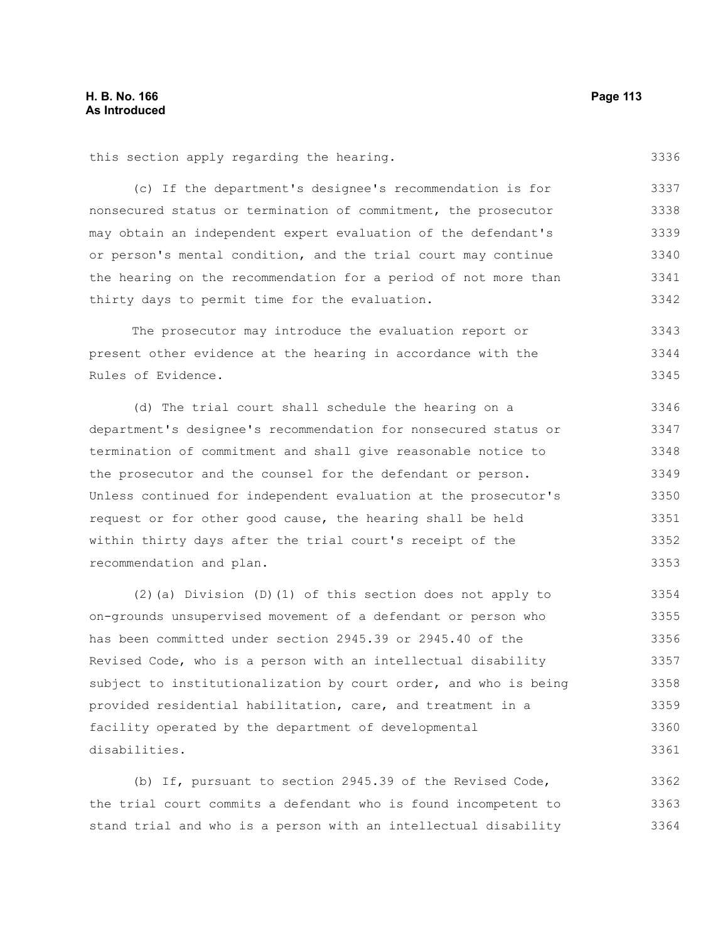this section apply regarding the hearing.

3336

(c) If the department's designee's recommendation is for nonsecured status or termination of commitment, the prosecutor may obtain an independent expert evaluation of the defendant's or person's mental condition, and the trial court may continue the hearing on the recommendation for a period of not more than thirty days to permit time for the evaluation. 3337 3338 3339 3340 3341 3342

The prosecutor may introduce the evaluation report or present other evidence at the hearing in accordance with the Rules of Evidence. 3343 3344 3345

(d) The trial court shall schedule the hearing on a department's designee's recommendation for nonsecured status or termination of commitment and shall give reasonable notice to the prosecutor and the counsel for the defendant or person. Unless continued for independent evaluation at the prosecutor's request or for other good cause, the hearing shall be held within thirty days after the trial court's receipt of the recommendation and plan. 3346 3347 3348 3349 3350 3351 3352 3353

(2)(a) Division (D)(1) of this section does not apply to on-grounds unsupervised movement of a defendant or person who has been committed under section 2945.39 or 2945.40 of the Revised Code, who is a person with an intellectual disability subject to institutionalization by court order, and who is being provided residential habilitation, care, and treatment in a facility operated by the department of developmental disabilities. 3354 3355 3356 3357 3358 3359 3360 3361

(b) If, pursuant to section 2945.39 of the Revised Code, the trial court commits a defendant who is found incompetent to stand trial and who is a person with an intellectual disability 3362 3363 3364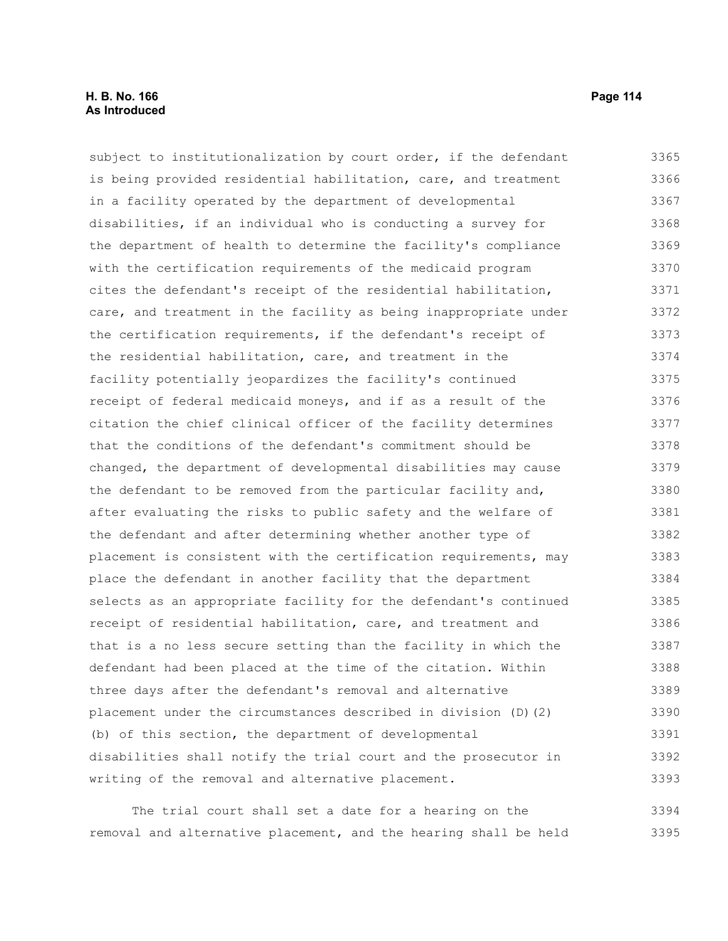## **H. B. No. 166** Page 114 **As Introduced**

subject to institutionalization by court order, if the defendant is being provided residential habilitation, care, and treatment in a facility operated by the department of developmental disabilities, if an individual who is conducting a survey for the department of health to determine the facility's compliance with the certification requirements of the medicaid program cites the defendant's receipt of the residential habilitation, care, and treatment in the facility as being inappropriate under the certification requirements, if the defendant's receipt of the residential habilitation, care, and treatment in the facility potentially jeopardizes the facility's continued receipt of federal medicaid moneys, and if as a result of the citation the chief clinical officer of the facility determines that the conditions of the defendant's commitment should be changed, the department of developmental disabilities may cause the defendant to be removed from the particular facility and, after evaluating the risks to public safety and the welfare of the defendant and after determining whether another type of placement is consistent with the certification requirements, may place the defendant in another facility that the department selects as an appropriate facility for the defendant's continued receipt of residential habilitation, care, and treatment and that is a no less secure setting than the facility in which the defendant had been placed at the time of the citation. Within three days after the defendant's removal and alternative placement under the circumstances described in division (D)(2) (b) of this section, the department of developmental disabilities shall notify the trial court and the prosecutor in writing of the removal and alternative placement. 3365 3366 3367 3368 3369 3370 3371 3372 3373 3374 3375 3376 3377 3378 3379 3380 3381 3382 3383 3384 3385 3386 3387 3388 3389 3390 3391 3392 3393

The trial court shall set a date for a hearing on the removal and alternative placement, and the hearing shall be held 3394 3395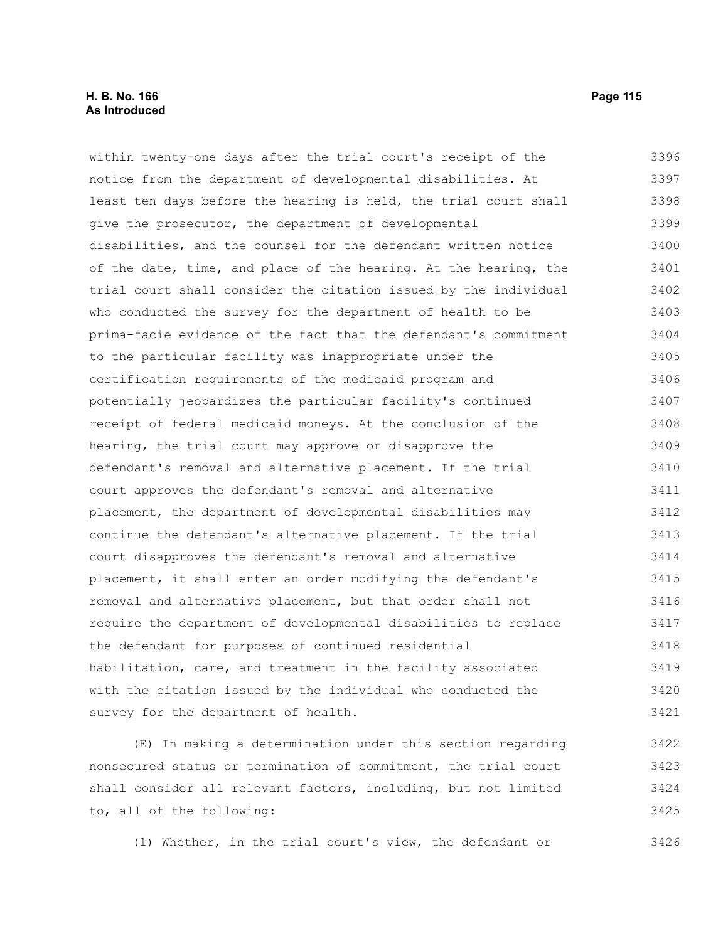#### **H. B. No. 166 Page 115 As Introduced**

within twenty-one days after the trial court's receipt of the notice from the department of developmental disabilities. At least ten days before the hearing is held, the trial court shall give the prosecutor, the department of developmental disabilities, and the counsel for the defendant written notice of the date, time, and place of the hearing. At the hearing, the trial court shall consider the citation issued by the individual who conducted the survey for the department of health to be prima-facie evidence of the fact that the defendant's commitment to the particular facility was inappropriate under the certification requirements of the medicaid program and potentially jeopardizes the particular facility's continued receipt of federal medicaid moneys. At the conclusion of the hearing, the trial court may approve or disapprove the defendant's removal and alternative placement. If the trial court approves the defendant's removal and alternative placement, the department of developmental disabilities may continue the defendant's alternative placement. If the trial court disapproves the defendant's removal and alternative placement, it shall enter an order modifying the defendant's removal and alternative placement, but that order shall not require the department of developmental disabilities to replace the defendant for purposes of continued residential habilitation, care, and treatment in the facility associated with the citation issued by the individual who conducted the survey for the department of health. 3396 3397 3398 3399 3400 3401 3402 3403 3404 3405 3406 3407 3408 3409 3410 3411 3412 3413 3414 3415 3416 3417 3418 3419 3420 3421

(E) In making a determination under this section regarding nonsecured status or termination of commitment, the trial court shall consider all relevant factors, including, but not limited to, all of the following: 3422 3423 3424 3425

(1) Whether, in the trial court's view, the defendant or 3426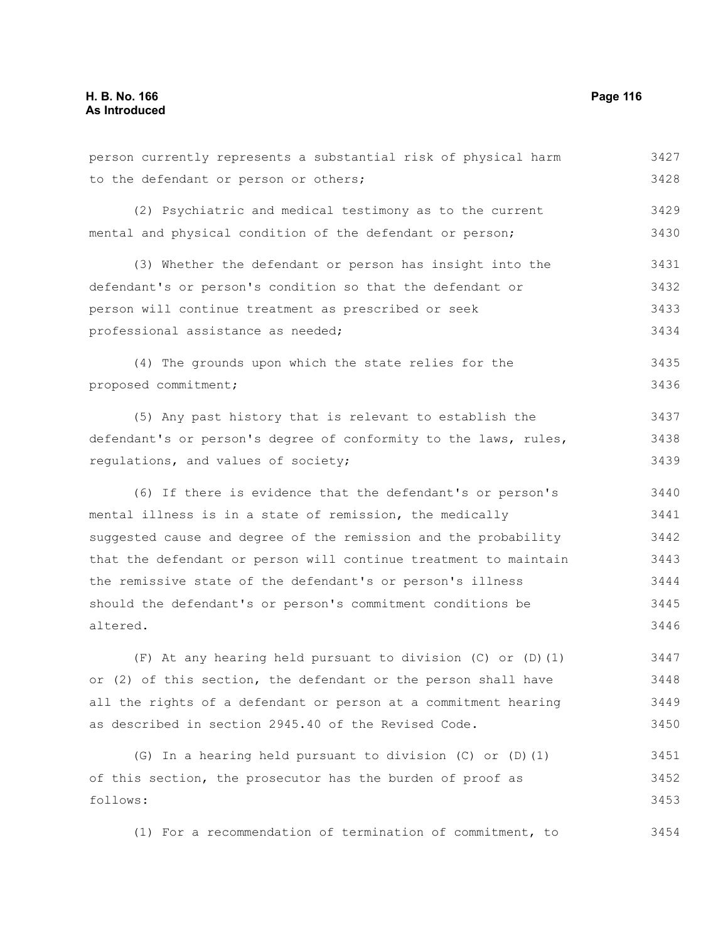person currently represents a substantial risk of physical harm to the defendant or person or others; (2) Psychiatric and medical testimony as to the current mental and physical condition of the defendant or person; (3) Whether the defendant or person has insight into the defendant's or person's condition so that the defendant or person will continue treatment as prescribed or seek professional assistance as needed; (4) The grounds upon which the state relies for the proposed commitment; (5) Any past history that is relevant to establish the defendant's or person's degree of conformity to the laws, rules, regulations, and values of society; (6) If there is evidence that the defendant's or person's mental illness is in a state of remission, the medically suggested cause and degree of the remission and the probability that the defendant or person will continue treatment to maintain the remissive state of the defendant's or person's illness should the defendant's or person's commitment conditions be altered. (F) At any hearing held pursuant to division (C) or (D)(1) or (2) of this section, the defendant or the person shall have all the rights of a defendant or person at a commitment hearing as described in section 2945.40 of the Revised Code. 3428 3429 3430 3431 3432 3433 3434 3435 3436 3437 3438 3439 3440 3441 3442 3443 3444 3445 3446 3447 3448 3449 3450

(G) In a hearing held pursuant to division (C) or (D)(1) of this section, the prosecutor has the burden of proof as follows: 3451 3452 3453

(1) For a recommendation of termination of commitment, to 3454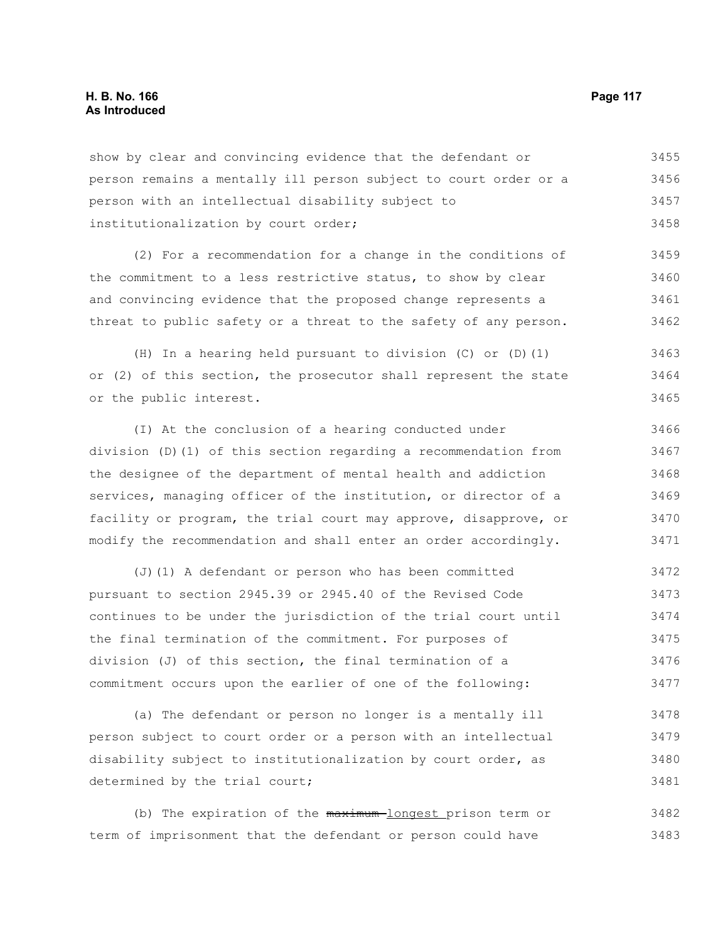show by clear and convincing evidence that the defendant or person remains a mentally ill person subject to court order or a person with an intellectual disability subject to institutionalization by court order; 3455 3456 3457 3458

(2) For a recommendation for a change in the conditions of the commitment to a less restrictive status, to show by clear and convincing evidence that the proposed change represents a threat to public safety or a threat to the safety of any person. 3459 3460 3461 3462

(H) In a hearing held pursuant to division (C) or (D)(1) or (2) of this section, the prosecutor shall represent the state or the public interest. 3463 3464 3465

(I) At the conclusion of a hearing conducted under division (D)(1) of this section regarding a recommendation from the designee of the department of mental health and addiction services, managing officer of the institution, or director of a facility or program, the trial court may approve, disapprove, or modify the recommendation and shall enter an order accordingly. 3466 3467 3468 3469 3470 3471

(J)(1) A defendant or person who has been committed pursuant to section 2945.39 or 2945.40 of the Revised Code continues to be under the jurisdiction of the trial court until the final termination of the commitment. For purposes of division (J) of this section, the final termination of a commitment occurs upon the earlier of one of the following: 3472 3473 3474 3475 3476 3477

(a) The defendant or person no longer is a mentally ill person subject to court order or a person with an intellectual disability subject to institutionalization by court order, as determined by the trial court; 3478 3479 3480 3481

(b) The expiration of the maximum-longest prison term or term of imprisonment that the defendant or person could have 3482 3483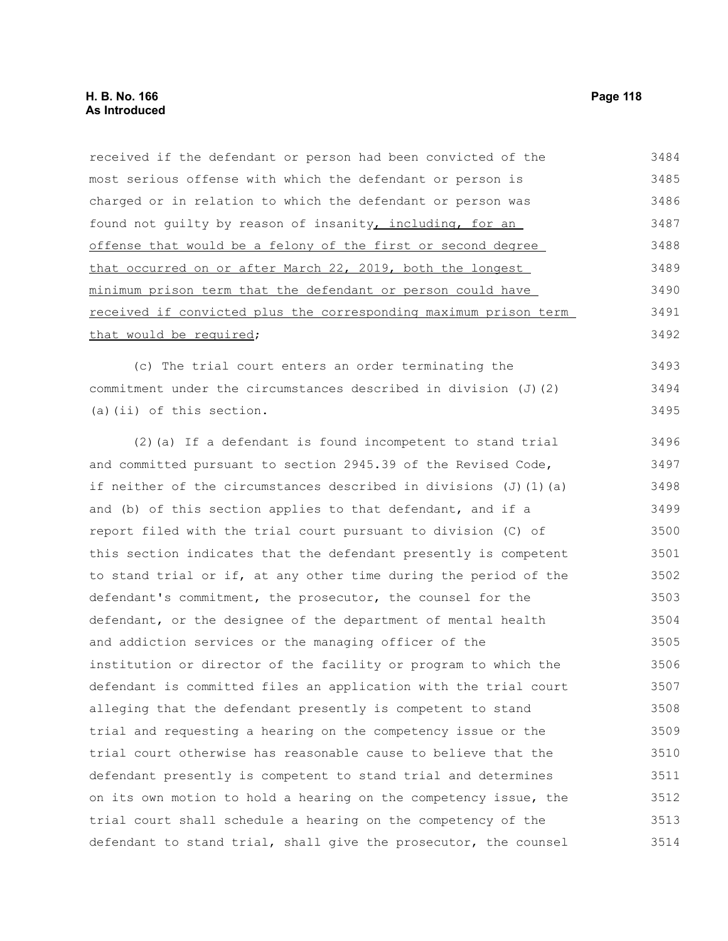received if the defendant or person had been convicted of the most serious offense with which the defendant or person is charged or in relation to which the defendant or person was found not guilty by reason of insanity, including, for an offense that would be a felony of the first or second degree that occurred on or after March 22, 2019, both the longest minimum prison term that the defendant or person could have received if convicted plus the corresponding maximum prison term that would be required; (c) The trial court enters an order terminating the commitment under the circumstances described in division (J)(2) (a)(ii) of this section. (2)(a) If a defendant is found incompetent to stand trial and committed pursuant to section 2945.39 of the Revised Code, if neither of the circumstances described in divisions  $(J)$  (1)(a) and (b) of this section applies to that defendant, and if a report filed with the trial court pursuant to division (C) of this section indicates that the defendant presently is competent to stand trial or if, at any other time during the period of the defendant's commitment, the prosecutor, the counsel for the defendant, or the designee of the department of mental health and addiction services or the managing officer of the institution or director of the facility or program to which the defendant is committed files an application with the trial court alleging that the defendant presently is competent to stand trial and requesting a hearing on the competency issue or the trial court otherwise has reasonable cause to believe that the defendant presently is competent to stand trial and determines on its own motion to hold a hearing on the competency issue, the trial court shall schedule a hearing on the competency of the defendant to stand trial, shall give the prosecutor, the counsel 3484 3485 3486 3487 3488 3489 3490 3491 3492 3493 3494 3495 3496 3497 3498 3499 3500 3501 3502 3503 3504 3505 3506 3507 3508 3509 3510 3511 3512 3513 3514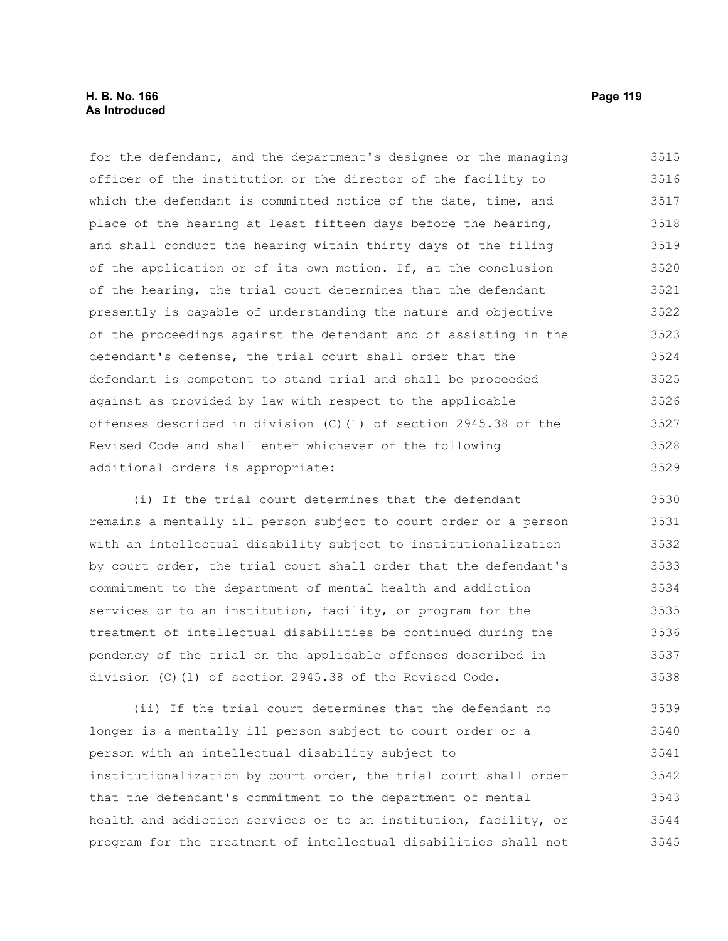## **H. B. No. 166 Page 119 As Introduced**

for the defendant, and the department's designee or the managing officer of the institution or the director of the facility to which the defendant is committed notice of the date, time, and place of the hearing at least fifteen days before the hearing, and shall conduct the hearing within thirty days of the filing of the application or of its own motion. If, at the conclusion of the hearing, the trial court determines that the defendant presently is capable of understanding the nature and objective of the proceedings against the defendant and of assisting in the defendant's defense, the trial court shall order that the defendant is competent to stand trial and shall be proceeded against as provided by law with respect to the applicable offenses described in division (C)(1) of section 2945.38 of the Revised Code and shall enter whichever of the following additional orders is appropriate: 3515 3516 3517 3518 3519 3520 3521 3522 3523 3524 3525 3526 3527 3528 3529

(i) If the trial court determines that the defendant remains a mentally ill person subject to court order or a person with an intellectual disability subject to institutionalization by court order, the trial court shall order that the defendant's commitment to the department of mental health and addiction services or to an institution, facility, or program for the treatment of intellectual disabilities be continued during the pendency of the trial on the applicable offenses described in division (C)(1) of section 2945.38 of the Revised Code. 3530 3531 3532 3533 3534 3535 3536 3537 3538

(ii) If the trial court determines that the defendant no longer is a mentally ill person subject to court order or a person with an intellectual disability subject to institutionalization by court order, the trial court shall order that the defendant's commitment to the department of mental health and addiction services or to an institution, facility, or program for the treatment of intellectual disabilities shall not 3539 3540 3541 3542 3543 3544 3545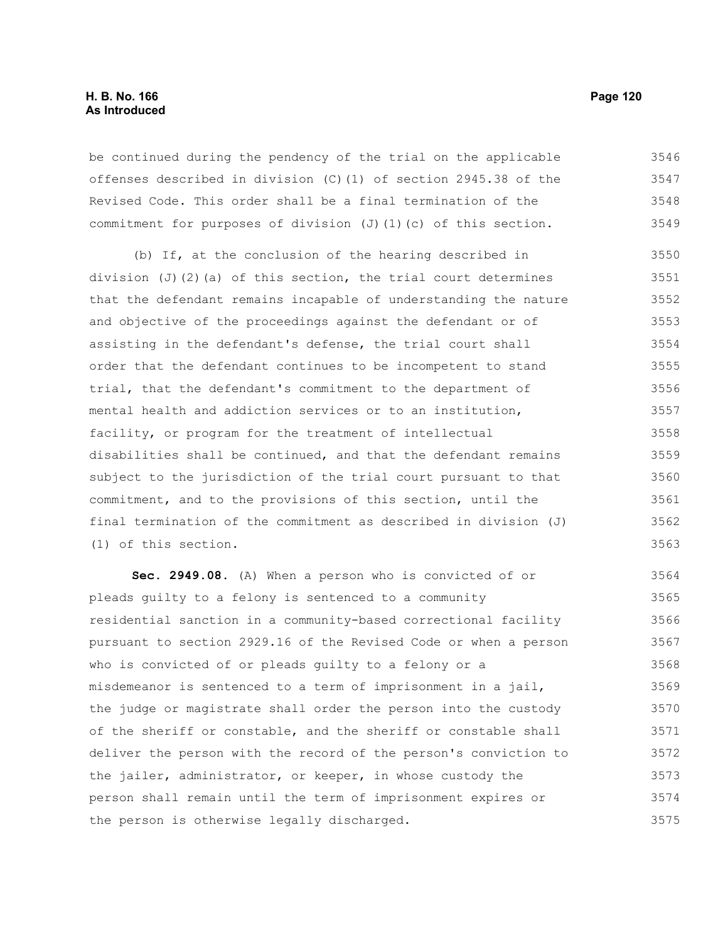## **H. B. No. 166 Page 120 As Introduced**

be continued during the pendency of the trial on the applicable offenses described in division (C)(1) of section 2945.38 of the Revised Code. This order shall be a final termination of the commitment for purposes of division (J)(1)(c) of this section. 3546 3547 3548 3549

(b) If, at the conclusion of the hearing described in division (J)(2)(a) of this section, the trial court determines that the defendant remains incapable of understanding the nature and objective of the proceedings against the defendant or of assisting in the defendant's defense, the trial court shall order that the defendant continues to be incompetent to stand trial, that the defendant's commitment to the department of mental health and addiction services or to an institution, facility, or program for the treatment of intellectual disabilities shall be continued, and that the defendant remains subject to the jurisdiction of the trial court pursuant to that commitment, and to the provisions of this section, until the final termination of the commitment as described in division (J) (1) of this section. 3550 3551 3552 3553 3554 3555 3556 3557 3558 3559 3560 3561 3562 3563

**Sec. 2949.08.** (A) When a person who is convicted of or pleads guilty to a felony is sentenced to a community residential sanction in a community-based correctional facility pursuant to section 2929.16 of the Revised Code or when a person who is convicted of or pleads guilty to a felony or a misdemeanor is sentenced to a term of imprisonment in a jail, the judge or magistrate shall order the person into the custody of the sheriff or constable, and the sheriff or constable shall deliver the person with the record of the person's conviction to the jailer, administrator, or keeper, in whose custody the person shall remain until the term of imprisonment expires or the person is otherwise legally discharged. 3564 3565 3566 3567 3568 3569 3570 3571 3572 3573 3574 3575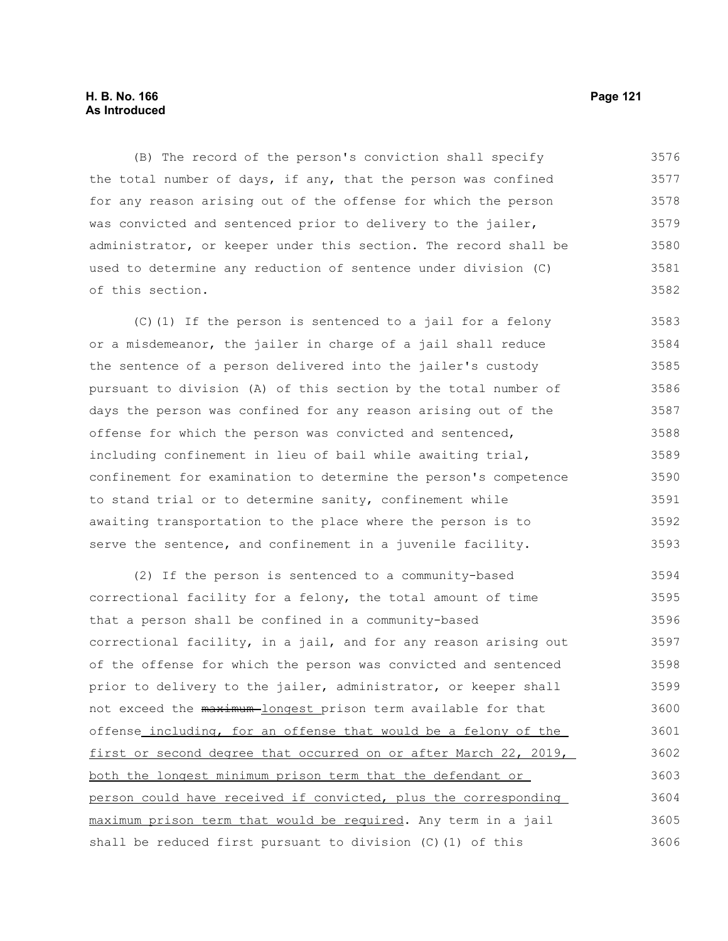## **H. B. No. 166 Page 121 As Introduced**

(B) The record of the person's conviction shall specify the total number of days, if any, that the person was confined for any reason arising out of the offense for which the person was convicted and sentenced prior to delivery to the jailer, administrator, or keeper under this section. The record shall be used to determine any reduction of sentence under division (C) of this section. 3576 3577 3578 3579 3580 3581 3582

(C)(1) If the person is sentenced to a jail for a felony or a misdemeanor, the jailer in charge of a jail shall reduce the sentence of a person delivered into the jailer's custody pursuant to division (A) of this section by the total number of days the person was confined for any reason arising out of the offense for which the person was convicted and sentenced, including confinement in lieu of bail while awaiting trial, confinement for examination to determine the person's competence to stand trial or to determine sanity, confinement while awaiting transportation to the place where the person is to serve the sentence, and confinement in a juvenile facility. 3583 3584 3585 3586 3587 3588 3589 3590 3591 3592 3593

(2) If the person is sentenced to a community-based correctional facility for a felony, the total amount of time that a person shall be confined in a community-based correctional facility, in a jail, and for any reason arising out of the offense for which the person was convicted and sentenced prior to delivery to the jailer, administrator, or keeper shall not exceed the maximum-longest prison term available for that offense including, for an offense that would be a felony of the first or second degree that occurred on or after March 22, 2019, both the longest minimum prison term that the defendant or person could have received if convicted, plus the corresponding maximum prison term that would be required. Any term in a jail shall be reduced first pursuant to division (C)(1) of this 3594 3595 3596 3597 3598 3599 3600 3601 3602 3603 3604 3605 3606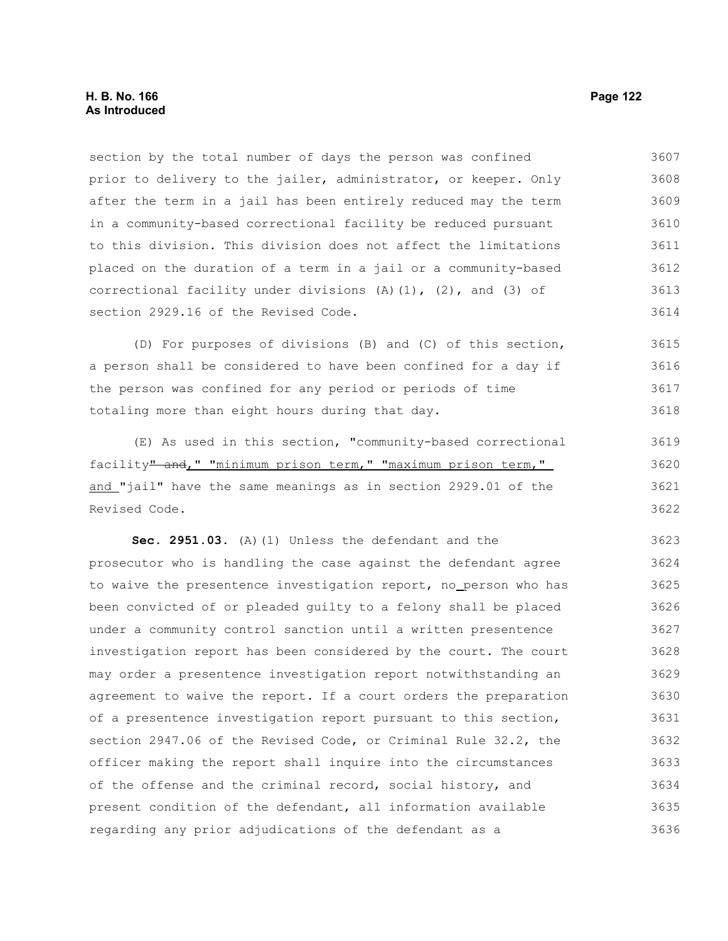section by the total number of days the person was confined prior to delivery to the jailer, administrator, or keeper. Only after the term in a jail has been entirely reduced may the term in a community-based correctional facility be reduced pursuant to this division. This division does not affect the limitations placed on the duration of a term in a jail or a community-based correctional facility under divisions (A)(1), (2), and (3) of section 2929.16 of the Revised Code. 3607 3608 3609 3610 3611 3612 3613 3614

(D) For purposes of divisions (B) and (C) of this section, a person shall be considered to have been confined for a day if the person was confined for any period or periods of time totaling more than eight hours during that day. 3615 3616 3617 3618

(E) As used in this section, "community-based correctional facility" and," "minimum prison term," "maximum prison term," and "jail" have the same meanings as in section 2929.01 of the Revised Code.

**Sec. 2951.03.** (A)(1) Unless the defendant and the prosecutor who is handling the case against the defendant agree to waive the presentence investigation report, no person who has been convicted of or pleaded guilty to a felony shall be placed under a community control sanction until a written presentence investigation report has been considered by the court. The court may order a presentence investigation report notwithstanding an agreement to waive the report. If a court orders the preparation of a presentence investigation report pursuant to this section, section 2947.06 of the Revised Code, or Criminal Rule 32.2, the officer making the report shall inquire into the circumstances of the offense and the criminal record, social history, and present condition of the defendant, all information available regarding any prior adjudications of the defendant as a 3623 3624 3625 3626 3627 3628 3629 3630 3631 3632 3633 3634 3635 3636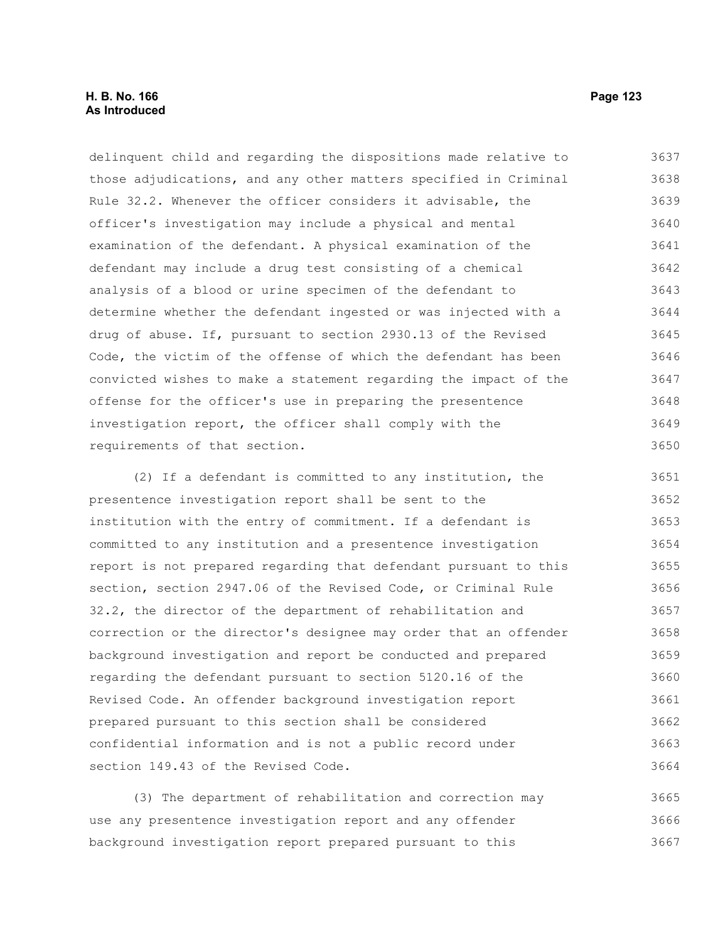## **H. B. No. 166 Page 123 As Introduced**

delinquent child and regarding the dispositions made relative to those adjudications, and any other matters specified in Criminal Rule 32.2. Whenever the officer considers it advisable, the officer's investigation may include a physical and mental examination of the defendant. A physical examination of the defendant may include a drug test consisting of a chemical analysis of a blood or urine specimen of the defendant to determine whether the defendant ingested or was injected with a drug of abuse. If, pursuant to section 2930.13 of the Revised Code, the victim of the offense of which the defendant has been convicted wishes to make a statement regarding the impact of the offense for the officer's use in preparing the presentence investigation report, the officer shall comply with the requirements of that section. 3637 3638 3639 3640 3641 3642 3643 3644 3645 3646 3647 3648 3649 3650

(2) If a defendant is committed to any institution, the presentence investigation report shall be sent to the institution with the entry of commitment. If a defendant is committed to any institution and a presentence investigation report is not prepared regarding that defendant pursuant to this section, section 2947.06 of the Revised Code, or Criminal Rule 32.2, the director of the department of rehabilitation and correction or the director's designee may order that an offender background investigation and report be conducted and prepared regarding the defendant pursuant to section 5120.16 of the Revised Code. An offender background investigation report prepared pursuant to this section shall be considered confidential information and is not a public record under section 149.43 of the Revised Code. 3651 3652 3653 3654 3655 3656 3657 3658 3659 3660 3661 3662 3663 3664

(3) The department of rehabilitation and correction may use any presentence investigation report and any offender background investigation report prepared pursuant to this 3665 3666 3667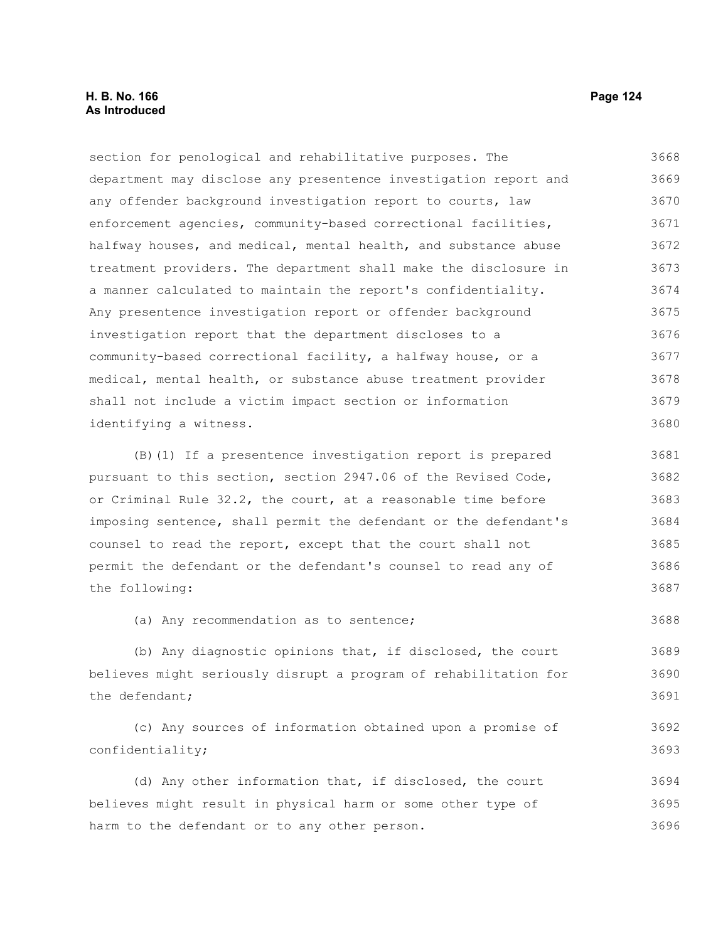section for penological and rehabilitative purposes. The department may disclose any presentence investigation report and any offender background investigation report to courts, law enforcement agencies, community-based correctional facilities, halfway houses, and medical, mental health, and substance abuse treatment providers. The department shall make the disclosure in a manner calculated to maintain the report's confidentiality. Any presentence investigation report or offender background investigation report that the department discloses to a community-based correctional facility, a halfway house, or a medical, mental health, or substance abuse treatment provider shall not include a victim impact section or information identifying a witness. 3668 3669 3670 3671 3672 3673 3674 3675 3676 3677 3678 3679 3680

(B)(1) If a presentence investigation report is prepared pursuant to this section, section 2947.06 of the Revised Code, or Criminal Rule 32.2, the court, at a reasonable time before imposing sentence, shall permit the defendant or the defendant's counsel to read the report, except that the court shall not permit the defendant or the defendant's counsel to read any of the following: 3681 3682 3683 3684 3685 3686 3687

(a) Any recommendation as to sentence;

(b) Any diagnostic opinions that, if disclosed, the court believes might seriously disrupt a program of rehabilitation for the defendant; 3689 3690 3691

```
(c) Any sources of information obtained upon a promise of
confidentiality;
                                                                            3692
                                                                            3693
```
(d) Any other information that, if disclosed, the court believes might result in physical harm or some other type of harm to the defendant or to any other person. 3694 3695 3696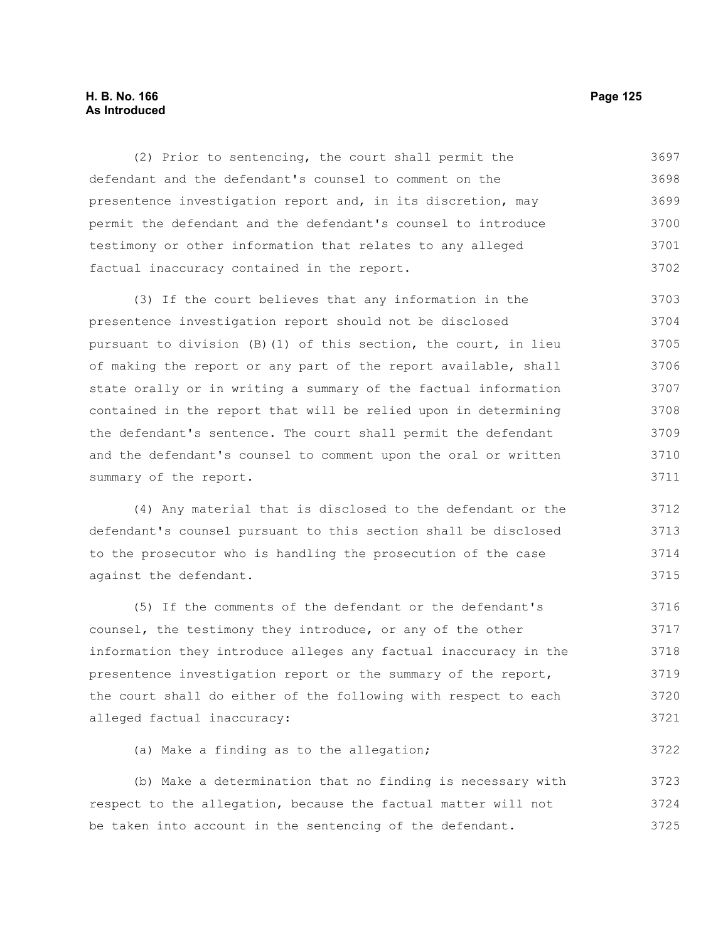## **H. B. No. 166 Page 125 As Introduced**

(2) Prior to sentencing, the court shall permit the defendant and the defendant's counsel to comment on the presentence investigation report and, in its discretion, may permit the defendant and the defendant's counsel to introduce testimony or other information that relates to any alleged factual inaccuracy contained in the report. 3697 3698 3699 3700 3701 3702

(3) If the court believes that any information in the presentence investigation report should not be disclosed pursuant to division (B)(1) of this section, the court, in lieu of making the report or any part of the report available, shall state orally or in writing a summary of the factual information contained in the report that will be relied upon in determining the defendant's sentence. The court shall permit the defendant and the defendant's counsel to comment upon the oral or written summary of the report. 3703 3704 3705 3706 3707 3708 3709 3710 3711

(4) Any material that is disclosed to the defendant or the defendant's counsel pursuant to this section shall be disclosed to the prosecutor who is handling the prosecution of the case against the defendant. 3712 3713 3714 3715

(5) If the comments of the defendant or the defendant's counsel, the testimony they introduce, or any of the other information they introduce alleges any factual inaccuracy in the presentence investigation report or the summary of the report, the court shall do either of the following with respect to each alleged factual inaccuracy: 3716 3717 3718 3719 3720 3721

(a) Make a finding as to the allegation;

(b) Make a determination that no finding is necessary with respect to the allegation, because the factual matter will not be taken into account in the sentencing of the defendant. 3723 3724 3725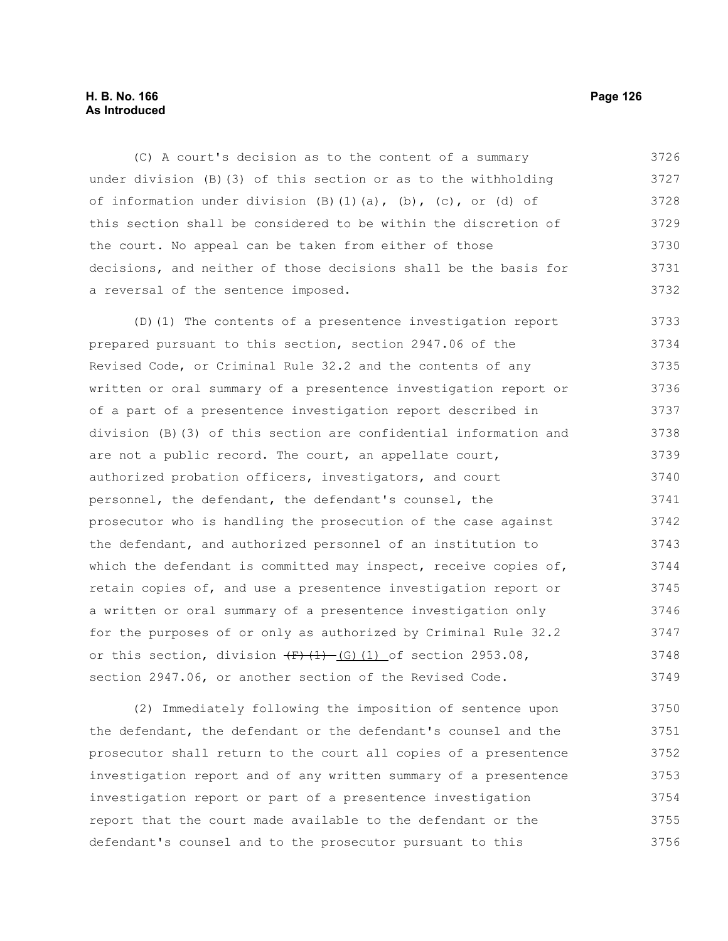## **H. B. No. 166 Page 126 As Introduced**

(C) A court's decision as to the content of a summary under division (B)(3) of this section or as to the withholding of information under division  $(B)$   $(1)$   $(a)$ ,  $(b)$ ,  $(c)$ , or  $(d)$  of this section shall be considered to be within the discretion of the court. No appeal can be taken from either of those decisions, and neither of those decisions shall be the basis for a reversal of the sentence imposed. 3726 3727 3728 3729 3730 3731 3732

(D)(1) The contents of a presentence investigation report prepared pursuant to this section, section 2947.06 of the Revised Code, or Criminal Rule 32.2 and the contents of any written or oral summary of a presentence investigation report or of a part of a presentence investigation report described in division (B)(3) of this section are confidential information and are not a public record. The court, an appellate court, authorized probation officers, investigators, and court personnel, the defendant, the defendant's counsel, the prosecutor who is handling the prosecution of the case against the defendant, and authorized personnel of an institution to which the defendant is committed may inspect, receive copies of, retain copies of, and use a presentence investigation report or a written or oral summary of a presentence investigation only for the purposes of or only as authorized by Criminal Rule 32.2 or this section, division  $(F)$   $(1)$   $(G)$   $(1)$  of section 2953.08, section 2947.06, or another section of the Revised Code. 3733 3734 3735 3736 3737 3738 3739 3740 3741 3742 3743 3744 3745 3746 3747 3748 3749

(2) Immediately following the imposition of sentence upon the defendant, the defendant or the defendant's counsel and the prosecutor shall return to the court all copies of a presentence investigation report and of any written summary of a presentence investigation report or part of a presentence investigation report that the court made available to the defendant or the defendant's counsel and to the prosecutor pursuant to this 3750 3751 3752 3753 3754 3755 3756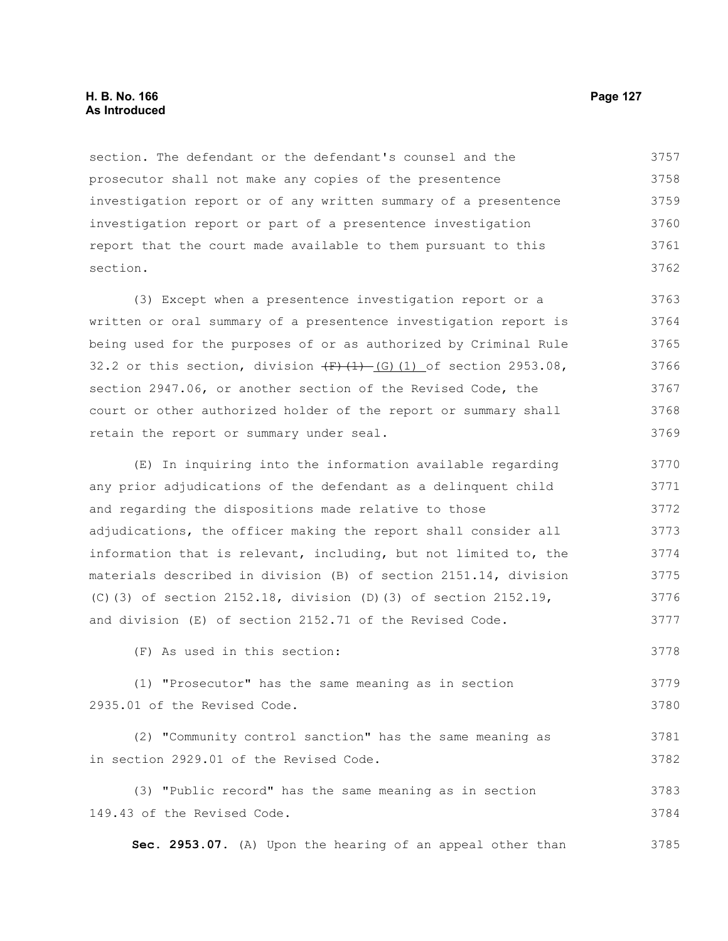section. The defendant or the defendant's counsel and the prosecutor shall not make any copies of the presentence investigation report or of any written summary of a presentence investigation report or part of a presentence investigation report that the court made available to them pursuant to this section. 3757 3758 3759 3760 3761 3762

(3) Except when a presentence investigation report or a written or oral summary of a presentence investigation report is being used for the purposes of or as authorized by Criminal Rule 32.2 or this section, division  $\overline{(F)(1)}$  (G)(1) of section 2953.08, section 2947.06, or another section of the Revised Code, the court or other authorized holder of the report or summary shall retain the report or summary under seal. 3763 3764 3765 3766 3767 3768 3769

(E) In inquiring into the information available regarding any prior adjudications of the defendant as a delinquent child and regarding the dispositions made relative to those adjudications, the officer making the report shall consider all information that is relevant, including, but not limited to, the materials described in division (B) of section 2151.14, division (C)(3) of section 2152.18, division (D)(3) of section 2152.19, and division (E) of section 2152.71 of the Revised Code. 3770 3771 3772 3773 3774 3775 3776 3777

(F) As used in this section:

(1) "Prosecutor" has the same meaning as in section 2935.01 of the Revised Code. 3779 3780

(2) "Community control sanction" has the same meaning as in section 2929.01 of the Revised Code. 3781 3782

(3) "Public record" has the same meaning as in section 149.43 of the Revised Code. 3783 3784

**Sec. 2953.07.** (A) Upon the hearing of an appeal other than 3785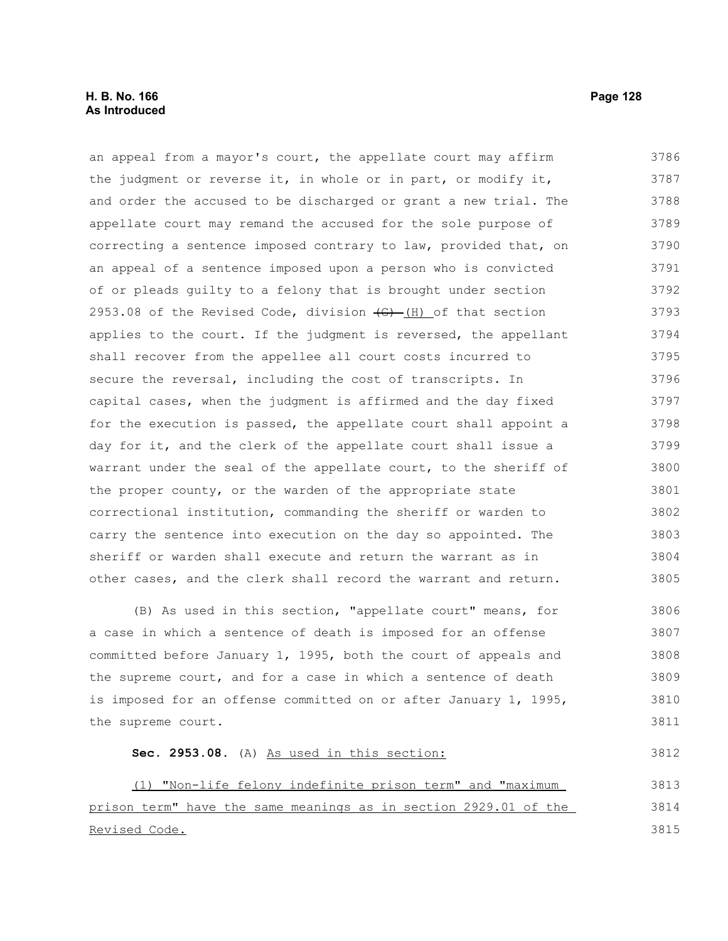an appeal from a mayor's court, the appellate court may affirm the judgment or reverse it, in whole or in part, or modify it, and order the accused to be discharged or grant a new trial. The appellate court may remand the accused for the sole purpose of correcting a sentence imposed contrary to law, provided that, on an appeal of a sentence imposed upon a person who is convicted of or pleads guilty to a felony that is brought under section 2953.08 of the Revised Code, division  $\left(\frac{H}{H}\right)$  of that section applies to the court. If the judgment is reversed, the appellant shall recover from the appellee all court costs incurred to secure the reversal, including the cost of transcripts. In capital cases, when the judgment is affirmed and the day fixed for the execution is passed, the appellate court shall appoint a day for it, and the clerk of the appellate court shall issue a warrant under the seal of the appellate court, to the sheriff of the proper county, or the warden of the appropriate state correctional institution, commanding the sheriff or warden to carry the sentence into execution on the day so appointed. The sheriff or warden shall execute and return the warrant as in other cases, and the clerk shall record the warrant and return. 3786 3787 3788 3789 3790 3791 3792 3793 3794 3795 3796 3797 3798 3799 3800 3801 3802 3803 3804 3805

(B) As used in this section, "appellate court" means, for a case in which a sentence of death is imposed for an offense committed before January 1, 1995, both the court of appeals and the supreme court, and for a case in which a sentence of death is imposed for an offense committed on or after January 1, 1995, the supreme court. 3806 3807 3808 3809 3810 3811

**Sec. 2953.08.** (A) As used in this section:

(1) "Non-life felony indefinite prison term" and "maximum prison term" have the same meanings as in section 2929.01 of the Revised Code. 3813 3814 3815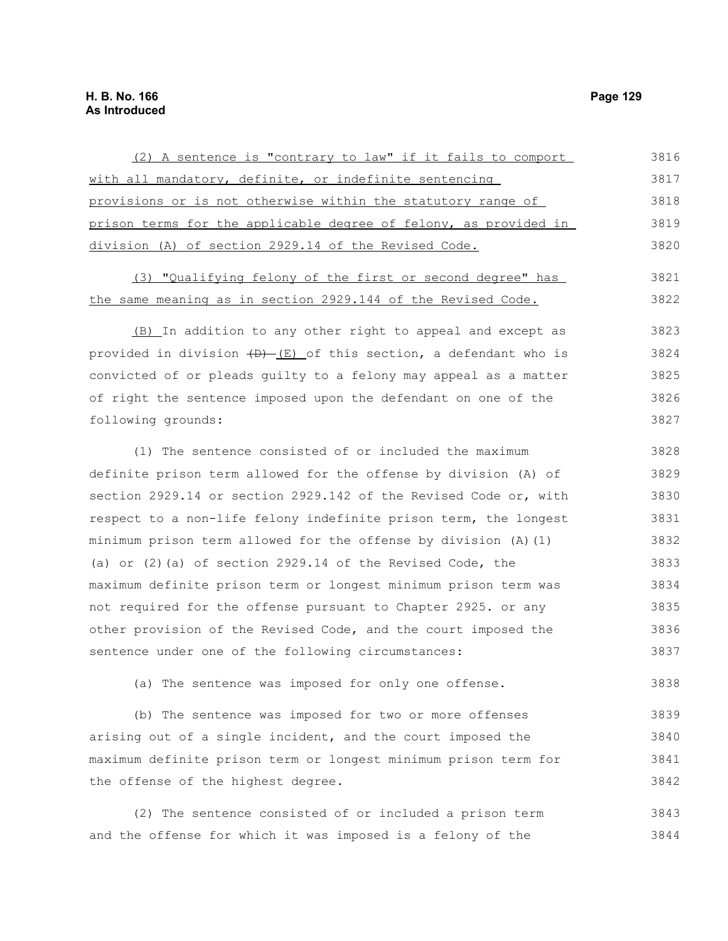| (2) A sentence is "contrary to law" if it fails to comport       | 3816 |
|------------------------------------------------------------------|------|
| with all mandatory, definite, or indefinite sentencing           | 3817 |
| provisions or is not otherwise within the statutory range of     | 3818 |
| prison terms for the applicable degree of felony, as provided in | 3819 |
| division (A) of section 2929.14 of the Revised Code.             | 3820 |
| (3) "Oualifying felony of the first or second degree" has        | 3821 |
|                                                                  |      |

(B) In addition to any other right to appeal and except as provided in division  $(D) - (E)$  of this section, a defendant who is convicted of or pleads guilty to a felony may appeal as a matter of right the sentence imposed upon the defendant on one of the following grounds: 3823 3824 3825 3826 3827

the same meaning as in section 2929.144 of the Revised Code.

(1) The sentence consisted of or included the maximum definite prison term allowed for the offense by division (A) of section 2929.14 or section 2929.142 of the Revised Code or, with respect to a non-life felony indefinite prison term, the longest minimum prison term allowed for the offense by division (A)(1) (a) or (2)(a) of section 2929.14 of the Revised Code, the maximum definite prison term or longest minimum prison term was not required for the offense pursuant to Chapter 2925. or any other provision of the Revised Code, and the court imposed the sentence under one of the following circumstances: 3828 3829 3830 3831 3832 3833 3834 3835 3836 3837

(a) The sentence was imposed for only one offense. 3838

(b) The sentence was imposed for two or more offenses arising out of a single incident, and the court imposed the maximum definite prison term or longest minimum prison term for the offense of the highest degree. 3839 3840 3841 3842

(2) The sentence consisted of or included a prison term and the offense for which it was imposed is a felony of the 3843 3844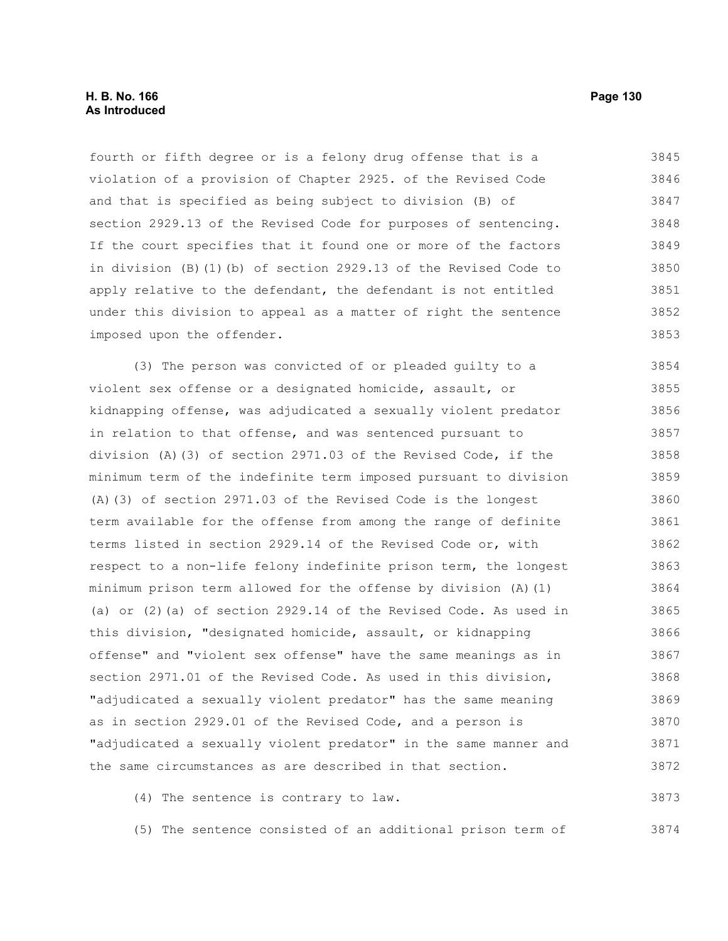fourth or fifth degree or is a felony drug offense that is a violation of a provision of Chapter 2925. of the Revised Code and that is specified as being subject to division (B) of section 2929.13 of the Revised Code for purposes of sentencing. If the court specifies that it found one or more of the factors in division (B)(1)(b) of section 2929.13 of the Revised Code to apply relative to the defendant, the defendant is not entitled under this division to appeal as a matter of right the sentence imposed upon the offender. 3845 3846 3847 3848 3849 3850 3851 3852 3853

(3) The person was convicted of or pleaded guilty to a violent sex offense or a designated homicide, assault, or kidnapping offense, was adjudicated a sexually violent predator in relation to that offense, and was sentenced pursuant to division (A)(3) of section 2971.03 of the Revised Code, if the minimum term of the indefinite term imposed pursuant to division (A)(3) of section 2971.03 of the Revised Code is the longest term available for the offense from among the range of definite terms listed in section 2929.14 of the Revised Code or, with respect to a non-life felony indefinite prison term, the longest minimum prison term allowed for the offense by division (A)(1) (a) or (2)(a) of section 2929.14 of the Revised Code. As used in this division, "designated homicide, assault, or kidnapping offense" and "violent sex offense" have the same meanings as in section 2971.01 of the Revised Code. As used in this division, "adjudicated a sexually violent predator" has the same meaning as in section 2929.01 of the Revised Code, and a person is "adjudicated a sexually violent predator" in the same manner and the same circumstances as are described in that section. 3854 3855 3856 3857 3858 3859 3860 3861 3862 3863 3864 3865 3866 3867 3868 3869 3870 3871 3872

(4) The sentence is contrary to law. 3873

(5) The sentence consisted of an additional prison term of 3874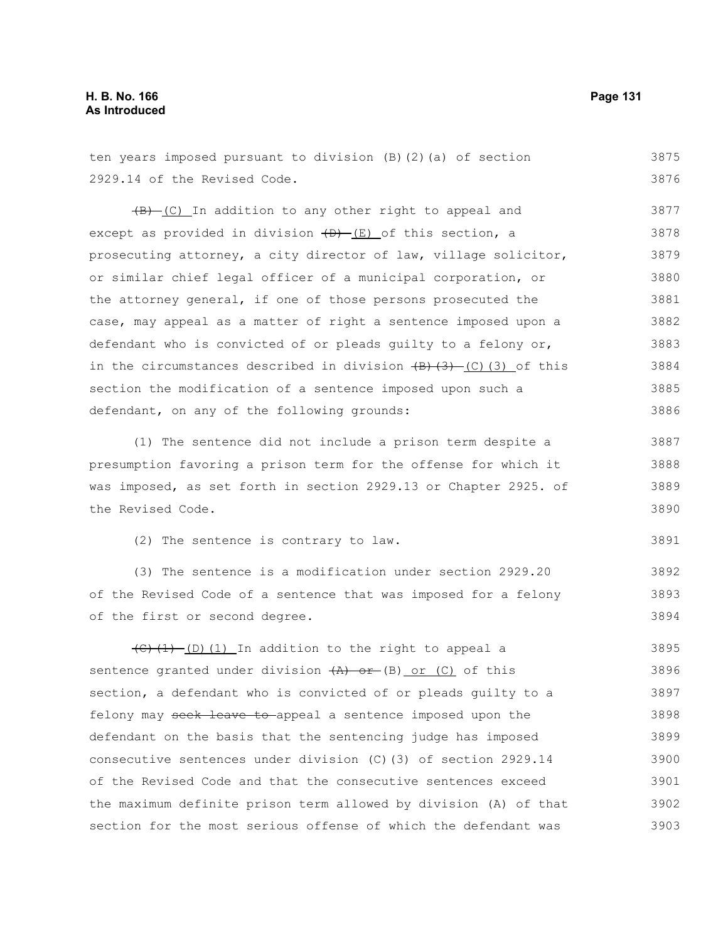# **H. B. No. 166 Page 131 As Introduced**

| ten years imposed pursuant to division (B) (2) (a) of section                     | 3875 |
|-----------------------------------------------------------------------------------|------|
| 2929.14 of the Revised Code.                                                      | 3876 |
| $\overline{(B) - (C)}$ In addition to any other right to appeal and               | 3877 |
| except as provided in division $(D)$ (E) of this section, a                       | 3878 |
| prosecuting attorney, a city director of law, village solicitor,                  | 3879 |
| or similar chief legal officer of a municipal corporation, or                     | 3880 |
| the attorney general, if one of those persons prosecuted the                      | 3881 |
| case, may appeal as a matter of right a sentence imposed upon a                   | 3882 |
| defendant who is convicted of or pleads guilty to a felony or,                    | 3883 |
| in the circumstances described in division $\overline{(B) (3) - (C) (3)}$ of this | 3884 |
| section the modification of a sentence imposed upon such a                        | 3885 |
| defendant, on any of the following grounds:                                       | 3886 |
| (1) The sentence did not include a prison term despite a                          | 3887 |
| presumption favoring a prison term for the offense for which it                   | 3888 |
| was imposed, as set forth in section 2929.13 or Chapter 2925. of                  | 3889 |
| the Revised Code.                                                                 | 3890 |
| (2) The sentence is contrary to law.                                              | 3891 |
| (3) The sentence is a modification under section 2929.20                          | 3892 |
| of the Revised Code of a sentence that was imposed for a felony                   | 3893 |
| of the first or second degree.                                                    | 3894 |
| $\left(\frac{C}{1} + \frac{D}{1}\right)$ (1) In addition to the right to appeal a | 3895 |
| sentence granted under division $(A)$ or (B) or (C) of this                       | 3896 |
| section, a defendant who is convicted of or pleads quilty to a                    | 3897 |
| felony may seek leave to-appeal a sentence imposed upon the                       | 3898 |
| defendant on the basis that the sentencing judge has imposed                      | 3899 |
| consecutive sentences under division (C) (3) of section $2929.14$                 | 3900 |
| of the Revised Code and that the consecutive sentences exceed                     | 3901 |
| the maximum definite prison term allowed by division (A) of that                  | 3902 |
| section for the most serious offense of which the defendant was                   | 3903 |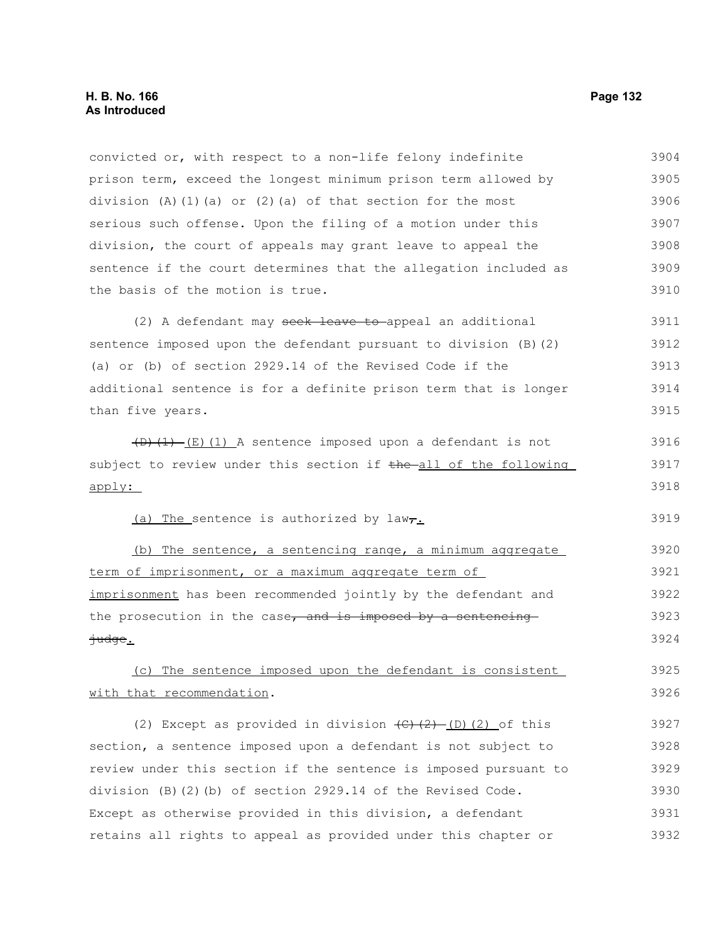convicted or, with respect to a non-life felony indefinite prison term, exceed the longest minimum prison term allowed by division (A)(1)(a) or (2)(a) of that section for the most serious such offense. Upon the filing of a motion under this division, the court of appeals may grant leave to appeal the sentence if the court determines that the allegation included as the basis of the motion is true. 3904 3905 3906 3907 3908 3909 3910

(2) A defendant may seek leave to appeal an additional sentence imposed upon the defendant pursuant to division (B)(2) (a) or (b) of section 2929.14 of the Revised Code if the additional sentence is for a definite prison term that is longer than five years. 3911 3912 3913 3914 3915

 $(D)$  (1)  $(E)$  (1) A sentence imposed upon a defendant is not subject to review under this section if the all of the following apply: 3916 3917 3918

(a) The sentence is authorized by law $\tau$ .

(b) The sentence, a sentencing range, a minimum aggregate term of imprisonment, or a maximum aggregate term of imprisonment has been recommended jointly by the defendant and the prosecution in the case, and is imposed by a sentencing judge. 3920 3921 3922 3923 3924

(c) The sentence imposed upon the defendant is consistent with that recommendation. 3925 3926

(2) Except as provided in division  $\left(\frac{C}{2}\right)_{2}$  (D)(2) of this section, a sentence imposed upon a defendant is not subject to review under this section if the sentence is imposed pursuant to division (B)(2)(b) of section 2929.14 of the Revised Code. Except as otherwise provided in this division, a defendant retains all rights to appeal as provided under this chapter or 3927 3928 3929 3930 3931 3932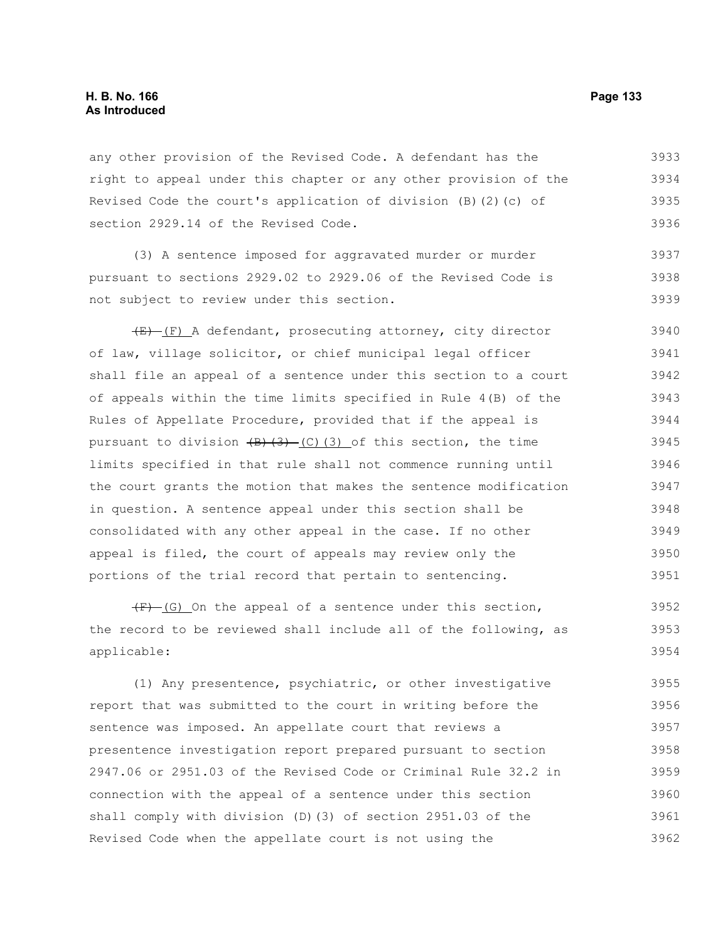any other provision of the Revised Code. A defendant has the right to appeal under this chapter or any other provision of the Revised Code the court's application of division (B)(2)(c) of section 2929.14 of the Revised Code. 3933 3934 3935 3936

(3) A sentence imposed for aggravated murder or murder pursuant to sections 2929.02 to 2929.06 of the Revised Code is not subject to review under this section. 3937 3938 3939

 $(E)$  (F) A defendant, prosecuting attorney, city director of law, village solicitor, or chief municipal legal officer shall file an appeal of a sentence under this section to a court of appeals within the time limits specified in Rule 4(B) of the Rules of Appellate Procedure, provided that if the appeal is pursuant to division  $\left(\frac{B}{C}\right)\left(\frac{C}{3}\right)$  of this section, the time limits specified in that rule shall not commence running until the court grants the motion that makes the sentence modification in question. A sentence appeal under this section shall be consolidated with any other appeal in the case. If no other appeal is filed, the court of appeals may review only the portions of the trial record that pertain to sentencing. 3940 3941 3942 3943 3944 3945 3946 3947 3948 3949 3950 3951

 $(F)$  (G) On the appeal of a sentence under this section, the record to be reviewed shall include all of the following, as applicable: 3952 3953 3954

(1) Any presentence, psychiatric, or other investigative report that was submitted to the court in writing before the sentence was imposed. An appellate court that reviews a presentence investigation report prepared pursuant to section 2947.06 or 2951.03 of the Revised Code or Criminal Rule 32.2 in connection with the appeal of a sentence under this section shall comply with division (D)(3) of section 2951.03 of the Revised Code when the appellate court is not using the 3955 3956 3957 3958 3959 3960 3961 3962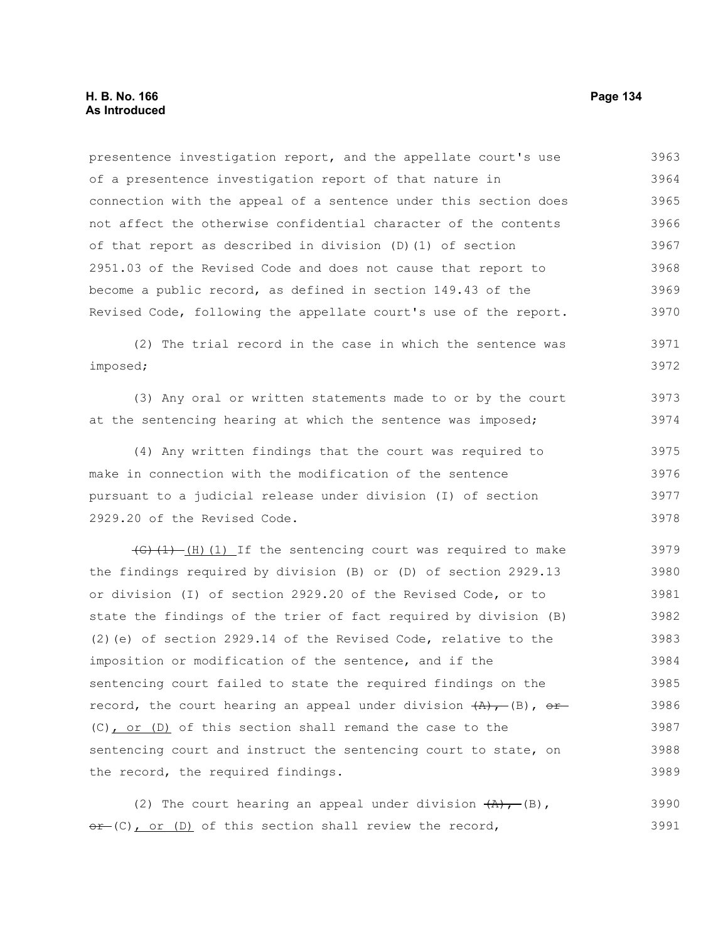presentence investigation report, and the appellate court's use of a presentence investigation report of that nature in connection with the appeal of a sentence under this section does not affect the otherwise confidential character of the contents of that report as described in division (D)(1) of section 2951.03 of the Revised Code and does not cause that report to become a public record, as defined in section 149.43 of the Revised Code, following the appellate court's use of the report. 3963 3964 3965 3966 3967 3968 3969 3970

(2) The trial record in the case in which the sentence was imposed; 3971 3972

(3) Any oral or written statements made to or by the court at the sentencing hearing at which the sentence was imposed; 3973 3974

(4) Any written findings that the court was required to make in connection with the modification of the sentence pursuant to a judicial release under division (I) of section 2929.20 of the Revised Code. 3975 3976 3977 3978

 $\left(\frac{1}{2} + \frac{1}{1}\right)$  (1) If the sentencing court was required to make the findings required by division (B) or (D) of section 2929.13 or division (I) of section 2929.20 of the Revised Code, or to state the findings of the trier of fact required by division (B) (2)(e) of section 2929.14 of the Revised Code, relative to the imposition or modification of the sentence, and if the sentencing court failed to state the required findings on the record, the court hearing an appeal under division  $(A)$ , (B), or (C), or (D) of this section shall remand the case to the sentencing court and instruct the sentencing court to state, on the record, the required findings. 3979 3980 3981 3982 3983 3984 3985 3986 3987 3988 3989

(2) The court hearing an appeal under division  $(A)$ , (B),  $or$  (C), or (D) of this section shall review the record, 3990 3991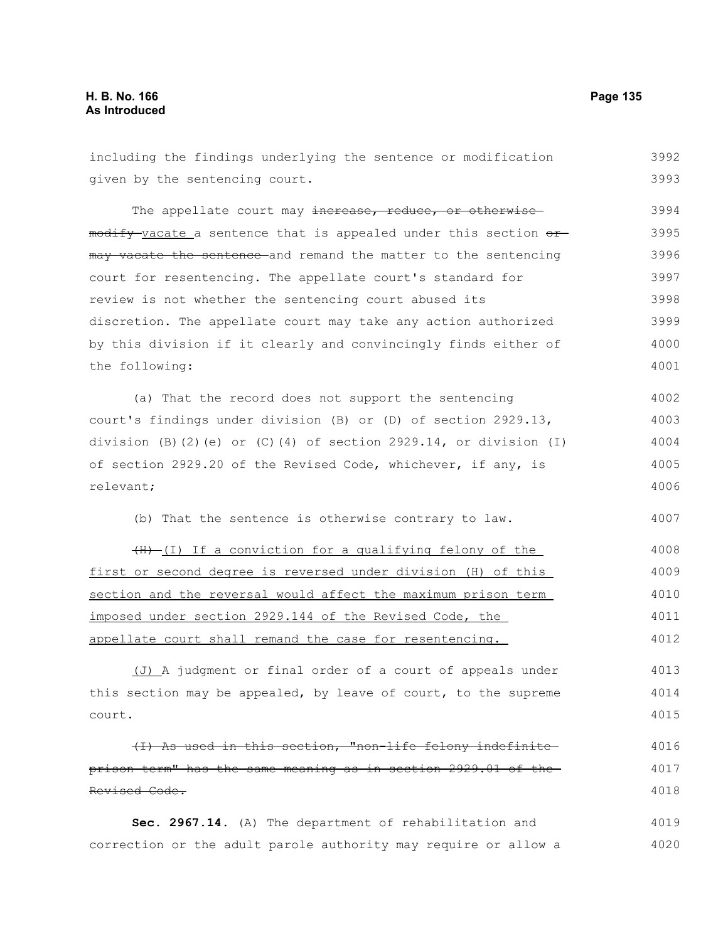given by the sentencing court.

including the findings underlying the sentence or modification The appellate court may increase, reduce, or otherwise-

modify-vacate a sentence that is appealed under this section ormay vacate the sentence and remand the matter to the sentencing court for resentencing. The appellate court's standard for review is not whether the sentencing court abused its discretion. The appellate court may take any action authorized by this division if it clearly and convincingly finds either of the following: 3995 3996 3997 3998 3999 4000 4001

(a) That the record does not support the sentencing court's findings under division (B) or (D) of section 2929.13, division (B)(2)(e) or (C)(4) of section 2929.14, or division (I) of section 2929.20 of the Revised Code, whichever, if any, is relevant; 4002 4003 4004 4005 4006

(b) That the sentence is otherwise contrary to law. 4007

| $(H)$ (I) If a conviction for a qualifying felony of the      | 4008 |
|---------------------------------------------------------------|------|
| first or second degree is reversed under division (H) of this | 4009 |
| section and the reversal would affect the maximum prison term | 4010 |
| imposed under section 2929.144 of the Revised Code, the       | 4011 |
| appellate court shall remand the case for resentencing.       | 4012 |

(J) A judgment or final order of a court of appeals under this section may be appealed, by leave of court, to the supreme court. 4013 4014 4015

(I) As used in this section, "non-life felony indefinite prison term" has the same meaning as in section 2929.01 of the Revised Code. 4016 4017 4018

Sec. 2967.14. (A) The department of rehabilitation and correction or the adult parole authority may require or allow a 4019 4020

3992 3993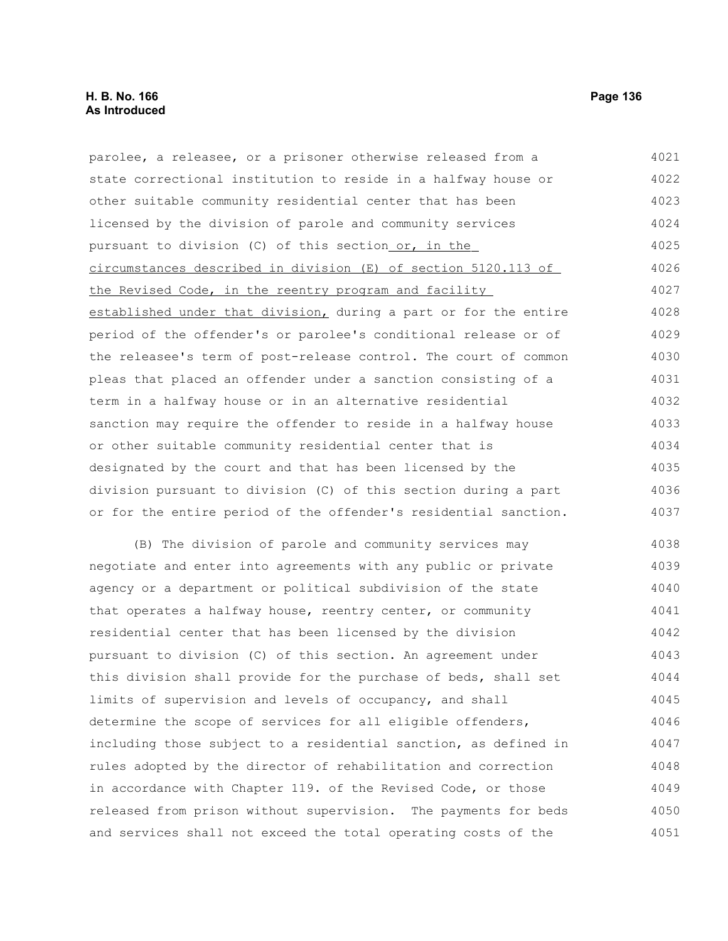| parolee, a releasee, or a prisoner otherwise released from a     | 4021 |
|------------------------------------------------------------------|------|
| state correctional institution to reside in a halfway house or   | 4022 |
| other suitable community residential center that has been        | 4023 |
| licensed by the division of parole and community services        | 4024 |
| pursuant to division (C) of this section or, in the              | 4025 |
| circumstances described in division (E) of section 5120.113 of   | 4026 |
| the Revised Code, in the reentry program and facility            | 4027 |
| established under that division, during a part or for the entire | 4028 |
| period of the offender's or parolee's conditional release or of  | 4029 |
| the releasee's term of post-release control. The court of common | 4030 |
| pleas that placed an offender under a sanction consisting of a   | 4031 |
| term in a halfway house or in an alternative residential         | 4032 |
| sanction may require the offender to reside in a halfway house   | 4033 |
| or other suitable community residential center that is           | 4034 |
| designated by the court and that has been licensed by the        | 4035 |
| division pursuant to division (C) of this section during a part  | 4036 |
| or for the entire period of the offender's residential sanction. | 4037 |

(B) The division of parole and community services may negotiate and enter into agreements with any public or private agency or a department or political subdivision of the state that operates a halfway house, reentry center, or community residential center that has been licensed by the division pursuant to division (C) of this section. An agreement under this division shall provide for the purchase of beds, shall set limits of supervision and levels of occupancy, and shall determine the scope of services for all eligible offenders, including those subject to a residential sanction, as defined in rules adopted by the director of rehabilitation and correction in accordance with Chapter 119. of the Revised Code, or those released from prison without supervision. The payments for beds and services shall not exceed the total operating costs of the 4038 4039 4040 4041 4042 4043 4044 4045 4046 4047 4048 4049 4050 4051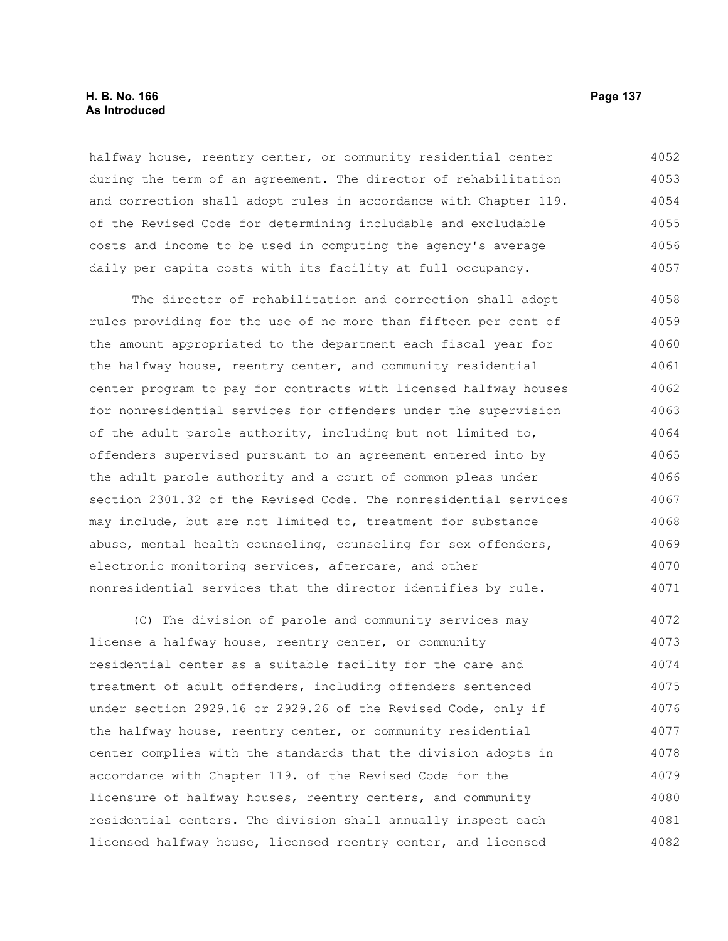## **H. B. No. 166 Page 137 As Introduced**

halfway house, reentry center, or community residential center during the term of an agreement. The director of rehabilitation and correction shall adopt rules in accordance with Chapter 119. of the Revised Code for determining includable and excludable costs and income to be used in computing the agency's average daily per capita costs with its facility at full occupancy. 4052 4053 4054 4055 4056 4057

The director of rehabilitation and correction shall adopt rules providing for the use of no more than fifteen per cent of the amount appropriated to the department each fiscal year for the halfway house, reentry center, and community residential center program to pay for contracts with licensed halfway houses for nonresidential services for offenders under the supervision of the adult parole authority, including but not limited to, offenders supervised pursuant to an agreement entered into by the adult parole authority and a court of common pleas under section 2301.32 of the Revised Code. The nonresidential services may include, but are not limited to, treatment for substance abuse, mental health counseling, counseling for sex offenders, electronic monitoring services, aftercare, and other nonresidential services that the director identifies by rule. 4058 4059 4060 4061 4062 4063 4064 4065 4066 4067 4068 4069 4070 4071

(C) The division of parole and community services may license a halfway house, reentry center, or community residential center as a suitable facility for the care and treatment of adult offenders, including offenders sentenced under section 2929.16 or 2929.26 of the Revised Code, only if the halfway house, reentry center, or community residential center complies with the standards that the division adopts in accordance with Chapter 119. of the Revised Code for the licensure of halfway houses, reentry centers, and community residential centers. The division shall annually inspect each licensed halfway house, licensed reentry center, and licensed 4072 4073 4074 4075 4076 4077 4078 4079 4080 4081 4082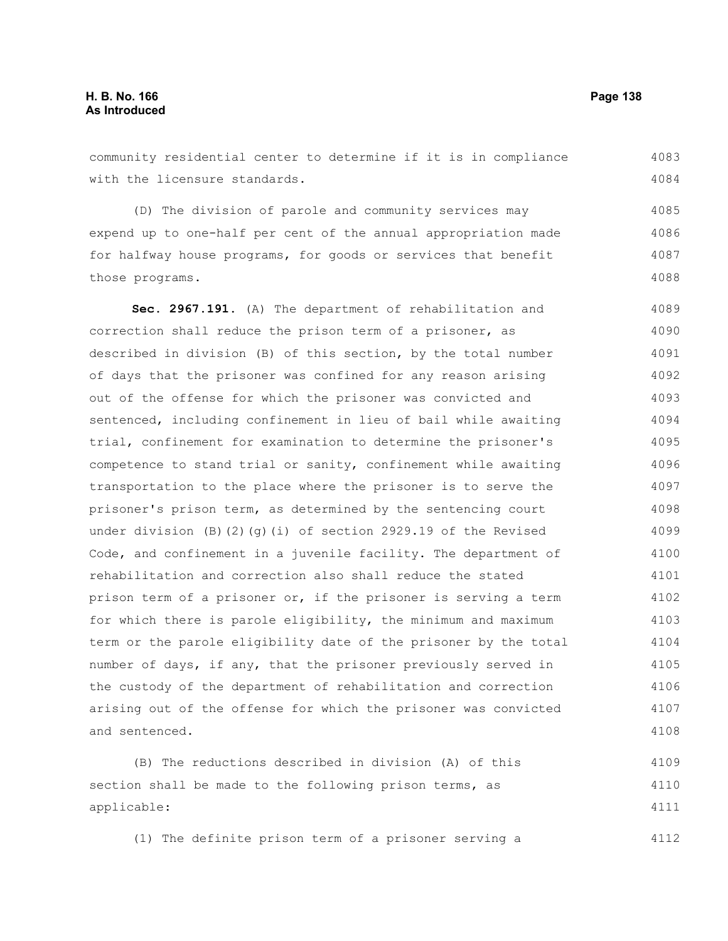community residential center to determine if it is in compliance with the licensure standards. 4083 4084

(D) The division of parole and community services may expend up to one-half per cent of the annual appropriation made for halfway house programs, for goods or services that benefit those programs. 4085 4086 4087 4088

**Sec. 2967.191.** (A) The department of rehabilitation and correction shall reduce the prison term of a prisoner, as described in division (B) of this section, by the total number of days that the prisoner was confined for any reason arising out of the offense for which the prisoner was convicted and sentenced, including confinement in lieu of bail while awaiting trial, confinement for examination to determine the prisoner's competence to stand trial or sanity, confinement while awaiting transportation to the place where the prisoner is to serve the prisoner's prison term, as determined by the sentencing court under division (B)(2)( $q$ )(i) of section 2929.19 of the Revised Code, and confinement in a juvenile facility. The department of rehabilitation and correction also shall reduce the stated prison term of a prisoner or, if the prisoner is serving a term for which there is parole eligibility, the minimum and maximum term or the parole eligibility date of the prisoner by the total number of days, if any, that the prisoner previously served in the custody of the department of rehabilitation and correction arising out of the offense for which the prisoner was convicted and sentenced. 4089 4090 4091 4092 4093 4094 4095 4096 4097 4098 4099 4100 4101 4102 4103 4104 4105 4106 4107 4108

(B) The reductions described in division (A) of this section shall be made to the following prison terms, as applicable: 4109 4110 4111

(1) The definite prison term of a prisoner serving a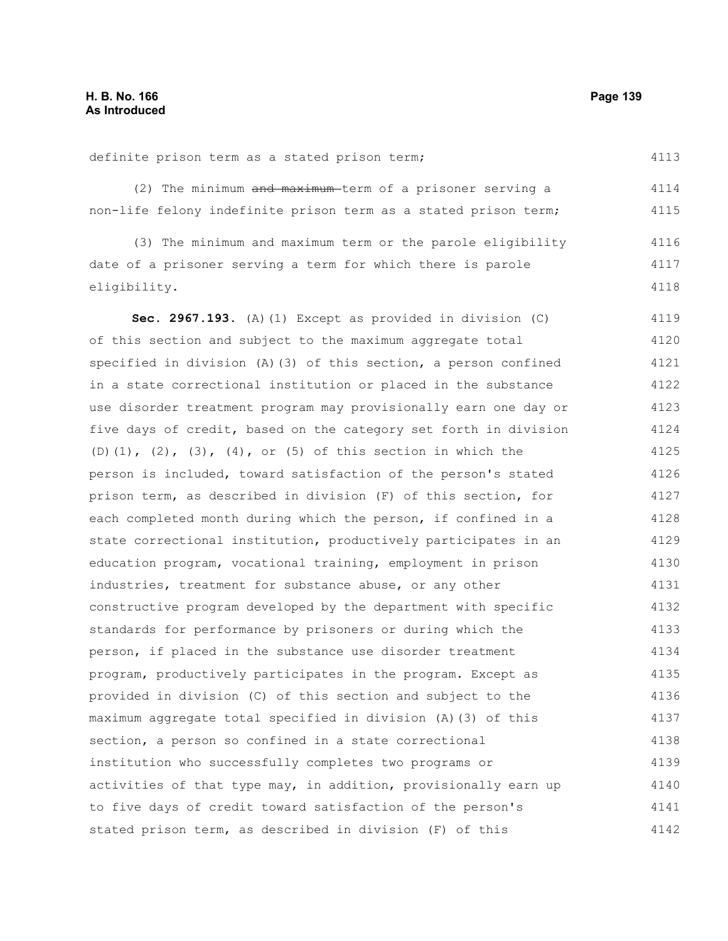4113

4114 4115

definite prison term as a stated prison term;

(2) The minimum and maximum-term of a prisoner serving a non-life felony indefinite prison term as a stated prison term;

(3) The minimum and maximum term or the parole eligibility date of a prisoner serving a term for which there is parole eligibility. 4116 4117 4118

**Sec. 2967.193.** (A)(1) Except as provided in division (C) of this section and subject to the maximum aggregate total specified in division (A)(3) of this section, a person confined in a state correctional institution or placed in the substance use disorder treatment program may provisionally earn one day or five days of credit, based on the category set forth in division (D)(1), (2), (3), (4), or (5) of this section in which the person is included, toward satisfaction of the person's stated prison term, as described in division (F) of this section, for each completed month during which the person, if confined in a state correctional institution, productively participates in an education program, vocational training, employment in prison industries, treatment for substance abuse, or any other constructive program developed by the department with specific standards for performance by prisoners or during which the person, if placed in the substance use disorder treatment program, productively participates in the program. Except as provided in division (C) of this section and subject to the maximum aggregate total specified in division (A)(3) of this section, a person so confined in a state correctional institution who successfully completes two programs or activities of that type may, in addition, provisionally earn up to five days of credit toward satisfaction of the person's stated prison term, as described in division (F) of this 4119 4120 4121 4122 4123 4124 4125 4126 4127 4128 4129 4130 4131 4132 4133 4134 4135 4136 4137 4138 4139 4140 4141 4142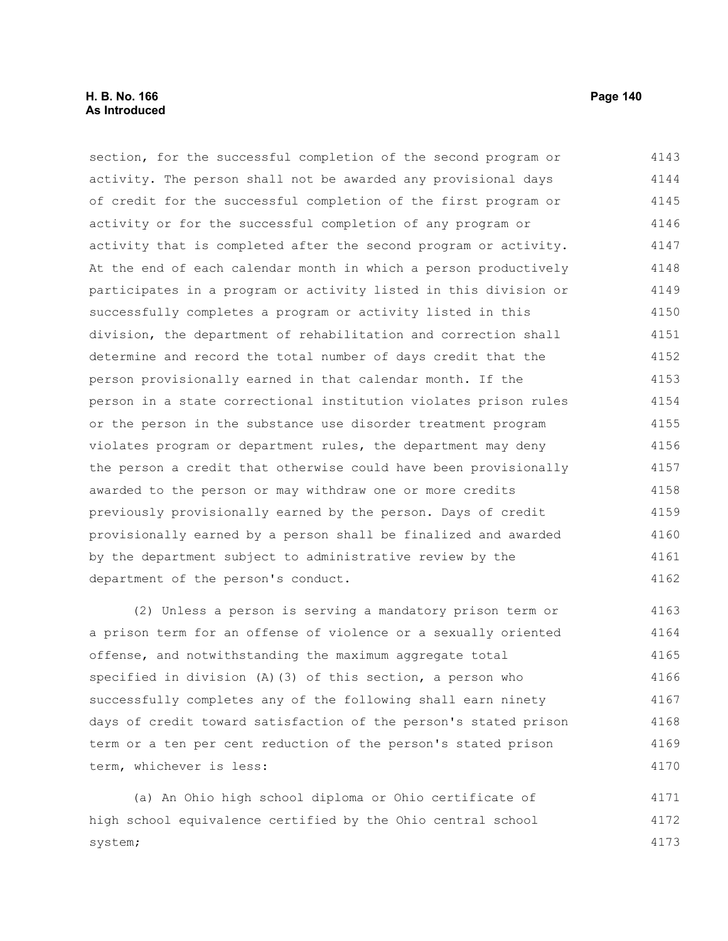## **H. B. No. 166 Page 140 As Introduced**

section, for the successful completion of the second program or activity. The person shall not be awarded any provisional days of credit for the successful completion of the first program or activity or for the successful completion of any program or activity that is completed after the second program or activity. At the end of each calendar month in which a person productively participates in a program or activity listed in this division or successfully completes a program or activity listed in this division, the department of rehabilitation and correction shall determine and record the total number of days credit that the person provisionally earned in that calendar month. If the person in a state correctional institution violates prison rules or the person in the substance use disorder treatment program violates program or department rules, the department may deny the person a credit that otherwise could have been provisionally awarded to the person or may withdraw one or more credits previously provisionally earned by the person. Days of credit provisionally earned by a person shall be finalized and awarded by the department subject to administrative review by the department of the person's conduct. 4143 4144 4145 4146 4147 4148 4149 4150 4151 4152 4153 4154 4155 4156 4157 4158 4159 4160 4161 4162

(2) Unless a person is serving a mandatory prison term or a prison term for an offense of violence or a sexually oriented offense, and notwithstanding the maximum aggregate total specified in division  $(A)$  (3) of this section, a person who successfully completes any of the following shall earn ninety days of credit toward satisfaction of the person's stated prison term or a ten per cent reduction of the person's stated prison term, whichever is less: 4163 4164 4165 4166 4167 4168 4169 4170

(a) An Ohio high school diploma or Ohio certificate of high school equivalence certified by the Ohio central school system; 4171 4172 4173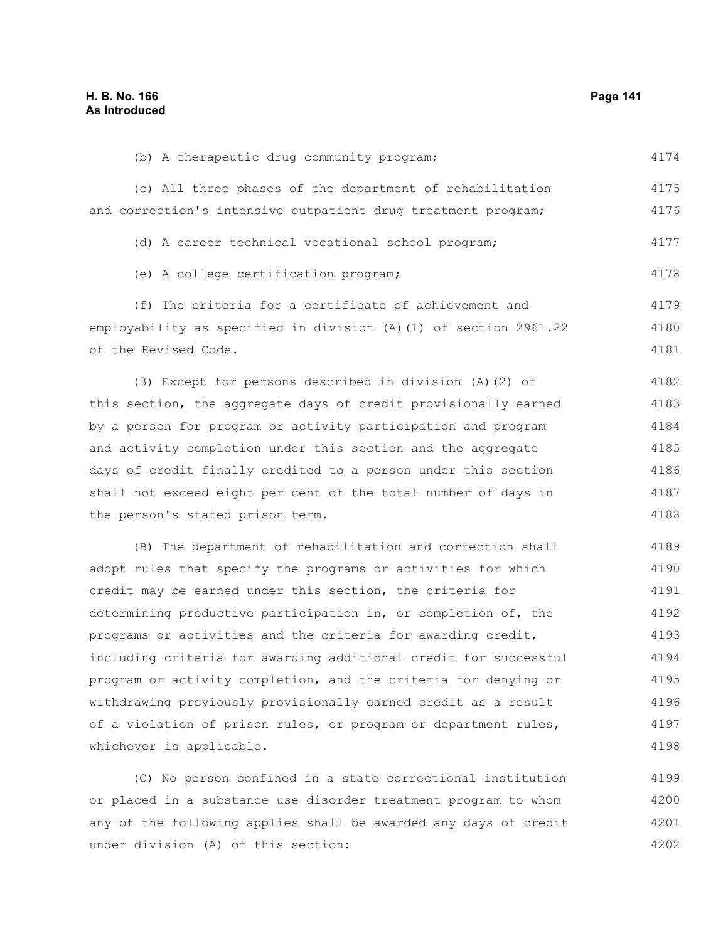| (c) All three phases of the department of rehabilitation          | 4175 |
|-------------------------------------------------------------------|------|
| and correction's intensive outpatient drug treatment program;     | 4176 |
| (d) A career technical vocational school program;                 | 4177 |
| (e) A college certification program;                              | 4178 |
| (f) The criteria for a certificate of achievement and             | 4179 |
| employability as specified in division (A) (1) of section 2961.22 | 4180 |
| of the Revised Code.                                              | 4181 |
| (3) Except for persons described in division (A) (2) of           | 4182 |
| this section, the aggregate days of credit provisionally earned   | 4183 |
| by a person for program or activity participation and program     | 4184 |
| and activity completion under this section and the aggregate      | 4185 |
| days of credit finally credited to a person under this section    | 4186 |
| shall not exceed eight per cent of the total number of days in    | 4187 |
| the person's stated prison term.                                  | 4188 |
| (B) The department of rehabilitation and correction shall         | 4189 |
| adopt rules that specify the programs or activities for which     | 4190 |
| credit may be earned under this section, the criteria for         | 4191 |
| determining productive participation in, or completion of, the    | 4192 |
| programs or activities and the criteria for awarding credit,      | 4193 |
| including criteria for awarding additional credit for successful  | 4194 |
| program or activity completion, and the criteria for denying or   | 4195 |
| withdrawing previously provisionally earned credit as a result    | 4196 |
| of a violation of prison rules, or program or department rules,   | 4197 |
| whichever is applicable.                                          | 4198 |
|                                                                   |      |

(b) A therapeutic drug community program;

(C) No person confined in a state correctional institution or placed in a substance use disorder treatment program to whom any of the following applies shall be awarded any days of credit under division (A) of this section: 4199 4200 4201 4202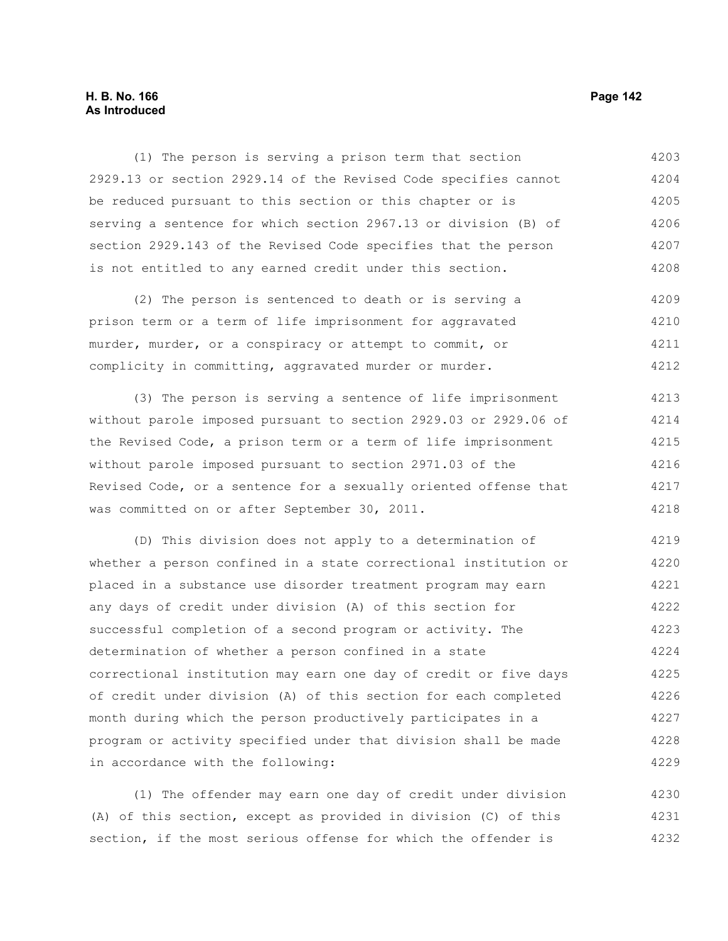## **H. B. No. 166 Page 142 As Introduced**

(1) The person is serving a prison term that section 2929.13 or section 2929.14 of the Revised Code specifies cannot be reduced pursuant to this section or this chapter or is serving a sentence for which section 2967.13 or division (B) of section 2929.143 of the Revised Code specifies that the person is not entitled to any earned credit under this section. 4203 4204 4205 4206 4207 4208

(2) The person is sentenced to death or is serving a prison term or a term of life imprisonment for aggravated murder, murder, or a conspiracy or attempt to commit, or complicity in committing, aggravated murder or murder. 4209 4210 4211 4212

(3) The person is serving a sentence of life imprisonment without parole imposed pursuant to section 2929.03 or 2929.06 of the Revised Code, a prison term or a term of life imprisonment without parole imposed pursuant to section 2971.03 of the Revised Code, or a sentence for a sexually oriented offense that was committed on or after September 30, 2011. 4213 4214 4215 4216 4217 4218

(D) This division does not apply to a determination of whether a person confined in a state correctional institution or placed in a substance use disorder treatment program may earn any days of credit under division (A) of this section for successful completion of a second program or activity. The determination of whether a person confined in a state correctional institution may earn one day of credit or five days of credit under division (A) of this section for each completed month during which the person productively participates in a program or activity specified under that division shall be made in accordance with the following: 4219 4220 4221 4222 4223 4224 4225 4226 4227 4228 4229

(1) The offender may earn one day of credit under division (A) of this section, except as provided in division (C) of this section, if the most serious offense for which the offender is 4230 4231 4232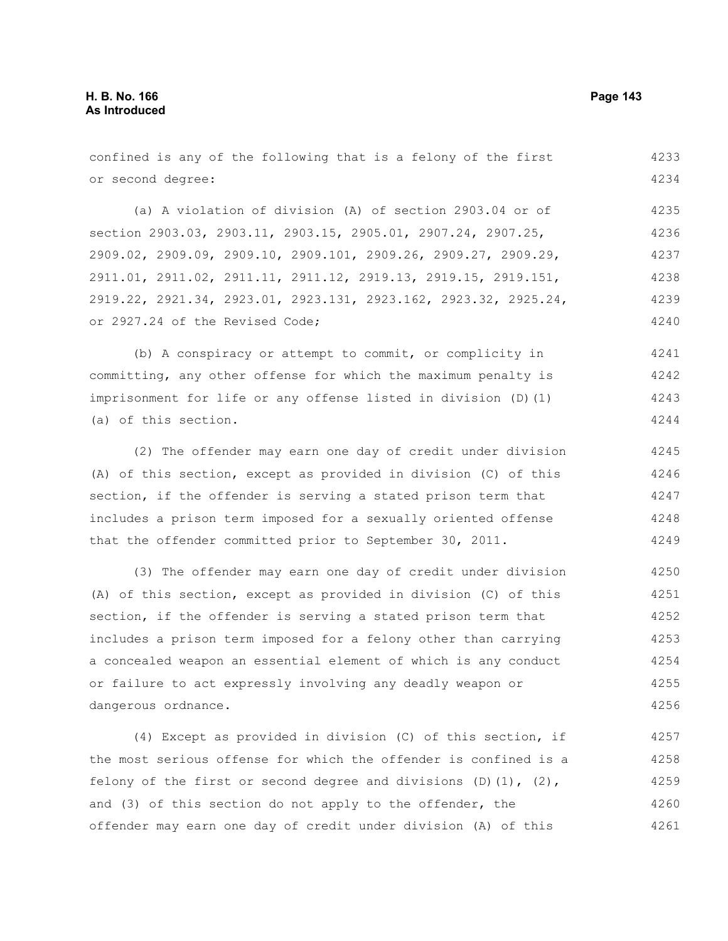| confined is any of the following that is a felony of the first           | 4233 |
|--------------------------------------------------------------------------|------|
| or second degree:                                                        | 4234 |
| (a) A violation of division (A) of section 2903.04 or of                 | 4235 |
| section 2903.03, 2903.11, 2903.15, 2905.01, 2907.24, 2907.25,            | 4236 |
| 2909.02, 2909.09, 2909.10, 2909.101, 2909.26, 2909.27, 2909.29,          | 4237 |
| 2911.01, 2911.02, 2911.11, 2911.12, 2919.13, 2919.15, 2919.151,          | 4238 |
| 2919.22, 2921.34, 2923.01, 2923.131, 2923.162, 2923.32, 2925.24,         | 4239 |
| or 2927.24 of the Revised Code;                                          | 4240 |
| (b) A conspiracy or attempt to commit, or complicity in                  | 4241 |
| committing, any other offense for which the maximum penalty is           | 4242 |
| imprisonment for life or any offense listed in division (D) (1)          | 4243 |
| (a) of this section.                                                     | 4244 |
| (2) The offender may earn one day of credit under division               | 4245 |
| (A) of this section, except as provided in division (C) of this          | 4246 |
| section, if the offender is serving a stated prison term that            | 4247 |
| includes a prison term imposed for a sexually oriented offense           | 4248 |
| that the offender committed prior to September 30, 2011.                 | 4249 |
| (3) The offender may earn one day of credit under division               | 4250 |
| (A) of this section, except as provided in division (C) of this          | 4251 |
| section, if the offender is serving a stated prison term that            | 4252 |
| includes a prison term imposed for a felony other than carrying          | 4253 |
| a concealed weapon an essential element of which is any conduct          | 4254 |
| or failure to act expressly involving any deadly weapon or               | 4255 |
| dangerous ordnance.                                                      | 4256 |
| (4) Except as provided in division (C) of this section, if               | 4257 |
| the most serious offense for which the offender is confined is a         | 4258 |
| felony of the first or second degree and divisions $(D)$ $(1)$ , $(2)$ , | 4259 |
| and (3) of this section do not apply to the offender, the                | 4260 |
| offender may earn one day of credit under division (A) of this           | 4261 |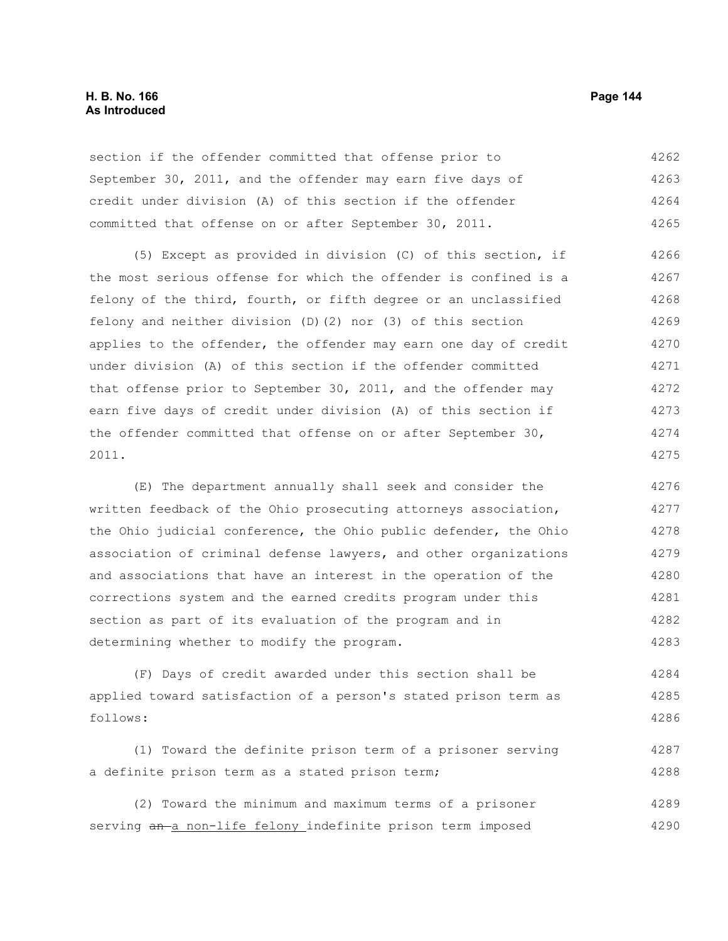section if the offender committed that offense prior to September 30, 2011, and the offender may earn five days of credit under division (A) of this section if the offender committed that offense on or after September 30, 2011. 4262 4263 4264 4265

(5) Except as provided in division (C) of this section, if the most serious offense for which the offender is confined is a felony of the third, fourth, or fifth degree or an unclassified felony and neither division (D)(2) nor (3) of this section applies to the offender, the offender may earn one day of credit under division (A) of this section if the offender committed that offense prior to September 30, 2011, and the offender may earn five days of credit under division (A) of this section if the offender committed that offense on or after September 30, 2011. 4266 4267 4268 4269 4270 4271 4272 4273 4274 4275

(E) The department annually shall seek and consider the written feedback of the Ohio prosecuting attorneys association, the Ohio judicial conference, the Ohio public defender, the Ohio association of criminal defense lawyers, and other organizations and associations that have an interest in the operation of the corrections system and the earned credits program under this section as part of its evaluation of the program and in determining whether to modify the program. 4276 4277 4278 4279 4280 4281 4282 4283

(F) Days of credit awarded under this section shall be applied toward satisfaction of a person's stated prison term as follows: 4284 4285 4286

(1) Toward the definite prison term of a prisoner serving a definite prison term as a stated prison term; 4287 4288

(2) Toward the minimum and maximum terms of a prisoner serving an a non-life felony indefinite prison term imposed 4289 4290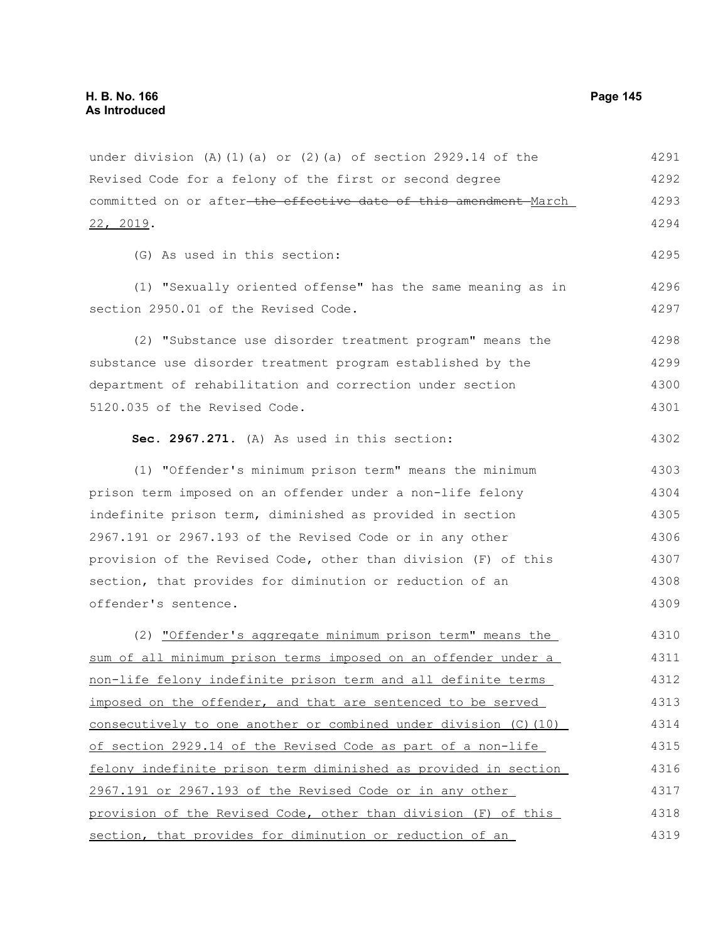under division (A)(1)(a) or (2)(a) of section 2929.14 of the Revised Code for a felony of the first or second degree committed on or after the effective date of this amendment March 22, 2019. (G) As used in this section: (1) "Sexually oriented offense" has the same meaning as in section 2950.01 of the Revised Code. (2) "Substance use disorder treatment program" means the substance use disorder treatment program established by the department of rehabilitation and correction under section 5120.035 of the Revised Code. **Sec. 2967.271.** (A) As used in this section: (1) "Offender's minimum prison term" means the minimum prison term imposed on an offender under a non-life felony indefinite prison term, diminished as provided in section 2967.191 or 2967.193 of the Revised Code or in any other provision of the Revised Code, other than division (F) of this section, that provides for diminution or reduction of an offender's sentence. (2) "Offender's aggregate minimum prison term" means the sum of all minimum prison terms imposed on an offender under a non-life felony indefinite prison term and all definite terms imposed on the offender, and that are sentenced to be served consecutively to one another or combined under division (C)(10) of section 2929.14 of the Revised Code as part of a non-life felony indefinite prison term diminished as provided in section 2967.191 or 2967.193 of the Revised Code or in any other provision of the Revised Code, other than division (F) of this section, that provides for diminution or reduction of an 4291 4292 4293 4294 4295 4296 4297 4298 4299 4300 4301 4302 4303 4304 4305 4306 4307 4308 4309 4310 4311 4312 4313 4314 4315 4316 4317 4318 4319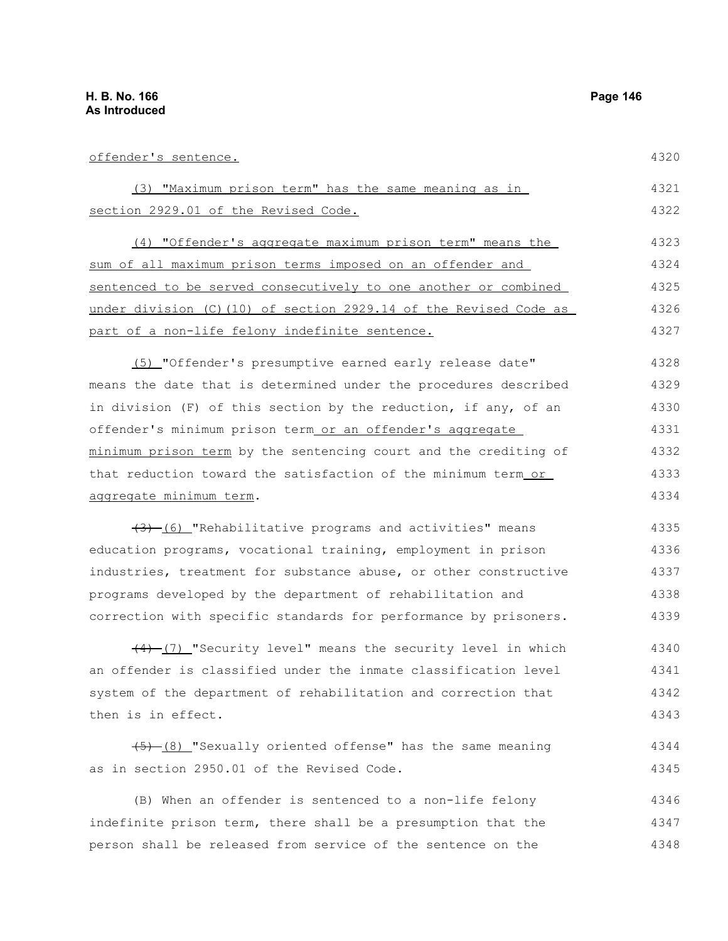| offender's sentence.                                              | 4320 |
|-------------------------------------------------------------------|------|
| (3) "Maximum prison term" has the same meaning as in              | 4321 |
| section 2929.01 of the Revised Code.                              | 4322 |
| (4) "Offender's aggregate maximum prison term" means the          | 4323 |
| sum of all maximum prison terms imposed on an offender and        | 4324 |
| sentenced to be served consecutively to one another or combined   | 4325 |
| under division (C) (10) of section 2929.14 of the Revised Code as | 4326 |
| part of a non-life felony indefinite sentence.                    | 4327 |
| (5) "Offender's presumptive earned early release date"            | 4328 |
| means the date that is determined under the procedures described  | 4329 |
| in division (F) of this section by the reduction, if any, of an   | 4330 |
| offender's minimum prison term or an offender's aggregate         | 4331 |
| minimum prison term by the sentencing court and the crediting of  | 4332 |
| that reduction toward the satisfaction of the minimum term or     | 4333 |
| aggregate minimum term.                                           | 4334 |
| (3) (6) "Rehabilitative programs and activities" means            | 4335 |
| education programs, vocational training, employment in prison     | 4336 |
| industries, treatment for substance abuse, or other constructive  | 4337 |
| programs developed by the department of rehabilitation and        | 4338 |
| correction with specific standards for performance by prisoners.  | 4339 |
| $(4)$ $(7)$ "Security level" means the security level in which    | 4340 |
| an offender is classified under the inmate classification level   | 4341 |
| system of the department of rehabilitation and correction that    | 4342 |
| then is in effect.                                                | 4343 |
| $(5)$ (8) "Sexually oriented offense" has the same meaning        | 4344 |
| as in section 2950.01 of the Revised Code.                        | 4345 |
| (B) When an offender is sentenced to a non-life felony            | 4346 |
| indefinite prison term, there shall be a presumption that the     | 4347 |
| person shall be released from service of the sentence on the      | 4348 |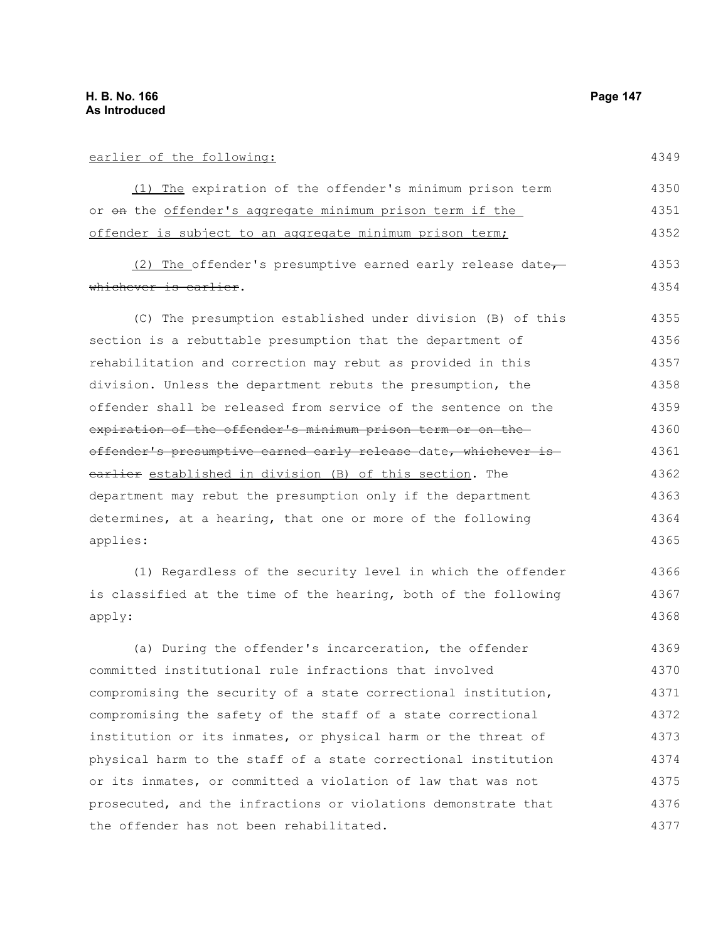earlier of the following: (1) The expiration of the offender's minimum prison term or on the offender's aggregate minimum prison term if the offender is subject to an aggregate minimum prison term; (2) The offender's presumptive earned early release date<sub>7</sub> whichever is earlier. (C) The presumption established under division (B) of this section is a rebuttable presumption that the department of rehabilitation and correction may rebut as provided in this division. Unless the department rebuts the presumption, the offender shall be released from service of the sentence on the expiration of the offender's minimum prison term or on theoffender's presumptive earned early release date, whichever is earlier established in division (B) of this section. The department may rebut the presumption only if the department determines, at a hearing, that one or more of the following applies: (1) Regardless of the security level in which the offender is classified at the time of the hearing, both of the following apply: (a) During the offender's incarceration, the offender committed institutional rule infractions that involved compromising the security of a state correctional institution, compromising the safety of the staff of a state correctional institution or its inmates, or physical harm or the threat of physical harm to the staff of a state correctional institution or its inmates, or committed a violation of law that was not prosecuted, and the infractions or violations demonstrate that 4350 4351 4352 4353 4354 4355 4356 4357 4358 4359 4360 4361 4362 4363 4364 4365 4366 4367 4368 4369 4370 4371 4372 4373 4374 4375 4376

the offender has not been rehabilitated.

4349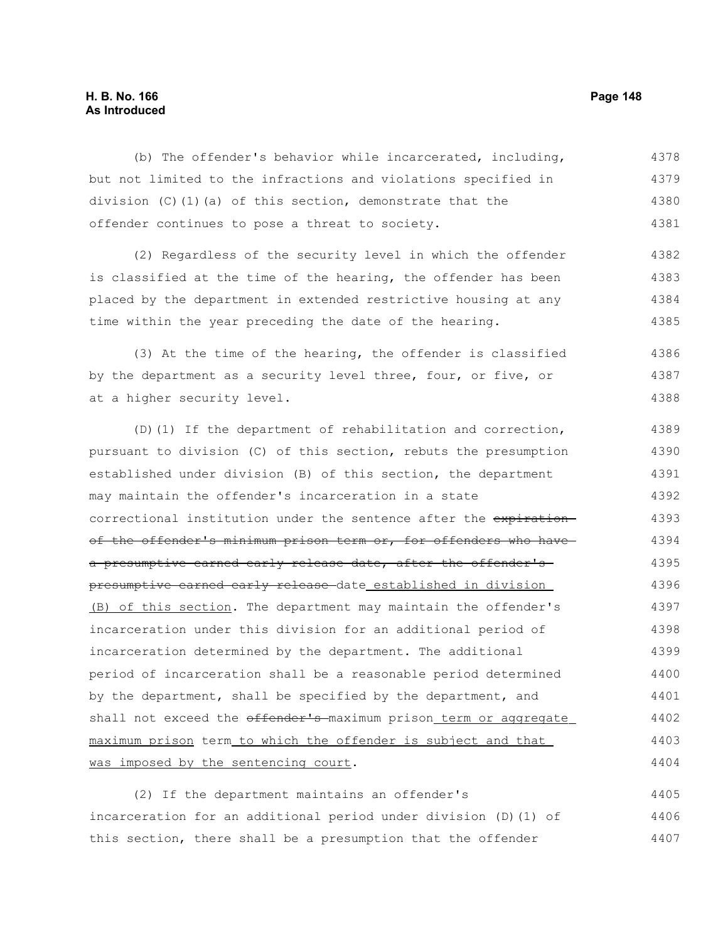# **H. B. No. 166 Page 148 As Introduced**

(b) The offender's behavior while incarcerated, including, but not limited to the infractions and violations specified in division (C)(1)(a) of this section, demonstrate that the offender continues to pose a threat to society. (2) Regardless of the security level in which the offender is classified at the time of the hearing, the offender has been placed by the department in extended restrictive housing at any time within the year preceding the date of the hearing. (3) At the time of the hearing, the offender is classified by the department as a security level three, four, or five, or at a higher security level. (D)(1) If the department of rehabilitation and correction, pursuant to division (C) of this section, rebuts the presumption established under division (B) of this section, the department may maintain the offender's incarceration in a state correctional institution under the sentence after the expirationof the offender's minimum prison term or, for offenders who havea presumptive earned early release date, after the offender's presumptive earned early release date established in division (B) of this section. The department may maintain the offender's incarceration under this division for an additional period of incarceration determined by the department. The additional period of incarceration shall be a reasonable period determined by the department, shall be specified by the department, and shall not exceed the offender's maximum prison term or aggregate maximum prison term to which the offender is subject and that was imposed by the sentencing court. 4378 4379 4380 4381 4382 4383 4384 4385 4386 4387 4388 4389 4390 4391 4392 4393 4394 4395 4396 4397 4398 4399 4400 4401 4402 4403 4404

(2) If the department maintains an offender's incarceration for an additional period under division (D)(1) of this section, there shall be a presumption that the offender 4405 4406 4407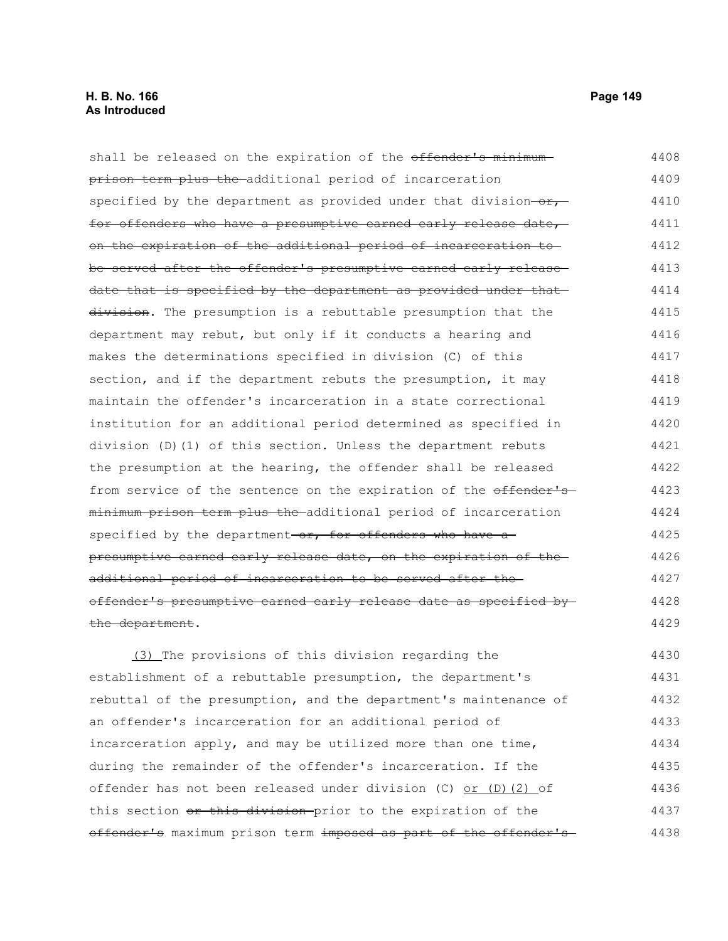# **H. B. No. 166 Page 149 As Introduced**

shall be released on the expiration of the offender's minimumprison term plus the additional period of incarceration specified by the department as provided under that division- $o$ r, for offenders who have a presumptive earned early release date, on the expiration of the additional period of incarceration to be served after the offender's presumptive earned early releasedate that is specified by the department as provided under that division. The presumption is a rebuttable presumption that the department may rebut, but only if it conducts a hearing and makes the determinations specified in division (C) of this section, and if the department rebuts the presumption, it may maintain the offender's incarceration in a state correctional institution for an additional period determined as specified in division (D)(1) of this section. Unless the department rebuts the presumption at the hearing, the offender shall be released from service of the sentence on the expiration of the offender's minimum prison term plus the additional period of incarceration specified by the department  $-$ or, for offenders who have a presumptive earned early release date, on the expiration of the additional period of incarceration to be served after the offender's presumptive earned early release date as specified by the department. (3) The provisions of this division regarding the establishment of a rebuttable presumption, the department's rebuttal of the presumption, and the department's maintenance of an offender's incarceration for an additional period of 4408 4409 4410 4411 4412 4413 4414 4415 4416 4417 4418 4419 4420 4421 4422 4423 4424 4425 4426 4427 4428 4429 4430 4431 4432 4433

incarceration apply, and may be utilized more than one time, during the remainder of the offender's incarceration. If the offender has not been released under division (C) or (D)(2) of

this section or this division prior to the expiration of the

offender's maximum prison term imposed as part of the offender's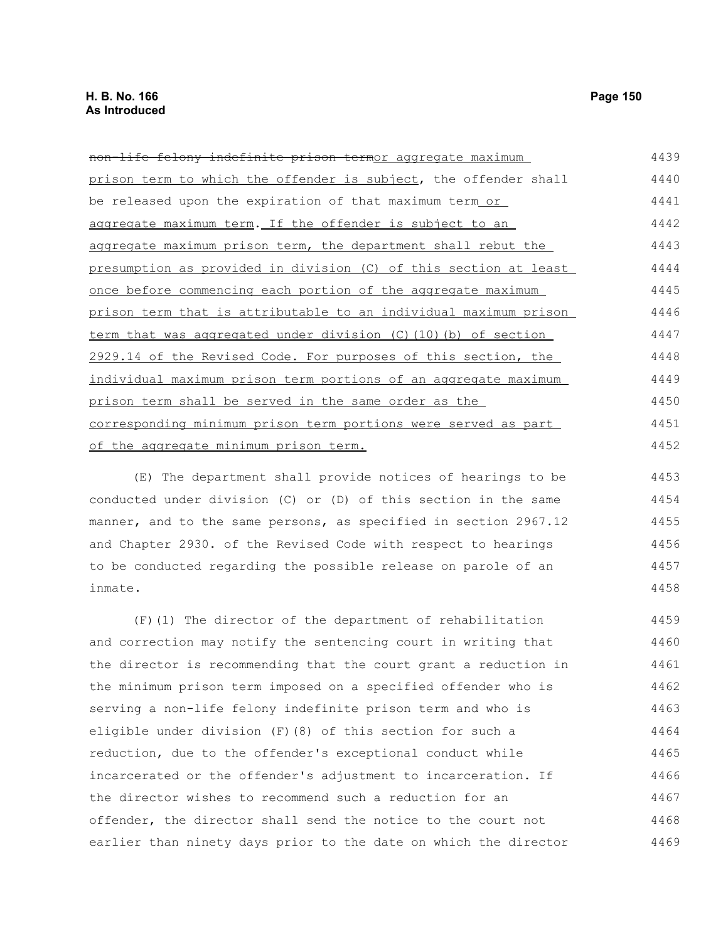non-life felony indefinite prison termor aggregate maximum prison term to which the offender is subject, the offender shall be released upon the expiration of that maximum term or aggregate maximum term. If the offender is subject to an aggregate maximum prison term, the department shall rebut the presumption as provided in division (C) of this section at least once before commencing each portion of the aggregate maximum prison term that is attributable to an individual maximum prison term that was aggregated under division (C)(10)(b) of section 2929.14 of the Revised Code. For purposes of this section, the individual maximum prison term portions of an aggregate maximum prison term shall be served in the same order as the corresponding minimum prison term portions were served as part of the aggregate minimum prison term. 4439 4440 4441 4442 4443 4444 4445 4446 4447 4448 4449 4450 4451 4452

(E) The department shall provide notices of hearings to be conducted under division (C) or (D) of this section in the same manner, and to the same persons, as specified in section 2967.12 and Chapter 2930. of the Revised Code with respect to hearings to be conducted regarding the possible release on parole of an inmate. 4453 4454 4455 4456 4457 4458

(F)(1) The director of the department of rehabilitation and correction may notify the sentencing court in writing that the director is recommending that the court grant a reduction in the minimum prison term imposed on a specified offender who is serving a non-life felony indefinite prison term and who is eligible under division (F)(8) of this section for such a reduction, due to the offender's exceptional conduct while incarcerated or the offender's adjustment to incarceration. If the director wishes to recommend such a reduction for an offender, the director shall send the notice to the court not earlier than ninety days prior to the date on which the director 4459 4460 4461 4462 4463 4464 4465 4466 4467 4468 4469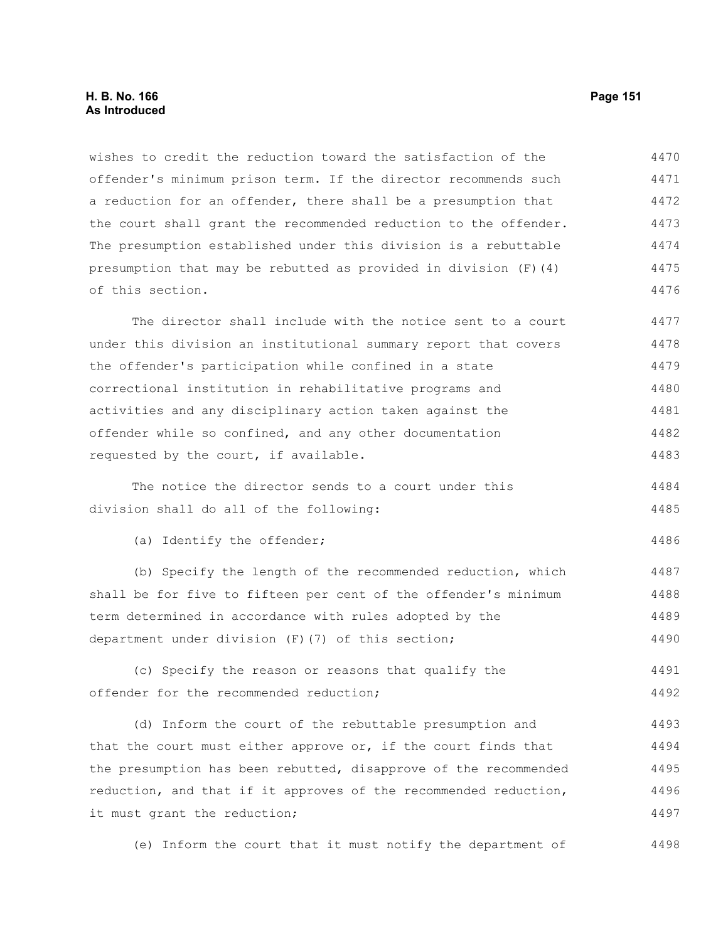## **H. B. No. 166 Page 151 As Introduced**

wishes to credit the reduction toward the satisfaction of the offender's minimum prison term. If the director recommends such a reduction for an offender, there shall be a presumption that the court shall grant the recommended reduction to the offender. The presumption established under this division is a rebuttable presumption that may be rebutted as provided in division (F)(4) of this section. 4470 4471 4472 4473 4474 4475 4476

The director shall include with the notice sent to a court under this division an institutional summary report that covers the offender's participation while confined in a state correctional institution in rehabilitative programs and activities and any disciplinary action taken against the offender while so confined, and any other documentation requested by the court, if available. 4477 4478 4479 4480 4481 4482 4483

The notice the director sends to a court under this division shall do all of the following: 4484 4485

(a) Identify the offender;

(b) Specify the length of the recommended reduction, which shall be for five to fifteen per cent of the offender's minimum term determined in accordance with rules adopted by the department under division (F)(7) of this section; 4487 4488 4489 4490

(c) Specify the reason or reasons that qualify the offender for the recommended reduction; 4491 4492

(d) Inform the court of the rebuttable presumption and that the court must either approve or, if the court finds that the presumption has been rebutted, disapprove of the recommended reduction, and that if it approves of the recommended reduction, it must grant the reduction; 4493 4494 4495 4496 4497

(e) Inform the court that it must notify the department of 4498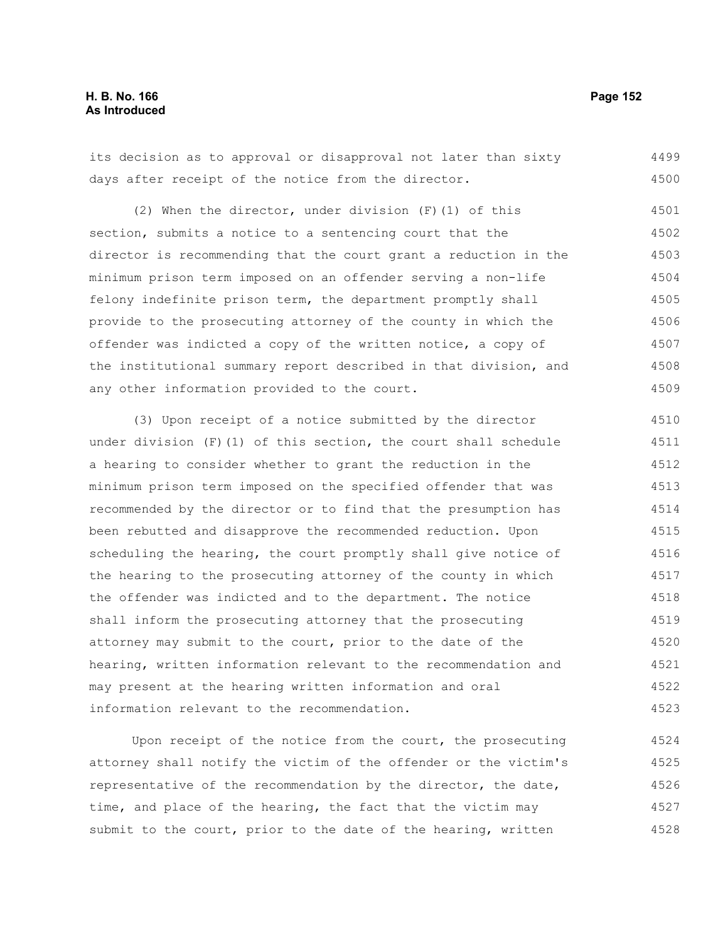its decision as to approval or disapproval not later than sixty days after receipt of the notice from the director. 4499 4500

(2) When the director, under division (F)(1) of this section, submits a notice to a sentencing court that the director is recommending that the court grant a reduction in the minimum prison term imposed on an offender serving a non-life felony indefinite prison term, the department promptly shall provide to the prosecuting attorney of the county in which the offender was indicted a copy of the written notice, a copy of the institutional summary report described in that division, and any other information provided to the court. 4501 4502 4503 4504 4505 4506 4507 4508 4509

(3) Upon receipt of a notice submitted by the director under division  $(F)(1)$  of this section, the court shall schedule a hearing to consider whether to grant the reduction in the minimum prison term imposed on the specified offender that was recommended by the director or to find that the presumption has been rebutted and disapprove the recommended reduction. Upon scheduling the hearing, the court promptly shall give notice of the hearing to the prosecuting attorney of the county in which the offender was indicted and to the department. The notice shall inform the prosecuting attorney that the prosecuting attorney may submit to the court, prior to the date of the hearing, written information relevant to the recommendation and may present at the hearing written information and oral information relevant to the recommendation. 4510 4511 4512 4513 4514 4515 4516 4517 4518 4519 4520 4521 4522 4523

Upon receipt of the notice from the court, the prosecuting attorney shall notify the victim of the offender or the victim's representative of the recommendation by the director, the date, time, and place of the hearing, the fact that the victim may submit to the court, prior to the date of the hearing, written 4524 4525 4526 4527 4528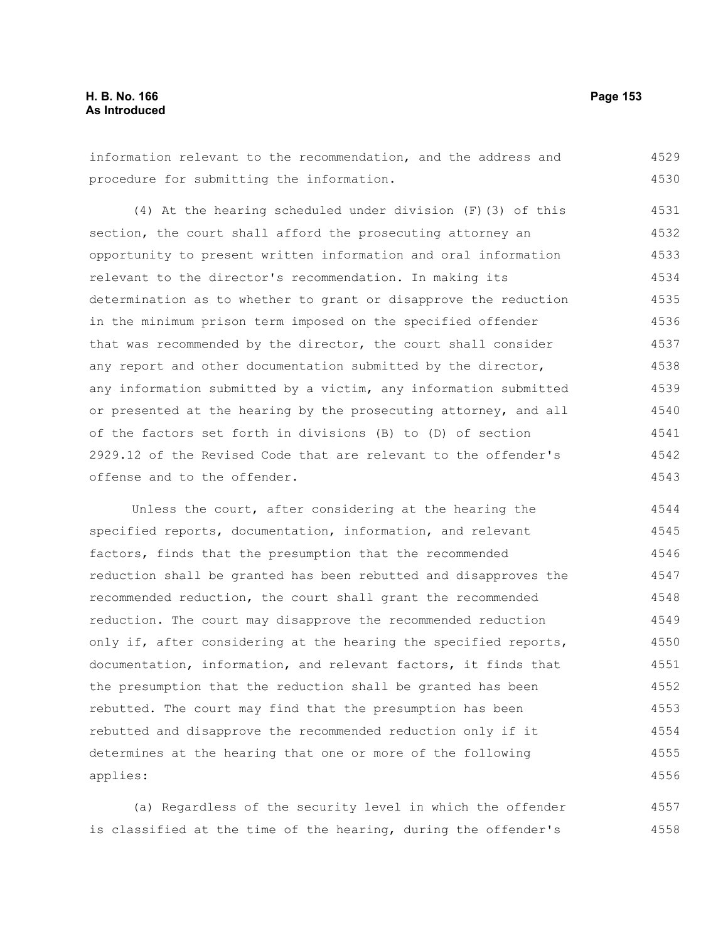information relevant to the recommendation, and the address and procedure for submitting the information. 4529 4530

(4) At the hearing scheduled under division (F)(3) of this section, the court shall afford the prosecuting attorney an opportunity to present written information and oral information relevant to the director's recommendation. In making its determination as to whether to grant or disapprove the reduction in the minimum prison term imposed on the specified offender that was recommended by the director, the court shall consider any report and other documentation submitted by the director, any information submitted by a victim, any information submitted or presented at the hearing by the prosecuting attorney, and all of the factors set forth in divisions (B) to (D) of section 2929.12 of the Revised Code that are relevant to the offender's offense and to the offender. 4531 4532 4533 4534 4535 4536 4537 4538 4539 4540 4541 4542 4543

Unless the court, after considering at the hearing the specified reports, documentation, information, and relevant factors, finds that the presumption that the recommended reduction shall be granted has been rebutted and disapproves the recommended reduction, the court shall grant the recommended reduction. The court may disapprove the recommended reduction only if, after considering at the hearing the specified reports, documentation, information, and relevant factors, it finds that the presumption that the reduction shall be granted has been rebutted. The court may find that the presumption has been rebutted and disapprove the recommended reduction only if it determines at the hearing that one or more of the following applies: 4544 4545 4546 4547 4548 4549 4550 4551 4552 4553 4554 4555 4556

(a) Regardless of the security level in which the offender is classified at the time of the hearing, during the offender's 4557 4558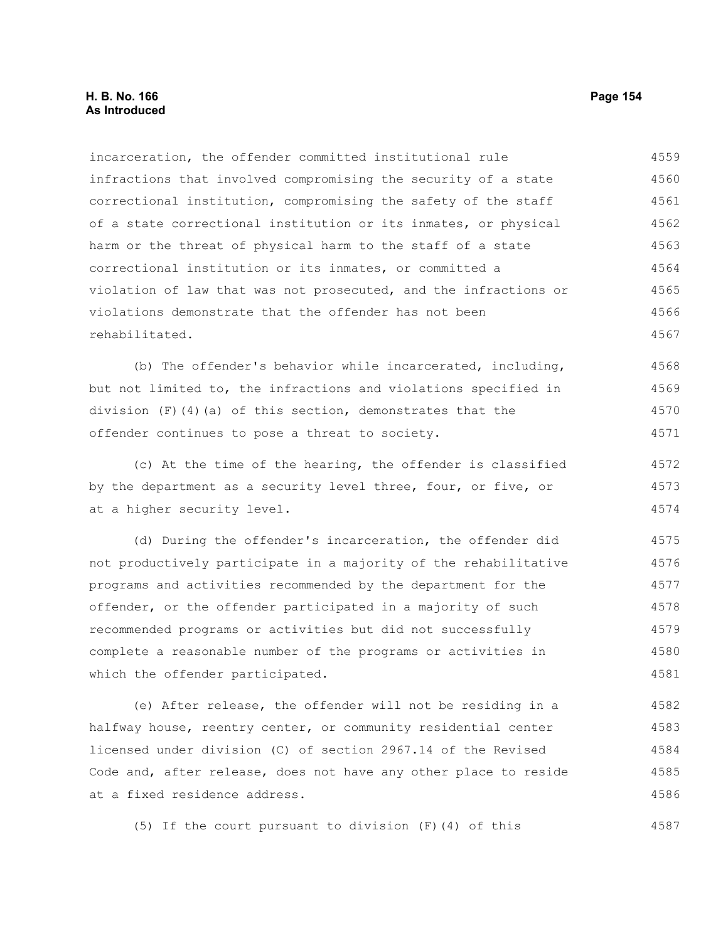incarceration, the offender committed institutional rule infractions that involved compromising the security of a state correctional institution, compromising the safety of the staff of a state correctional institution or its inmates, or physical harm or the threat of physical harm to the staff of a state correctional institution or its inmates, or committed a violation of law that was not prosecuted, and the infractions or violations demonstrate that the offender has not been rehabilitated. 4559 4560 4561 4562 4563 4564 4565 4566 4567

(b) The offender's behavior while incarcerated, including, but not limited to, the infractions and violations specified in division (F)(4)(a) of this section, demonstrates that the offender continues to pose a threat to society. 4568 4569 4570 4571

(c) At the time of the hearing, the offender is classified by the department as a security level three, four, or five, or at a higher security level. 4572 4573 4574

(d) During the offender's incarceration, the offender did not productively participate in a majority of the rehabilitative programs and activities recommended by the department for the offender, or the offender participated in a majority of such recommended programs or activities but did not successfully complete a reasonable number of the programs or activities in which the offender participated. 4575 4576 4577 4578 4579 4580 4581

(e) After release, the offender will not be residing in a halfway house, reentry center, or community residential center licensed under division (C) of section 2967.14 of the Revised Code and, after release, does not have any other place to reside at a fixed residence address. 4582 4583 4584 4585 4586

(5) If the court pursuant to division (F)(4) of this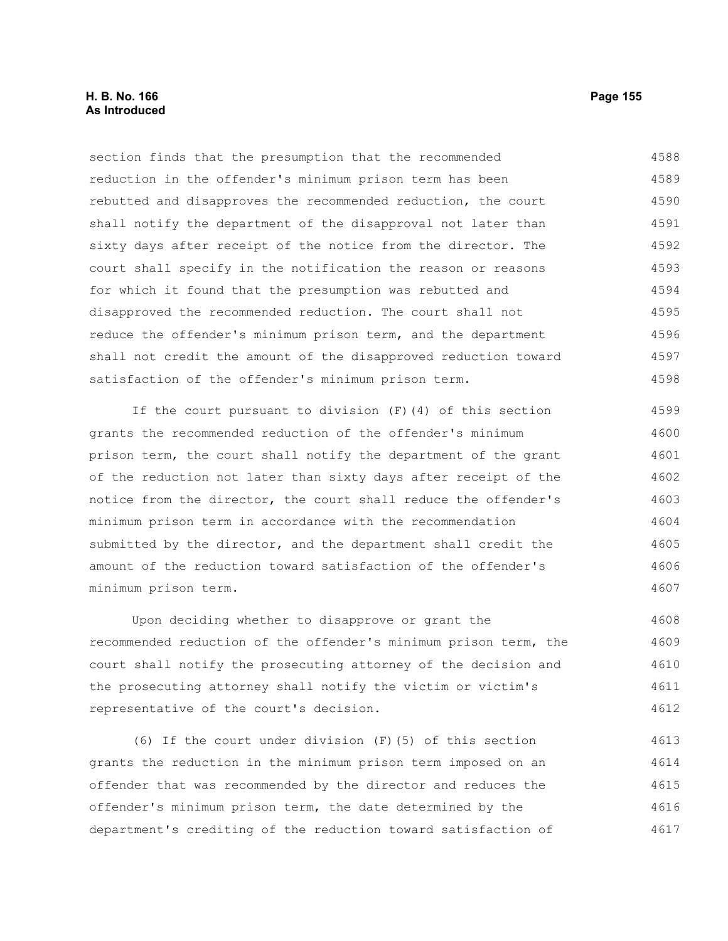# **H. B. No. 166 Page 155 As Introduced**

section finds that the presumption that the recommended reduction in the offender's minimum prison term has been rebutted and disapproves the recommended reduction, the court shall notify the department of the disapproval not later than sixty days after receipt of the notice from the director. The court shall specify in the notification the reason or reasons for which it found that the presumption was rebutted and disapproved the recommended reduction. The court shall not reduce the offender's minimum prison term, and the department shall not credit the amount of the disapproved reduction toward satisfaction of the offender's minimum prison term. 4588 4589 4590 4591 4592 4593 4594 4595 4596 4597 4598

If the court pursuant to division (F)(4) of this section grants the recommended reduction of the offender's minimum prison term, the court shall notify the department of the grant of the reduction not later than sixty days after receipt of the notice from the director, the court shall reduce the offender's minimum prison term in accordance with the recommendation submitted by the director, and the department shall credit the amount of the reduction toward satisfaction of the offender's minimum prison term. 4599 4600 4601 4602 4603 4604 4605 4606 4607

Upon deciding whether to disapprove or grant the recommended reduction of the offender's minimum prison term, the court shall notify the prosecuting attorney of the decision and the prosecuting attorney shall notify the victim or victim's representative of the court's decision. 4608 4609 4610 4611 4612

(6) If the court under division (F)(5) of this section grants the reduction in the minimum prison term imposed on an offender that was recommended by the director and reduces the offender's minimum prison term, the date determined by the department's crediting of the reduction toward satisfaction of 4613 4614 4615 4616 4617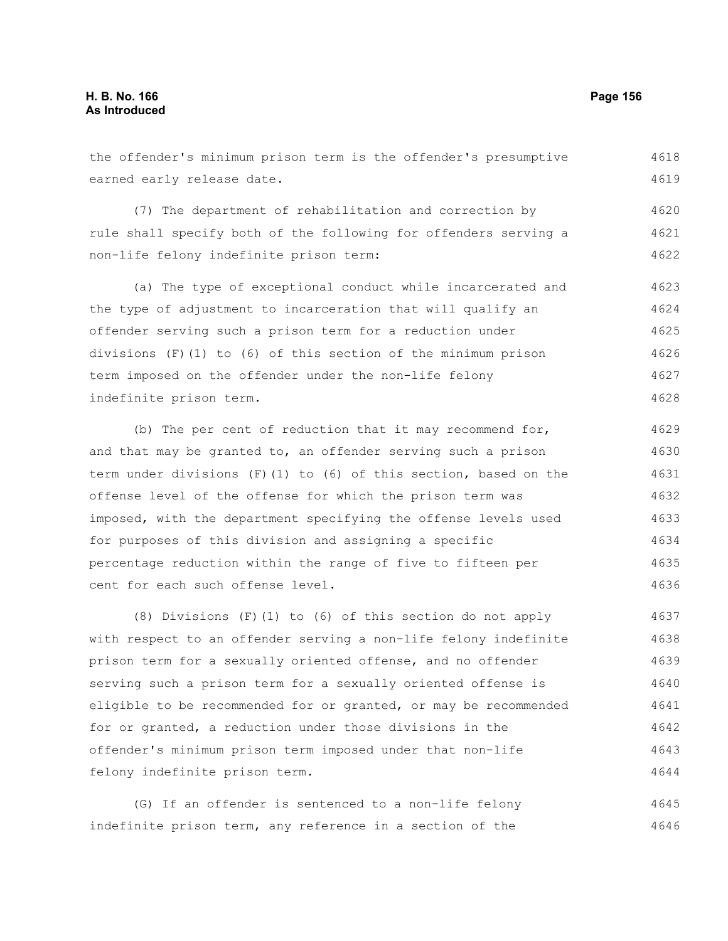earned early release date.

the offender's minimum prison term is the offender's presumptive 4618

(7) The department of rehabilitation and correction by rule shall specify both of the following for offenders serving a non-life felony indefinite prison term: 4620 4621 4622

(a) The type of exceptional conduct while incarcerated and the type of adjustment to incarceration that will qualify an offender serving such a prison term for a reduction under divisions (F)(1) to (6) of this section of the minimum prison term imposed on the offender under the non-life felony indefinite prison term. 4623 4624 4625 4626 4627 4628

(b) The per cent of reduction that it may recommend for, and that may be granted to, an offender serving such a prison term under divisions (F)(1) to (6) of this section, based on the offense level of the offense for which the prison term was imposed, with the department specifying the offense levels used for purposes of this division and assigning a specific percentage reduction within the range of five to fifteen per cent for each such offense level. 4629 4630 4631 4632 4633 4634 4635 4636

(8) Divisions (F)(1) to (6) of this section do not apply with respect to an offender serving a non-life felony indefinite prison term for a sexually oriented offense, and no offender serving such a prison term for a sexually oriented offense is eligible to be recommended for or granted, or may be recommended for or granted, a reduction under those divisions in the offender's minimum prison term imposed under that non-life felony indefinite prison term. 4637 4638 4639 4640 4641 4642 4643 4644

(G) If an offender is sentenced to a non-life felony indefinite prison term, any reference in a section of the 4645 4646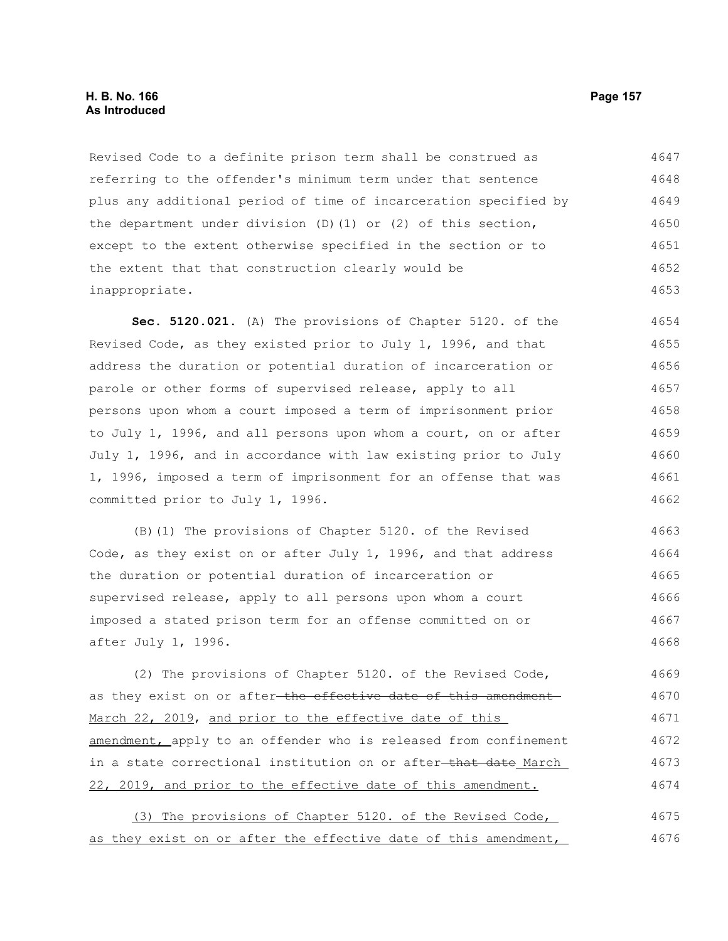# **H. B. No. 166 Page 157 As Introduced**

Revised Code to a definite prison term shall be construed as referring to the offender's minimum term under that sentence plus any additional period of time of incarceration specified by the department under division (D)(1) or (2) of this section, except to the extent otherwise specified in the section or to the extent that that construction clearly would be inappropriate. 4647 4648 4649 4650 4651 4652 4653

**Sec. 5120.021.** (A) The provisions of Chapter 5120. of the Revised Code, as they existed prior to July 1, 1996, and that address the duration or potential duration of incarceration or parole or other forms of supervised release, apply to all persons upon whom a court imposed a term of imprisonment prior to July 1, 1996, and all persons upon whom a court, on or after July 1, 1996, and in accordance with law existing prior to July 1, 1996, imposed a term of imprisonment for an offense that was committed prior to July 1, 1996. 4654 4655 4656 4657 4658 4659 4660 4661 4662

(B)(1) The provisions of Chapter 5120. of the Revised Code, as they exist on or after July 1, 1996, and that address the duration or potential duration of incarceration or supervised release, apply to all persons upon whom a court imposed a stated prison term for an offense committed on or after July 1, 1996. 4663 4664 4665 4666 4667 4668

(2) The provisions of Chapter 5120. of the Revised Code, as they exist on or after-the effective date of this amendment-March 22, 2019, and prior to the effective date of this amendment, apply to an offender who is released from confinement in a state correctional institution on or after<del>-that date</del> March 22, 2019, and prior to the effective date of this amendment. 4669 4670 4671 4672 4673 4674

(3) The provisions of Chapter 5120. of the Revised Code, as they exist on or after the effective date of this amendment, 4675 4676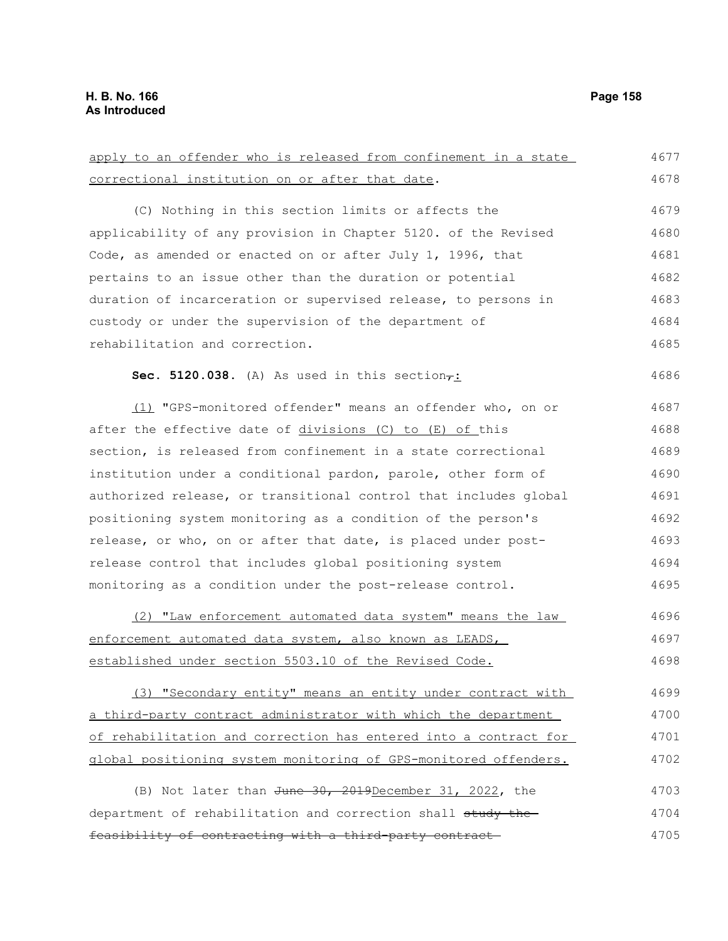| apply to an offender who is released from confinement in a state | 4677 |
|------------------------------------------------------------------|------|
| correctional institution on or after that date.                  | 4678 |
| (C) Nothing in this section limits or affects the                | 4679 |
| applicability of any provision in Chapter 5120. of the Revised   | 4680 |
| Code, as amended or enacted on or after July 1, 1996, that       | 4681 |
| pertains to an issue other than the duration or potential        | 4682 |
| duration of incarceration or supervised release, to persons in   | 4683 |
| custody or under the supervision of the department of            | 4684 |
| rehabilitation and correction.                                   | 4685 |
| Sec. 5120.038. (A) As used in this section $\tau$ :              | 4686 |
| (1) "GPS-monitored offender" means an offender who, on or        | 4687 |
| after the effective date of divisions (C) to (E) of this         | 4688 |
| section, is released from confinement in a state correctional    | 4689 |
| institution under a conditional pardon, parole, other form of    | 4690 |
| authorized release, or transitional control that includes global | 4691 |
| positioning system monitoring as a condition of the person's     | 4692 |
| release, or who, on or after that date, is placed under post-    | 4693 |
| release control that includes global positioning system          | 4694 |
| monitoring as a condition under the post-release control.        | 4695 |
| (2) "Law enforcement automated data system" means the law        | 4696 |
| enforcement automated data system, also known as LEADS,          | 4697 |
| established under section 5503.10 of the Revised Code.           | 4698 |
| (3) "Secondary entity" means an entity under contract with       | 4699 |
| a third-party contract administrator with which the department   | 4700 |
| of rehabilitation and correction has entered into a contract for | 4701 |
| global positioning system monitoring of GPS-monitored offenders. | 4702 |
| (B) Not later than June 30, 2019December 31, 2022, the           | 4703 |
| department of rehabilitation and correction shall study the      | 4704 |
| feasibility of contracting with a third-party contract-          | 4705 |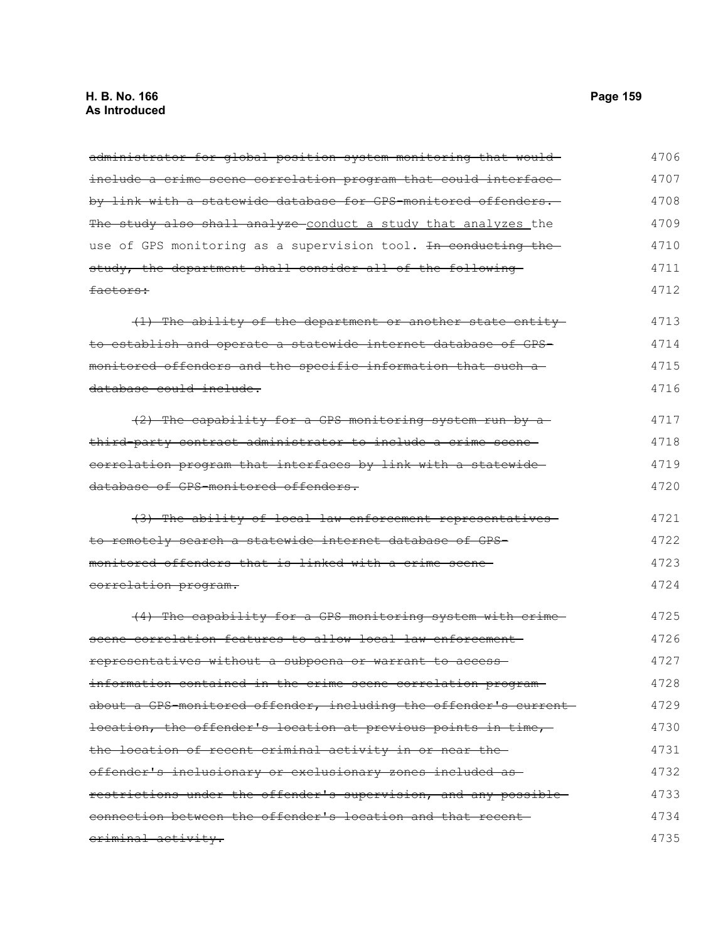| administrator for global position system monitoring that would-   | 4706 |
|-------------------------------------------------------------------|------|
| include a crime scene correlation program that could interface    | 4707 |
| by link with a statewide database for GPS-monitored offenders.    | 4708 |
| The study also shall analyze conduct a study that analyzes the    | 4709 |
| use of GPS monitoring as a supervision tool. In conducting the    | 4710 |
| study, the department shall consider all of the following-        | 4711 |
| <del>factors:</del>                                               | 4712 |
| (1) The ability of the department or another state entity         | 4713 |
| to establish and operate a statewide internet database of GPS-    | 4714 |
| monitored offenders and the specific information that such a      | 4715 |
| database could include.                                           | 4716 |
| (2) The capability for a GPS monitoring system run by a           | 4717 |
| third-party contract administrator to include a crime scene-      | 4718 |
| correlation program that interfaces by link with a statewide-     | 4719 |
| database of GPS-monitored offenders.                              | 4720 |
| (3) The ability of local law enforcement representatives          | 4721 |
| to remotely search a statewide internet database of GPS-          | 4722 |
| monitored offenders that is linked with a crime scene-            | 4723 |
| correlation program.                                              | 4724 |
| (4) The capability for a GPS monitoring system with crime         | 4725 |
| scene correlation features to allow local law enforcement-        | 4726 |
| representatives without a subpoena or warrant to access-          | 4727 |
| information contained in the crime scene correlation program-     | 4728 |
| about a GPS-monitored offender, including the offender's current- | 4729 |
| location, the offender's location at previous points in time,     | 4730 |
| the location of recent criminal activity in or near the           | 4731 |
| offender's inclusionary or exclusionary zones included as         | 4732 |
| restrictions under the offender's supervision, and any possible-  | 4733 |
| connection between the offender's location and that recent-       | 4734 |
| eriminal activity.                                                | 4735 |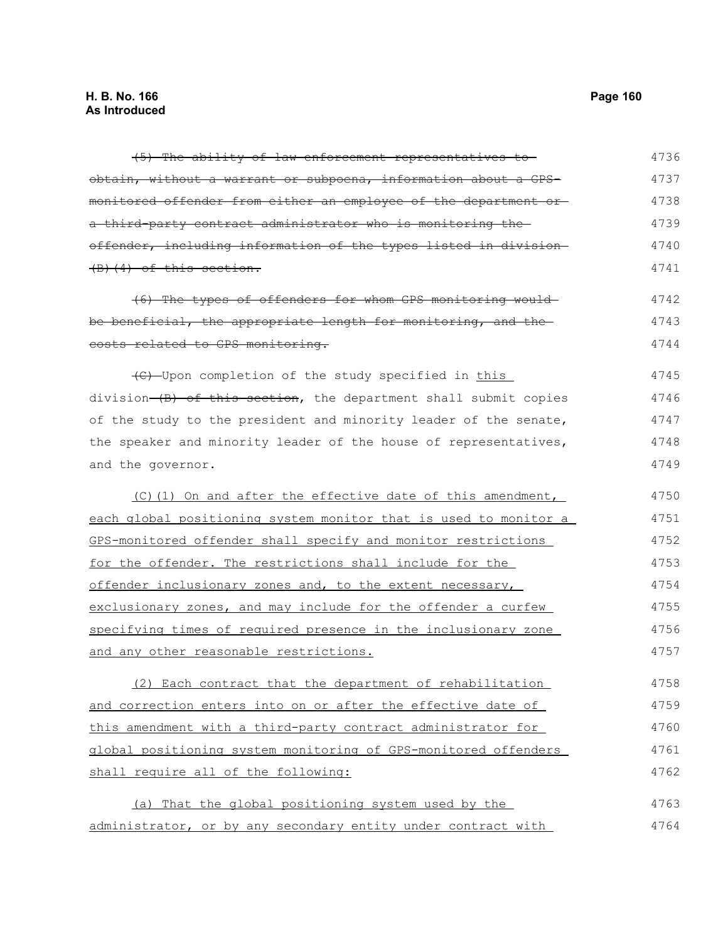(B)(4) of this section.

(5) The ability of law enforcement representatives to obtain, without a warrant or subpoena, information about a GPSmonitored offender from either an employee of the department or a third-party contract administrator who is monitoring the offender, including information of the types listed in division 4736 4737 4738 4739 4740 4741

(6) The types of offenders for whom GPS monitoring would be beneficial, the appropriate length for monitoring, and the costs related to GPS monitoring. 4742 4743 4744

(C) Upon completion of the study specified in this division (B) of this section, the department shall submit copies of the study to the president and minority leader of the senate, the speaker and minority leader of the house of representatives, and the governor. 4745 4746 4747 4748 4749

(C)(1) On and after the effective date of this amendment, each global positioning system monitor that is used to monitor a GPS-monitored offender shall specify and monitor restrictions for the offender. The restrictions shall include for the offender inclusionary zones and, to the extent necessary, exclusionary zones, and may include for the offender a curfew specifying times of required presence in the inclusionary zone and any other reasonable restrictions. 4750 4751 4752 4753 4754 4755 4756 4757

(2) Each contract that the department of rehabilitation and correction enters into on or after the effective date of this amendment with a third-party contract administrator for global positioning system monitoring of GPS-monitored offenders shall require all of the following: 4758 4759 4760 4761 4762

(a) That the global positioning system used by the administrator, or by any secondary entity under contract with 4763 4764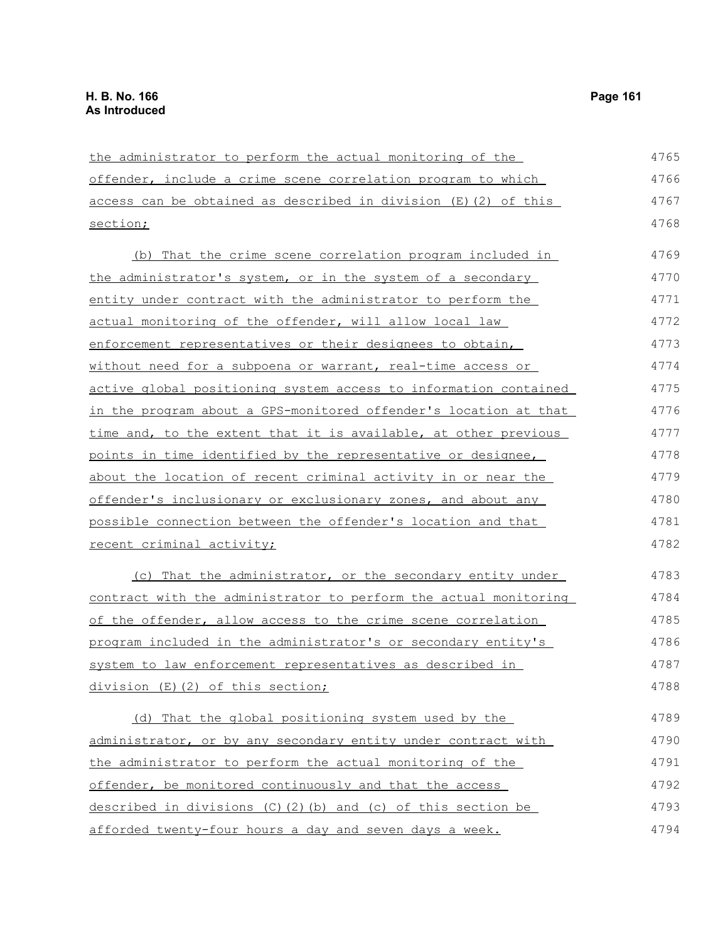the administrator to perform the actual monitoring of the offender, include a crime scene correlation program to which access can be obtained as described in division (E)(2) of this section; (b) That the crime scene correlation program included in the administrator's system, or in the system of a secondary entity under contract with the administrator to perform the actual monitoring of the offender, will allow local law enforcement representatives or their designees to obtain, without need for a subpoena or warrant, real-time access or active global positioning system access to information contained in the program about a GPS-monitored offender's location at that time and, to the extent that it is available, at other previous points in time identified by the representative or designee, about the location of recent criminal activity in or near the offender's inclusionary or exclusionary zones, and about any possible connection between the offender's location and that recent criminal activity; (c) That the administrator, or the secondary entity under contract with the administrator to perform the actual monitoring of the offender, allow access to the crime scene correlation program included in the administrator's or secondary entity's system to law enforcement representatives as described in division (E)(2) of this section; (d) That the global positioning system used by the administrator, or by any secondary entity under contract with the administrator to perform the actual monitoring of the offender, be monitored continuously and that the access described in divisions  $(C)(2)(b)$  and  $(c)$  of this section be afforded twenty-four hours a day and seven days a week. 4765 4766 4767 4768 4769 4770 4771 4772 4773 4774 4775 4776 4777 4778 4779 4780 4781 4782 4783 4784 4785 4786 4787 4788 4789 4790 4791 4792 4793 4794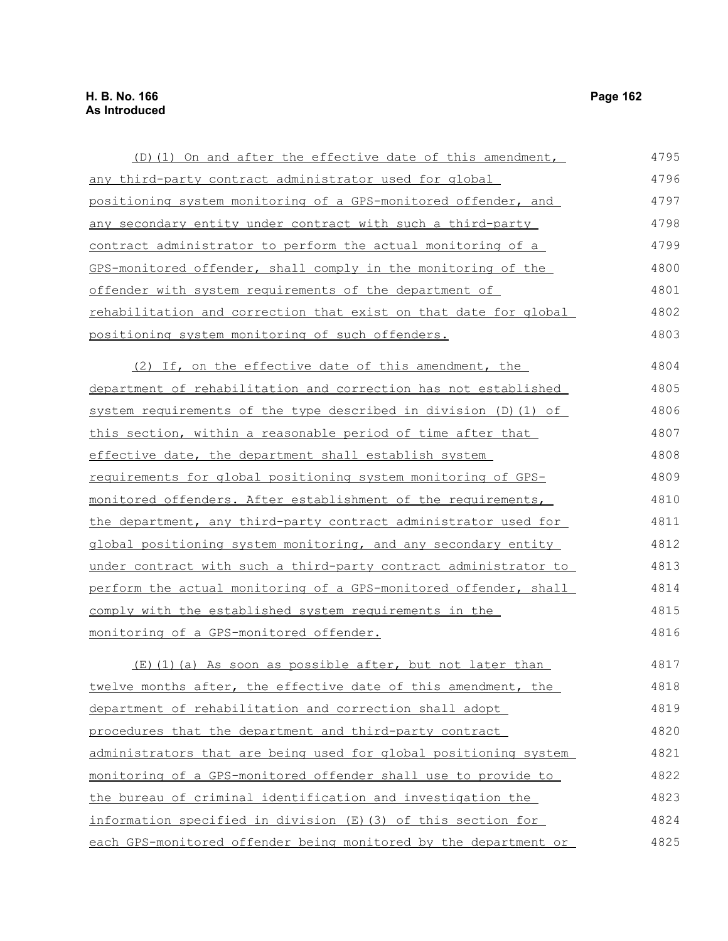| (D) (1) On and after the effective date of this amendment,               | 4795 |
|--------------------------------------------------------------------------|------|
| <u>any third-party contract administrator used for global</u>            | 4796 |
| positioning system monitoring of a GPS-monitored offender, and           | 4797 |
| <u>any secondary entity under contract with such a third-party </u>      | 4798 |
| contract administrator to perform the actual monitoring of a             | 4799 |
| GPS-monitored offender, shall comply in the monitoring of the            | 4800 |
| offender with system requirements of the department of                   | 4801 |
| rehabilitation and correction that exist on that date for global         | 4802 |
| <u>positioning system monitoring of such offenders.</u>                  | 4803 |
| (2) If, on the effective date of this amendment, the                     | 4804 |
| department of rehabilitation and correction has not established          | 4805 |
| system requirements of the type described in division (D) (1) of         | 4806 |
| this section, within a reasonable period of time after that              | 4807 |
| effective date, the department shall establish system                    | 4808 |
| requirements for global positioning system monitoring of GPS-            | 4809 |
| monitored offenders. After establishment of the requirements,            | 4810 |
| the department, any third-party contract administrator used for          | 4811 |
| global positioning system monitoring, and any secondary entity           | 4812 |
| <u>under contract with such a third-party contract administrator to </u> | 4813 |
| perform the actual monitoring of a GPS-monitored offender, shall         | 4814 |
| comply with the established system requirements in the                   | 4815 |
| <u>monitoring of a GPS-monitored offender.</u>                           | 4816 |
| (E)(1)(a) As soon as possible after, but not later than                  | 4817 |
| twelve months after, the effective date of this amendment, the           | 4818 |
| department of rehabilitation and correction shall adopt                  | 4819 |
| procedures that the department and third-party contract                  | 4820 |
| administrators that are being used for global positioning system         | 4821 |
| monitoring of a GPS-monitored offender shall use to provide to           | 4822 |
| the bureau of criminal identification and investigation the              | 4823 |
| information specified in division (E)(3) of this section for             | 4824 |

each GPS-monitored offender being monitored by the department or 4825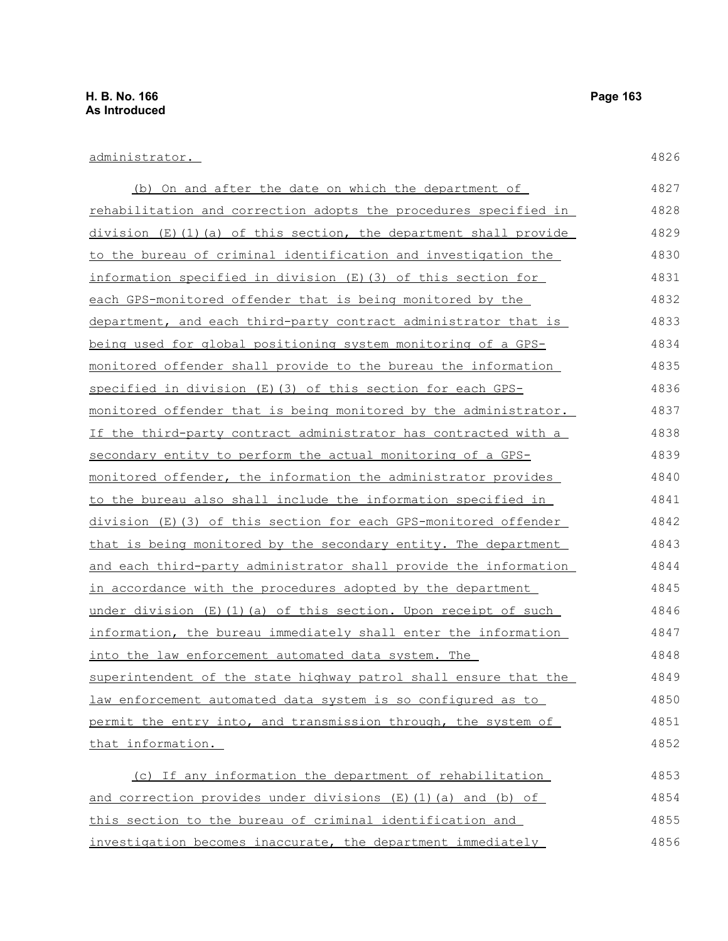# administrator.

4855 4856

| (b) On and after the date on which the department of             | 4827 |
|------------------------------------------------------------------|------|
| rehabilitation and correction adopts the procedures specified in | 4828 |
| division (E)(1)(a) of this section, the department shall provide | 4829 |
| to the bureau of criminal identification and investigation the   | 4830 |
| information specified in division $(E)$ (3) of this section for  | 4831 |
| each GPS-monitored offender that is being monitored by the       | 4832 |
| department, and each third-party contract administrator that is  | 4833 |
| being used for global positioning system monitoring of a GPS-    | 4834 |
| monitored offender shall provide to the bureau the information   | 4835 |
| specified in division (E) (3) of this section for each GPS-      | 4836 |
| monitored offender that is being monitored by the administrator. | 4837 |
| If the third-party contract administrator has contracted with a  | 4838 |
| secondary entity to perform the actual monitoring of a GPS-      | 4839 |
| monitored offender, the information the administrator provides   | 4840 |
| to the bureau also shall include the information specified in    | 4841 |
| division (E)(3) of this section for each GPS-monitored offender  | 4842 |
| that is being monitored by the secondary entity. The department  | 4843 |
| and each third-party administrator shall provide the information | 4844 |
| in accordance with the procedures adopted by the department      | 4845 |
| under division (E)(1)(a) of this section. Upon receipt of such   | 4846 |
| information, the bureau immediately shall enter the information  | 4847 |
| into the law enforcement automated data system. The              | 4848 |
| superintendent of the state highway patrol shall ensure that the | 4849 |
| law enforcement automated data system is so configured as to     | 4850 |
| permit the entry into, and transmission through, the system of   | 4851 |
| that information.                                                | 4852 |
| (c) If any information the department of rehabilitation          | 4853 |
| and correction provides under divisions $(E)$ (1) (a) and (b) of | 4854 |
|                                                                  |      |

this section to the bureau of criminal identification and

investigation becomes inaccurate, the department immediately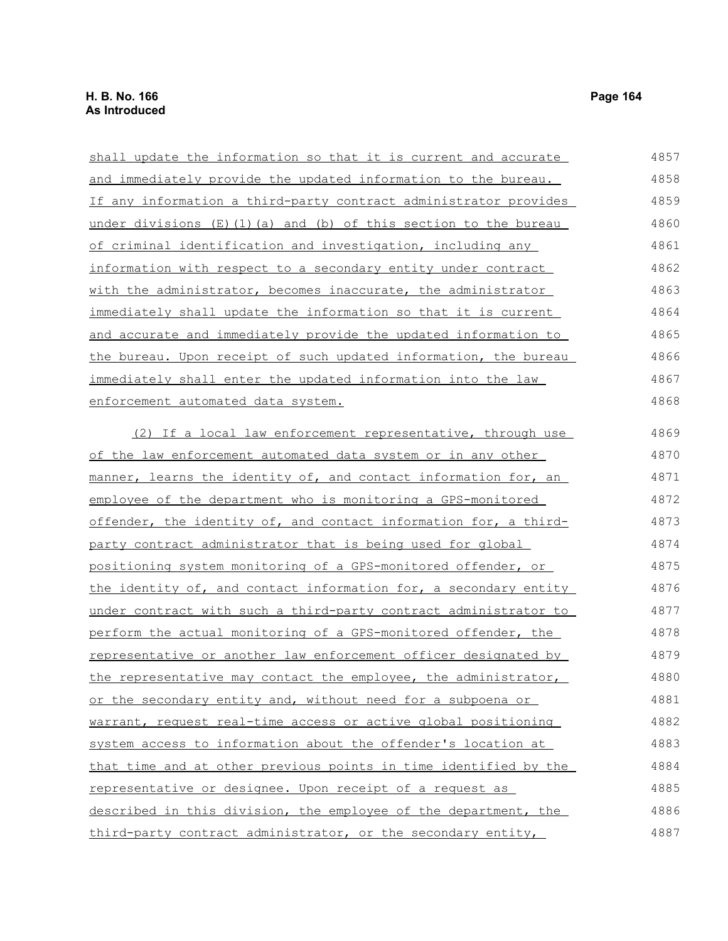| shall update the information so that it is current and accurate        | 4857 |
|------------------------------------------------------------------------|------|
| and immediately provide the updated information to the bureau.         | 4858 |
| If any information a third-party contract administrator provides       | 4859 |
| under divisions $(E)$ (1) (a) and (b) of this section to the bureau    | 4860 |
| of criminal identification and investigation, including any            | 4861 |
| information with respect to a secondary entity under contract          | 4862 |
| with the administrator, becomes inaccurate, the administrator          | 4863 |
| immediately shall update the information so that it is current         | 4864 |
| and accurate and immediately provide the updated information to        | 4865 |
| the bureau. Upon receipt of such updated information, the bureau       | 4866 |
| immediately shall enter the updated information into the law           | 4867 |
| enforcement automated data system.                                     | 4868 |
| (2) If a local law enforcement representative, through use             | 4869 |
| of the law enforcement automated data system or in any other           | 4870 |
| manner, learns the identity of, and contact information for, an        | 4871 |
| employee of the department who is monitoring a GPS-monitored           | 4872 |
| offender, the identity of, and contact information for, a third-       | 4873 |
| party contract administrator that is being used for global             | 4874 |
| positioning system monitoring of a GPS-monitored offender, or          | 4875 |
| the identity of, and contact information for, a secondary entity       | 4876 |
| under contract with such a third-party contract administrator to       | 4877 |
| perform the actual monitoring of a GPS-monitored offender, the         | 4878 |
| <u>representative or another law enforcement officer designated by</u> | 4879 |
| the representative may contact the employee, the administrator,        | 4880 |
| or the secondary entity and, without need for a subpoena or            | 4881 |
| warrant, request real-time access or active global positioning         | 4882 |
| system access to information about the offender's location at          | 4883 |
| that time and at other previous points in time identified by the       | 4884 |
| representative or designee. Upon receipt of a request as               | 4885 |
| described in this division, the employee of the department, the        | 4886 |
| third-party contract administrator, or the secondary entity,           | 4887 |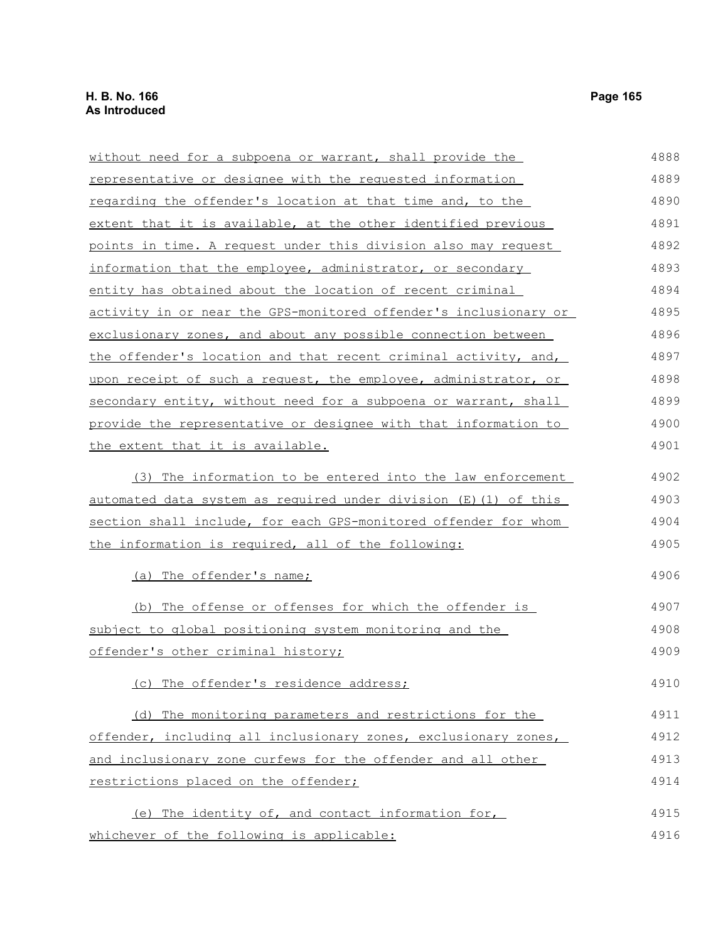without need for a subpoena or warrant, shall provide the representative or designee with the requested information regarding the offender's location at that time and, to the extent that it is available, at the other identified previous points in time. A request under this division also may request information that the employee, administrator, or secondary entity has obtained about the location of recent criminal activity in or near the GPS-monitored offender's inclusionary or exclusionary zones, and about any possible connection between the offender's location and that recent criminal activity, and, upon receipt of such a request, the employee, administrator, or secondary entity, without need for a subpoena or warrant, shall provide the representative or designee with that information to the extent that it is available. (3) The information to be entered into the law enforcement automated data system as required under division (E)(1) of this section shall include, for each GPS-monitored offender for whom the information is required, all of the following: (a) The offender's name; (b) The offense or offenses for which the offender is subject to global positioning system monitoring and the offender's other criminal history; (c) The offender's residence address; (d) The monitoring parameters and restrictions for the offender, including all inclusionary zones, exclusionary zones, and inclusionary zone curfews for the offender and all other restrictions placed on the offender; (e) The identity of, and contact information for, whichever of the following is applicable: 4888 4889 4890 4891 4892 4893 4894 4895 4896 4897 4898 4899 4900 4901 4902 4903 4904 4905 4906 4907 4908 4909 4910 4911 4912 4913 4914 4915 4916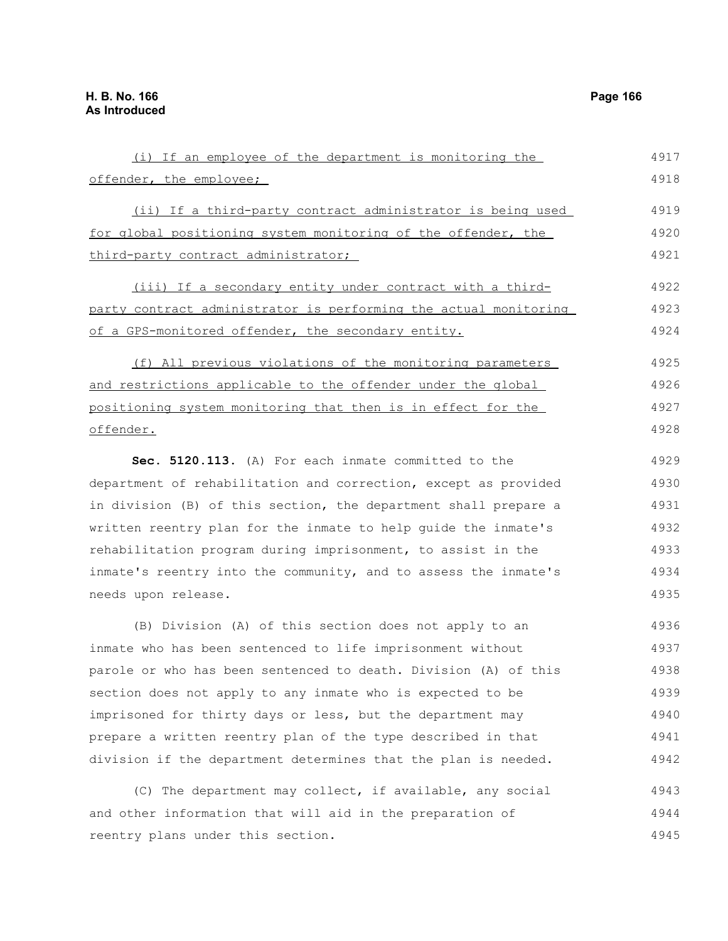| (i) If an employee of the department is monitoring the           | 4917 |
|------------------------------------------------------------------|------|
| offender, the employee;                                          | 4918 |
| (ii) If a third-party contract administrator is being used       | 4919 |
| for global positioning system monitoring of the offender, the    | 4920 |
| third-party contract administrator;                              | 4921 |
| (iii) If a secondary entity under contract with a third-         | 4922 |
| party contract administrator is performing the actual monitoring | 4923 |
| of a GPS-monitored offender, the secondary entity.               | 4924 |
| (f) All previous violations of the monitoring parameters         | 4925 |
| and restrictions applicable to the offender under the global     | 4926 |
| positioning system monitoring that then is in effect for the     | 4927 |
| offender.                                                        | 4928 |
| Sec. 5120.113. (A) For each inmate committed to the              | 4929 |
| department of rehabilitation and correction, except as provided  | 4930 |
| in division (B) of this section, the department shall prepare a  | 4931 |
| written reentry plan for the inmate to help guide the inmate's   | 4932 |
| rehabilitation program during imprisonment, to assist in the     | 4933 |
| inmate's reentry into the community, and to assess the inmate's  | 4934 |
| needs upon release.                                              | 4935 |
| (B) Division (A) of this section does not apply to an            | 4936 |
| inmate who has been sentenced to life imprisonment without       | 4937 |
| parole or who has been sentenced to death. Division (A) of this  | 4938 |
| section does not apply to any inmate who is expected to be       | 4939 |
| imprisoned for thirty days or less, but the department may       | 4940 |
| prepare a written reentry plan of the type described in that     | 4941 |
| division if the department determines that the plan is needed.   | 4942 |
| (C) The department may collect, if available, any social         | 4943 |
| and other information that will aid in the preparation of        | 4944 |
| reentry plans under this section.                                | 4945 |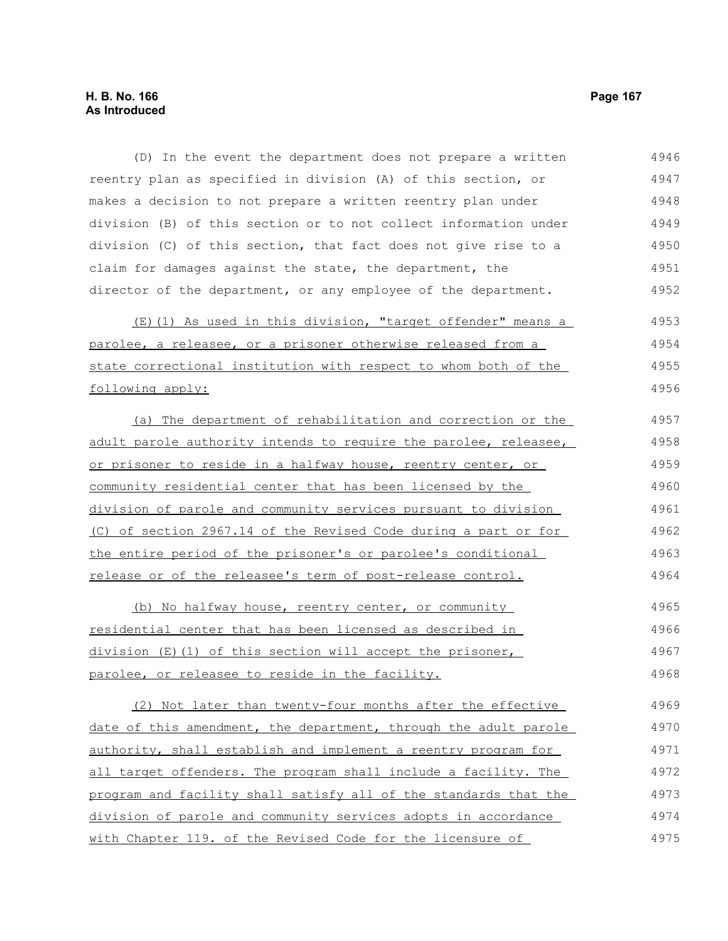(D) In the event the department does not prepare a written reentry plan as specified in division (A) of this section, or makes a decision to not prepare a written reentry plan under division (B) of this section or to not collect information under division (C) of this section, that fact does not give rise to a claim for damages against the state, the department, the director of the department, or any employee of the department. 4946 4947 4948 4949 4950 4951 4952

(E)(1) As used in this division, "target offender" means a parolee, a releasee, or a prisoner otherwise released from a state correctional institution with respect to whom both of the following apply: 4953 4954 4955 4956

(a) The department of rehabilitation and correction or the adult parole authority intends to require the parolee, releasee, or prisoner to reside in a halfway house, reentry center, or community residential center that has been licensed by the division of parole and community services pursuant to division (C) of section 2967.14 of the Revised Code during a part or for the entire period of the prisoner's or parolee's conditional release or of the releasee's term of post-release control. 4957 4958 4959 4960 4961 4962 4963 4964

(b) No halfway house, reentry center, or community residential center that has been licensed as described in division  $(E)$  (1) of this section will accept the prisoner, parolee, or releasee to reside in the facility. 4965 4966 4967 4968

(2) Not later than twenty-four months after the effective date of this amendment, the department, through the adult parole authority, shall establish and implement a reentry program for all target offenders. The program shall include a facility. The program and facility shall satisfy all of the standards that the division of parole and community services adopts in accordance with Chapter 119. of the Revised Code for the licensure of 4969 4970 4971 4972 4973 4974 4975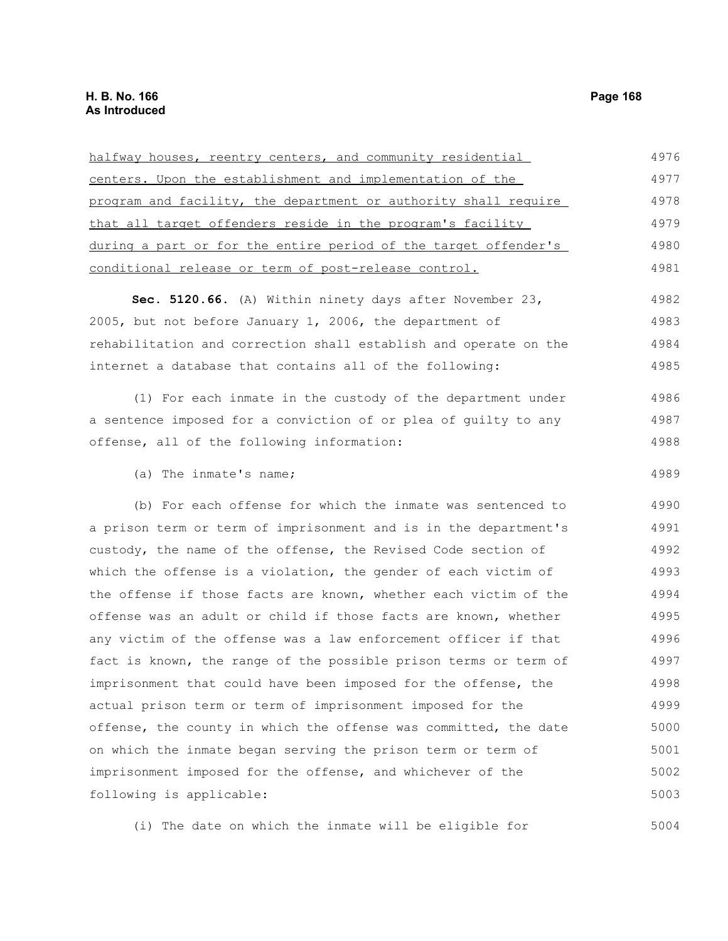halfway houses, reentry centers, and community residential centers. Upon the establishment and implementation of the program and facility, the department or authority shall require that all target offenders reside in the program's facility during a part or for the entire period of the target offender's conditional release or term of post-release control. 4976 4977 4978 4979 4980 4981

**Sec. 5120.66.** (A) Within ninety days after November 23, 2005, but not before January 1, 2006, the department of rehabilitation and correction shall establish and operate on the internet a database that contains all of the following: 4982 4983 4984 4985

(1) For each inmate in the custody of the department under a sentence imposed for a conviction of or plea of guilty to any offense, all of the following information: 4986 4987 4988

(a) The inmate's name;

(b) For each offense for which the inmate was sentenced to a prison term or term of imprisonment and is in the department's custody, the name of the offense, the Revised Code section of which the offense is a violation, the gender of each victim of the offense if those facts are known, whether each victim of the offense was an adult or child if those facts are known, whether any victim of the offense was a law enforcement officer if that fact is known, the range of the possible prison terms or term of imprisonment that could have been imposed for the offense, the actual prison term or term of imprisonment imposed for the offense, the county in which the offense was committed, the date on which the inmate began serving the prison term or term of imprisonment imposed for the offense, and whichever of the following is applicable: 4990 4991 4992 4993 4994 4995 4996 4997 4998 4999 5000 5001 5002 5003

(i) The date on which the inmate will be eligible for

4989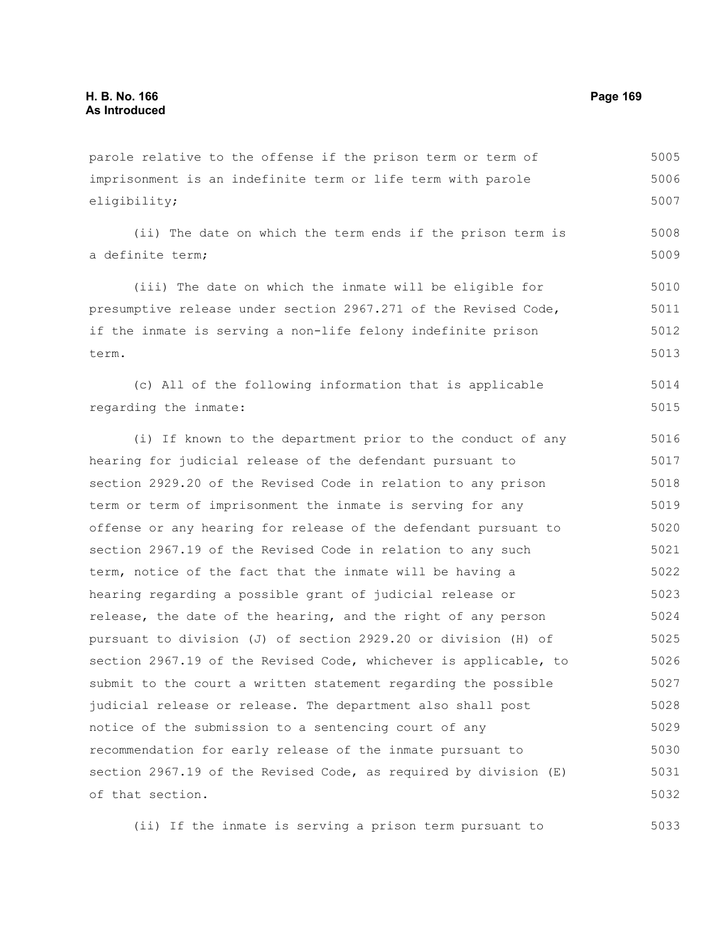5033

#### parole relative to the offense if the prison term or term of imprisonment is an indefinite term or life term with parole eligibility; (ii) The date on which the term ends if the prison term is a definite term; (iii) The date on which the inmate will be eligible for presumptive release under section 2967.271 of the Revised Code, if the inmate is serving a non-life felony indefinite prison term. (c) All of the following information that is applicable regarding the inmate: (i) If known to the department prior to the conduct of any hearing for judicial release of the defendant pursuant to section 2929.20 of the Revised Code in relation to any prison term or term of imprisonment the inmate is serving for any offense or any hearing for release of the defendant pursuant to section 2967.19 of the Revised Code in relation to any such term, notice of the fact that the inmate will be having a hearing regarding a possible grant of judicial release or release, the date of the hearing, and the right of any person pursuant to division (J) of section 2929.20 or division (H) of section 2967.19 of the Revised Code, whichever is applicable, to submit to the court a written statement regarding the possible judicial release or release. The department also shall post notice of the submission to a sentencing court of any recommendation for early release of the inmate pursuant to section 2967.19 of the Revised Code, as required by division (E) of that section. 5005 5006 5007 5008 5009 5010 5011 5012 5013 5014 5015 5016 5017 5018 5019 5020 5021 5022 5023 5024 5025 5026 5027 5028 5029 5030 5031 5032

(ii) If the inmate is serving a prison term pursuant to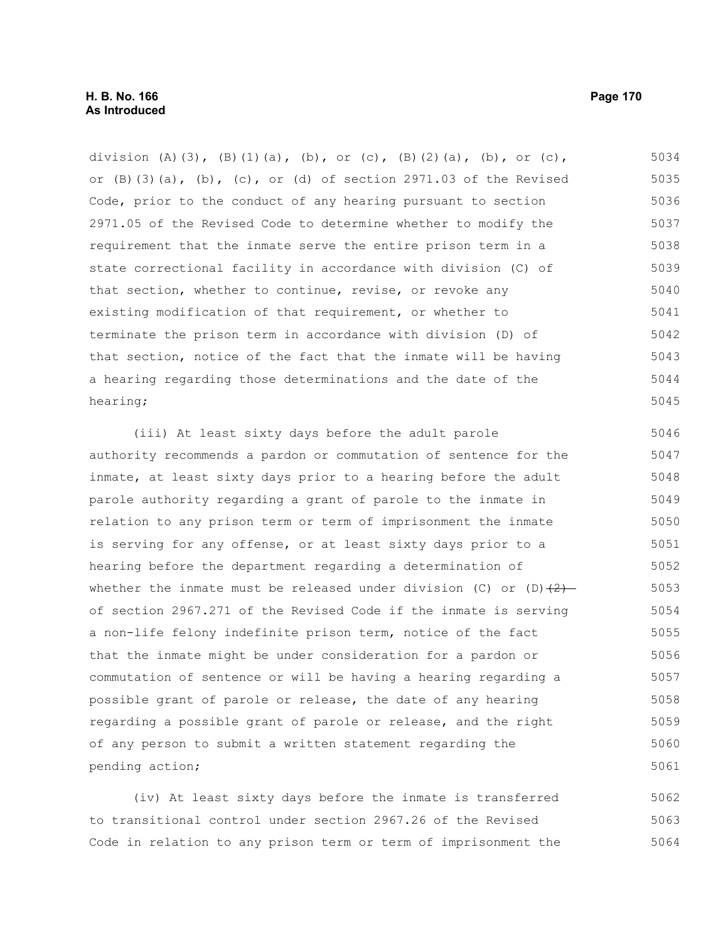division (A)(3), (B)(1)(a), (b), or (c), (B)(2)(a), (b), or (c), or  $(B)$ (3)(a),  $(b)$ ,  $(c)$ , or  $(d)$  of section 2971.03 of the Revised Code, prior to the conduct of any hearing pursuant to section 2971.05 of the Revised Code to determine whether to modify the requirement that the inmate serve the entire prison term in a state correctional facility in accordance with division (C) of that section, whether to continue, revise, or revoke any existing modification of that requirement, or whether to terminate the prison term in accordance with division (D) of that section, notice of the fact that the inmate will be having a hearing regarding those determinations and the date of the hearing; 5034 5035 5036 5037 5038 5039 5040 5041 5042 5043 5044 5045

(iii) At least sixty days before the adult parole authority recommends a pardon or commutation of sentence for the inmate, at least sixty days prior to a hearing before the adult parole authority regarding a grant of parole to the inmate in relation to any prison term or term of imprisonment the inmate is serving for any offense, or at least sixty days prior to a hearing before the department regarding a determination of whether the inmate must be released under division (C) or (D) $(2)$ of section 2967.271 of the Revised Code if the inmate is serving a non-life felony indefinite prison term, notice of the fact that the inmate might be under consideration for a pardon or commutation of sentence or will be having a hearing regarding a possible grant of parole or release, the date of any hearing regarding a possible grant of parole or release, and the right of any person to submit a written statement regarding the pending action; 5046 5047 5048 5049 5050 5051 5052 5053 5054 5055 5056 5057 5058 5059 5060 5061

(iv) At least sixty days before the inmate is transferred to transitional control under section 2967.26 of the Revised Code in relation to any prison term or term of imprisonment the 5062 5063 5064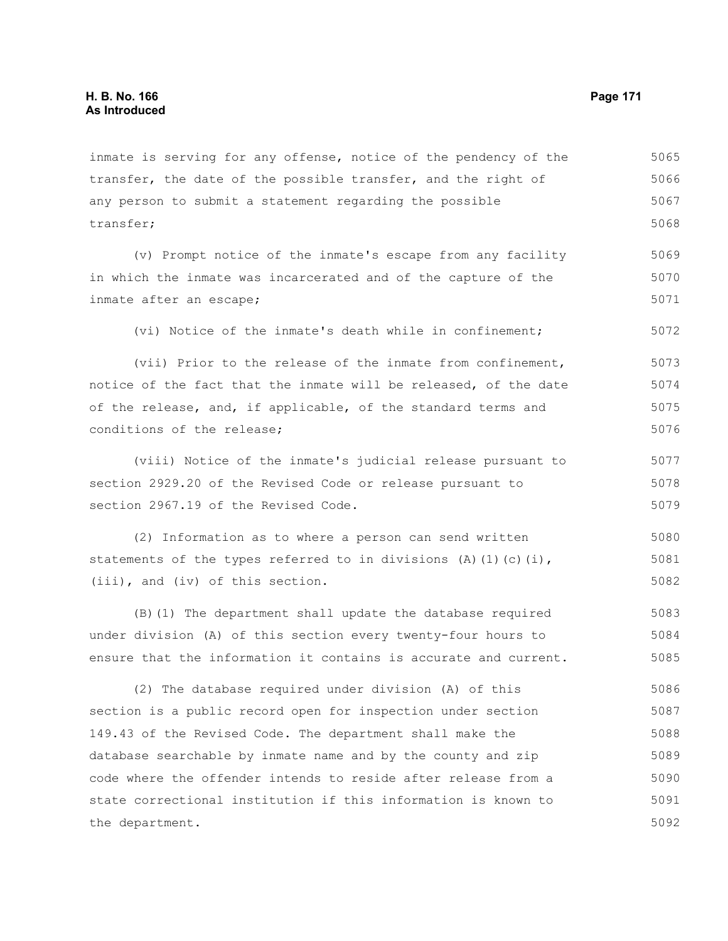inmate is serving for any offense, notice of the pendency of the transfer, the date of the possible transfer, and the right of any person to submit a statement regarding the possible transfer; 5065 5066 5067 5068

(v) Prompt notice of the inmate's escape from any facility in which the inmate was incarcerated and of the capture of the inmate after an escape; 5069 5070 5071

(vi) Notice of the inmate's death while in confinement;

(vii) Prior to the release of the inmate from confinement, notice of the fact that the inmate will be released, of the date of the release, and, if applicable, of the standard terms and conditions of the release; 5073 5074 5075 5076

(viii) Notice of the inmate's judicial release pursuant to section 2929.20 of the Revised Code or release pursuant to section 2967.19 of the Revised Code. 5077 5078 5079

(2) Information as to where a person can send written statements of the types referred to in divisions (A)(1)(c)(i), (iii), and (iv) of this section. 5080 5081 5082

(B)(1) The department shall update the database required under division (A) of this section every twenty-four hours to ensure that the information it contains is accurate and current. 5083 5084 5085

(2) The database required under division (A) of this section is a public record open for inspection under section 149.43 of the Revised Code. The department shall make the database searchable by inmate name and by the county and zip code where the offender intends to reside after release from a state correctional institution if this information is known to the department. 5086 5087 5088 5089 5090 5091 5092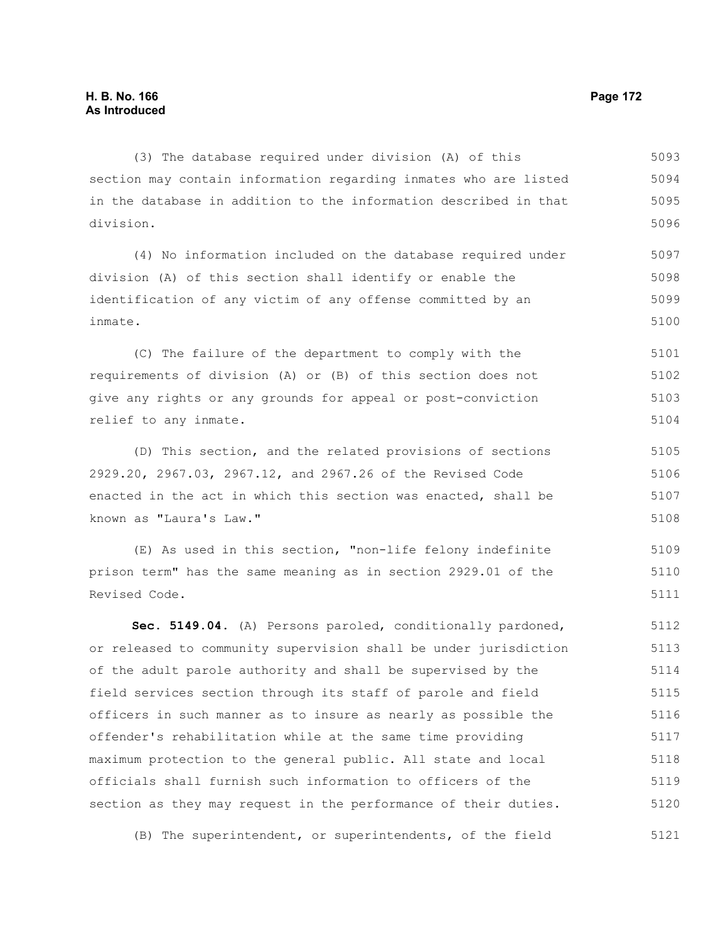(3) The database required under division (A) of this section may contain information regarding inmates who are listed in the database in addition to the information described in that division. 5093 5094 5095 5096

(4) No information included on the database required under division (A) of this section shall identify or enable the identification of any victim of any offense committed by an inmate. 5097 5098 5099 5100

(C) The failure of the department to comply with the requirements of division (A) or (B) of this section does not give any rights or any grounds for appeal or post-conviction relief to any inmate. 5101 5102 5103 5104

(D) This section, and the related provisions of sections 2929.20, 2967.03, 2967.12, and 2967.26 of the Revised Code enacted in the act in which this section was enacted, shall be known as "Laura's Law." 5105 5106 5107 5108

(E) As used in this section, "non-life felony indefinite prison term" has the same meaning as in section 2929.01 of the Revised Code. 5109 5110 5111

**Sec. 5149.04.** (A) Persons paroled, conditionally pardoned, or released to community supervision shall be under jurisdiction of the adult parole authority and shall be supervised by the field services section through its staff of parole and field officers in such manner as to insure as nearly as possible the offender's rehabilitation while at the same time providing maximum protection to the general public. All state and local officials shall furnish such information to officers of the section as they may request in the performance of their duties. 5112 5113 5114 5115 5116 5117 5118 5119 5120

(B) The superintendent, or superintendents, of the field 5121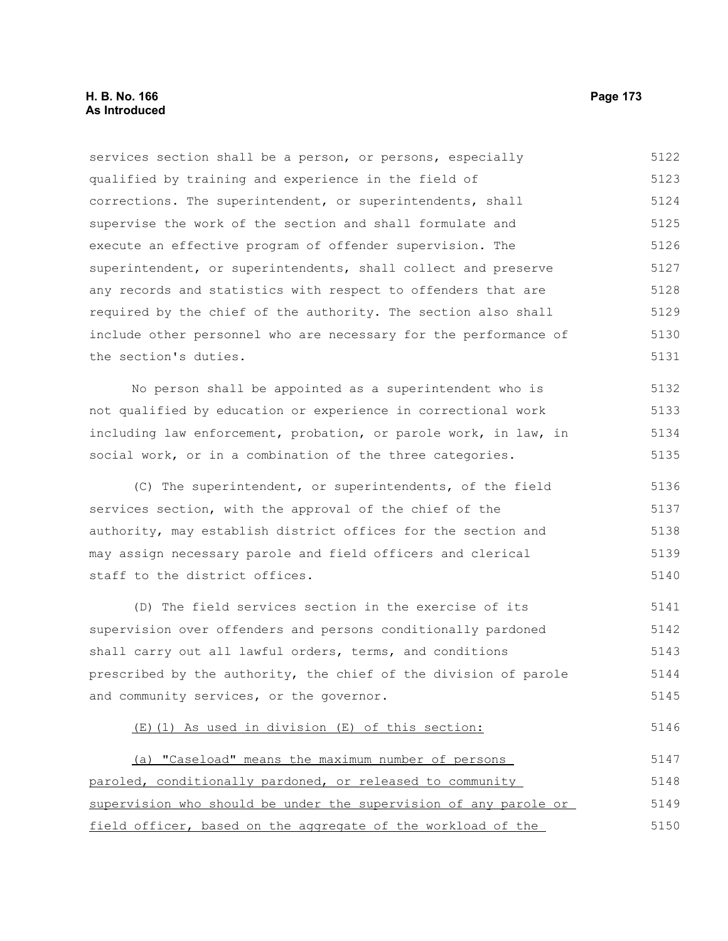# **H. B. No. 166 Page 173 As Introduced**

services section shall be a person, or persons, especially qualified by training and experience in the field of corrections. The superintendent, or superintendents, shall supervise the work of the section and shall formulate and execute an effective program of offender supervision. The superintendent, or superintendents, shall collect and preserve any records and statistics with respect to offenders that are required by the chief of the authority. The section also shall include other personnel who are necessary for the performance of the section's duties. No person shall be appointed as a superintendent who is not qualified by education or experience in correctional work including law enforcement, probation, or parole work, in law, in social work, or in a combination of the three categories. (C) The superintendent, or superintendents, of the field services section, with the approval of the chief of the authority, may establish district offices for the section and may assign necessary parole and field officers and clerical staff to the district offices. (D) The field services section in the exercise of its supervision over offenders and persons conditionally pardoned shall carry out all lawful orders, terms, and conditions prescribed by the authority, the chief of the division of parole and community services, or the governor. (E)(1) As used in division (E) of this section: (a) "Caseload" means the maximum number of persons paroled, conditionally pardoned, or released to community supervision who should be under the supervision of any parole or field officer, based on the aggregate of the workload of the 5122 5123 5124 5125 5126 5127 5128 5129 5130 5131 5132 5133 5134 5135 5136 5137 5138 5139 5140 5141 5142 5143 5144 5145 5146 5147 5148 5149 5150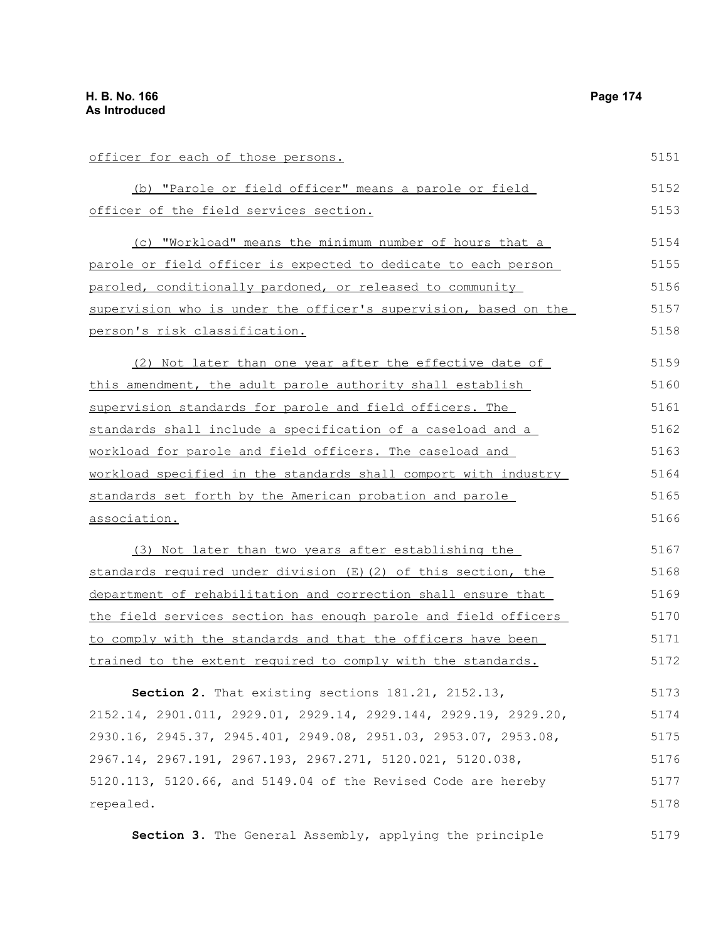| officer for each of those persons.                                                    | 5151 |
|---------------------------------------------------------------------------------------|------|
| (b) "Parole or field officer" means a parole or field                                 | 5152 |
| officer of the field services section.                                                | 5153 |
| (c) "Workload" means the minimum number of hours that a                               | 5154 |
| parole or field officer is expected to dedicate to each person                        | 5155 |
| paroled, conditionally pardoned, or released to community                             | 5156 |
| supervision who is under the officer's supervision, based on the                      | 5157 |
| person's risk classification.                                                         | 5158 |
| (2) Not later than one year after the effective date of                               | 5159 |
| this amendment, the adult parole authority shall establish                            | 5160 |
| supervision standards for parole and field officers. The                              | 5161 |
| standards shall include a specification of a caseload and a                           | 5162 |
| workload for parole and field officers. The caseload and                              | 5163 |
| workload specified in the standards shall comport with industry                       | 5164 |
| standards set forth by the American probation and parole                              | 5165 |
| <u>association.</u>                                                                   | 5166 |
| (3) Not later than two years after establishing the                                   | 5167 |
| standards required under division (E) (2) of this section, the                        | 5168 |
| department of rehabilitation and correction shall ensure that                         | 5169 |
| the field services section has enough parole and field officers                       | 5170 |
| to comply with the standards and that the officers have been                          | 5171 |
| trained to the extent required to comply with the standards.                          | 5172 |
| <b>Section 2.</b> That existing sections $181.21$ , $2152.13$ ,                       | 5173 |
| $2152.14$ , $2901.011$ , $2929.01$ , $2929.14$ , $2929.144$ , $2929.19$ , $2929.20$ , | 5174 |
| 2930.16, 2945.37, 2945.401, 2949.08, 2951.03, 2953.07, 2953.08,                       | 5175 |
| 2967.14, 2967.191, 2967.193, 2967.271, 5120.021, 5120.038,                            | 5176 |
| 5120.113, 5120.66, and 5149.04 of the Revised Code are hereby                         | 5177 |
| repealed.                                                                             | 5178 |
| Section 3. The General Assembly, applying the principle                               | 5179 |